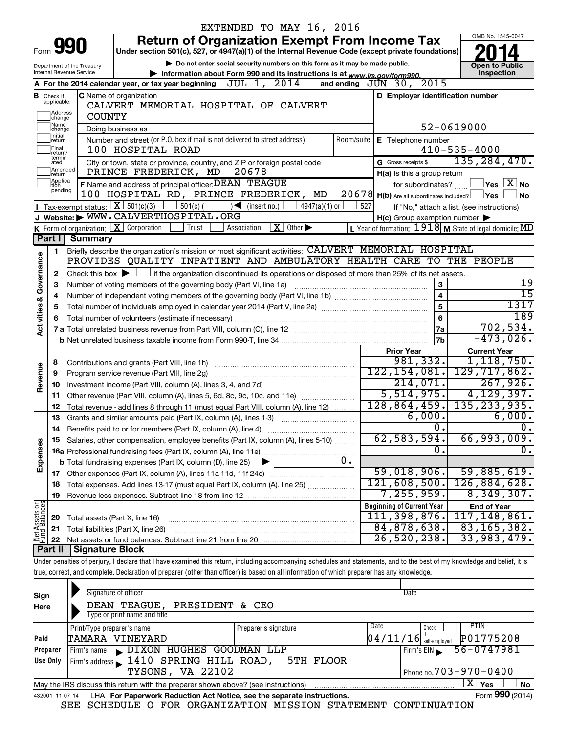|                         |                               |                                      |                                                                                               | EXTENDED TO MAY 16, 2016                                                                                                                                                   |                                                           |                                                                     |
|-------------------------|-------------------------------|--------------------------------------|-----------------------------------------------------------------------------------------------|----------------------------------------------------------------------------------------------------------------------------------------------------------------------------|-----------------------------------------------------------|---------------------------------------------------------------------|
|                         |                               |                                      |                                                                                               | <b>Return of Organization Exempt From Income Tax</b>                                                                                                                       |                                                           | OMB No. 1545-0047                                                   |
| Form                    |                               | 990                                  |                                                                                               | Under section 501(c), 527, or 4947(a)(1) of the Internal Revenue Code (except private foundations)                                                                         |                                                           |                                                                     |
|                         |                               | Department of the Treasury           |                                                                                               | Do not enter social security numbers on this form as it may be made public.                                                                                                |                                                           | <b>Open to Public</b>                                               |
|                         |                               | Internal Revenue Service             |                                                                                               | Information about Form 990 and its instructions is at www.irs.gov/form990.                                                                                                 |                                                           | Inspection                                                          |
|                         |                               |                                      | A For the 2014 calendar year, or tax year beginning JUL 1, 2014                               |                                                                                                                                                                            | 2015<br>and ending $JUN$ 30,                              |                                                                     |
|                         | <b>B</b> Check if applicable: |                                      | <b>C</b> Name of organization                                                                 |                                                                                                                                                                            | D Employer identification number                          |                                                                     |
|                         |                               | CALVERT MEMORIAL HOSPITAL OF CALVERT |                                                                                               |                                                                                                                                                                            |                                                           |                                                                     |
|                         | Address<br>change             | <b>COUNTY</b>                        |                                                                                               |                                                                                                                                                                            |                                                           |                                                                     |
|                         | Name<br>change                |                                      | Doing business as                                                                             |                                                                                                                                                                            |                                                           | 52-0619000                                                          |
|                         | Initial<br>return             |                                      | Number and street (or P.O. box if mail is not delivered to street address)                    | Room/suite                                                                                                                                                                 | E Telephone number                                        |                                                                     |
|                         | Final<br>return/<br>termin-   |                                      | 100 HOSPITAL ROAD                                                                             |                                                                                                                                                                            | $410 - 535 - 4000$                                        |                                                                     |
|                         | ated                          |                                      | City or town, state or province, country, and ZIP or foreign postal code                      | G Gross receipts \$                                                                                                                                                        | 135, 284, 470.                                            |                                                                     |
|                         | Amended<br>return             |                                      | PRINCE FREDERICK, MD                                                                          | 20678                                                                                                                                                                      | H(a) Is this a group return                               |                                                                     |
|                         | Applica-<br>tion<br>pending   |                                      | F Name and address of principal officer: DEAN TEAGUE                                          |                                                                                                                                                                            | for subordinates?                                         | $ {\mathsf Y}{\mathsf e}{\mathsf s} \mid \overline{{\mathbf X}}$ No |
|                         |                               |                                      | 100 HOSPITAL RD, PRINCE FREDERICK, MD                                                         |                                                                                                                                                                            | 20678 H(b) Are all subordinates included? Ves             | <b>No</b>                                                           |
|                         |                               |                                      | <b>I</b> Tax-exempt status: $X \mid 501(c)(3)$<br>$\boxed{\phantom{0}}$ 501(c) (              | $\sqrt{\phantom{a}}$ (insert no.)<br>$4947(a)(1)$ or                                                                                                                       | 527                                                       | If "No," attach a list. (see instructions)                          |
|                         |                               |                                      | J Website: WWW.CALVERTHOSPITAL.ORG                                                            |                                                                                                                                                                            | $H(c)$ Group exemption number $\blacktriangleright$       |                                                                     |
|                         |                               |                                      | K Form of organization: $X$ Corporation<br>  Trust                                            | $\mid X \mid$ Other $\blacktriangleright$<br>Association                                                                                                                   | L Year of formation: $1918$ M State of legal domicile: MD |                                                                     |
|                         | Part I                        | <b>Summary</b>                       |                                                                                               |                                                                                                                                                                            |                                                           |                                                                     |
|                         | 1                             |                                      |                                                                                               | Briefly describe the organization's mission or most significant activities: CALVERT MEMORIAL HOSPITAL                                                                      |                                                           |                                                                     |
|                         |                               |                                      |                                                                                               | PROVIDES QUALITY INPATIENT AND AMBULATORY HEALTH CARE TO THE PEOPLE                                                                                                        |                                                           |                                                                     |
| Governance              | $\mathbf{2}$                  |                                      |                                                                                               | Check this box $\blacktriangleright$ $\Box$ if the organization discontinued its operations or disposed of more than 25% of its net assets.                                |                                                           |                                                                     |
|                         | 3                             |                                      | Number of voting members of the governing body (Part VI, line 1a)                             |                                                                                                                                                                            | 3                                                         | 19<br>$\overline{15}$                                               |
|                         | 4                             |                                      |                                                                                               |                                                                                                                                                                            | $\overline{\mathbf{4}}$                                   | 1317                                                                |
|                         | 5                             |                                      |                                                                                               |                                                                                                                                                                            | 5                                                         | 189                                                                 |
| <b>Activities &amp;</b> | 6                             |                                      |                                                                                               |                                                                                                                                                                            | 6                                                         | 702,534.                                                            |
|                         |                               |                                      |                                                                                               |                                                                                                                                                                            | 7a<br>7 <sub>b</sub>                                      | $-473,026$ .                                                        |
|                         |                               |                                      |                                                                                               |                                                                                                                                                                            |                                                           |                                                                     |
|                         |                               |                                      |                                                                                               |                                                                                                                                                                            | <b>Prior Year</b><br>981, 332.                            | <b>Current Year</b><br>1, 118, 750.                                 |
| Revenue                 | 8<br>9                        |                                      | Contributions and grants (Part VIII, line 1h)<br>Program service revenue (Part VIII, line 2g) |                                                                                                                                                                            | 122, 154, 081.                                            | 129, 717, 862.                                                      |
|                         | 10                            |                                      |                                                                                               |                                                                                                                                                                            | 214,071.                                                  | 267,926.                                                            |
|                         | 11                            |                                      |                                                                                               | Other revenue (Part VIII, column (A), lines 5, 6d, 8c, 9c, 10c, and 11e)                                                                                                   | 5,514,975.                                                | 4, 129, 397.                                                        |
|                         | 12                            |                                      |                                                                                               | Total revenue - add lines 8 through 11 (must equal Part VIII, column (A), line 12)                                                                                         | 128, 864, 459.                                            | 135, 233, 935.                                                      |
|                         | 13                            |                                      |                                                                                               | Grants and similar amounts paid (Part IX, column (A), lines 1-3)                                                                                                           | 6,000.                                                    | 6,000.                                                              |
|                         |                               |                                      |                                                                                               |                                                                                                                                                                            | $\overline{0}$ .                                          | О.                                                                  |
|                         |                               |                                      |                                                                                               | Salaries, other compensation, employee benefits (Part IX, column (A), lines 5-10)                                                                                          | 62,583,594.                                               | 66,993,009.                                                         |
| Expenses                |                               |                                      |                                                                                               |                                                                                                                                                                            | $\overline{0}$                                            | σ.                                                                  |
|                         |                               |                                      | <b>b</b> Total fundraising expenses (Part IX, column (D), line 25)                            | 0.                                                                                                                                                                         |                                                           |                                                                     |
|                         |                               |                                      | 17 Other expenses (Part IX, column (A), lines 11a-11d, 11f-24e).                              |                                                                                                                                                                            | 59,018,906.                                               | 59,885,619.                                                         |
|                         | 18                            |                                      |                                                                                               | Total expenses. Add lines 13-17 (must equal Part IX, column (A), line 25)                                                                                                  | 121,608,500.                                              | 126,884,628.                                                        |
|                         | 19                            |                                      |                                                                                               |                                                                                                                                                                            | 7, 255, 959.                                              | 8,349,307.                                                          |
|                         |                               |                                      |                                                                                               |                                                                                                                                                                            | <b>Beginning of Current Year</b>                          | <b>End of Year</b>                                                  |
|                         | 20                            | Total assets (Part X, line 16)       |                                                                                               |                                                                                                                                                                            | 111, 398, 876.                                            | 117, 148, 861.                                                      |
| Net Assets or           | 21                            |                                      | Total liabilities (Part X, line 26)                                                           |                                                                                                                                                                            | 84,878,638.                                               | 83, 165, 382.                                                       |
|                         | 22                            |                                      |                                                                                               |                                                                                                                                                                            | 26, 520, 238.                                             | 33,983,479.                                                         |
|                         | Part II                       | <b>Signature Block</b>               |                                                                                               |                                                                                                                                                                            |                                                           |                                                                     |
|                         |                               |                                      |                                                                                               | Under penalties of perjury, I declare that I have examined this return, including accompanying schedules and statements, and to the best of my knowledge and belief, it is |                                                           |                                                                     |
|                         |                               |                                      |                                                                                               | true, correct, and complete. Declaration of preparer (other than officer) is based on all information of which preparer has any knowledge.                                 |                                                           |                                                                     |
|                         |                               |                                      |                                                                                               |                                                                                                                                                                            |                                                           |                                                                     |
| Sign                    |                               |                                      | Signature of officer                                                                          |                                                                                                                                                                            | Date                                                      |                                                                     |
| Here                    |                               | DEAN TEAGUE, PRESIDENT & CEO         |                                                                                               |                                                                                                                                                                            |                                                           |                                                                     |
|                         |                               |                                      | Type or print name and title                                                                  |                                                                                                                                                                            |                                                           |                                                                     |
|                         |                               | Print/Type preparer's name           |                                                                                               | Preparer's signature                                                                                                                                                       | Date<br>Check                                             | PTIN                                                                |
| Paid                    |                               |                                      | TAMARA VINEYARD                                                                               |                                                                                                                                                                            | 04/11/16 <br>self-employed                                | P01775208                                                           |
|                         | <b>Prenarer</b>               |                                      | Firm's name . DIXON HIIGHES GOODMAN I.I.P                                                     |                                                                                                                                                                            | Eirm's EIN                                                | $56 - 0747981$                                                      |

| Preparer | Firm's name DIXON HUGHES GOODMAN LLP                                                   | $\frac{1}{2}$ Firm's EIN $\frac{56-0747981}{2}$ |
|----------|----------------------------------------------------------------------------------------|-------------------------------------------------|
|          | Use Only Firm's address 1410 SPRING HILL ROAD, 5TH FLOOR                               |                                                 |
|          | <b>TYSONS, VA 22102</b>                                                                | Phone no. $703 - 970 - 0400$                    |
|          | May the IRS discuss this return with the preparer shown above? (see instructions)      | ∟X ∣ Yes<br><b>No</b>                           |
|          | 432001 11-07-14 LHA For Paperwork Reduction Act Notice, see the separate instructions. | Form 990 (2014)                                 |

SEE SCHEDULE O FOR ORGANIZATION MISSION STATEMENT CONTINUATION

**Yes No** Form **990** (2014)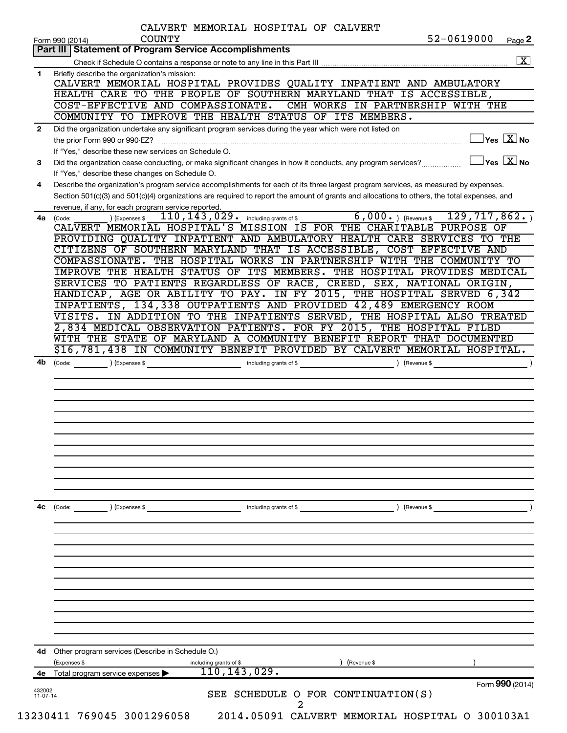| Part III   Statement of Program Service Accomplishments<br>Briefly describe the organization's mission:<br>1.<br>CALVERT MEMORIAL HOSPITAL PROVIDES QUALITY INPATIENT AND AMBULATORY<br>HEALTH CARE TO THE PEOPLE OF SOUTHERN MARYLAND THAT IS ACCESSIBLE,<br>COST-EFFECTIVE AND COMPASSIONATE.<br>CMH WORKS IN PARTNERSHIP WITH THE<br>COMMUNITY TO IMPROVE THE HEALTH STATUS OF ITS MEMBERS.<br>Did the organization undertake any significant program services during the year which were not listed on<br>$\mathbf{2}$<br>the prior Form 990 or 990-EZ?<br>If "Yes," describe these new services on Schedule O.<br>$\exists$ Yes $\boxed{\text{X}}$ No<br>Did the organization cease conducting, or make significant changes in how it conducts, any program services?<br>3<br>If "Yes," describe these changes on Schedule O.<br>Describe the organization's program service accomplishments for each of its three largest program services, as measured by expenses.<br>4<br>Section 501(c)(3) and 501(c)(4) organizations are required to report the amount of grants and allocations to others, the total expenses, and<br>revenue, if any, for each program service reported.<br>$6,000.$ (Revenue \$<br>129, 717, 862.<br>$110, 143, 029$ $\cdot$ including grants of \$<br>) (Expenses \$<br>4a l<br>(Code:<br>CALVERT MEMORIAL HOSPITAL'S MISSION IS FOR THE CHARITABLE PURPOSE OF<br>PROVIDING QUALITY INPATIENT AND AMBULATORY HEALTH CARE SERVICES TO THE<br>CITIZENS OF SOUTHERN MARYLAND THAT IS ACCESSIBLE, COST EFFECTIVE AND<br>COMPASSIONATE. THE HOSPITAL WORKS IN PARTNERSHIP WITH THE COMMUNITY TO<br>IMPROVE THE HEALTH STATUS OF ITS MEMBERS. THE HOSPITAL PROVIDES MEDICAL<br>SERVICES TO PATIENTS REGARDLESS OF RACE, CREED, SEX, NATIONAL ORIGIN,<br>HANDICAP, AGE OR ABILITY TO PAY. IN FY 2015, THE HOSPITAL SERVED 6,342<br>INPATIENTS, 134,338 OUTPATIENTS AND PROVIDED 42,489 EMERGENCY ROOM<br>VISITS. IN ADDITION TO THE INPATIENTS SERVED, THE HOSPITAL ALSO TREATED<br>2,834 MEDICAL OBSERVATION PATIENTS. FOR FY 2015, THE HOSPITAL FILED<br>WITH THE STATE OF MARYLAND A COMMUNITY BENEFIT REPORT THAT DOCUMENTED<br>\$16,781,438 IN COMMUNITY BENEFIT PROVIDED BY CALVERT MEMORIAL HOSPITAL.<br>$\left(\text{Code:} \right) \left(\text{Expenses } \$\right)$<br>including grants of \$<br>4b<br>) (Revenue \$<br>$\left(\text{Code:} \right)$ $\left(\text{Expenses $}\right)$<br>) (Revenue \$<br>4с<br>including grants of \$<br>Other program services (Describe in Schedule O.)<br>4d<br>(Expenses \$<br>(Revenue \$<br>including grants of \$<br>110, 143, 029.<br>Total program service expenses<br>4e<br>432002<br>SEE SCHEDULE O FOR CONTINUATION(S)<br>$11 - 07 - 14$ | CALVERT MEMORIAL HOSPITAL OF CALVERT<br>52-0619000<br><b>COUNTY</b><br>Page 2<br>Form 990 (2014) |
|--------------------------------------------------------------------------------------------------------------------------------------------------------------------------------------------------------------------------------------------------------------------------------------------------------------------------------------------------------------------------------------------------------------------------------------------------------------------------------------------------------------------------------------------------------------------------------------------------------------------------------------------------------------------------------------------------------------------------------------------------------------------------------------------------------------------------------------------------------------------------------------------------------------------------------------------------------------------------------------------------------------------------------------------------------------------------------------------------------------------------------------------------------------------------------------------------------------------------------------------------------------------------------------------------------------------------------------------------------------------------------------------------------------------------------------------------------------------------------------------------------------------------------------------------------------------------------------------------------------------------------------------------------------------------------------------------------------------------------------------------------------------------------------------------------------------------------------------------------------------------------------------------------------------------------------------------------------------------------------------------------------------------------------------------------------------------------------------------------------------------------------------------------------------------------------------------------------------------------------------------------------------------------------------------------------------------------------------------------------------------------------------------------------------------------------------------------------------------------------------------------------------------------------------------------------------------------------------------------------------------------------------------------------------------------------------------------------------------|--------------------------------------------------------------------------------------------------|
|                                                                                                                                                                                                                                                                                                                                                                                                                                                                                                                                                                                                                                                                                                                                                                                                                                                                                                                                                                                                                                                                                                                                                                                                                                                                                                                                                                                                                                                                                                                                                                                                                                                                                                                                                                                                                                                                                                                                                                                                                                                                                                                                                                                                                                                                                                                                                                                                                                                                                                                                                                                                                                                                                                                          |                                                                                                  |
|                                                                                                                                                                                                                                                                                                                                                                                                                                                                                                                                                                                                                                                                                                                                                                                                                                                                                                                                                                                                                                                                                                                                                                                                                                                                                                                                                                                                                                                                                                                                                                                                                                                                                                                                                                                                                                                                                                                                                                                                                                                                                                                                                                                                                                                                                                                                                                                                                                                                                                                                                                                                                                                                                                                          | $\overline{\mathbf{X}}$                                                                          |
|                                                                                                                                                                                                                                                                                                                                                                                                                                                                                                                                                                                                                                                                                                                                                                                                                                                                                                                                                                                                                                                                                                                                                                                                                                                                                                                                                                                                                                                                                                                                                                                                                                                                                                                                                                                                                                                                                                                                                                                                                                                                                                                                                                                                                                                                                                                                                                                                                                                                                                                                                                                                                                                                                                                          |                                                                                                  |
|                                                                                                                                                                                                                                                                                                                                                                                                                                                                                                                                                                                                                                                                                                                                                                                                                                                                                                                                                                                                                                                                                                                                                                                                                                                                                                                                                                                                                                                                                                                                                                                                                                                                                                                                                                                                                                                                                                                                                                                                                                                                                                                                                                                                                                                                                                                                                                                                                                                                                                                                                                                                                                                                                                                          |                                                                                                  |
|                                                                                                                                                                                                                                                                                                                                                                                                                                                                                                                                                                                                                                                                                                                                                                                                                                                                                                                                                                                                                                                                                                                                                                                                                                                                                                                                                                                                                                                                                                                                                                                                                                                                                                                                                                                                                                                                                                                                                                                                                                                                                                                                                                                                                                                                                                                                                                                                                                                                                                                                                                                                                                                                                                                          |                                                                                                  |
|                                                                                                                                                                                                                                                                                                                                                                                                                                                                                                                                                                                                                                                                                                                                                                                                                                                                                                                                                                                                                                                                                                                                                                                                                                                                                                                                                                                                                                                                                                                                                                                                                                                                                                                                                                                                                                                                                                                                                                                                                                                                                                                                                                                                                                                                                                                                                                                                                                                                                                                                                                                                                                                                                                                          |                                                                                                  |
|                                                                                                                                                                                                                                                                                                                                                                                                                                                                                                                                                                                                                                                                                                                                                                                                                                                                                                                                                                                                                                                                                                                                                                                                                                                                                                                                                                                                                                                                                                                                                                                                                                                                                                                                                                                                                                                                                                                                                                                                                                                                                                                                                                                                                                                                                                                                                                                                                                                                                                                                                                                                                                                                                                                          |                                                                                                  |
|                                                                                                                                                                                                                                                                                                                                                                                                                                                                                                                                                                                                                                                                                                                                                                                                                                                                                                                                                                                                                                                                                                                                                                                                                                                                                                                                                                                                                                                                                                                                                                                                                                                                                                                                                                                                                                                                                                                                                                                                                                                                                                                                                                                                                                                                                                                                                                                                                                                                                                                                                                                                                                                                                                                          |                                                                                                  |
|                                                                                                                                                                                                                                                                                                                                                                                                                                                                                                                                                                                                                                                                                                                                                                                                                                                                                                                                                                                                                                                                                                                                                                                                                                                                                                                                                                                                                                                                                                                                                                                                                                                                                                                                                                                                                                                                                                                                                                                                                                                                                                                                                                                                                                                                                                                                                                                                                                                                                                                                                                                                                                                                                                                          | $\sqrt{\mathsf{Yes}\ \mathbf{X}}$ No                                                             |
|                                                                                                                                                                                                                                                                                                                                                                                                                                                                                                                                                                                                                                                                                                                                                                                                                                                                                                                                                                                                                                                                                                                                                                                                                                                                                                                                                                                                                                                                                                                                                                                                                                                                                                                                                                                                                                                                                                                                                                                                                                                                                                                                                                                                                                                                                                                                                                                                                                                                                                                                                                                                                                                                                                                          |                                                                                                  |
|                                                                                                                                                                                                                                                                                                                                                                                                                                                                                                                                                                                                                                                                                                                                                                                                                                                                                                                                                                                                                                                                                                                                                                                                                                                                                                                                                                                                                                                                                                                                                                                                                                                                                                                                                                                                                                                                                                                                                                                                                                                                                                                                                                                                                                                                                                                                                                                                                                                                                                                                                                                                                                                                                                                          |                                                                                                  |
|                                                                                                                                                                                                                                                                                                                                                                                                                                                                                                                                                                                                                                                                                                                                                                                                                                                                                                                                                                                                                                                                                                                                                                                                                                                                                                                                                                                                                                                                                                                                                                                                                                                                                                                                                                                                                                                                                                                                                                                                                                                                                                                                                                                                                                                                                                                                                                                                                                                                                                                                                                                                                                                                                                                          |                                                                                                  |
|                                                                                                                                                                                                                                                                                                                                                                                                                                                                                                                                                                                                                                                                                                                                                                                                                                                                                                                                                                                                                                                                                                                                                                                                                                                                                                                                                                                                                                                                                                                                                                                                                                                                                                                                                                                                                                                                                                                                                                                                                                                                                                                                                                                                                                                                                                                                                                                                                                                                                                                                                                                                                                                                                                                          |                                                                                                  |
|                                                                                                                                                                                                                                                                                                                                                                                                                                                                                                                                                                                                                                                                                                                                                                                                                                                                                                                                                                                                                                                                                                                                                                                                                                                                                                                                                                                                                                                                                                                                                                                                                                                                                                                                                                                                                                                                                                                                                                                                                                                                                                                                                                                                                                                                                                                                                                                                                                                                                                                                                                                                                                                                                                                          |                                                                                                  |
|                                                                                                                                                                                                                                                                                                                                                                                                                                                                                                                                                                                                                                                                                                                                                                                                                                                                                                                                                                                                                                                                                                                                                                                                                                                                                                                                                                                                                                                                                                                                                                                                                                                                                                                                                                                                                                                                                                                                                                                                                                                                                                                                                                                                                                                                                                                                                                                                                                                                                                                                                                                                                                                                                                                          |                                                                                                  |
|                                                                                                                                                                                                                                                                                                                                                                                                                                                                                                                                                                                                                                                                                                                                                                                                                                                                                                                                                                                                                                                                                                                                                                                                                                                                                                                                                                                                                                                                                                                                                                                                                                                                                                                                                                                                                                                                                                                                                                                                                                                                                                                                                                                                                                                                                                                                                                                                                                                                                                                                                                                                                                                                                                                          |                                                                                                  |
|                                                                                                                                                                                                                                                                                                                                                                                                                                                                                                                                                                                                                                                                                                                                                                                                                                                                                                                                                                                                                                                                                                                                                                                                                                                                                                                                                                                                                                                                                                                                                                                                                                                                                                                                                                                                                                                                                                                                                                                                                                                                                                                                                                                                                                                                                                                                                                                                                                                                                                                                                                                                                                                                                                                          |                                                                                                  |
|                                                                                                                                                                                                                                                                                                                                                                                                                                                                                                                                                                                                                                                                                                                                                                                                                                                                                                                                                                                                                                                                                                                                                                                                                                                                                                                                                                                                                                                                                                                                                                                                                                                                                                                                                                                                                                                                                                                                                                                                                                                                                                                                                                                                                                                                                                                                                                                                                                                                                                                                                                                                                                                                                                                          |                                                                                                  |
|                                                                                                                                                                                                                                                                                                                                                                                                                                                                                                                                                                                                                                                                                                                                                                                                                                                                                                                                                                                                                                                                                                                                                                                                                                                                                                                                                                                                                                                                                                                                                                                                                                                                                                                                                                                                                                                                                                                                                                                                                                                                                                                                                                                                                                                                                                                                                                                                                                                                                                                                                                                                                                                                                                                          |                                                                                                  |
|                                                                                                                                                                                                                                                                                                                                                                                                                                                                                                                                                                                                                                                                                                                                                                                                                                                                                                                                                                                                                                                                                                                                                                                                                                                                                                                                                                                                                                                                                                                                                                                                                                                                                                                                                                                                                                                                                                                                                                                                                                                                                                                                                                                                                                                                                                                                                                                                                                                                                                                                                                                                                                                                                                                          |                                                                                                  |
|                                                                                                                                                                                                                                                                                                                                                                                                                                                                                                                                                                                                                                                                                                                                                                                                                                                                                                                                                                                                                                                                                                                                                                                                                                                                                                                                                                                                                                                                                                                                                                                                                                                                                                                                                                                                                                                                                                                                                                                                                                                                                                                                                                                                                                                                                                                                                                                                                                                                                                                                                                                                                                                                                                                          |                                                                                                  |
|                                                                                                                                                                                                                                                                                                                                                                                                                                                                                                                                                                                                                                                                                                                                                                                                                                                                                                                                                                                                                                                                                                                                                                                                                                                                                                                                                                                                                                                                                                                                                                                                                                                                                                                                                                                                                                                                                                                                                                                                                                                                                                                                                                                                                                                                                                                                                                                                                                                                                                                                                                                                                                                                                                                          |                                                                                                  |
|                                                                                                                                                                                                                                                                                                                                                                                                                                                                                                                                                                                                                                                                                                                                                                                                                                                                                                                                                                                                                                                                                                                                                                                                                                                                                                                                                                                                                                                                                                                                                                                                                                                                                                                                                                                                                                                                                                                                                                                                                                                                                                                                                                                                                                                                                                                                                                                                                                                                                                                                                                                                                                                                                                                          |                                                                                                  |
|                                                                                                                                                                                                                                                                                                                                                                                                                                                                                                                                                                                                                                                                                                                                                                                                                                                                                                                                                                                                                                                                                                                                                                                                                                                                                                                                                                                                                                                                                                                                                                                                                                                                                                                                                                                                                                                                                                                                                                                                                                                                                                                                                                                                                                                                                                                                                                                                                                                                                                                                                                                                                                                                                                                          |                                                                                                  |
|                                                                                                                                                                                                                                                                                                                                                                                                                                                                                                                                                                                                                                                                                                                                                                                                                                                                                                                                                                                                                                                                                                                                                                                                                                                                                                                                                                                                                                                                                                                                                                                                                                                                                                                                                                                                                                                                                                                                                                                                                                                                                                                                                                                                                                                                                                                                                                                                                                                                                                                                                                                                                                                                                                                          |                                                                                                  |
|                                                                                                                                                                                                                                                                                                                                                                                                                                                                                                                                                                                                                                                                                                                                                                                                                                                                                                                                                                                                                                                                                                                                                                                                                                                                                                                                                                                                                                                                                                                                                                                                                                                                                                                                                                                                                                                                                                                                                                                                                                                                                                                                                                                                                                                                                                                                                                                                                                                                                                                                                                                                                                                                                                                          |                                                                                                  |
|                                                                                                                                                                                                                                                                                                                                                                                                                                                                                                                                                                                                                                                                                                                                                                                                                                                                                                                                                                                                                                                                                                                                                                                                                                                                                                                                                                                                                                                                                                                                                                                                                                                                                                                                                                                                                                                                                                                                                                                                                                                                                                                                                                                                                                                                                                                                                                                                                                                                                                                                                                                                                                                                                                                          |                                                                                                  |
|                                                                                                                                                                                                                                                                                                                                                                                                                                                                                                                                                                                                                                                                                                                                                                                                                                                                                                                                                                                                                                                                                                                                                                                                                                                                                                                                                                                                                                                                                                                                                                                                                                                                                                                                                                                                                                                                                                                                                                                                                                                                                                                                                                                                                                                                                                                                                                                                                                                                                                                                                                                                                                                                                                                          |                                                                                                  |
|                                                                                                                                                                                                                                                                                                                                                                                                                                                                                                                                                                                                                                                                                                                                                                                                                                                                                                                                                                                                                                                                                                                                                                                                                                                                                                                                                                                                                                                                                                                                                                                                                                                                                                                                                                                                                                                                                                                                                                                                                                                                                                                                                                                                                                                                                                                                                                                                                                                                                                                                                                                                                                                                                                                          |                                                                                                  |
|                                                                                                                                                                                                                                                                                                                                                                                                                                                                                                                                                                                                                                                                                                                                                                                                                                                                                                                                                                                                                                                                                                                                                                                                                                                                                                                                                                                                                                                                                                                                                                                                                                                                                                                                                                                                                                                                                                                                                                                                                                                                                                                                                                                                                                                                                                                                                                                                                                                                                                                                                                                                                                                                                                                          |                                                                                                  |
|                                                                                                                                                                                                                                                                                                                                                                                                                                                                                                                                                                                                                                                                                                                                                                                                                                                                                                                                                                                                                                                                                                                                                                                                                                                                                                                                                                                                                                                                                                                                                                                                                                                                                                                                                                                                                                                                                                                                                                                                                                                                                                                                                                                                                                                                                                                                                                                                                                                                                                                                                                                                                                                                                                                          |                                                                                                  |
|                                                                                                                                                                                                                                                                                                                                                                                                                                                                                                                                                                                                                                                                                                                                                                                                                                                                                                                                                                                                                                                                                                                                                                                                                                                                                                                                                                                                                                                                                                                                                                                                                                                                                                                                                                                                                                                                                                                                                                                                                                                                                                                                                                                                                                                                                                                                                                                                                                                                                                                                                                                                                                                                                                                          |                                                                                                  |
|                                                                                                                                                                                                                                                                                                                                                                                                                                                                                                                                                                                                                                                                                                                                                                                                                                                                                                                                                                                                                                                                                                                                                                                                                                                                                                                                                                                                                                                                                                                                                                                                                                                                                                                                                                                                                                                                                                                                                                                                                                                                                                                                                                                                                                                                                                                                                                                                                                                                                                                                                                                                                                                                                                                          |                                                                                                  |
|                                                                                                                                                                                                                                                                                                                                                                                                                                                                                                                                                                                                                                                                                                                                                                                                                                                                                                                                                                                                                                                                                                                                                                                                                                                                                                                                                                                                                                                                                                                                                                                                                                                                                                                                                                                                                                                                                                                                                                                                                                                                                                                                                                                                                                                                                                                                                                                                                                                                                                                                                                                                                                                                                                                          |                                                                                                  |
|                                                                                                                                                                                                                                                                                                                                                                                                                                                                                                                                                                                                                                                                                                                                                                                                                                                                                                                                                                                                                                                                                                                                                                                                                                                                                                                                                                                                                                                                                                                                                                                                                                                                                                                                                                                                                                                                                                                                                                                                                                                                                                                                                                                                                                                                                                                                                                                                                                                                                                                                                                                                                                                                                                                          |                                                                                                  |
|                                                                                                                                                                                                                                                                                                                                                                                                                                                                                                                                                                                                                                                                                                                                                                                                                                                                                                                                                                                                                                                                                                                                                                                                                                                                                                                                                                                                                                                                                                                                                                                                                                                                                                                                                                                                                                                                                                                                                                                                                                                                                                                                                                                                                                                                                                                                                                                                                                                                                                                                                                                                                                                                                                                          |                                                                                                  |
|                                                                                                                                                                                                                                                                                                                                                                                                                                                                                                                                                                                                                                                                                                                                                                                                                                                                                                                                                                                                                                                                                                                                                                                                                                                                                                                                                                                                                                                                                                                                                                                                                                                                                                                                                                                                                                                                                                                                                                                                                                                                                                                                                                                                                                                                                                                                                                                                                                                                                                                                                                                                                                                                                                                          |                                                                                                  |
|                                                                                                                                                                                                                                                                                                                                                                                                                                                                                                                                                                                                                                                                                                                                                                                                                                                                                                                                                                                                                                                                                                                                                                                                                                                                                                                                                                                                                                                                                                                                                                                                                                                                                                                                                                                                                                                                                                                                                                                                                                                                                                                                                                                                                                                                                                                                                                                                                                                                                                                                                                                                                                                                                                                          |                                                                                                  |
|                                                                                                                                                                                                                                                                                                                                                                                                                                                                                                                                                                                                                                                                                                                                                                                                                                                                                                                                                                                                                                                                                                                                                                                                                                                                                                                                                                                                                                                                                                                                                                                                                                                                                                                                                                                                                                                                                                                                                                                                                                                                                                                                                                                                                                                                                                                                                                                                                                                                                                                                                                                                                                                                                                                          |                                                                                                  |
|                                                                                                                                                                                                                                                                                                                                                                                                                                                                                                                                                                                                                                                                                                                                                                                                                                                                                                                                                                                                                                                                                                                                                                                                                                                                                                                                                                                                                                                                                                                                                                                                                                                                                                                                                                                                                                                                                                                                                                                                                                                                                                                                                                                                                                                                                                                                                                                                                                                                                                                                                                                                                                                                                                                          |                                                                                                  |
|                                                                                                                                                                                                                                                                                                                                                                                                                                                                                                                                                                                                                                                                                                                                                                                                                                                                                                                                                                                                                                                                                                                                                                                                                                                                                                                                                                                                                                                                                                                                                                                                                                                                                                                                                                                                                                                                                                                                                                                                                                                                                                                                                                                                                                                                                                                                                                                                                                                                                                                                                                                                                                                                                                                          | Form 990 (2014)                                                                                  |
|                                                                                                                                                                                                                                                                                                                                                                                                                                                                                                                                                                                                                                                                                                                                                                                                                                                                                                                                                                                                                                                                                                                                                                                                                                                                                                                                                                                                                                                                                                                                                                                                                                                                                                                                                                                                                                                                                                                                                                                                                                                                                                                                                                                                                                                                                                                                                                                                                                                                                                                                                                                                                                                                                                                          |                                                                                                  |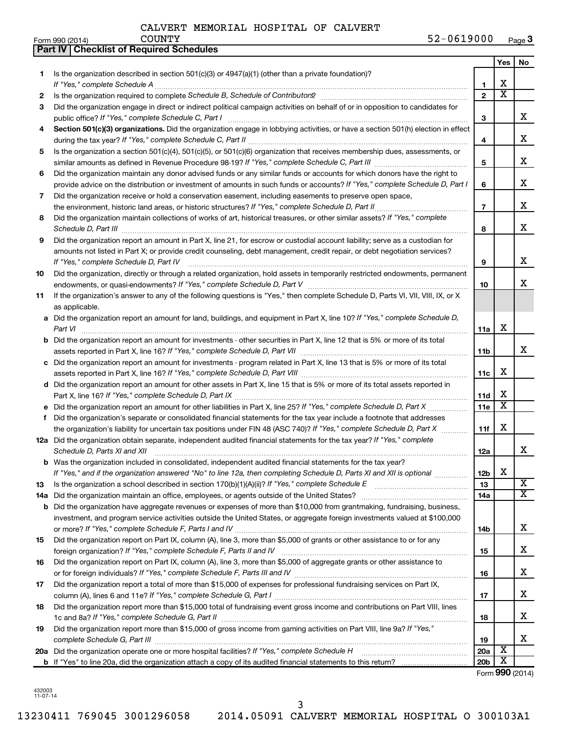**Part IV Checklist of Required Schedules**

|     |                                                                                                                                                                     |                 | Yes                   | No                      |
|-----|---------------------------------------------------------------------------------------------------------------------------------------------------------------------|-----------------|-----------------------|-------------------------|
| 1   | Is the organization described in section $501(c)(3)$ or $4947(a)(1)$ (other than a private foundation)?                                                             |                 |                       |                         |
|     |                                                                                                                                                                     | 1               | X                     |                         |
| 2   |                                                                                                                                                                     | $\overline{2}$  | $\overline{\text{x}}$ |                         |
| 3   | Did the organization engage in direct or indirect political campaign activities on behalf of or in opposition to candidates for                                     | 3               |                       | х                       |
| 4   | Section 501(c)(3) organizations. Did the organization engage in lobbying activities, or have a section 501(h) election in effect                                    | 4               |                       | х                       |
| 5   | Is the organization a section 501(c)(4), 501(c)(5), or 501(c)(6) organization that receives membership dues, assessments, or                                        |                 |                       |                         |
|     |                                                                                                                                                                     | 5               |                       | х                       |
| 6   | Did the organization maintain any donor advised funds or any similar funds or accounts for which donors have the right to                                           |                 |                       |                         |
|     | provide advice on the distribution or investment of amounts in such funds or accounts? If "Yes," complete Schedule D, Part I                                        | 6               |                       | x                       |
| 7   | Did the organization receive or hold a conservation easement, including easements to preserve open space,                                                           |                 |                       |                         |
|     | the environment, historic land areas, or historic structures? If "Yes," complete Schedule D, Part II                                                                | $\overline{7}$  |                       | х                       |
| 8   | Did the organization maintain collections of works of art, historical treasures, or other similar assets? If "Yes," complete                                        | 8               |                       | x                       |
| 9   | Did the organization report an amount in Part X, line 21, for escrow or custodial account liability; serve as a custodian for                                       |                 |                       |                         |
|     | amounts not listed in Part X; or provide credit counseling, debt management, credit repair, or debt negotiation services?<br>If "Yes," complete Schedule D, Part IV | 9               |                       | х                       |
| 10  | Did the organization, directly or through a related organization, hold assets in temporarily restricted endowments, permanent                                       |                 |                       |                         |
|     |                                                                                                                                                                     | 10              |                       | x                       |
| 11  | If the organization's answer to any of the following questions is "Yes," then complete Schedule D, Parts VI, VII, VIII, IX, or X<br>as applicable.                  |                 |                       |                         |
|     | a Did the organization report an amount for land, buildings, and equipment in Part X, line 10? If "Yes," complete Schedule D,                                       |                 |                       |                         |
|     | Part VI                                                                                                                                                             | 11a             | х                     |                         |
|     | <b>b</b> Did the organization report an amount for investments - other securities in Part X, line 12 that is 5% or more of its total                                |                 |                       |                         |
|     |                                                                                                                                                                     | 11 <sub>b</sub> |                       | x                       |
|     | c Did the organization report an amount for investments - program related in Part X, line 13 that is 5% or more of its total                                        |                 | х                     |                         |
|     | d Did the organization report an amount for other assets in Part X, line 15 that is 5% or more of its total assets reported in                                      | 11c             |                       |                         |
|     |                                                                                                                                                                     | 11d             | х                     |                         |
|     |                                                                                                                                                                     | 11e             | $\overline{\text{x}}$ |                         |
| f   | Did the organization's separate or consolidated financial statements for the tax year include a footnote that addresses                                             |                 |                       |                         |
|     | the organization's liability for uncertain tax positions under FIN 48 (ASC 740)? If "Yes," complete Schedule D, Part X                                              | 11f             | х                     |                         |
|     | 12a Did the organization obtain separate, independent audited financial statements for the tax year? If "Yes," complete                                             |                 |                       |                         |
|     | Schedule D, Parts XI and XII                                                                                                                                        | 12a             |                       | х                       |
|     | <b>b</b> Was the organization included in consolidated, independent audited financial statements for the tax year?                                                  |                 |                       |                         |
|     | If "Yes," and if the organization answered "No" to line 12a, then completing Schedule D, Parts XI and XII is optional                                               | 12b             | X                     |                         |
| 13  |                                                                                                                                                                     | 13              |                       | X                       |
| 14a |                                                                                                                                                                     | 14a             |                       | $\overline{\mathbf{x}}$ |
| b   | Did the organization have aggregate revenues or expenses of more than \$10,000 from grantmaking, fundraising, business,                                             |                 |                       |                         |
|     | investment, and program service activities outside the United States, or aggregate foreign investments valued at \$100,000                                          |                 |                       | х                       |
|     | Did the organization report on Part IX, column (A), line 3, more than \$5,000 of grants or other assistance to or for any                                           | 14b             |                       |                         |
| 15  |                                                                                                                                                                     | 15              |                       | х                       |
| 16  | Did the organization report on Part IX, column (A), line 3, more than \$5,000 of aggregate grants or other assistance to                                            |                 |                       |                         |
|     |                                                                                                                                                                     | 16              |                       | х                       |
| 17  | Did the organization report a total of more than \$15,000 of expenses for professional fundraising services on Part IX,                                             |                 |                       |                         |
|     |                                                                                                                                                                     | 17              |                       | х                       |
| 18  | Did the organization report more than \$15,000 total of fundraising event gross income and contributions on Part VIII, lines                                        |                 |                       | х                       |
|     | Did the organization report more than \$15,000 of gross income from gaming activities on Part VIII, line 9a? If "Yes,"                                              | 18              |                       |                         |
| 19  |                                                                                                                                                                     | 19              |                       | х                       |
|     | 20a Did the organization operate one or more hospital facilities? If "Yes," complete Schedule H                                                                     | 20a             | X                     |                         |
|     |                                                                                                                                                                     | 20 <sub>b</sub> | X                     |                         |

Form (2014) **990**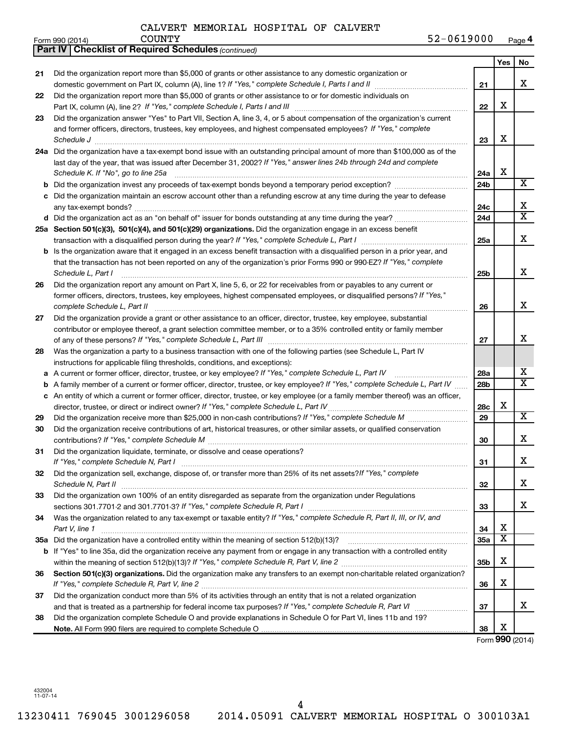| $52 - 0619000$<br>Page 4 |
|--------------------------|
|--------------------------|

|    | 52-0619000<br><b>COUNTY</b><br>Form 990 (2014)                                                                                      |                 |                         | Page 4                  |
|----|-------------------------------------------------------------------------------------------------------------------------------------|-----------------|-------------------------|-------------------------|
|    | <b>Part IV   Checklist of Required Schedules (continued)</b>                                                                        |                 |                         |                         |
|    |                                                                                                                                     |                 | <b>Yes</b>              | No                      |
| 21 | Did the organization report more than \$5,000 of grants or other assistance to any domestic organization or                         |                 |                         |                         |
|    |                                                                                                                                     | 21              |                         | х                       |
| 22 | Did the organization report more than \$5,000 of grants or other assistance to or for domestic individuals on                       |                 |                         |                         |
|    |                                                                                                                                     | 22              | х                       |                         |
| 23 | Did the organization answer "Yes" to Part VII, Section A, line 3, 4, or 5 about compensation of the organization's current          |                 |                         |                         |
|    | and former officers, directors, trustees, key employees, and highest compensated employees? If "Yes," complete                      |                 |                         |                         |
|    | Schedule J <b>Martin Communication Communication</b> Contract of the Communication Communication Communication Communication        | 23              | X                       |                         |
|    | 24a Did the organization have a tax-exempt bond issue with an outstanding principal amount of more than \$100,000 as of the         |                 |                         |                         |
|    | last day of the year, that was issued after December 31, 2002? If "Yes," answer lines 24b through 24d and complete                  |                 |                         |                         |
|    | Schedule K. If "No", go to line 25a                                                                                                 | 24a             | X                       |                         |
|    | <b>b</b> Did the organization invest any proceeds of tax-exempt bonds beyond a temporary period exception?                          | 24 <sub>b</sub> |                         | $\overline{\text{X}}$   |
|    | c Did the organization maintain an escrow account other than a refunding escrow at any time during the year to defease              |                 |                         |                         |
|    |                                                                                                                                     | 24c             |                         | х                       |
|    |                                                                                                                                     | 24d             |                         | $\overline{\mathtt{x}}$ |
|    | d Did the organization act as an "on behalf of" issuer for bonds outstanding at any time during the year?                           |                 |                         |                         |
|    | 25a Section 501(c)(3), 501(c)(4), and 501(c)(29) organizations. Did the organization engage in an excess benefit                    |                 |                         |                         |
|    |                                                                                                                                     | 25a             |                         | x                       |
|    | <b>b</b> Is the organization aware that it engaged in an excess benefit transaction with a disqualified person in a prior year, and |                 |                         |                         |
|    | that the transaction has not been reported on any of the organization's prior Forms 990 or 990-EZ? If "Yes," complete               |                 |                         |                         |
|    | Schedule L, Part I                                                                                                                  | 25 <sub>b</sub> |                         | x                       |
| 26 | Did the organization report any amount on Part X, line 5, 6, or 22 for receivables from or payables to any current or               |                 |                         |                         |
|    | former officers, directors, trustees, key employees, highest compensated employees, or disqualified persons? If "Yes,"              |                 |                         |                         |
|    | complete Schedule L, Part II                                                                                                        | 26              |                         | x                       |
| 27 | Did the organization provide a grant or other assistance to an officer, director, trustee, key employee, substantial                |                 |                         |                         |
|    | contributor or employee thereof, a grant selection committee member, or to a 35% controlled entity or family member                 |                 |                         |                         |
|    |                                                                                                                                     | 27              |                         | х                       |
| 28 | Was the organization a party to a business transaction with one of the following parties (see Schedule L, Part IV                   |                 |                         |                         |
|    | instructions for applicable filing thresholds, conditions, and exceptions):                                                         |                 |                         |                         |
|    | a A current or former officer, director, trustee, or key employee? If "Yes," complete Schedule L, Part IV                           | 28a             |                         | x                       |
|    | b A family member of a current or former officer, director, trustee, or key employee? If "Yes," complete Schedule L, Part IV        | 28 <sub>b</sub> |                         | $\overline{\mathtt{x}}$ |
|    | c An entity of which a current or former officer, director, trustee, or key employee (or a family member thereof) was an officer,   |                 |                         |                         |
|    | director, trustee, or direct or indirect owner? If "Yes," complete Schedule L, Part IV                                              | 28c             | х                       |                         |
| 29 |                                                                                                                                     | 29              |                         | $\overline{\mathbf{X}}$ |
| 30 | Did the organization receive contributions of art, historical treasures, or other similar assets, or qualified conservation         |                 |                         |                         |
|    |                                                                                                                                     | 30              |                         | х                       |
| 31 | Did the organization liquidate, terminate, or dissolve and cease operations?                                                        |                 |                         |                         |
|    | If "Yes," complete Schedule N, Part I                                                                                               | 31              |                         | x                       |
| 32 | Did the organization sell, exchange, dispose of, or transfer more than 25% of its net assets? If "Yes," complete                    |                 |                         |                         |
|    | Schedule N, Part II                                                                                                                 | 32              |                         | x                       |
| 33 | Did the organization own 100% of an entity disregarded as separate from the organization under Regulations                          |                 |                         |                         |
|    |                                                                                                                                     | 33              |                         | x                       |
| 34 | Was the organization related to any tax-exempt or taxable entity? If "Yes," complete Schedule R, Part II, III, or IV, and           |                 |                         |                         |
|    | Part V, line 1                                                                                                                      | 34              | х                       |                         |
|    |                                                                                                                                     | 35a             | $\overline{\mathbf{x}}$ |                         |
|    | b If "Yes" to line 35a, did the organization receive any payment from or engage in any transaction with a controlled entity         |                 |                         |                         |
|    |                                                                                                                                     | 35 <sub>b</sub> | x                       |                         |
| 36 | Section 501(c)(3) organizations. Did the organization make any transfers to an exempt non-charitable related organization?          |                 |                         |                         |
|    |                                                                                                                                     | 36              | х                       |                         |
|    | Did the organization conduct more than 5% of its activities through an entity that is not a related organization                    |                 |                         |                         |
| 37 |                                                                                                                                     | 37              |                         | x                       |
|    |                                                                                                                                     |                 |                         |                         |
| 38 | Did the organization complete Schedule O and provide explanations in Schedule O for Part VI, lines 11b and 19?                      |                 | х                       |                         |
|    |                                                                                                                                     | 38              |                         |                         |

Form (2014) **990**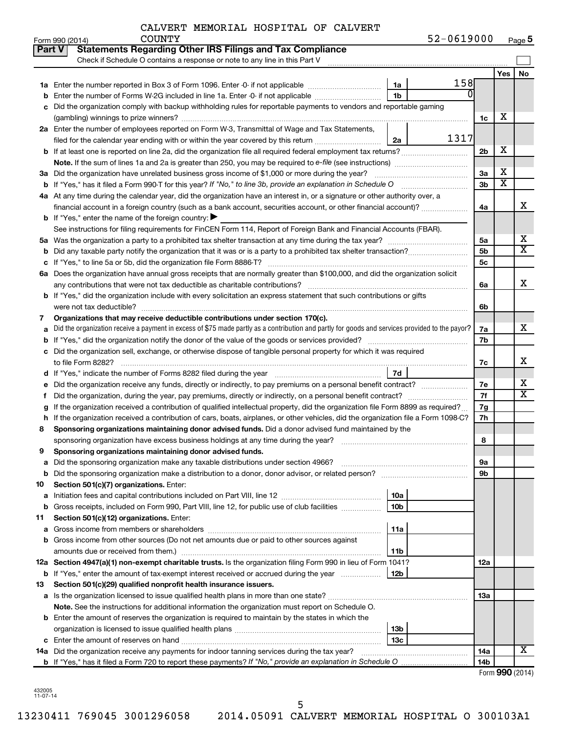|               | 52-0619000<br><b>COUNTY</b><br>Form 990 (2014)                                                                                                  |                 |                         | Page 5                |
|---------------|-------------------------------------------------------------------------------------------------------------------------------------------------|-----------------|-------------------------|-----------------------|
| <b>Part V</b> | <b>Statements Regarding Other IRS Filings and Tax Compliance</b>                                                                                |                 |                         |                       |
|               | Check if Schedule O contains a response or note to any line in this Part V                                                                      |                 |                         |                       |
|               |                                                                                                                                                 |                 | Yes                     | No                    |
|               | 158<br>1a                                                                                                                                       |                 |                         |                       |
| b             | ΩI<br>1 <sub>b</sub><br>Enter the number of Forms W-2G included in line 1a. Enter -0- if not applicable                                         |                 |                         |                       |
| с             | Did the organization comply with backup withholding rules for reportable payments to vendors and reportable gaming                              |                 |                         |                       |
|               |                                                                                                                                                 | 1c              | х                       |                       |
|               | 2a Enter the number of employees reported on Form W-3, Transmittal of Wage and Tax Statements,                                                  |                 |                         |                       |
|               | 1317<br>filed for the calendar year ending with or within the year covered by this return<br>2a                                                 |                 |                         |                       |
|               |                                                                                                                                                 | 2 <sub>b</sub>  | х                       |                       |
|               |                                                                                                                                                 |                 |                         |                       |
|               | 3a Did the organization have unrelated business gross income of \$1,000 or more during the year?                                                | 3a              | х                       |                       |
|               | <b>b</b> If "Yes," has it filed a Form 990-T for this year? If "No," to line 3b, provide an explanation in Schedule O                           | 3 <sub>b</sub>  | $\overline{\textbf{X}}$ |                       |
|               | 4a At any time during the calendar year, did the organization have an interest in, or a signature or other authority over, a                    |                 |                         |                       |
|               | financial account in a foreign country (such as a bank account, securities account, or other financial account)?                                |                 |                         | X                     |
|               |                                                                                                                                                 | 4a              |                         |                       |
|               | <b>b</b> If "Yes," enter the name of the foreign country: $\blacktriangleright$                                                                 |                 |                         |                       |
|               | See instructions for filing requirements for FinCEN Form 114, Report of Foreign Bank and Financial Accounts (FBAR).                             |                 |                         | х                     |
|               |                                                                                                                                                 | 5a              |                         | $\overline{\text{X}}$ |
| b             |                                                                                                                                                 | 5 <sub>b</sub>  |                         |                       |
| с             |                                                                                                                                                 | 5c              |                         |                       |
|               | 6a Does the organization have annual gross receipts that are normally greater than \$100,000, and did the organization solicit                  |                 |                         |                       |
|               |                                                                                                                                                 | 6а              |                         | X                     |
|               | <b>b</b> If "Yes," did the organization include with every solicitation an express statement that such contributions or gifts                   |                 |                         |                       |
|               |                                                                                                                                                 | 6b              |                         |                       |
| 7             | Organizations that may receive deductible contributions under section 170(c).                                                                   |                 |                         |                       |
| а             | Did the organization receive a payment in excess of \$75 made partly as a contribution and partly for goods and services provided to the payor? | 7a              |                         | х                     |
| b             |                                                                                                                                                 | 7b              |                         |                       |
|               | c Did the organization sell, exchange, or otherwise dispose of tangible personal property for which it was required                             |                 |                         |                       |
|               |                                                                                                                                                 | 7с              |                         | х                     |
|               | 7d                                                                                                                                              |                 |                         |                       |
| е             | Did the organization receive any funds, directly or indirectly, to pay premiums on a personal benefit contract?                                 | 7е              |                         | Х                     |
| f.            | Did the organization, during the year, pay premiums, directly or indirectly, on a personal benefit contract?                                    | 7f              |                         | $\overline{\text{X}}$ |
| g             | If the organization received a contribution of qualified intellectual property, did the organization file Form 8899 as required?                | 7g              |                         |                       |
| h             | If the organization received a contribution of cars, boats, airplanes, or other vehicles, did the organization file a Form 1098-C?              | 7h              |                         |                       |
| 8             | Sponsoring organizations maintaining donor advised funds. Did a donor advised fund maintained by the                                            |                 |                         |                       |
|               |                                                                                                                                                 | 8               |                         |                       |
|               | Sponsoring organizations maintaining donor advised funds.                                                                                       |                 |                         |                       |
| а             | Did the sponsoring organization make any taxable distributions under section 4966?                                                              | 9а              |                         |                       |
| b             | Did the sponsoring organization make a distribution to a donor, donor advisor, or related person?                                               | 9b              |                         |                       |
| 10            | Section 501(c)(7) organizations. Enter:                                                                                                         |                 |                         |                       |
| а             | 10a                                                                                                                                             |                 |                         |                       |
| b             | 10 <sub>b</sub><br>Gross receipts, included on Form 990, Part VIII, line 12, for public use of club facilities                                  |                 |                         |                       |
| 11            | Section 501(c)(12) organizations. Enter:                                                                                                        |                 |                         |                       |
| а             | 11a                                                                                                                                             |                 |                         |                       |
| b             | Gross income from other sources (Do not net amounts due or paid to other sources against                                                        |                 |                         |                       |
|               | 11b                                                                                                                                             |                 |                         |                       |
|               | 12a Section 4947(a)(1) non-exempt charitable trusts. Is the organization filing Form 990 in lieu of Form 1041?                                  | 12a             |                         |                       |
|               | <b>b</b> If "Yes," enter the amount of tax-exempt interest received or accrued during the year<br>12b                                           |                 |                         |                       |
| 13            | Section 501(c)(29) qualified nonprofit health insurance issuers.                                                                                |                 |                         |                       |
|               | a Is the organization licensed to issue qualified health plans in more than one state?                                                          | 13a             |                         |                       |
|               | Note. See the instructions for additional information the organization must report on Schedule O.                                               |                 |                         |                       |
|               | <b>b</b> Enter the amount of reserves the organization is required to maintain by the states in which the                                       |                 |                         |                       |
|               | 13b                                                                                                                                             |                 |                         |                       |
|               | 13 <sub>c</sub>                                                                                                                                 |                 |                         |                       |
|               | 14a Did the organization receive any payments for indoor tanning services during the tax year?                                                  | <b>14a</b>      |                         | х                     |
|               |                                                                                                                                                 | 14 <sub>b</sub> |                         |                       |
|               |                                                                                                                                                 |                 | <b>000 1001</b>         |                       |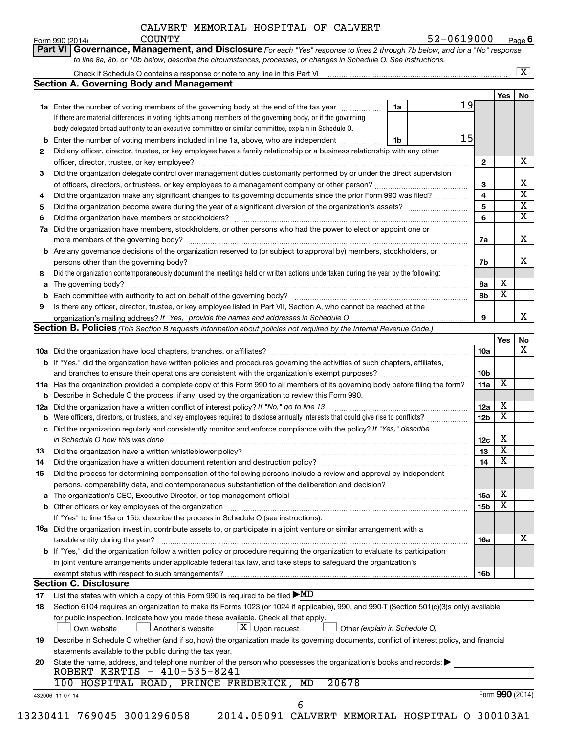|                                                                                                                                                                                                                                                                                                                                                                                                                                                                                                                                                                                                                                                                                                                                                                                                                                                                                                                                                                                                                                                                                                                                                                                                                                                                                                                                                                                                                                                                                                                                                                                                                                                                                                                                                                                                                                                                                                                                                                                                                                                                                                                                                                                                                                                                                                                                                                                                                                                                                                                                                                                                                                                                                                                                                                                                                                                                                                                                                                                                                                                                                                                                                                                                                                                                                                                                                                                                                                                                                                                                                                                                                                                                                                                                                                                                                                                                                                                                                                                                                                                                                                                                                                                                                                                                                                                                                                                                                                                                                                                                                                                                                                                                                                                                                                                                                                                                                                                                                                                                                                                                                |  |  |     |                                                    | Page $6$                |
|--------------------------------------------------------------------------------------------------------------------------------------------------------------------------------------------------------------------------------------------------------------------------------------------------------------------------------------------------------------------------------------------------------------------------------------------------------------------------------------------------------------------------------------------------------------------------------------------------------------------------------------------------------------------------------------------------------------------------------------------------------------------------------------------------------------------------------------------------------------------------------------------------------------------------------------------------------------------------------------------------------------------------------------------------------------------------------------------------------------------------------------------------------------------------------------------------------------------------------------------------------------------------------------------------------------------------------------------------------------------------------------------------------------------------------------------------------------------------------------------------------------------------------------------------------------------------------------------------------------------------------------------------------------------------------------------------------------------------------------------------------------------------------------------------------------------------------------------------------------------------------------------------------------------------------------------------------------------------------------------------------------------------------------------------------------------------------------------------------------------------------------------------------------------------------------------------------------------------------------------------------------------------------------------------------------------------------------------------------------------------------------------------------------------------------------------------------------------------------------------------------------------------------------------------------------------------------------------------------------------------------------------------------------------------------------------------------------------------------------------------------------------------------------------------------------------------------------------------------------------------------------------------------------------------------------------------------------------------------------------------------------------------------------------------------------------------------------------------------------------------------------------------------------------------------------------------------------------------------------------------------------------------------------------------------------------------------------------------------------------------------------------------------------------------------------------------------------------------------------------------------------------------------------------------------------------------------------------------------------------------------------------------------------------------------------------------------------------------------------------------------------------------------------------------------------------------------------------------------------------------------------------------------------------------------------------------------------------------------------------------------------------------------------------------------------------------------------------------------------------------------------------------------------------------------------------------------------------------------------------------------------------------------------------------------------------------------------------------------------------------------------------------------------------------------------------------------------------------------------------------------------------------------------------------------------------------------------------------------------------------------------------------------------------------------------------------------------------------------------------------------------------------------------------------------------------------------------------------------------------------------------------------------------------------------------------------------------------------------------------------------------------------------------------------------------------------------|--|--|-----|----------------------------------------------------|-------------------------|
|                                                                                                                                                                                                                                                                                                                                                                                                                                                                                                                                                                                                                                                                                                                                                                                                                                                                                                                                                                                                                                                                                                                                                                                                                                                                                                                                                                                                                                                                                                                                                                                                                                                                                                                                                                                                                                                                                                                                                                                                                                                                                                                                                                                                                                                                                                                                                                                                                                                                                                                                                                                                                                                                                                                                                                                                                                                                                                                                                                                                                                                                                                                                                                                                                                                                                                                                                                                                                                                                                                                                                                                                                                                                                                                                                                                                                                                                                                                                                                                                                                                                                                                                                                                                                                                                                                                                                                                                                                                                                                                                                                                                                                                                                                                                                                                                                                                                                                                                                                                                                                                                                |  |  |     |                                                    |                         |
|                                                                                                                                                                                                                                                                                                                                                                                                                                                                                                                                                                                                                                                                                                                                                                                                                                                                                                                                                                                                                                                                                                                                                                                                                                                                                                                                                                                                                                                                                                                                                                                                                                                                                                                                                                                                                                                                                                                                                                                                                                                                                                                                                                                                                                                                                                                                                                                                                                                                                                                                                                                                                                                                                                                                                                                                                                                                                                                                                                                                                                                                                                                                                                                                                                                                                                                                                                                                                                                                                                                                                                                                                                                                                                                                                                                                                                                                                                                                                                                                                                                                                                                                                                                                                                                                                                                                                                                                                                                                                                                                                                                                                                                                                                                                                                                                                                                                                                                                                                                                                                                                                |  |  |     |                                                    | $\overline{\mathbf{X}}$ |
| CALVERT MEMORIAL HOSPITAL OF CALVERT<br>52-0619000<br><b>COUNTY</b><br>Form 990 (2014)<br>Governance, Management, and Disclosure For each "Yes" response to lines 2 through 7b below, and for a "No" response<br>Part VI<br>to line 8a, 8b, or 10b below, describe the circumstances, processes, or changes in Schedule O. See instructions.<br><b>Section A. Governing Body and Management</b><br>19<br>1a Enter the number of voting members of the governing body at the end of the tax year <i>manumum</i><br>1a<br>If there are material differences in voting rights among members of the governing body, or if the governing<br>body delegated broad authority to an executive committee or similar committee, explain in Schedule O.<br>15<br>Enter the number of voting members included in line 1a, above, who are independent<br>1b<br>Did any officer, director, trustee, or key employee have a family relationship or a business relationship with any other<br>$\mathbf{2}$<br>officer, director, trustee, or key employee?<br>Did the organization delegate control over management duties customarily performed by or under the direct supervision<br>З<br>3<br>$\overline{\mathbf{4}}$<br>Did the organization make any significant changes to its governing documents since the prior Form 990 was filed?<br>4<br>5<br>5<br>6<br>6<br>Did the organization have members, stockholders, or other persons who had the power to elect or appoint one or<br>7a<br>7a<br>b Are any governance decisions of the organization reserved to (or subject to approval by) members, stockholders, or<br>persons other than the governing body?<br>7b<br>Did the organization contemporaneously document the meetings held or written actions undertaken during the year by the following:<br>8<br>8a<br>а<br>8b<br>Is there any officer, director, trustee, or key employee listed in Part VII, Section A, who cannot be reached at the<br>9<br>organization's mailing address? If "Yes," provide the names and addresses in Schedule O<br>9<br>Section B. Policies (This Section B requests information about policies not required by the Internal Revenue Code.)<br>b If "Yes," did the organization have written policies and procedures governing the activities of such chapters, affiliates,<br>11a Has the organization provided a complete copy of this Form 990 to all members of its governing body before filing the form?<br><b>b</b> Describe in Schedule O the process, if any, used by the organization to review this Form 990.<br>Did the organization have a written conflict of interest policy? If "No," go to line 13<br>12a<br>Were officers, directors, or trustees, and key employees required to disclose annually interests that could give rise to conflicts?<br>12 <sub>b</sub><br>c Did the organization regularly and consistently monitor and enforce compliance with the policy? If "Yes," describe<br>in Schedule O how this was done<br>13<br>Did the organization have a written whistleblower policy?<br>13<br>14<br>14<br>Did the process for determining compensation of the following persons include a review and approval by independent<br>15<br>persons, comparability data, and contemporaneous substantiation of the deliberation and decision?<br>The organization's CEO, Executive Director, or top management official manufactured content content of the organization's CEO, Executive Director, or top management official manufactured content of the original content of<br>15a<br>a<br>15 <sub>b</sub><br>If "Yes" to line 15a or 15b, describe the process in Schedule O (see instructions).<br>16a Did the organization invest in, contribute assets to, or participate in a joint venture or similar arrangement with a<br>taxable entity during the year?<br><b>16a</b><br><b>b</b> If "Yes," did the organization follow a written policy or procedure requiring the organization to evaluate its participation<br>in joint venture arrangements under applicable federal tax law, and take steps to safeguard the organization's<br>exempt status with respect to such arrangements?<br><b>Section C. Disclosure</b><br>List the states with which a copy of this Form 990 is required to be filed $\blacktriangleright$ MD<br>Section 6104 requires an organization to make its Forms 1023 (or 1024 if applicable), 990, and 990-T (Section 501(c)(3)s only) available<br>for public inspection. Indicate how you made these available. Check all that apply.<br>$ \mathbf{X} $ Upon request<br>Other (explain in Schedule O)<br>Own website<br>Another's website<br>Describe in Schedule O whether (and if so, how) the organization made its governing documents, conflict of interest policy, and financial<br>statements available to the public during the tax year.<br>State the name, address, and telephone number of the person who possesses the organization's books and records:<br>20<br>ROBERT KERTIS - 410-535-8241<br>20678<br>100 HOSPITAL ROAD, PRINCE FREDERICK, MD<br>432006 11-07-14 |  |  |     |                                                    |                         |
|                                                                                                                                                                                                                                                                                                                                                                                                                                                                                                                                                                                                                                                                                                                                                                                                                                                                                                                                                                                                                                                                                                                                                                                                                                                                                                                                                                                                                                                                                                                                                                                                                                                                                                                                                                                                                                                                                                                                                                                                                                                                                                                                                                                                                                                                                                                                                                                                                                                                                                                                                                                                                                                                                                                                                                                                                                                                                                                                                                                                                                                                                                                                                                                                                                                                                                                                                                                                                                                                                                                                                                                                                                                                                                                                                                                                                                                                                                                                                                                                                                                                                                                                                                                                                                                                                                                                                                                                                                                                                                                                                                                                                                                                                                                                                                                                                                                                                                                                                                                                                                                                                |  |  |     | Yes                                                | No                      |
|                                                                                                                                                                                                                                                                                                                                                                                                                                                                                                                                                                                                                                                                                                                                                                                                                                                                                                                                                                                                                                                                                                                                                                                                                                                                                                                                                                                                                                                                                                                                                                                                                                                                                                                                                                                                                                                                                                                                                                                                                                                                                                                                                                                                                                                                                                                                                                                                                                                                                                                                                                                                                                                                                                                                                                                                                                                                                                                                                                                                                                                                                                                                                                                                                                                                                                                                                                                                                                                                                                                                                                                                                                                                                                                                                                                                                                                                                                                                                                                                                                                                                                                                                                                                                                                                                                                                                                                                                                                                                                                                                                                                                                                                                                                                                                                                                                                                                                                                                                                                                                                                                |  |  |     |                                                    |                         |
|                                                                                                                                                                                                                                                                                                                                                                                                                                                                                                                                                                                                                                                                                                                                                                                                                                                                                                                                                                                                                                                                                                                                                                                                                                                                                                                                                                                                                                                                                                                                                                                                                                                                                                                                                                                                                                                                                                                                                                                                                                                                                                                                                                                                                                                                                                                                                                                                                                                                                                                                                                                                                                                                                                                                                                                                                                                                                                                                                                                                                                                                                                                                                                                                                                                                                                                                                                                                                                                                                                                                                                                                                                                                                                                                                                                                                                                                                                                                                                                                                                                                                                                                                                                                                                                                                                                                                                                                                                                                                                                                                                                                                                                                                                                                                                                                                                                                                                                                                                                                                                                                                |  |  |     |                                                    |                         |
|                                                                                                                                                                                                                                                                                                                                                                                                                                                                                                                                                                                                                                                                                                                                                                                                                                                                                                                                                                                                                                                                                                                                                                                                                                                                                                                                                                                                                                                                                                                                                                                                                                                                                                                                                                                                                                                                                                                                                                                                                                                                                                                                                                                                                                                                                                                                                                                                                                                                                                                                                                                                                                                                                                                                                                                                                                                                                                                                                                                                                                                                                                                                                                                                                                                                                                                                                                                                                                                                                                                                                                                                                                                                                                                                                                                                                                                                                                                                                                                                                                                                                                                                                                                                                                                                                                                                                                                                                                                                                                                                                                                                                                                                                                                                                                                                                                                                                                                                                                                                                                                                                |  |  |     |                                                    |                         |
|                                                                                                                                                                                                                                                                                                                                                                                                                                                                                                                                                                                                                                                                                                                                                                                                                                                                                                                                                                                                                                                                                                                                                                                                                                                                                                                                                                                                                                                                                                                                                                                                                                                                                                                                                                                                                                                                                                                                                                                                                                                                                                                                                                                                                                                                                                                                                                                                                                                                                                                                                                                                                                                                                                                                                                                                                                                                                                                                                                                                                                                                                                                                                                                                                                                                                                                                                                                                                                                                                                                                                                                                                                                                                                                                                                                                                                                                                                                                                                                                                                                                                                                                                                                                                                                                                                                                                                                                                                                                                                                                                                                                                                                                                                                                                                                                                                                                                                                                                                                                                                                                                |  |  |     |                                                    |                         |
| 2                                                                                                                                                                                                                                                                                                                                                                                                                                                                                                                                                                                                                                                                                                                                                                                                                                                                                                                                                                                                                                                                                                                                                                                                                                                                                                                                                                                                                                                                                                                                                                                                                                                                                                                                                                                                                                                                                                                                                                                                                                                                                                                                                                                                                                                                                                                                                                                                                                                                                                                                                                                                                                                                                                                                                                                                                                                                                                                                                                                                                                                                                                                                                                                                                                                                                                                                                                                                                                                                                                                                                                                                                                                                                                                                                                                                                                                                                                                                                                                                                                                                                                                                                                                                                                                                                                                                                                                                                                                                                                                                                                                                                                                                                                                                                                                                                                                                                                                                                                                                                                                                              |  |  |     |                                                    |                         |
|                                                                                                                                                                                                                                                                                                                                                                                                                                                                                                                                                                                                                                                                                                                                                                                                                                                                                                                                                                                                                                                                                                                                                                                                                                                                                                                                                                                                                                                                                                                                                                                                                                                                                                                                                                                                                                                                                                                                                                                                                                                                                                                                                                                                                                                                                                                                                                                                                                                                                                                                                                                                                                                                                                                                                                                                                                                                                                                                                                                                                                                                                                                                                                                                                                                                                                                                                                                                                                                                                                                                                                                                                                                                                                                                                                                                                                                                                                                                                                                                                                                                                                                                                                                                                                                                                                                                                                                                                                                                                                                                                                                                                                                                                                                                                                                                                                                                                                                                                                                                                                                                                |  |  |     |                                                    | х                       |
|                                                                                                                                                                                                                                                                                                                                                                                                                                                                                                                                                                                                                                                                                                                                                                                                                                                                                                                                                                                                                                                                                                                                                                                                                                                                                                                                                                                                                                                                                                                                                                                                                                                                                                                                                                                                                                                                                                                                                                                                                                                                                                                                                                                                                                                                                                                                                                                                                                                                                                                                                                                                                                                                                                                                                                                                                                                                                                                                                                                                                                                                                                                                                                                                                                                                                                                                                                                                                                                                                                                                                                                                                                                                                                                                                                                                                                                                                                                                                                                                                                                                                                                                                                                                                                                                                                                                                                                                                                                                                                                                                                                                                                                                                                                                                                                                                                                                                                                                                                                                                                                                                |  |  |     |                                                    | X                       |
|                                                                                                                                                                                                                                                                                                                                                                                                                                                                                                                                                                                                                                                                                                                                                                                                                                                                                                                                                                                                                                                                                                                                                                                                                                                                                                                                                                                                                                                                                                                                                                                                                                                                                                                                                                                                                                                                                                                                                                                                                                                                                                                                                                                                                                                                                                                                                                                                                                                                                                                                                                                                                                                                                                                                                                                                                                                                                                                                                                                                                                                                                                                                                                                                                                                                                                                                                                                                                                                                                                                                                                                                                                                                                                                                                                                                                                                                                                                                                                                                                                                                                                                                                                                                                                                                                                                                                                                                                                                                                                                                                                                                                                                                                                                                                                                                                                                                                                                                                                                                                                                                                |  |  |     |                                                    | $\overline{\textbf{x}}$ |
|                                                                                                                                                                                                                                                                                                                                                                                                                                                                                                                                                                                                                                                                                                                                                                                                                                                                                                                                                                                                                                                                                                                                                                                                                                                                                                                                                                                                                                                                                                                                                                                                                                                                                                                                                                                                                                                                                                                                                                                                                                                                                                                                                                                                                                                                                                                                                                                                                                                                                                                                                                                                                                                                                                                                                                                                                                                                                                                                                                                                                                                                                                                                                                                                                                                                                                                                                                                                                                                                                                                                                                                                                                                                                                                                                                                                                                                                                                                                                                                                                                                                                                                                                                                                                                                                                                                                                                                                                                                                                                                                                                                                                                                                                                                                                                                                                                                                                                                                                                                                                                                                                |  |  |     |                                                    | $\overline{\mathbf{X}}$ |
|                                                                                                                                                                                                                                                                                                                                                                                                                                                                                                                                                                                                                                                                                                                                                                                                                                                                                                                                                                                                                                                                                                                                                                                                                                                                                                                                                                                                                                                                                                                                                                                                                                                                                                                                                                                                                                                                                                                                                                                                                                                                                                                                                                                                                                                                                                                                                                                                                                                                                                                                                                                                                                                                                                                                                                                                                                                                                                                                                                                                                                                                                                                                                                                                                                                                                                                                                                                                                                                                                                                                                                                                                                                                                                                                                                                                                                                                                                                                                                                                                                                                                                                                                                                                                                                                                                                                                                                                                                                                                                                                                                                                                                                                                                                                                                                                                                                                                                                                                                                                                                                                                |  |  |     |                                                    | $\overline{\mathbf{X}}$ |
|                                                                                                                                                                                                                                                                                                                                                                                                                                                                                                                                                                                                                                                                                                                                                                                                                                                                                                                                                                                                                                                                                                                                                                                                                                                                                                                                                                                                                                                                                                                                                                                                                                                                                                                                                                                                                                                                                                                                                                                                                                                                                                                                                                                                                                                                                                                                                                                                                                                                                                                                                                                                                                                                                                                                                                                                                                                                                                                                                                                                                                                                                                                                                                                                                                                                                                                                                                                                                                                                                                                                                                                                                                                                                                                                                                                                                                                                                                                                                                                                                                                                                                                                                                                                                                                                                                                                                                                                                                                                                                                                                                                                                                                                                                                                                                                                                                                                                                                                                                                                                                                                                |  |  |     |                                                    |                         |
|                                                                                                                                                                                                                                                                                                                                                                                                                                                                                                                                                                                                                                                                                                                                                                                                                                                                                                                                                                                                                                                                                                                                                                                                                                                                                                                                                                                                                                                                                                                                                                                                                                                                                                                                                                                                                                                                                                                                                                                                                                                                                                                                                                                                                                                                                                                                                                                                                                                                                                                                                                                                                                                                                                                                                                                                                                                                                                                                                                                                                                                                                                                                                                                                                                                                                                                                                                                                                                                                                                                                                                                                                                                                                                                                                                                                                                                                                                                                                                                                                                                                                                                                                                                                                                                                                                                                                                                                                                                                                                                                                                                                                                                                                                                                                                                                                                                                                                                                                                                                                                                                                |  |  |     |                                                    | X                       |
|                                                                                                                                                                                                                                                                                                                                                                                                                                                                                                                                                                                                                                                                                                                                                                                                                                                                                                                                                                                                                                                                                                                                                                                                                                                                                                                                                                                                                                                                                                                                                                                                                                                                                                                                                                                                                                                                                                                                                                                                                                                                                                                                                                                                                                                                                                                                                                                                                                                                                                                                                                                                                                                                                                                                                                                                                                                                                                                                                                                                                                                                                                                                                                                                                                                                                                                                                                                                                                                                                                                                                                                                                                                                                                                                                                                                                                                                                                                                                                                                                                                                                                                                                                                                                                                                                                                                                                                                                                                                                                                                                                                                                                                                                                                                                                                                                                                                                                                                                                                                                                                                                |  |  |     |                                                    |                         |
|                                                                                                                                                                                                                                                                                                                                                                                                                                                                                                                                                                                                                                                                                                                                                                                                                                                                                                                                                                                                                                                                                                                                                                                                                                                                                                                                                                                                                                                                                                                                                                                                                                                                                                                                                                                                                                                                                                                                                                                                                                                                                                                                                                                                                                                                                                                                                                                                                                                                                                                                                                                                                                                                                                                                                                                                                                                                                                                                                                                                                                                                                                                                                                                                                                                                                                                                                                                                                                                                                                                                                                                                                                                                                                                                                                                                                                                                                                                                                                                                                                                                                                                                                                                                                                                                                                                                                                                                                                                                                                                                                                                                                                                                                                                                                                                                                                                                                                                                                                                                                                                                                |  |  |     |                                                    | X                       |
|                                                                                                                                                                                                                                                                                                                                                                                                                                                                                                                                                                                                                                                                                                                                                                                                                                                                                                                                                                                                                                                                                                                                                                                                                                                                                                                                                                                                                                                                                                                                                                                                                                                                                                                                                                                                                                                                                                                                                                                                                                                                                                                                                                                                                                                                                                                                                                                                                                                                                                                                                                                                                                                                                                                                                                                                                                                                                                                                                                                                                                                                                                                                                                                                                                                                                                                                                                                                                                                                                                                                                                                                                                                                                                                                                                                                                                                                                                                                                                                                                                                                                                                                                                                                                                                                                                                                                                                                                                                                                                                                                                                                                                                                                                                                                                                                                                                                                                                                                                                                                                                                                |  |  |     |                                                    |                         |
|                                                                                                                                                                                                                                                                                                                                                                                                                                                                                                                                                                                                                                                                                                                                                                                                                                                                                                                                                                                                                                                                                                                                                                                                                                                                                                                                                                                                                                                                                                                                                                                                                                                                                                                                                                                                                                                                                                                                                                                                                                                                                                                                                                                                                                                                                                                                                                                                                                                                                                                                                                                                                                                                                                                                                                                                                                                                                                                                                                                                                                                                                                                                                                                                                                                                                                                                                                                                                                                                                                                                                                                                                                                                                                                                                                                                                                                                                                                                                                                                                                                                                                                                                                                                                                                                                                                                                                                                                                                                                                                                                                                                                                                                                                                                                                                                                                                                                                                                                                                                                                                                                |  |  |     | X                                                  |                         |
|                                                                                                                                                                                                                                                                                                                                                                                                                                                                                                                                                                                                                                                                                                                                                                                                                                                                                                                                                                                                                                                                                                                                                                                                                                                                                                                                                                                                                                                                                                                                                                                                                                                                                                                                                                                                                                                                                                                                                                                                                                                                                                                                                                                                                                                                                                                                                                                                                                                                                                                                                                                                                                                                                                                                                                                                                                                                                                                                                                                                                                                                                                                                                                                                                                                                                                                                                                                                                                                                                                                                                                                                                                                                                                                                                                                                                                                                                                                                                                                                                                                                                                                                                                                                                                                                                                                                                                                                                                                                                                                                                                                                                                                                                                                                                                                                                                                                                                                                                                                                                                                                                |  |  |     | $\overline{\textbf{x}}$                            |                         |
|                                                                                                                                                                                                                                                                                                                                                                                                                                                                                                                                                                                                                                                                                                                                                                                                                                                                                                                                                                                                                                                                                                                                                                                                                                                                                                                                                                                                                                                                                                                                                                                                                                                                                                                                                                                                                                                                                                                                                                                                                                                                                                                                                                                                                                                                                                                                                                                                                                                                                                                                                                                                                                                                                                                                                                                                                                                                                                                                                                                                                                                                                                                                                                                                                                                                                                                                                                                                                                                                                                                                                                                                                                                                                                                                                                                                                                                                                                                                                                                                                                                                                                                                                                                                                                                                                                                                                                                                                                                                                                                                                                                                                                                                                                                                                                                                                                                                                                                                                                                                                                                                                |  |  |     |                                                    |                         |
|                                                                                                                                                                                                                                                                                                                                                                                                                                                                                                                                                                                                                                                                                                                                                                                                                                                                                                                                                                                                                                                                                                                                                                                                                                                                                                                                                                                                                                                                                                                                                                                                                                                                                                                                                                                                                                                                                                                                                                                                                                                                                                                                                                                                                                                                                                                                                                                                                                                                                                                                                                                                                                                                                                                                                                                                                                                                                                                                                                                                                                                                                                                                                                                                                                                                                                                                                                                                                                                                                                                                                                                                                                                                                                                                                                                                                                                                                                                                                                                                                                                                                                                                                                                                                                                                                                                                                                                                                                                                                                                                                                                                                                                                                                                                                                                                                                                                                                                                                                                                                                                                                |  |  |     |                                                    | x                       |
|                                                                                                                                                                                                                                                                                                                                                                                                                                                                                                                                                                                                                                                                                                                                                                                                                                                                                                                                                                                                                                                                                                                                                                                                                                                                                                                                                                                                                                                                                                                                                                                                                                                                                                                                                                                                                                                                                                                                                                                                                                                                                                                                                                                                                                                                                                                                                                                                                                                                                                                                                                                                                                                                                                                                                                                                                                                                                                                                                                                                                                                                                                                                                                                                                                                                                                                                                                                                                                                                                                                                                                                                                                                                                                                                                                                                                                                                                                                                                                                                                                                                                                                                                                                                                                                                                                                                                                                                                                                                                                                                                                                                                                                                                                                                                                                                                                                                                                                                                                                                                                                                                |  |  |     |                                                    |                         |
|                                                                                                                                                                                                                                                                                                                                                                                                                                                                                                                                                                                                                                                                                                                                                                                                                                                                                                                                                                                                                                                                                                                                                                                                                                                                                                                                                                                                                                                                                                                                                                                                                                                                                                                                                                                                                                                                                                                                                                                                                                                                                                                                                                                                                                                                                                                                                                                                                                                                                                                                                                                                                                                                                                                                                                                                                                                                                                                                                                                                                                                                                                                                                                                                                                                                                                                                                                                                                                                                                                                                                                                                                                                                                                                                                                                                                                                                                                                                                                                                                                                                                                                                                                                                                                                                                                                                                                                                                                                                                                                                                                                                                                                                                                                                                                                                                                                                                                                                                                                                                                                                                |  |  |     | Yes                                                | No                      |
|                                                                                                                                                                                                                                                                                                                                                                                                                                                                                                                                                                                                                                                                                                                                                                                                                                                                                                                                                                                                                                                                                                                                                                                                                                                                                                                                                                                                                                                                                                                                                                                                                                                                                                                                                                                                                                                                                                                                                                                                                                                                                                                                                                                                                                                                                                                                                                                                                                                                                                                                                                                                                                                                                                                                                                                                                                                                                                                                                                                                                                                                                                                                                                                                                                                                                                                                                                                                                                                                                                                                                                                                                                                                                                                                                                                                                                                                                                                                                                                                                                                                                                                                                                                                                                                                                                                                                                                                                                                                                                                                                                                                                                                                                                                                                                                                                                                                                                                                                                                                                                                                                |  |  | 10a |                                                    | х                       |
|                                                                                                                                                                                                                                                                                                                                                                                                                                                                                                                                                                                                                                                                                                                                                                                                                                                                                                                                                                                                                                                                                                                                                                                                                                                                                                                                                                                                                                                                                                                                                                                                                                                                                                                                                                                                                                                                                                                                                                                                                                                                                                                                                                                                                                                                                                                                                                                                                                                                                                                                                                                                                                                                                                                                                                                                                                                                                                                                                                                                                                                                                                                                                                                                                                                                                                                                                                                                                                                                                                                                                                                                                                                                                                                                                                                                                                                                                                                                                                                                                                                                                                                                                                                                                                                                                                                                                                                                                                                                                                                                                                                                                                                                                                                                                                                                                                                                                                                                                                                                                                                                                |  |  |     |                                                    |                         |
|                                                                                                                                                                                                                                                                                                                                                                                                                                                                                                                                                                                                                                                                                                                                                                                                                                                                                                                                                                                                                                                                                                                                                                                                                                                                                                                                                                                                                                                                                                                                                                                                                                                                                                                                                                                                                                                                                                                                                                                                                                                                                                                                                                                                                                                                                                                                                                                                                                                                                                                                                                                                                                                                                                                                                                                                                                                                                                                                                                                                                                                                                                                                                                                                                                                                                                                                                                                                                                                                                                                                                                                                                                                                                                                                                                                                                                                                                                                                                                                                                                                                                                                                                                                                                                                                                                                                                                                                                                                                                                                                                                                                                                                                                                                                                                                                                                                                                                                                                                                                                                                                                |  |  | 10b |                                                    |                         |
|                                                                                                                                                                                                                                                                                                                                                                                                                                                                                                                                                                                                                                                                                                                                                                                                                                                                                                                                                                                                                                                                                                                                                                                                                                                                                                                                                                                                                                                                                                                                                                                                                                                                                                                                                                                                                                                                                                                                                                                                                                                                                                                                                                                                                                                                                                                                                                                                                                                                                                                                                                                                                                                                                                                                                                                                                                                                                                                                                                                                                                                                                                                                                                                                                                                                                                                                                                                                                                                                                                                                                                                                                                                                                                                                                                                                                                                                                                                                                                                                                                                                                                                                                                                                                                                                                                                                                                                                                                                                                                                                                                                                                                                                                                                                                                                                                                                                                                                                                                                                                                                                                |  |  | 11a | X                                                  |                         |
|                                                                                                                                                                                                                                                                                                                                                                                                                                                                                                                                                                                                                                                                                                                                                                                                                                                                                                                                                                                                                                                                                                                                                                                                                                                                                                                                                                                                                                                                                                                                                                                                                                                                                                                                                                                                                                                                                                                                                                                                                                                                                                                                                                                                                                                                                                                                                                                                                                                                                                                                                                                                                                                                                                                                                                                                                                                                                                                                                                                                                                                                                                                                                                                                                                                                                                                                                                                                                                                                                                                                                                                                                                                                                                                                                                                                                                                                                                                                                                                                                                                                                                                                                                                                                                                                                                                                                                                                                                                                                                                                                                                                                                                                                                                                                                                                                                                                                                                                                                                                                                                                                |  |  |     |                                                    |                         |
|                                                                                                                                                                                                                                                                                                                                                                                                                                                                                                                                                                                                                                                                                                                                                                                                                                                                                                                                                                                                                                                                                                                                                                                                                                                                                                                                                                                                                                                                                                                                                                                                                                                                                                                                                                                                                                                                                                                                                                                                                                                                                                                                                                                                                                                                                                                                                                                                                                                                                                                                                                                                                                                                                                                                                                                                                                                                                                                                                                                                                                                                                                                                                                                                                                                                                                                                                                                                                                                                                                                                                                                                                                                                                                                                                                                                                                                                                                                                                                                                                                                                                                                                                                                                                                                                                                                                                                                                                                                                                                                                                                                                                                                                                                                                                                                                                                                                                                                                                                                                                                                                                |  |  | 12a | X                                                  |                         |
|                                                                                                                                                                                                                                                                                                                                                                                                                                                                                                                                                                                                                                                                                                                                                                                                                                                                                                                                                                                                                                                                                                                                                                                                                                                                                                                                                                                                                                                                                                                                                                                                                                                                                                                                                                                                                                                                                                                                                                                                                                                                                                                                                                                                                                                                                                                                                                                                                                                                                                                                                                                                                                                                                                                                                                                                                                                                                                                                                                                                                                                                                                                                                                                                                                                                                                                                                                                                                                                                                                                                                                                                                                                                                                                                                                                                                                                                                                                                                                                                                                                                                                                                                                                                                                                                                                                                                                                                                                                                                                                                                                                                                                                                                                                                                                                                                                                                                                                                                                                                                                                                                |  |  |     | $\overline{\textbf{x}}$                            |                         |
|                                                                                                                                                                                                                                                                                                                                                                                                                                                                                                                                                                                                                                                                                                                                                                                                                                                                                                                                                                                                                                                                                                                                                                                                                                                                                                                                                                                                                                                                                                                                                                                                                                                                                                                                                                                                                                                                                                                                                                                                                                                                                                                                                                                                                                                                                                                                                                                                                                                                                                                                                                                                                                                                                                                                                                                                                                                                                                                                                                                                                                                                                                                                                                                                                                                                                                                                                                                                                                                                                                                                                                                                                                                                                                                                                                                                                                                                                                                                                                                                                                                                                                                                                                                                                                                                                                                                                                                                                                                                                                                                                                                                                                                                                                                                                                                                                                                                                                                                                                                                                                                                                |  |  |     |                                                    |                         |
|                                                                                                                                                                                                                                                                                                                                                                                                                                                                                                                                                                                                                                                                                                                                                                                                                                                                                                                                                                                                                                                                                                                                                                                                                                                                                                                                                                                                                                                                                                                                                                                                                                                                                                                                                                                                                                                                                                                                                                                                                                                                                                                                                                                                                                                                                                                                                                                                                                                                                                                                                                                                                                                                                                                                                                                                                                                                                                                                                                                                                                                                                                                                                                                                                                                                                                                                                                                                                                                                                                                                                                                                                                                                                                                                                                                                                                                                                                                                                                                                                                                                                                                                                                                                                                                                                                                                                                                                                                                                                                                                                                                                                                                                                                                                                                                                                                                                                                                                                                                                                                                                                |  |  | 12c | $\mathbf X$                                        |                         |
|                                                                                                                                                                                                                                                                                                                                                                                                                                                                                                                                                                                                                                                                                                                                                                                                                                                                                                                                                                                                                                                                                                                                                                                                                                                                                                                                                                                                                                                                                                                                                                                                                                                                                                                                                                                                                                                                                                                                                                                                                                                                                                                                                                                                                                                                                                                                                                                                                                                                                                                                                                                                                                                                                                                                                                                                                                                                                                                                                                                                                                                                                                                                                                                                                                                                                                                                                                                                                                                                                                                                                                                                                                                                                                                                                                                                                                                                                                                                                                                                                                                                                                                                                                                                                                                                                                                                                                                                                                                                                                                                                                                                                                                                                                                                                                                                                                                                                                                                                                                                                                                                                |  |  |     | $\overline{\textbf{x}}$<br>$\overline{\textbf{x}}$ |                         |
|                                                                                                                                                                                                                                                                                                                                                                                                                                                                                                                                                                                                                                                                                                                                                                                                                                                                                                                                                                                                                                                                                                                                                                                                                                                                                                                                                                                                                                                                                                                                                                                                                                                                                                                                                                                                                                                                                                                                                                                                                                                                                                                                                                                                                                                                                                                                                                                                                                                                                                                                                                                                                                                                                                                                                                                                                                                                                                                                                                                                                                                                                                                                                                                                                                                                                                                                                                                                                                                                                                                                                                                                                                                                                                                                                                                                                                                                                                                                                                                                                                                                                                                                                                                                                                                                                                                                                                                                                                                                                                                                                                                                                                                                                                                                                                                                                                                                                                                                                                                                                                                                                |  |  |     |                                                    |                         |
|                                                                                                                                                                                                                                                                                                                                                                                                                                                                                                                                                                                                                                                                                                                                                                                                                                                                                                                                                                                                                                                                                                                                                                                                                                                                                                                                                                                                                                                                                                                                                                                                                                                                                                                                                                                                                                                                                                                                                                                                                                                                                                                                                                                                                                                                                                                                                                                                                                                                                                                                                                                                                                                                                                                                                                                                                                                                                                                                                                                                                                                                                                                                                                                                                                                                                                                                                                                                                                                                                                                                                                                                                                                                                                                                                                                                                                                                                                                                                                                                                                                                                                                                                                                                                                                                                                                                                                                                                                                                                                                                                                                                                                                                                                                                                                                                                                                                                                                                                                                                                                                                                |  |  |     |                                                    |                         |
|                                                                                                                                                                                                                                                                                                                                                                                                                                                                                                                                                                                                                                                                                                                                                                                                                                                                                                                                                                                                                                                                                                                                                                                                                                                                                                                                                                                                                                                                                                                                                                                                                                                                                                                                                                                                                                                                                                                                                                                                                                                                                                                                                                                                                                                                                                                                                                                                                                                                                                                                                                                                                                                                                                                                                                                                                                                                                                                                                                                                                                                                                                                                                                                                                                                                                                                                                                                                                                                                                                                                                                                                                                                                                                                                                                                                                                                                                                                                                                                                                                                                                                                                                                                                                                                                                                                                                                                                                                                                                                                                                                                                                                                                                                                                                                                                                                                                                                                                                                                                                                                                                |  |  |     | X                                                  |                         |
|                                                                                                                                                                                                                                                                                                                                                                                                                                                                                                                                                                                                                                                                                                                                                                                                                                                                                                                                                                                                                                                                                                                                                                                                                                                                                                                                                                                                                                                                                                                                                                                                                                                                                                                                                                                                                                                                                                                                                                                                                                                                                                                                                                                                                                                                                                                                                                                                                                                                                                                                                                                                                                                                                                                                                                                                                                                                                                                                                                                                                                                                                                                                                                                                                                                                                                                                                                                                                                                                                                                                                                                                                                                                                                                                                                                                                                                                                                                                                                                                                                                                                                                                                                                                                                                                                                                                                                                                                                                                                                                                                                                                                                                                                                                                                                                                                                                                                                                                                                                                                                                                                |  |  |     | $\overline{\text{x}}$                              |                         |
|                                                                                                                                                                                                                                                                                                                                                                                                                                                                                                                                                                                                                                                                                                                                                                                                                                                                                                                                                                                                                                                                                                                                                                                                                                                                                                                                                                                                                                                                                                                                                                                                                                                                                                                                                                                                                                                                                                                                                                                                                                                                                                                                                                                                                                                                                                                                                                                                                                                                                                                                                                                                                                                                                                                                                                                                                                                                                                                                                                                                                                                                                                                                                                                                                                                                                                                                                                                                                                                                                                                                                                                                                                                                                                                                                                                                                                                                                                                                                                                                                                                                                                                                                                                                                                                                                                                                                                                                                                                                                                                                                                                                                                                                                                                                                                                                                                                                                                                                                                                                                                                                                |  |  |     |                                                    |                         |
|                                                                                                                                                                                                                                                                                                                                                                                                                                                                                                                                                                                                                                                                                                                                                                                                                                                                                                                                                                                                                                                                                                                                                                                                                                                                                                                                                                                                                                                                                                                                                                                                                                                                                                                                                                                                                                                                                                                                                                                                                                                                                                                                                                                                                                                                                                                                                                                                                                                                                                                                                                                                                                                                                                                                                                                                                                                                                                                                                                                                                                                                                                                                                                                                                                                                                                                                                                                                                                                                                                                                                                                                                                                                                                                                                                                                                                                                                                                                                                                                                                                                                                                                                                                                                                                                                                                                                                                                                                                                                                                                                                                                                                                                                                                                                                                                                                                                                                                                                                                                                                                                                |  |  |     |                                                    |                         |
|                                                                                                                                                                                                                                                                                                                                                                                                                                                                                                                                                                                                                                                                                                                                                                                                                                                                                                                                                                                                                                                                                                                                                                                                                                                                                                                                                                                                                                                                                                                                                                                                                                                                                                                                                                                                                                                                                                                                                                                                                                                                                                                                                                                                                                                                                                                                                                                                                                                                                                                                                                                                                                                                                                                                                                                                                                                                                                                                                                                                                                                                                                                                                                                                                                                                                                                                                                                                                                                                                                                                                                                                                                                                                                                                                                                                                                                                                                                                                                                                                                                                                                                                                                                                                                                                                                                                                                                                                                                                                                                                                                                                                                                                                                                                                                                                                                                                                                                                                                                                                                                                                |  |  |     |                                                    | х                       |
|                                                                                                                                                                                                                                                                                                                                                                                                                                                                                                                                                                                                                                                                                                                                                                                                                                                                                                                                                                                                                                                                                                                                                                                                                                                                                                                                                                                                                                                                                                                                                                                                                                                                                                                                                                                                                                                                                                                                                                                                                                                                                                                                                                                                                                                                                                                                                                                                                                                                                                                                                                                                                                                                                                                                                                                                                                                                                                                                                                                                                                                                                                                                                                                                                                                                                                                                                                                                                                                                                                                                                                                                                                                                                                                                                                                                                                                                                                                                                                                                                                                                                                                                                                                                                                                                                                                                                                                                                                                                                                                                                                                                                                                                                                                                                                                                                                                                                                                                                                                                                                                                                |  |  |     |                                                    |                         |
|                                                                                                                                                                                                                                                                                                                                                                                                                                                                                                                                                                                                                                                                                                                                                                                                                                                                                                                                                                                                                                                                                                                                                                                                                                                                                                                                                                                                                                                                                                                                                                                                                                                                                                                                                                                                                                                                                                                                                                                                                                                                                                                                                                                                                                                                                                                                                                                                                                                                                                                                                                                                                                                                                                                                                                                                                                                                                                                                                                                                                                                                                                                                                                                                                                                                                                                                                                                                                                                                                                                                                                                                                                                                                                                                                                                                                                                                                                                                                                                                                                                                                                                                                                                                                                                                                                                                                                                                                                                                                                                                                                                                                                                                                                                                                                                                                                                                                                                                                                                                                                                                                |  |  |     |                                                    |                         |
|                                                                                                                                                                                                                                                                                                                                                                                                                                                                                                                                                                                                                                                                                                                                                                                                                                                                                                                                                                                                                                                                                                                                                                                                                                                                                                                                                                                                                                                                                                                                                                                                                                                                                                                                                                                                                                                                                                                                                                                                                                                                                                                                                                                                                                                                                                                                                                                                                                                                                                                                                                                                                                                                                                                                                                                                                                                                                                                                                                                                                                                                                                                                                                                                                                                                                                                                                                                                                                                                                                                                                                                                                                                                                                                                                                                                                                                                                                                                                                                                                                                                                                                                                                                                                                                                                                                                                                                                                                                                                                                                                                                                                                                                                                                                                                                                                                                                                                                                                                                                                                                                                |  |  |     |                                                    |                         |
|                                                                                                                                                                                                                                                                                                                                                                                                                                                                                                                                                                                                                                                                                                                                                                                                                                                                                                                                                                                                                                                                                                                                                                                                                                                                                                                                                                                                                                                                                                                                                                                                                                                                                                                                                                                                                                                                                                                                                                                                                                                                                                                                                                                                                                                                                                                                                                                                                                                                                                                                                                                                                                                                                                                                                                                                                                                                                                                                                                                                                                                                                                                                                                                                                                                                                                                                                                                                                                                                                                                                                                                                                                                                                                                                                                                                                                                                                                                                                                                                                                                                                                                                                                                                                                                                                                                                                                                                                                                                                                                                                                                                                                                                                                                                                                                                                                                                                                                                                                                                                                                                                |  |  |     |                                                    |                         |
|                                                                                                                                                                                                                                                                                                                                                                                                                                                                                                                                                                                                                                                                                                                                                                                                                                                                                                                                                                                                                                                                                                                                                                                                                                                                                                                                                                                                                                                                                                                                                                                                                                                                                                                                                                                                                                                                                                                                                                                                                                                                                                                                                                                                                                                                                                                                                                                                                                                                                                                                                                                                                                                                                                                                                                                                                                                                                                                                                                                                                                                                                                                                                                                                                                                                                                                                                                                                                                                                                                                                                                                                                                                                                                                                                                                                                                                                                                                                                                                                                                                                                                                                                                                                                                                                                                                                                                                                                                                                                                                                                                                                                                                                                                                                                                                                                                                                                                                                                                                                                                                                                |  |  | 16b |                                                    |                         |
|                                                                                                                                                                                                                                                                                                                                                                                                                                                                                                                                                                                                                                                                                                                                                                                                                                                                                                                                                                                                                                                                                                                                                                                                                                                                                                                                                                                                                                                                                                                                                                                                                                                                                                                                                                                                                                                                                                                                                                                                                                                                                                                                                                                                                                                                                                                                                                                                                                                                                                                                                                                                                                                                                                                                                                                                                                                                                                                                                                                                                                                                                                                                                                                                                                                                                                                                                                                                                                                                                                                                                                                                                                                                                                                                                                                                                                                                                                                                                                                                                                                                                                                                                                                                                                                                                                                                                                                                                                                                                                                                                                                                                                                                                                                                                                                                                                                                                                                                                                                                                                                                                |  |  |     |                                                    |                         |
|                                                                                                                                                                                                                                                                                                                                                                                                                                                                                                                                                                                                                                                                                                                                                                                                                                                                                                                                                                                                                                                                                                                                                                                                                                                                                                                                                                                                                                                                                                                                                                                                                                                                                                                                                                                                                                                                                                                                                                                                                                                                                                                                                                                                                                                                                                                                                                                                                                                                                                                                                                                                                                                                                                                                                                                                                                                                                                                                                                                                                                                                                                                                                                                                                                                                                                                                                                                                                                                                                                                                                                                                                                                                                                                                                                                                                                                                                                                                                                                                                                                                                                                                                                                                                                                                                                                                                                                                                                                                                                                                                                                                                                                                                                                                                                                                                                                                                                                                                                                                                                                                                |  |  |     |                                                    |                         |
| 17<br>18                                                                                                                                                                                                                                                                                                                                                                                                                                                                                                                                                                                                                                                                                                                                                                                                                                                                                                                                                                                                                                                                                                                                                                                                                                                                                                                                                                                                                                                                                                                                                                                                                                                                                                                                                                                                                                                                                                                                                                                                                                                                                                                                                                                                                                                                                                                                                                                                                                                                                                                                                                                                                                                                                                                                                                                                                                                                                                                                                                                                                                                                                                                                                                                                                                                                                                                                                                                                                                                                                                                                                                                                                                                                                                                                                                                                                                                                                                                                                                                                                                                                                                                                                                                                                                                                                                                                                                                                                                                                                                                                                                                                                                                                                                                                                                                                                                                                                                                                                                                                                                                                       |  |  |     |                                                    |                         |
|                                                                                                                                                                                                                                                                                                                                                                                                                                                                                                                                                                                                                                                                                                                                                                                                                                                                                                                                                                                                                                                                                                                                                                                                                                                                                                                                                                                                                                                                                                                                                                                                                                                                                                                                                                                                                                                                                                                                                                                                                                                                                                                                                                                                                                                                                                                                                                                                                                                                                                                                                                                                                                                                                                                                                                                                                                                                                                                                                                                                                                                                                                                                                                                                                                                                                                                                                                                                                                                                                                                                                                                                                                                                                                                                                                                                                                                                                                                                                                                                                                                                                                                                                                                                                                                                                                                                                                                                                                                                                                                                                                                                                                                                                                                                                                                                                                                                                                                                                                                                                                                                                |  |  |     |                                                    |                         |
|                                                                                                                                                                                                                                                                                                                                                                                                                                                                                                                                                                                                                                                                                                                                                                                                                                                                                                                                                                                                                                                                                                                                                                                                                                                                                                                                                                                                                                                                                                                                                                                                                                                                                                                                                                                                                                                                                                                                                                                                                                                                                                                                                                                                                                                                                                                                                                                                                                                                                                                                                                                                                                                                                                                                                                                                                                                                                                                                                                                                                                                                                                                                                                                                                                                                                                                                                                                                                                                                                                                                                                                                                                                                                                                                                                                                                                                                                                                                                                                                                                                                                                                                                                                                                                                                                                                                                                                                                                                                                                                                                                                                                                                                                                                                                                                                                                                                                                                                                                                                                                                                                |  |  |     |                                                    |                         |
| 19                                                                                                                                                                                                                                                                                                                                                                                                                                                                                                                                                                                                                                                                                                                                                                                                                                                                                                                                                                                                                                                                                                                                                                                                                                                                                                                                                                                                                                                                                                                                                                                                                                                                                                                                                                                                                                                                                                                                                                                                                                                                                                                                                                                                                                                                                                                                                                                                                                                                                                                                                                                                                                                                                                                                                                                                                                                                                                                                                                                                                                                                                                                                                                                                                                                                                                                                                                                                                                                                                                                                                                                                                                                                                                                                                                                                                                                                                                                                                                                                                                                                                                                                                                                                                                                                                                                                                                                                                                                                                                                                                                                                                                                                                                                                                                                                                                                                                                                                                                                                                                                                             |  |  |     |                                                    |                         |
|                                                                                                                                                                                                                                                                                                                                                                                                                                                                                                                                                                                                                                                                                                                                                                                                                                                                                                                                                                                                                                                                                                                                                                                                                                                                                                                                                                                                                                                                                                                                                                                                                                                                                                                                                                                                                                                                                                                                                                                                                                                                                                                                                                                                                                                                                                                                                                                                                                                                                                                                                                                                                                                                                                                                                                                                                                                                                                                                                                                                                                                                                                                                                                                                                                                                                                                                                                                                                                                                                                                                                                                                                                                                                                                                                                                                                                                                                                                                                                                                                                                                                                                                                                                                                                                                                                                                                                                                                                                                                                                                                                                                                                                                                                                                                                                                                                                                                                                                                                                                                                                                                |  |  |     |                                                    |                         |
|                                                                                                                                                                                                                                                                                                                                                                                                                                                                                                                                                                                                                                                                                                                                                                                                                                                                                                                                                                                                                                                                                                                                                                                                                                                                                                                                                                                                                                                                                                                                                                                                                                                                                                                                                                                                                                                                                                                                                                                                                                                                                                                                                                                                                                                                                                                                                                                                                                                                                                                                                                                                                                                                                                                                                                                                                                                                                                                                                                                                                                                                                                                                                                                                                                                                                                                                                                                                                                                                                                                                                                                                                                                                                                                                                                                                                                                                                                                                                                                                                                                                                                                                                                                                                                                                                                                                                                                                                                                                                                                                                                                                                                                                                                                                                                                                                                                                                                                                                                                                                                                                                |  |  |     |                                                    |                         |
|                                                                                                                                                                                                                                                                                                                                                                                                                                                                                                                                                                                                                                                                                                                                                                                                                                                                                                                                                                                                                                                                                                                                                                                                                                                                                                                                                                                                                                                                                                                                                                                                                                                                                                                                                                                                                                                                                                                                                                                                                                                                                                                                                                                                                                                                                                                                                                                                                                                                                                                                                                                                                                                                                                                                                                                                                                                                                                                                                                                                                                                                                                                                                                                                                                                                                                                                                                                                                                                                                                                                                                                                                                                                                                                                                                                                                                                                                                                                                                                                                                                                                                                                                                                                                                                                                                                                                                                                                                                                                                                                                                                                                                                                                                                                                                                                                                                                                                                                                                                                                                                                                |  |  |     |                                                    |                         |
|                                                                                                                                                                                                                                                                                                                                                                                                                                                                                                                                                                                                                                                                                                                                                                                                                                                                                                                                                                                                                                                                                                                                                                                                                                                                                                                                                                                                                                                                                                                                                                                                                                                                                                                                                                                                                                                                                                                                                                                                                                                                                                                                                                                                                                                                                                                                                                                                                                                                                                                                                                                                                                                                                                                                                                                                                                                                                                                                                                                                                                                                                                                                                                                                                                                                                                                                                                                                                                                                                                                                                                                                                                                                                                                                                                                                                                                                                                                                                                                                                                                                                                                                                                                                                                                                                                                                                                                                                                                                                                                                                                                                                                                                                                                                                                                                                                                                                                                                                                                                                                                                                |  |  |     | Form 990 (2014)                                    |                         |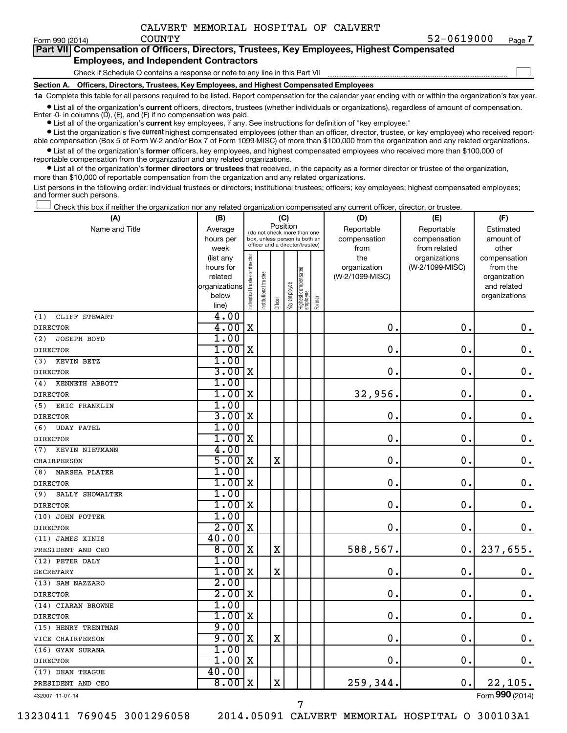| Form 990 (2014) | <b>COUNTY</b>                                                                              | 52-0619000 | Page 7 |
|-----------------|--------------------------------------------------------------------------------------------|------------|--------|
|                 | Part VII Compensation of Officers, Directors, Trustees, Key Employees, Highest Compensated |            |        |
|                 | <b>Employees, and Independent Contractors</b>                                              |            |        |
|                 | Check if Schedule O contains a response or note to any line in this Part VII               |            |        |

Check if Schedule O contains a response or note to any line in this Part VII

**Section A. Officers, Directors, Trustees, Key Employees, and Highest Compensated Employees**

**1a**  Complete this table for all persons required to be listed. Report compensation for the calendar year ending with or within the organization's tax year.

**•** List all of the organization's current officers, directors, trustees (whether individuals or organizations), regardless of amount of compensation. Enter -0- in columns  $(D)$ ,  $(E)$ , and  $(F)$  if no compensation was paid.

**•** List all of the organization's **current** key employees, if any. See instructions for definition of "key employee."

**•** List the organization's five current highest compensated employees (other than an officer, director, trustee, or key employee) who received reportable compensation (Box 5 of Form W-2 and/or Box 7 of Form 1099-MISC) of more than \$100,000 from the organization and any related organizations.

**•** List all of the organization's former officers, key employees, and highest compensated employees who received more than \$100,000 of reportable compensation from the organization and any related organizations.

**•** List all of the organization's former directors or trustees that received, in the capacity as a former director or trustee of the organization, more than \$10,000 of reportable compensation from the organization and any related organizations.

List persons in the following order: individual trustees or directors; institutional trustees; officers; key employees; highest compensated employees; and former such persons.

|  |  |  | Check this box if neither the organization nor any related organization compensated any current officer, director, or trustee. |  |  |
|--|--|--|--------------------------------------------------------------------------------------------------------------------------------|--|--|
|  |  |  |                                                                                                                                |  |  |

| (A)                         | (B)                  |                                |                                                                  | (C)         |              |                                 |        | (D)                             | (E)             | (F)                      |
|-----------------------------|----------------------|--------------------------------|------------------------------------------------------------------|-------------|--------------|---------------------------------|--------|---------------------------------|-----------------|--------------------------|
| Name and Title              | Average              |                                | (do not check more than one                                      | Position    |              |                                 |        | Reportable                      | Reportable      | Estimated                |
|                             | hours per            |                                | box, unless person is both an<br>officer and a director/trustee) |             |              |                                 |        | compensation                    | compensation    | amount of                |
|                             | week                 |                                |                                                                  |             |              |                                 |        | from                            | from related    | other                    |
|                             | (list any            |                                |                                                                  |             |              |                                 |        | the                             | organizations   | compensation             |
|                             | hours for<br>related |                                |                                                                  |             |              |                                 |        | organization<br>(W-2/1099-MISC) | (W-2/1099-MISC) | from the<br>organization |
|                             | organizations        |                                |                                                                  |             |              |                                 |        |                                 |                 | and related              |
|                             | below                | Individual trustee or director | nstitutional trustee                                             |             |              |                                 |        |                                 |                 | organizations            |
|                             | line)                |                                |                                                                  | Officer     | Key employee | Highest compensated<br>employee | Former |                                 |                 |                          |
| CLIFF STEWART<br>(1)        | 4.00                 |                                |                                                                  |             |              |                                 |        |                                 |                 |                          |
| <b>DIRECTOR</b>             | 4.00                 | $\mathbf X$                    |                                                                  |             |              |                                 |        | 0.                              | $\mathbf 0$ .   | 0.                       |
| <b>JOSEPH BOYD</b><br>(2)   | 1.00                 |                                |                                                                  |             |              |                                 |        |                                 |                 |                          |
| <b>DIRECTOR</b>             | 1.00                 | $\mathbf X$                    |                                                                  |             |              |                                 |        | $\mathbf 0$ .                   | $\mathbf 0$ .   | $\mathbf 0$ .            |
| (3)<br>KEVIN BETZ           | 1.00                 |                                |                                                                  |             |              |                                 |        |                                 |                 |                          |
| <b>DIRECTOR</b>             | 3.00                 | X                              |                                                                  |             |              |                                 |        | 0.                              | $\mathbf 0$     | 0.                       |
| KENNETH ABBOTT<br>(4)       | 1.00                 |                                |                                                                  |             |              |                                 |        |                                 |                 |                          |
| <b>DIRECTOR</b>             | 1.00                 | X                              |                                                                  |             |              |                                 |        | 32,956.                         | $\mathbf 0$ .   | $\mathbf 0$ .            |
| (5)<br>ERIC FRANKLIN        | 1.00                 |                                |                                                                  |             |              |                                 |        |                                 |                 |                          |
| <b>DIRECTOR</b>             | 3.00                 | $\mathbf X$                    |                                                                  |             |              |                                 |        | 0                               | $\mathbf 0$ .   | $\mathbf 0$ .            |
| (6)<br><b>UDAY PATEL</b>    | 1.00                 |                                |                                                                  |             |              |                                 |        |                                 |                 |                          |
| <b>DIRECTOR</b>             | 1.00                 | X                              |                                                                  |             |              |                                 |        | $\mathbf 0$ .                   | $\mathbf 0$ .   | $\mathbf 0$ .            |
| KEVIN NIETMANN<br>(7)       | 4.00                 |                                |                                                                  |             |              |                                 |        |                                 |                 |                          |
| CHAIRPERSON                 | 5.00                 | X                              |                                                                  | $\mathbf X$ |              |                                 |        | $\mathbf 0$                     | $\mathbf 0$     | $\mathbf 0$ .            |
| <b>MARSHA PLATER</b><br>(8) | 1.00                 |                                |                                                                  |             |              |                                 |        |                                 |                 |                          |
| <b>DIRECTOR</b>             | 1.00                 | X                              |                                                                  |             |              |                                 |        | $\mathbf 0$                     | $\mathbf 0$ .   | $\mathbf 0$ .            |
| (9)<br>SALLY SHOWALTER      | 1.00                 |                                |                                                                  |             |              |                                 |        |                                 |                 |                          |
| <b>DIRECTOR</b>             | 1.00                 | X                              |                                                                  |             |              |                                 |        | $\mathbf 0$ .                   | $\mathbf 0$ .   | $\mathbf 0$ .            |
| (10) JOHN POTTER            | 1.00                 |                                |                                                                  |             |              |                                 |        |                                 |                 |                          |
| <b>DIRECTOR</b>             | 2.00                 | X                              |                                                                  |             |              |                                 |        | $\mathbf 0$ .                   | $\mathbf 0$ .   | 0.                       |
| (11) JAMES XINIS            | 40.00                |                                |                                                                  |             |              |                                 |        |                                 |                 |                          |
| PRESIDENT AND CEO           | 8.00                 | $\mathbf X$                    |                                                                  | $\mathbf X$ |              |                                 |        | 588,567.                        | $\mathbf 0$ .   | 237,655.                 |
| (12) PETER DALY             | 1.00                 |                                |                                                                  |             |              |                                 |        |                                 |                 |                          |
| <b>SECRETARY</b>            | 1.00                 | X                              |                                                                  | $\mathbf X$ |              |                                 |        | $\mathbf 0$                     | $\mathbf 0$ .   | 0.                       |
| (13) SAM NAZZARO            | 2.00                 |                                |                                                                  |             |              |                                 |        |                                 |                 |                          |
| <b>DIRECTOR</b>             | 2.00                 | X                              |                                                                  |             |              |                                 |        | $\mathbf 0$                     | $\mathbf 0$ .   | $\mathbf 0$ .            |
| (14) CIARAN BROWNE          | 1.00                 |                                |                                                                  |             |              |                                 |        |                                 |                 |                          |
| <b>DIRECTOR</b>             | 1.00                 | X                              |                                                                  |             |              |                                 |        | 0.                              | $\mathbf 0$ .   | $\mathbf 0$ .            |
| (15) HENRY TRENTMAN         | 9.00                 |                                |                                                                  |             |              |                                 |        |                                 |                 |                          |
| VICE CHAIRPERSON            | 9.00                 | X                              |                                                                  | $\mathbf X$ |              |                                 |        | 0                               | $\mathbf 0$ .   | $\mathbf 0$ .            |
| (16) GYAN SURANA            | 1.00                 |                                |                                                                  |             |              |                                 |        |                                 |                 |                          |
| <b>DIRECTOR</b>             | 1.00                 | X                              |                                                                  |             |              |                                 |        | 0.                              | $\mathbf 0$ .   | 0.                       |
| (17) DEAN TEAGUE            | 40.00                |                                |                                                                  |             |              |                                 |        |                                 |                 |                          |
| PRESIDENT AND CEO           | 8.00                 | X                              |                                                                  | X           |              |                                 |        | 259,344.                        | 0.              | 22,105.                  |
| 432007 11-07-14             |                      |                                |                                                                  |             |              |                                 |        |                                 |                 | Form 990 (2014)          |

7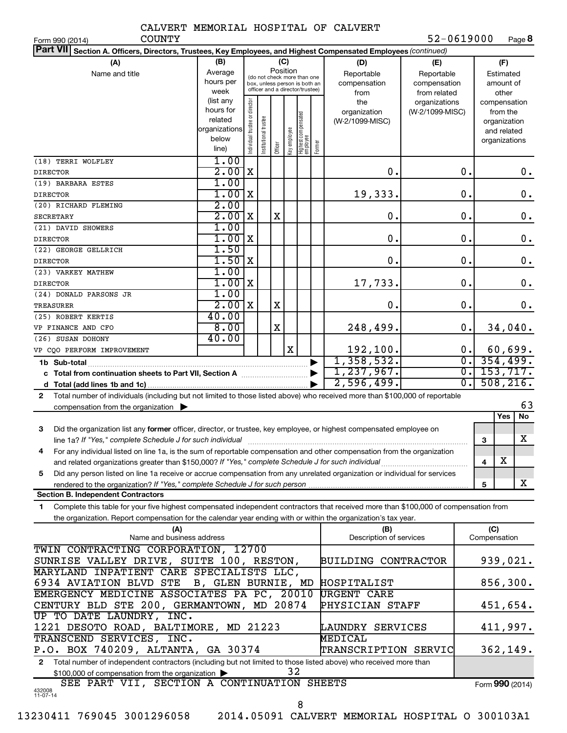**8**  $52 - 0619000$ 

Form (2014) **990**

| <b>COUNTY</b><br>Form 990 (2014)                                                                                                                                                                                                                                                                                                                            |                                                             |                                                                                                                    |                       |                         |   |                                  |                                                                                                |                                        | 52-0619000                       |                  |                                        | Page 8                                                                   |
|-------------------------------------------------------------------------------------------------------------------------------------------------------------------------------------------------------------------------------------------------------------------------------------------------------------------------------------------------------------|-------------------------------------------------------------|--------------------------------------------------------------------------------------------------------------------|-----------------------|-------------------------|---|----------------------------------|------------------------------------------------------------------------------------------------|----------------------------------------|----------------------------------|------------------|----------------------------------------|--------------------------------------------------------------------------|
| <b>Part VII</b><br>Section A. Officers, Directors, Trustees, Key Employees, and Highest Compensated Employees (continued)                                                                                                                                                                                                                                   |                                                             |                                                                                                                    |                       |                         |   |                                  |                                                                                                |                                        |                                  |                  |                                        |                                                                          |
| (A)<br>Name and title                                                                                                                                                                                                                                                                                                                                       | (B)<br>Average<br>hours per<br>week                         | (C)<br>Position<br>(do not check more than one<br>box, unless person is both an<br>officer and a director/trustee) |                       |                         |   |                                  | (D)<br>(E)<br>Reportable<br>Reportable<br>compensation<br>compensation<br>from related<br>from |                                        |                                  |                  | (F)<br>Estimated<br>amount of<br>other |                                                                          |
|                                                                                                                                                                                                                                                                                                                                                             | (list any<br>hours for<br>related<br>organizations<br>below | Individual trustee or director                                                                                     | Institutional trustee | Officer<br>Key employee |   | Highest compensated<br> employee | Former                                                                                         | the<br>organization<br>(W-2/1099-MISC) | organizations<br>(W-2/1099-MISC) |                  |                                        | compensation<br>from the<br>organization<br>and related<br>organizations |
| (18) TERRI WOLFLEY                                                                                                                                                                                                                                                                                                                                          | line)<br>1.00                                               |                                                                                                                    |                       |                         |   |                                  |                                                                                                |                                        |                                  |                  |                                        |                                                                          |
| <b>DIRECTOR</b>                                                                                                                                                                                                                                                                                                                                             | 2.00                                                        | X                                                                                                                  |                       |                         |   |                                  |                                                                                                | 0.                                     |                                  | 0.               |                                        | $0$ .                                                                    |
| (19) BARBARA ESTES                                                                                                                                                                                                                                                                                                                                          | 1.00                                                        |                                                                                                                    |                       |                         |   |                                  |                                                                                                |                                        |                                  |                  |                                        |                                                                          |
| <b>DIRECTOR</b>                                                                                                                                                                                                                                                                                                                                             | 1.00                                                        | X                                                                                                                  |                       |                         |   |                                  |                                                                                                | 19,333.                                |                                  | 0.               |                                        | 0.                                                                       |
| (20) RICHARD FLEMING                                                                                                                                                                                                                                                                                                                                        | 2.00                                                        |                                                                                                                    |                       |                         |   |                                  |                                                                                                |                                        |                                  |                  |                                        |                                                                          |
| <b>SECRETARY</b>                                                                                                                                                                                                                                                                                                                                            | 2.00                                                        | X                                                                                                                  |                       | X                       |   |                                  |                                                                                                | $\mathbf 0$ .                          |                                  | $\mathbf 0$ .    |                                        | 0.                                                                       |
| (21) DAVID SHOWERS                                                                                                                                                                                                                                                                                                                                          | 1.00                                                        |                                                                                                                    |                       |                         |   |                                  |                                                                                                |                                        |                                  |                  |                                        |                                                                          |
| <b>DIRECTOR</b>                                                                                                                                                                                                                                                                                                                                             | 1.00                                                        | X                                                                                                                  |                       |                         |   |                                  |                                                                                                | $\mathbf 0$ .                          |                                  | 0.               |                                        | $\mathbf 0$ .                                                            |
| (22) GEORGE GELLRICH                                                                                                                                                                                                                                                                                                                                        | 1.50                                                        |                                                                                                                    |                       |                         |   |                                  |                                                                                                |                                        |                                  |                  |                                        |                                                                          |
| <b>DIRECTOR</b>                                                                                                                                                                                                                                                                                                                                             | 1.50                                                        | X                                                                                                                  |                       |                         |   |                                  |                                                                                                | 0.                                     |                                  | 0.               |                                        | 0.                                                                       |
| (23) VARKEY MATHEW                                                                                                                                                                                                                                                                                                                                          | 1.00                                                        |                                                                                                                    |                       |                         |   |                                  |                                                                                                |                                        |                                  |                  |                                        |                                                                          |
| <b>DIRECTOR</b>                                                                                                                                                                                                                                                                                                                                             | 1.00                                                        | X                                                                                                                  |                       |                         |   |                                  |                                                                                                | 17,733.                                |                                  | 0.               |                                        | 0.                                                                       |
| (24) DONALD PARSONS JR                                                                                                                                                                                                                                                                                                                                      | 1.00                                                        |                                                                                                                    |                       |                         |   |                                  |                                                                                                |                                        |                                  |                  |                                        |                                                                          |
| TREASURER                                                                                                                                                                                                                                                                                                                                                   | 2.00                                                        | X                                                                                                                  |                       | X                       |   |                                  |                                                                                                | 0.                                     |                                  | $\mathbf 0$ .    |                                        | 0.                                                                       |
|                                                                                                                                                                                                                                                                                                                                                             | 40.00                                                       |                                                                                                                    |                       |                         |   |                                  |                                                                                                |                                        |                                  |                  |                                        |                                                                          |
| (25) ROBERT KERTIS                                                                                                                                                                                                                                                                                                                                          | 8.00                                                        |                                                                                                                    |                       | X                       |   |                                  |                                                                                                | 248,499.                               |                                  | 0.               |                                        | 34,040.                                                                  |
| VP FINANCE AND CFO                                                                                                                                                                                                                                                                                                                                          | 40.00                                                       |                                                                                                                    |                       |                         |   |                                  |                                                                                                |                                        |                                  |                  |                                        |                                                                          |
| (26) SUSAN DOHONY                                                                                                                                                                                                                                                                                                                                           |                                                             |                                                                                                                    |                       |                         | X |                                  |                                                                                                | 192,100.                               |                                  | 0.               |                                        | 60,699.                                                                  |
| VP CQO PERFORM IMPROVEMENT                                                                                                                                                                                                                                                                                                                                  |                                                             |                                                                                                                    |                       |                         |   |                                  |                                                                                                |                                        |                                  | $\overline{0}$ . |                                        | 354,499.                                                                 |
| 1,358,532.                                                                                                                                                                                                                                                                                                                                                  |                                                             |                                                                                                                    |                       |                         |   |                                  | $\overline{0}$ .                                                                               |                                        |                                  |                  |                                        |                                                                          |
| 1, 237, 967.                                                                                                                                                                                                                                                                                                                                                |                                                             |                                                                                                                    |                       |                         |   |                                  |                                                                                                | $\overline{0}$ .                       |                                  | 153, 717.        |                                        |                                                                          |
|                                                                                                                                                                                                                                                                                                                                                             |                                                             |                                                                                                                    |                       |                         |   |                                  |                                                                                                | 2,596,499.                             |                                  |                  |                                        | 508, 216.                                                                |
| Total number of individuals (including but not limited to those listed above) who received more than \$100,000 of reportable<br>$\mathbf{2}$<br>compensation from the organization $\blacktriangleright$                                                                                                                                                    |                                                             |                                                                                                                    |                       |                         |   |                                  |                                                                                                |                                        |                                  |                  |                                        | 63                                                                       |
|                                                                                                                                                                                                                                                                                                                                                             |                                                             |                                                                                                                    |                       |                         |   |                                  |                                                                                                |                                        |                                  |                  |                                        | <b>Yes</b><br>No                                                         |
| Did the organization list any former officer, director, or trustee, key employee, or highest compensated employee on<br>3<br>line 1a? If "Yes," complete Schedule J for such individual [11] manufacture manufacture in the set of the set of the set of the set of the set of the set of the set of the set of the set of the set of the set of the set of |                                                             |                                                                                                                    |                       |                         |   |                                  |                                                                                                |                                        |                                  |                  | 3                                      | x                                                                        |
| For any individual listed on line 1a, is the sum of reportable compensation and other compensation from the organization                                                                                                                                                                                                                                    |                                                             |                                                                                                                    |                       |                         |   |                                  |                                                                                                |                                        |                                  |                  |                                        |                                                                          |
|                                                                                                                                                                                                                                                                                                                                                             |                                                             |                                                                                                                    |                       |                         |   |                                  |                                                                                                |                                        |                                  |                  | 4                                      | х                                                                        |
| Did any person listed on line 1a receive or accrue compensation from any unrelated organization or individual for services<br>5                                                                                                                                                                                                                             |                                                             |                                                                                                                    |                       |                         |   |                                  |                                                                                                |                                        |                                  |                  |                                        |                                                                          |
|                                                                                                                                                                                                                                                                                                                                                             |                                                             |                                                                                                                    |                       |                         |   |                                  |                                                                                                |                                        |                                  |                  | 5                                      | x                                                                        |
| <b>Section B. Independent Contractors</b>                                                                                                                                                                                                                                                                                                                   |                                                             |                                                                                                                    |                       |                         |   |                                  |                                                                                                |                                        |                                  |                  |                                        |                                                                          |
| Complete this table for your five highest compensated independent contractors that received more than \$100,000 of compensation from<br>1.                                                                                                                                                                                                                  |                                                             |                                                                                                                    |                       |                         |   |                                  |                                                                                                |                                        |                                  |                  |                                        |                                                                          |
| the organization. Report compensation for the calendar year ending with or within the organization's tax year.                                                                                                                                                                                                                                              |                                                             |                                                                                                                    |                       |                         |   |                                  |                                                                                                |                                        |                                  |                  |                                        |                                                                          |
| (A)                                                                                                                                                                                                                                                                                                                                                         |                                                             |                                                                                                                    |                       |                         |   |                                  |                                                                                                | (B)                                    |                                  |                  | (C)                                    |                                                                          |
| Name and business address                                                                                                                                                                                                                                                                                                                                   |                                                             |                                                                                                                    |                       |                         |   |                                  |                                                                                                | Description of services                |                                  |                  | Compensation                           |                                                                          |
| TWIN CONTRACTING CORPORATION, 12700                                                                                                                                                                                                                                                                                                                         |                                                             |                                                                                                                    |                       |                         |   |                                  |                                                                                                |                                        |                                  |                  |                                        |                                                                          |
| SUNRISE VALLEY DRIVE, SUITE 100, RESTON,                                                                                                                                                                                                                                                                                                                    |                                                             |                                                                                                                    |                       |                         |   |                                  | <b>BUILDING CONTRACTOR</b>                                                                     |                                        |                                  |                  | 939,021.                               |                                                                          |
| MARYLAND INPATIENT CARE SPECIALISTS LLC,                                                                                                                                                                                                                                                                                                                    |                                                             |                                                                                                                    |                       |                         |   |                                  |                                                                                                |                                        |                                  |                  |                                        |                                                                          |
| 6934 AVIATION BLVD STE<br>B, GLEN BURNIE, MD                                                                                                                                                                                                                                                                                                                |                                                             |                                                                                                                    |                       |                         |   |                                  | HOSPITALIST                                                                                    |                                        |                                  |                  | 856,300.                               |                                                                          |
| EMERGENCY MEDICINE ASSOCIATES PA PC, 20010                                                                                                                                                                                                                                                                                                                  |                                                             |                                                                                                                    |                       |                         |   |                                  | <b>URGENT CARE</b>                                                                             |                                        |                                  |                  |                                        |                                                                          |
| CENTURY BLD STE 200, GERMANTOWN, MD 20874                                                                                                                                                                                                                                                                                                                   |                                                             |                                                                                                                    |                       |                         |   |                                  |                                                                                                | PHYSICIAN STAFF                        |                                  |                  |                                        | 451,654.                                                                 |
| UP TO DATE LAUNDRY, INC.                                                                                                                                                                                                                                                                                                                                    |                                                             |                                                                                                                    |                       |                         |   |                                  |                                                                                                |                                        |                                  |                  |                                        |                                                                          |
| 1221 DESOTO ROAD, BALTIMORE, MD 21223                                                                                                                                                                                                                                                                                                                       |                                                             |                                                                                                                    |                       |                         |   |                                  |                                                                                                | LAUNDRY SERVICES                       |                                  |                  |                                        | 411,997.                                                                 |
| TRANSCEND SERVICES, INC.                                                                                                                                                                                                                                                                                                                                    |                                                             |                                                                                                                    |                       |                         |   |                                  |                                                                                                | MEDICAL                                |                                  |                  |                                        |                                                                          |
| P.O. BOX 740209, ALTANTA, GA 30374                                                                                                                                                                                                                                                                                                                          |                                                             |                                                                                                                    |                       |                         |   |                                  |                                                                                                | TRANSCRIPTION SERVIC                   |                                  |                  |                                        | 362,149.                                                                 |
| Total number of independent contractors (including but not limited to those listed above) who received more than<br>2                                                                                                                                                                                                                                       |                                                             |                                                                                                                    |                       |                         |   |                                  |                                                                                                |                                        |                                  |                  |                                        |                                                                          |
| 32<br>\$100,000 of compensation from the organization >                                                                                                                                                                                                                                                                                                     |                                                             |                                                                                                                    |                       |                         |   |                                  |                                                                                                |                                        |                                  |                  |                                        |                                                                          |

8

SEE PART VII, SECTION A CONTINUATION SHEETS

432008 11-07-14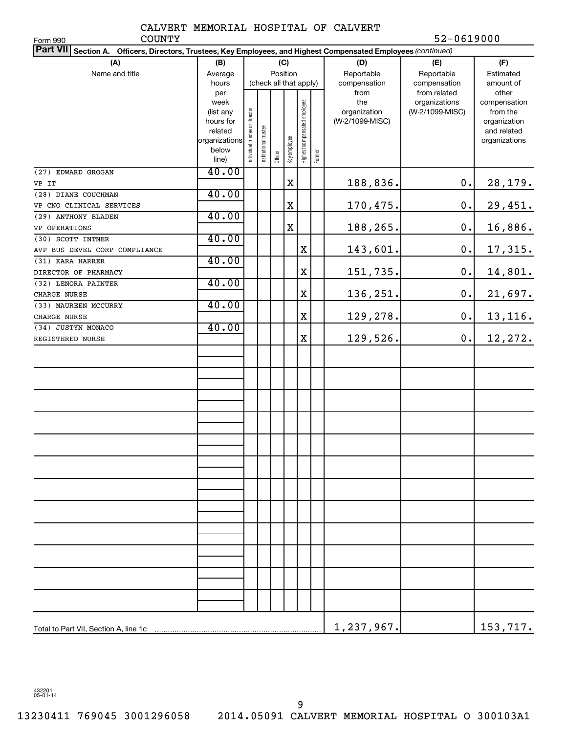COUNTY 52-0619000

| <b>COUNTY</b><br>Form 990                                                                                                 |                                       |                               |                       |                        |              |                              |        |                             | 52-0619000                                       |                                              |  |
|---------------------------------------------------------------------------------------------------------------------------|---------------------------------------|-------------------------------|-----------------------|------------------------|--------------|------------------------------|--------|-----------------------------|--------------------------------------------------|----------------------------------------------|--|
| <b>Part VII</b><br>Section A. Officers, Directors, Trustees, Key Employees, and Highest Compensated Employees (continued) |                                       |                               |                       |                        |              |                              |        |                             |                                                  |                                              |  |
| (A)                                                                                                                       | (B)                                   |                               |                       |                        | (C)          |                              |        | (D)                         | (E)                                              | (F)                                          |  |
| Name and title                                                                                                            | Average                               |                               |                       | Position               |              |                              |        | Reportable                  | Reportable                                       | Estimated                                    |  |
|                                                                                                                           | hours                                 |                               |                       | (check all that apply) |              |                              |        | compensation                | compensation                                     | amount of                                    |  |
|                                                                                                                           | per<br>week<br>(list any              |                               |                       |                        |              |                              |        | from<br>the<br>organization | from related<br>organizations<br>(W-2/1099-MISC) | other<br>compensation<br>from the            |  |
|                                                                                                                           | hours for<br>related<br>organizations | ndividual trustee or director | Institutional trustee |                        |              | Highest compensated employee |        | (W-2/1099-MISC)             |                                                  | organization<br>and related<br>organizations |  |
|                                                                                                                           | below<br>line)                        |                               |                       | Officer                | Key employee |                              | Former |                             |                                                  |                                              |  |
| (27) EDWARD GROGAN                                                                                                        | 40.00                                 |                               |                       |                        |              |                              |        |                             |                                                  |                                              |  |
| VP IT                                                                                                                     |                                       |                               |                       |                        | $\mathbf X$  |                              |        | 188,836.                    | 0.                                               | 28,179.                                      |  |
| (28) DIANE COUCHMAN                                                                                                       | 40.00                                 |                               |                       |                        |              |                              |        |                             |                                                  |                                              |  |
| VP CNO CLINICAL SERVICES                                                                                                  |                                       |                               |                       |                        | $\mathbf X$  |                              |        | 170,475.                    | 0.                                               | 29,451.                                      |  |
| (29) ANTHONY BLADEN                                                                                                       | 40.00                                 |                               |                       |                        |              |                              |        |                             |                                                  |                                              |  |
| VP OPERATIONS                                                                                                             |                                       |                               |                       |                        | $\mathbf X$  |                              |        | 188,265.                    | 0.                                               | 16,886.                                      |  |
| (30) SCOTT INTNER                                                                                                         | 40.00                                 |                               |                       |                        |              |                              |        |                             |                                                  |                                              |  |
| AVP BUS DEVEL CORP COMPLIANCE                                                                                             |                                       |                               |                       |                        |              | X                            |        | 143,601.                    | 0.                                               | 17,315.                                      |  |
| (31) KARA HARRER                                                                                                          | 40.00                                 |                               |                       |                        |              |                              |        |                             |                                                  |                                              |  |
| DIRECTOR OF PHARMACY                                                                                                      |                                       |                               |                       |                        |              | X                            |        | 151,735.                    | 0.                                               | 14,801.                                      |  |
| (32) LENORA PAINTER                                                                                                       | 40.00                                 |                               |                       |                        |              |                              |        |                             |                                                  |                                              |  |
| CHARGE NURSE                                                                                                              |                                       |                               |                       |                        |              | X                            |        | 136,251.                    | 0.                                               | 21,697.                                      |  |
| (33) MAUREEN MCCURRY                                                                                                      | 40.00                                 |                               |                       |                        |              |                              |        |                             |                                                  |                                              |  |
| CHARGE NURSE                                                                                                              |                                       |                               |                       |                        |              | $\mathbf X$                  |        | 129,278.                    | 0.                                               | 13,116.                                      |  |
| (34) JUSTYN MONACO                                                                                                        | 40.00                                 |                               |                       |                        |              |                              |        |                             |                                                  |                                              |  |
| REGISTERED NURSE                                                                                                          |                                       |                               |                       |                        |              | $\mathbf X$                  |        | 129,526.                    | 0.                                               | 12,272.                                      |  |
|                                                                                                                           |                                       |                               |                       |                        |              |                              |        |                             |                                                  |                                              |  |
|                                                                                                                           |                                       |                               |                       |                        |              |                              |        |                             |                                                  |                                              |  |
|                                                                                                                           |                                       |                               |                       |                        |              |                              |        |                             |                                                  |                                              |  |
|                                                                                                                           |                                       |                               |                       |                        |              |                              |        |                             |                                                  |                                              |  |
|                                                                                                                           |                                       |                               |                       |                        |              |                              |        |                             |                                                  |                                              |  |
|                                                                                                                           |                                       |                               |                       |                        |              |                              |        |                             |                                                  |                                              |  |
|                                                                                                                           |                                       |                               |                       |                        |              |                              |        |                             |                                                  |                                              |  |
|                                                                                                                           |                                       |                               |                       |                        |              |                              |        |                             |                                                  |                                              |  |
|                                                                                                                           |                                       |                               |                       |                        |              |                              |        |                             |                                                  |                                              |  |
|                                                                                                                           |                                       |                               |                       |                        |              |                              |        |                             |                                                  |                                              |  |
|                                                                                                                           |                                       |                               |                       |                        |              |                              |        |                             |                                                  |                                              |  |
|                                                                                                                           |                                       |                               |                       |                        |              |                              |        |                             |                                                  |                                              |  |
|                                                                                                                           |                                       |                               |                       |                        |              |                              |        |                             |                                                  |                                              |  |
|                                                                                                                           |                                       |                               |                       |                        |              |                              |        |                             |                                                  |                                              |  |
|                                                                                                                           |                                       |                               |                       |                        |              |                              |        |                             |                                                  |                                              |  |
|                                                                                                                           |                                       |                               |                       |                        |              |                              |        | 1,237,967.                  |                                                  | 153,717.                                     |  |

432201 05-01-14

9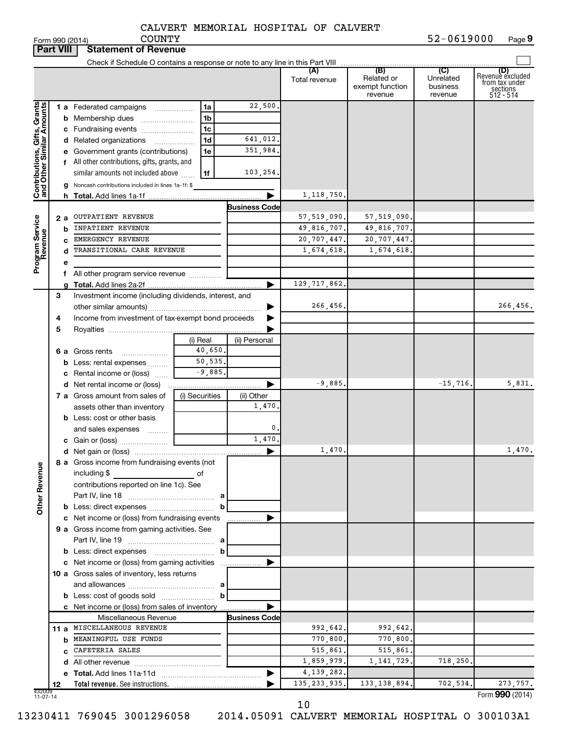|                                                           | <b>Part VIII</b> | <b>Statement of Revenue</b>                           |                |                      |                      |                                                 |                                         |                                                                    |
|-----------------------------------------------------------|------------------|-------------------------------------------------------|----------------|----------------------|----------------------|-------------------------------------------------|-----------------------------------------|--------------------------------------------------------------------|
|                                                           |                  |                                                       |                |                      |                      |                                                 |                                         |                                                                    |
|                                                           |                  |                                                       |                |                      | (A)<br>Total revenue | (B)<br>Related or<br>exempt function<br>revenue | (C)<br>Unrelated<br>business<br>revenue | (D)<br>Revenue excluded<br>from tax under<br>sections<br>512 - 514 |
|                                                           |                  | <b>1 a</b> Federated campaigns                        | 1a             | 22,500.              |                      |                                                 |                                         |                                                                    |
|                                                           |                  | <b>b</b> Membership dues                              | 1 <sub>b</sub> |                      |                      |                                                 |                                         |                                                                    |
|                                                           |                  | c Fundraising events                                  | 1c             |                      |                      |                                                 |                                         |                                                                    |
|                                                           |                  | d Related organizations                               | 1 <sub>d</sub> | 641,012.             |                      |                                                 |                                         |                                                                    |
|                                                           |                  | e Government grants (contributions)                   | 1e             | 351,984.             |                      |                                                 |                                         |                                                                    |
|                                                           |                  | f All other contributions, gifts, grants, and         |                |                      |                      |                                                 |                                         |                                                                    |
|                                                           |                  | similar amounts not included above                    | 1f             | 103,254.             |                      |                                                 |                                         |                                                                    |
|                                                           |                  | g Noncash contributions included in lines 1a-1f: \$   |                |                      |                      |                                                 |                                         |                                                                    |
| Contributions, Gifts, Grants<br>and Other Similar Amounts |                  |                                                       |                |                      | 1,118,750.           |                                                 |                                         |                                                                    |
|                                                           |                  |                                                       |                | <b>Business Code</b> |                      |                                                 |                                         |                                                                    |
|                                                           | 2 a              | OUTPATIENT REVENUE                                    |                |                      | 57, 519, 090.        | 57,519,090.                                     |                                         |                                                                    |
|                                                           | b                | INPATIENT REVENUE                                     |                |                      | 49,816,707.          | 49,816,707.                                     |                                         |                                                                    |
|                                                           |                  | EMERGENCY REVENUE                                     |                |                      | 20,707,447.          | 20,707,447.                                     |                                         |                                                                    |
|                                                           |                  | TRANSITIONAL CARE REVENUE                             |                |                      | 1,674,618.           | 1,674,618.                                      |                                         |                                                                    |
| Program Service<br>Revenue                                | е                |                                                       |                |                      |                      |                                                 |                                         |                                                                    |
|                                                           |                  | f All other program service revenue                   |                |                      |                      |                                                 |                                         |                                                                    |
|                                                           |                  |                                                       |                | ▶                    | 129, 717, 862.       |                                                 |                                         |                                                                    |
|                                                           | З                | Investment income (including dividends, interest, and |                |                      |                      |                                                 |                                         |                                                                    |
|                                                           |                  |                                                       |                |                      | 266,456.             |                                                 |                                         | 266,456.                                                           |
|                                                           | 4                | Income from investment of tax-exempt bond proceeds    |                |                      |                      |                                                 |                                         |                                                                    |
|                                                           | 5                |                                                       |                |                      |                      |                                                 |                                         |                                                                    |
|                                                           |                  |                                                       | (i) Real       | (ii) Personal        |                      |                                                 |                                         |                                                                    |
|                                                           |                  | <b>6 a</b> Gross rents                                | 40,650.        |                      |                      |                                                 |                                         |                                                                    |
|                                                           |                  | <b>b</b> Less: rental expenses                        | 50, 535.       |                      |                      |                                                 |                                         |                                                                    |
|                                                           |                  | c Rental income or (loss)                             | $-9,885.$      |                      |                      |                                                 |                                         |                                                                    |
|                                                           |                  | d Net rental income or (loss)                         |                |                      | $-9,885$ .           |                                                 | $-15,716.$                              | 5,831.                                                             |
|                                                           |                  | 7 a Gross amount from sales of                        | (i) Securities | (ii) Other           |                      |                                                 |                                         |                                                                    |
|                                                           |                  | assets other than inventory                           |                | 1,470                |                      |                                                 |                                         |                                                                    |
|                                                           |                  | <b>b</b> Less: cost or other basis                    |                |                      |                      |                                                 |                                         |                                                                    |
|                                                           |                  | and sales expenses                                    |                | 0.                   |                      |                                                 |                                         |                                                                    |
|                                                           |                  |                                                       |                | 1,470.               |                      |                                                 |                                         |                                                                    |
|                                                           |                  |                                                       |                | ▶                    | 1,470.               |                                                 |                                         | 1,470.                                                             |
|                                                           |                  | 8 a Gross income from fundraising events (not         |                |                      |                      |                                                 |                                         |                                                                    |
|                                                           |                  | including \$                                          | of             |                      |                      |                                                 |                                         |                                                                    |
|                                                           |                  | contributions reported on line 1c). See               |                |                      |                      |                                                 |                                         |                                                                    |
| <b>Other Revenue</b>                                      |                  |                                                       |                |                      |                      |                                                 |                                         |                                                                    |
|                                                           |                  |                                                       | b              |                      |                      |                                                 |                                         |                                                                    |
|                                                           |                  | c Net income or (loss) from fundraising events        |                | .                    |                      |                                                 |                                         |                                                                    |
|                                                           |                  | 9 a Gross income from gaming activities. See          |                |                      |                      |                                                 |                                         |                                                                    |
|                                                           |                  |                                                       | b              |                      |                      |                                                 |                                         |                                                                    |
|                                                           |                  | c Net income or (loss) from gaming activities         |                |                      |                      |                                                 |                                         |                                                                    |
|                                                           |                  | 10 a Gross sales of inventory, less returns           |                |                      |                      |                                                 |                                         |                                                                    |
|                                                           |                  |                                                       |                |                      |                      |                                                 |                                         |                                                                    |
|                                                           |                  |                                                       | b              |                      |                      |                                                 |                                         |                                                                    |
|                                                           |                  | c Net income or (loss) from sales of inventory        |                |                      |                      |                                                 |                                         |                                                                    |
|                                                           |                  | Miscellaneous Revenue                                 |                | <b>Business Code</b> |                      |                                                 |                                         |                                                                    |
|                                                           |                  | 11 a MISCELLANEOUS REVENUE                            |                |                      | 992,642.             | 992,642.                                        |                                         |                                                                    |
|                                                           |                  | <b>b</b> MEANINGFUL USE FUNDS                         |                |                      | 770,800.             | 770,800.                                        |                                         |                                                                    |
|                                                           |                  | C CAFETERIA SALES                                     |                |                      | 515,861.             | 515,861.                                        |                                         |                                                                    |
|                                                           |                  |                                                       |                |                      | 1,859,979.           | 1, 141, 729.                                    | 718,250,                                |                                                                    |
|                                                           |                  |                                                       |                |                      | 4, 139, 282.         |                                                 |                                         |                                                                    |
|                                                           | 12               |                                                       |                |                      | 135, 233, 935.       | 133, 138, 894.                                  | 702,534.                                | 273,757.                                                           |
| 432009<br>$11-07-14$                                      |                  |                                                       |                |                      |                      |                                                 |                                         | Form 990 (2014)                                                    |

10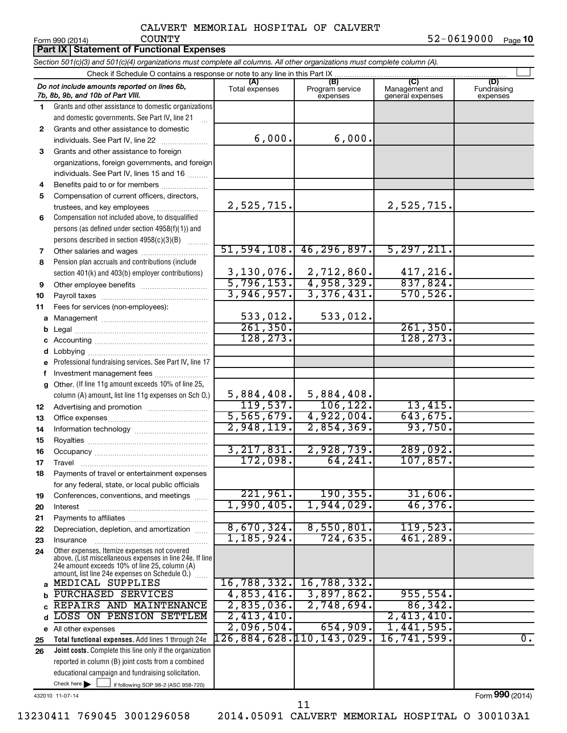|          | Part IX   Statement of Functional Expenses                                                                                                                                                                  |                          |                                                  |                                           |                                |
|----------|-------------------------------------------------------------------------------------------------------------------------------------------------------------------------------------------------------------|--------------------------|--------------------------------------------------|-------------------------------------------|--------------------------------|
|          | Section 501(c)(3) and 501(c)(4) organizations must complete all columns. All other organizations must complete column (A).                                                                                  |                          |                                                  |                                           |                                |
|          | Check if Schedule O contains a response or note to any line in this Part IX.                                                                                                                                |                          |                                                  |                                           |                                |
|          | Do not include amounts reported on lines 6b,<br>7b, 8b, 9b, and 10b of Part VIII.                                                                                                                           | (A)<br>Total expenses    | (B)<br>Program service<br>expenses               | (C)<br>Management and<br>general expenses | (D)<br>Fundraising<br>expenses |
| 1.       | Grants and other assistance to domestic organizations                                                                                                                                                       |                          |                                                  |                                           |                                |
|          | and domestic governments. See Part IV, line 21                                                                                                                                                              |                          |                                                  |                                           |                                |
| 2        | Grants and other assistance to domestic                                                                                                                                                                     |                          |                                                  |                                           |                                |
|          | individuals. See Part IV, line 22                                                                                                                                                                           | 6,000.                   | 6,000.                                           |                                           |                                |
| 3        | Grants and other assistance to foreign                                                                                                                                                                      |                          |                                                  |                                           |                                |
|          | organizations, foreign governments, and foreign                                                                                                                                                             |                          |                                                  |                                           |                                |
|          | individuals. See Part IV, lines 15 and 16                                                                                                                                                                   |                          |                                                  |                                           |                                |
| 4        | Benefits paid to or for members                                                                                                                                                                             |                          |                                                  |                                           |                                |
| 5        | Compensation of current officers, directors,                                                                                                                                                                | 2,525,715.               |                                                  |                                           |                                |
|          | trustees, and key employees                                                                                                                                                                                 |                          |                                                  | 2,525,715.                                |                                |
| 6        | Compensation not included above, to disqualified<br>persons (as defined under section 4958(f)(1)) and                                                                                                       |                          |                                                  |                                           |                                |
|          | persons described in section 4958(c)(3)(B)                                                                                                                                                                  |                          |                                                  |                                           |                                |
| 7        | 1.1.1.1.1.1.1                                                                                                                                                                                               | 51, 594, 108.            | 46, 296, 897.                                    | 5, 297, 211.                              |                                |
| 8        | Pension plan accruals and contributions (include                                                                                                                                                            |                          |                                                  |                                           |                                |
|          | section 401(k) and 403(b) employer contributions)                                                                                                                                                           |                          |                                                  | 417,216.                                  |                                |
| 9        | Other employee benefits                                                                                                                                                                                     |                          | $3,130,076.$ 2,712,860.<br>5,796,153. 4,958,329. | 837,824.                                  |                                |
| 10       |                                                                                                                                                                                                             | 3,946,957.               | 3,376,431.                                       | 570, 526.                                 |                                |
| 11       | Fees for services (non-employees):                                                                                                                                                                          |                          |                                                  |                                           |                                |
| a        |                                                                                                                                                                                                             | 533,012.                 | 533,012.                                         |                                           |                                |
| b        |                                                                                                                                                                                                             | 261, 350.                |                                                  | 261,350.                                  |                                |
| c        |                                                                                                                                                                                                             | 128, 273.                |                                                  | 128, 273.                                 |                                |
| d        |                                                                                                                                                                                                             |                          |                                                  |                                           |                                |
| e        | Professional fundraising services. See Part IV, line 17                                                                                                                                                     |                          |                                                  |                                           |                                |
| f        | Investment management fees                                                                                                                                                                                  |                          |                                                  |                                           |                                |
| a        | Other. (If line 11g amount exceeds 10% of line 25,                                                                                                                                                          |                          |                                                  |                                           |                                |
|          | column (A) amount, list line 11g expenses on Sch O.)                                                                                                                                                        | 5,884,408.               | 5,884,408.                                       |                                           |                                |
| 12       |                                                                                                                                                                                                             | 119,537.                 | 106, 122.                                        | 13,415.                                   |                                |
| 13       |                                                                                                                                                                                                             | $\overline{5,565,679.}$  | 4,922,004.                                       | 643,675.                                  |                                |
| 14       |                                                                                                                                                                                                             | 2,948,119.               | 2,854,369.                                       | 93,750.                                   |                                |
| 15       |                                                                                                                                                                                                             | 3, 217, 831.             | 2,928,739.                                       | 289,092.                                  |                                |
| 16       |                                                                                                                                                                                                             | 172,098.                 | 64,241.                                          | 107,857.                                  |                                |
| 17       | Travel                                                                                                                                                                                                      |                          |                                                  |                                           |                                |
| 18       | Payments of travel or entertainment expenses<br>for any federal, state, or local public officials                                                                                                           |                          |                                                  |                                           |                                |
| 19       | Conferences, conventions, and meetings                                                                                                                                                                      | 221,961.                 | 190, 355.                                        | 31,606.                                   |                                |
| 20       | Interest                                                                                                                                                                                                    | 1,990,405.               | 1,944,029.                                       | 46,376.                                   |                                |
| 21       |                                                                                                                                                                                                             |                          |                                                  |                                           |                                |
| 22       | Depreciation, depletion, and amortization                                                                                                                                                                   | 8,670,324.               | 8,550,801.                                       | 119,523.                                  |                                |
| 23       | Insurance                                                                                                                                                                                                   | 1, 185, 924.             | 724, 635.                                        | 461,289.                                  |                                |
| 24       | Other expenses. Itemize expenses not covered<br>above. (List miscellaneous expenses in line 24e. If line<br>24e amount exceeds 10% of line 25, column (A)<br>amount, list line 24e expenses on Schedule O.) |                          |                                                  |                                           |                                |
|          | a MEDICAL SUPPLIES                                                                                                                                                                                          | 16,788,332.              | 16,788,332.                                      |                                           |                                |
| b        | PURCHASED SERVICES                                                                                                                                                                                          | 4,853,416.               | 3,897,862.                                       | 955,554.                                  |                                |
| C        | REPAIRS AND MAINTENANCE                                                                                                                                                                                     | 2,835,036.<br>2,413,410. | 2,748,694.                                       | 86, 342.                                  |                                |
| d        | LOSS ON PENSION SETTLEM                                                                                                                                                                                     | 2,096,504.               | 654,909.                                         | 2,413,410.<br>1,441,595.                  |                                |
|          | e All other expenses                                                                                                                                                                                        | 126,884,628.110,143,029. |                                                  | 16,741,599.                               | $\overline{0}$ .               |
| 25<br>26 | Total functional expenses. Add lines 1 through 24e<br>Joint costs. Complete this line only if the organization                                                                                              |                          |                                                  |                                           |                                |
|          | reported in column (B) joint costs from a combined                                                                                                                                                          |                          |                                                  |                                           |                                |
|          | educational campaign and fundraising solicitation.                                                                                                                                                          |                          |                                                  |                                           |                                |
|          | Check here $\blacktriangleright$<br>if following SOP 98-2 (ASC 958-720)                                                                                                                                     |                          |                                                  |                                           |                                |

432010 11-07-14

Form (2014) **990**

11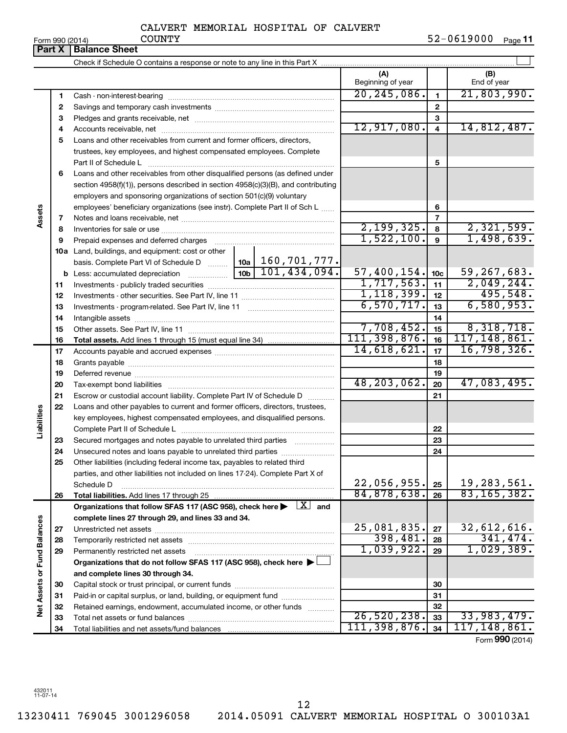|  | .rm QQN (2011) |  |
|--|----------------|--|

Form 990 (2014) COUNTY 52-0619000 <sub>Page</sub> 11

|                             |          | <b>Part X   Balance Sheet</b>                                                                                                              |                          |                 |                    |
|-----------------------------|----------|--------------------------------------------------------------------------------------------------------------------------------------------|--------------------------|-----------------|--------------------|
|                             |          |                                                                                                                                            |                          |                 |                    |
|                             |          |                                                                                                                                            | (A)<br>Beginning of year |                 | (B)<br>End of year |
|                             | 1        |                                                                                                                                            | 20, 245, 086.            | 1               | 21,803,990.        |
|                             | 2        |                                                                                                                                            |                          | $\mathbf{2}$    |                    |
|                             | 3        |                                                                                                                                            |                          | 3               |                    |
|                             | 4        |                                                                                                                                            | 12,917,080.              | $\overline{4}$  | 14,812,487.        |
|                             | 5        | Loans and other receivables from current and former officers, directors,                                                                   |                          |                 |                    |
|                             |          | trustees, key employees, and highest compensated employees. Complete                                                                       |                          |                 |                    |
|                             |          |                                                                                                                                            |                          | 5               |                    |
|                             | 6        | Loans and other receivables from other disqualified persons (as defined under                                                              |                          |                 |                    |
|                             |          | section 4958(f)(1)), persons described in section 4958(c)(3)(B), and contributing                                                          |                          |                 |                    |
|                             |          | employers and sponsoring organizations of section 501(c)(9) voluntary                                                                      |                          |                 |                    |
|                             |          | employees' beneficiary organizations (see instr). Complete Part II of Sch L                                                                |                          | 6               |                    |
| Assets                      | 7        |                                                                                                                                            |                          | 7               |                    |
|                             | 8        |                                                                                                                                            | 2,199,325.               | 8               | 2,321,599.         |
|                             | 9        | Prepaid expenses and deferred charges                                                                                                      | 1,522,100.               | $\mathbf{g}$    | 1,498,639.         |
|                             |          | 10a Land, buildings, and equipment: cost or other                                                                                          |                          |                 |                    |
|                             |          | basis. Complete Part VI of Schedule D    10a   160, 701, 777.                                                                              |                          |                 |                    |
|                             |          | $\overline{10b}$ 101, 434, 094.                                                                                                            | 57,400,154.              | 10 <sub>c</sub> | 59, 267, 683.      |
|                             | 11       |                                                                                                                                            | 1,717,563.               | 11              | 2,049,244.         |
|                             | 12       |                                                                                                                                            | 1, 118, 399.             | 12              | 495,548.           |
|                             | 13       |                                                                                                                                            | 6,570,717.               | 13              | 6,580,953.         |
|                             | 14       |                                                                                                                                            |                          | 14              |                    |
|                             | 15       |                                                                                                                                            | 7,708,452.               | 15              | 8,318,718.         |
|                             | 16       |                                                                                                                                            | 111, 398, 876.           | 16              | 117, 148, 861.     |
|                             | 17       |                                                                                                                                            | 14,618,621.              | 17              | 16,798,326.        |
|                             | 18       |                                                                                                                                            |                          | 18              |                    |
|                             | 19       |                                                                                                                                            | 48,203,062.              | 19              |                    |
|                             | 20       |                                                                                                                                            |                          | 20              | 47,083,495.        |
|                             | 21       | Escrow or custodial account liability. Complete Part IV of Schedule D                                                                      |                          | 21              |                    |
| Liabilities                 | 22       | Loans and other payables to current and former officers, directors, trustees,                                                              |                          |                 |                    |
|                             |          | key employees, highest compensated employees, and disqualified persons.                                                                    |                          |                 |                    |
|                             |          |                                                                                                                                            |                          | 22              |                    |
|                             | 23       | Secured mortgages and notes payable to unrelated third parties<br>.                                                                        |                          | 23<br>24        |                    |
|                             | 24<br>25 | Unsecured notes and loans payable to unrelated third parties<br>Other liabilities (including federal income tax, payables to related third |                          |                 |                    |
|                             |          | parties, and other liabilities not included on lines 17-24). Complete Part X of                                                            |                          |                 |                    |
|                             |          | Schedule D                                                                                                                                 | 22,056,955.              | 25              | 19,283,561.        |
|                             | 26       | Total liabilities. Add lines 17 through 25                                                                                                 | 84,878,638.              | 26              | 83, 165, 382.      |
|                             |          | Organizations that follow SFAS 117 (ASC 958), check here $\blacktriangleright \begin{array}{c} \boxed{X} \\ \end{array}$ and               |                          |                 |                    |
|                             |          | complete lines 27 through 29, and lines 33 and 34.                                                                                         |                          |                 |                    |
|                             | 27       |                                                                                                                                            | 25,081,835.              | 27              | 32,612,616.        |
|                             | 28       | Temporarily restricted net assets                                                                                                          | 398,481.                 | 28              | 341, 474.          |
|                             | 29       | Permanently restricted net assets                                                                                                          | 1,039,922.               | 29              | 1,029,389.         |
|                             |          | Organizations that do not follow SFAS 117 (ASC 958), check here $\blacktriangleright$                                                      |                          |                 |                    |
|                             |          | and complete lines 30 through 34.                                                                                                          |                          |                 |                    |
|                             | 30       |                                                                                                                                            |                          | 30              |                    |
| Net Assets or Fund Balances | 31       | Paid-in or capital surplus, or land, building, or equipment fund                                                                           |                          | 31              |                    |
|                             | 32       | Retained earnings, endowment, accumulated income, or other funds                                                                           |                          | 32              |                    |
|                             | 33       |                                                                                                                                            | 26, 520, 238.            | 33              | 33,983,479.        |
|                             | 34       |                                                                                                                                            | 111, 398, 876.           | 34              | 117, 148, 861.     |
|                             |          |                                                                                                                                            |                          |                 | Form 990 (2014)    |

432011 11-07-14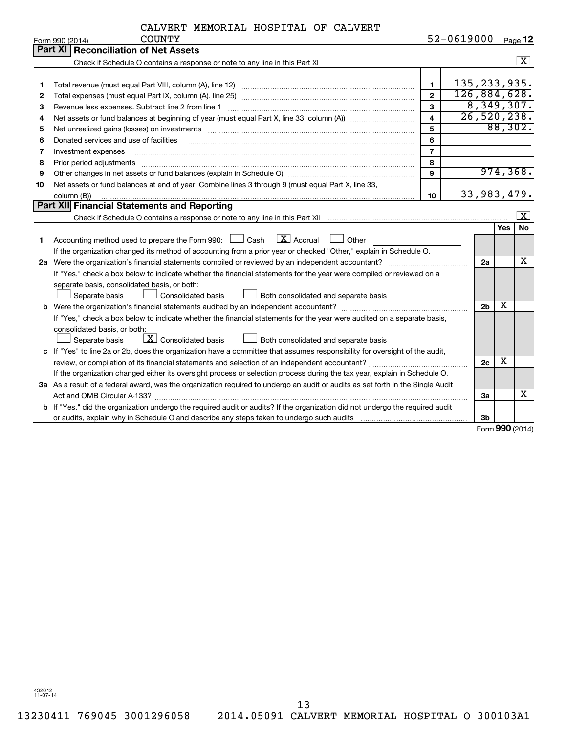|    | <b>COUNTY</b><br>Form 990 (2014)                                                                                                                                                                                               |                         | 52-0619000     |                |            | Page 12              |
|----|--------------------------------------------------------------------------------------------------------------------------------------------------------------------------------------------------------------------------------|-------------------------|----------------|----------------|------------|----------------------|
|    | Part XI   Reconciliation of Net Assets                                                                                                                                                                                         |                         |                |                |            |                      |
|    | Check if Schedule O contains a response or note to any line in this Part XI [11] [11] Check if Schedule O contains a response or note to any line in this Part XI                                                              |                         |                |                |            | $\boxed{\text{X}}$   |
|    |                                                                                                                                                                                                                                |                         |                |                |            |                      |
| 1  |                                                                                                                                                                                                                                | $\mathbf{1}$            | 135, 233, 935. |                |            |                      |
| 2  |                                                                                                                                                                                                                                | $\overline{2}$          | 126,884,628.   |                |            |                      |
| 3  |                                                                                                                                                                                                                                | 3                       |                |                |            | 8,349,307.           |
| 4  |                                                                                                                                                                                                                                | $\overline{\mathbf{4}}$ |                |                |            | 26, 520, 238.        |
| 5  |                                                                                                                                                                                                                                | 5                       |                |                |            | 88,302.              |
| 6  | Donated services and use of facilities                                                                                                                                                                                         | 6                       |                |                |            |                      |
| 7  | Investment expenses                                                                                                                                                                                                            | $\overline{7}$          |                |                |            |                      |
| 8  | Prior period adjustments                                                                                                                                                                                                       | 8                       |                |                |            |                      |
| 9  |                                                                                                                                                                                                                                | $\mathbf{9}$            |                |                |            | $-974, 368.$         |
| 10 | Net assets or fund balances at end of year. Combine lines 3 through 9 (must equal Part X, line 33,                                                                                                                             |                         |                |                |            |                      |
|    | column (B))                                                                                                                                                                                                                    | 10                      |                | 33,983,479.    |            |                      |
|    | Part XII Financial Statements and Reporting                                                                                                                                                                                    |                         |                |                |            |                      |
|    | Check if Schedule O contains a response or note to any line in this Part XII manufactured contains and contains a response or note to any line in this Part XII manufactured contains and contains and contains and contains a |                         |                |                |            | $\boxed{\textbf{X}}$ |
|    |                                                                                                                                                                                                                                |                         |                |                | <b>Yes</b> | No                   |
| 1  | Accounting method used to prepare the Form 990: $\Box$ Cash $\Box X$ Accrual<br>Other                                                                                                                                          |                         |                |                |            |                      |
|    | If the organization changed its method of accounting from a prior year or checked "Other," explain in Schedule O.                                                                                                              |                         |                |                |            |                      |
|    | 2a Were the organization's financial statements compiled or reviewed by an independent accountant?                                                                                                                             |                         |                | 2a             |            | x                    |
|    | If "Yes," check a box below to indicate whether the financial statements for the year were compiled or reviewed on a                                                                                                           |                         |                |                |            |                      |
|    | separate basis, consolidated basis, or both:                                                                                                                                                                                   |                         |                |                |            |                      |
|    | Separate basis<br>Consolidated basis<br>Both consolidated and separate basis                                                                                                                                                   |                         |                |                |            |                      |
|    |                                                                                                                                                                                                                                |                         |                | 2 <sub>b</sub> | х          |                      |
|    | If "Yes," check a box below to indicate whether the financial statements for the year were audited on a separate basis,                                                                                                        |                         |                |                |            |                      |
|    | consolidated basis, or both:                                                                                                                                                                                                   |                         |                |                |            |                      |
|    | $\lfloor \mathbf{X} \rfloor$ Consolidated basis<br>Both consolidated and separate basis<br>Separate basis                                                                                                                      |                         |                |                |            |                      |
|    | c If "Yes" to line 2a or 2b, does the organization have a committee that assumes responsibility for oversight of the audit,                                                                                                    |                         |                |                |            |                      |
|    |                                                                                                                                                                                                                                |                         |                | 2c             | x          |                      |
|    | If the organization changed either its oversight process or selection process during the tax year, explain in Schedule O.                                                                                                      |                         |                |                |            |                      |
|    | 3a As a result of a federal award, was the organization required to undergo an audit or audits as set forth in the Single Audit                                                                                                |                         |                |                |            |                      |
|    |                                                                                                                                                                                                                                |                         |                | За             |            | x                    |
|    | b If "Yes," did the organization undergo the required audit or audits? If the organization did not undergo the required audit                                                                                                  |                         |                |                |            |                      |
|    |                                                                                                                                                                                                                                |                         |                | 3 <sub>b</sub> |            |                      |

Form (2014) **990**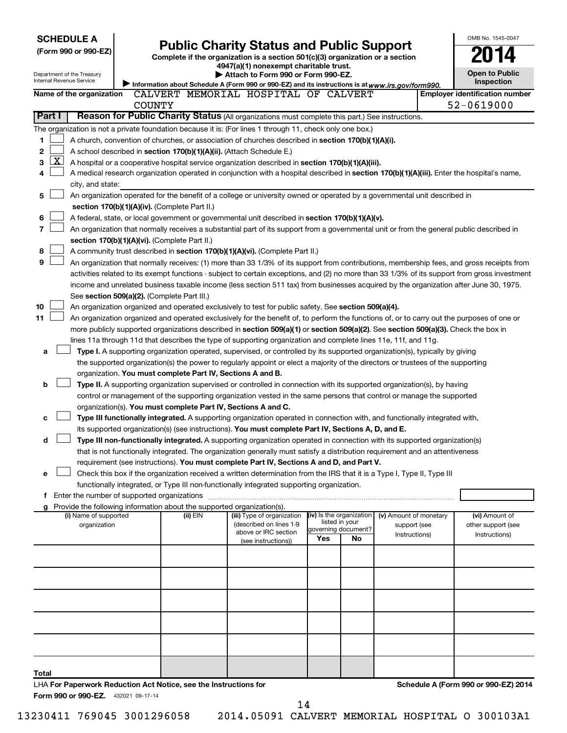| <b>SCHEDULE A</b>                                                                                                                                                                                                                                              |          |                                                                                                                         |                                            |    |                               |  | OMB No. 1545-0047                     |
|----------------------------------------------------------------------------------------------------------------------------------------------------------------------------------------------------------------------------------------------------------------|----------|-------------------------------------------------------------------------------------------------------------------------|--------------------------------------------|----|-------------------------------|--|---------------------------------------|
| (Form 990 or 990-EZ)                                                                                                                                                                                                                                           |          | <b>Public Charity Status and Public Support</b>                                                                         |                                            |    |                               |  |                                       |
|                                                                                                                                                                                                                                                                |          | Complete if the organization is a section 501(c)(3) organization or a section<br>4947(a)(1) nonexempt charitable trust. |                                            |    |                               |  |                                       |
| Department of the Treasury                                                                                                                                                                                                                                     |          | Attach to Form 990 or Form 990-EZ.                                                                                      |                                            |    |                               |  | <b>Open to Public</b>                 |
| Internal Revenue Service                                                                                                                                                                                                                                       |          | Information about Schedule A (Form 990 or 990-EZ) and its instructions is at www.irs.gov/form990.                       |                                            |    |                               |  | Inspection                            |
| Name of the organization                                                                                                                                                                                                                                       |          | CALVERT MEMORIAL HOSPITAL OF CALVERT                                                                                    |                                            |    |                               |  | <b>Employer identification number</b> |
| <b>COUNTY</b>                                                                                                                                                                                                                                                  |          |                                                                                                                         |                                            |    |                               |  | 52-0619000                            |
| Reason for Public Charity Status (All organizations must complete this part.) See instructions.<br>Part I                                                                                                                                                      |          |                                                                                                                         |                                            |    |                               |  |                                       |
| The organization is not a private foundation because it is: (For lines 1 through 11, check only one box.)                                                                                                                                                      |          |                                                                                                                         |                                            |    |                               |  |                                       |
| 1<br>A church, convention of churches, or association of churches described in section 170(b)(1)(A)(i).<br>2                                                                                                                                                   |          |                                                                                                                         |                                            |    |                               |  |                                       |
| A school described in section 170(b)(1)(A)(ii). (Attach Schedule E.)<br><u>X  </u><br>3<br>A hospital or a cooperative hospital service organization described in section 170(b)(1)(A)(iii).                                                                   |          |                                                                                                                         |                                            |    |                               |  |                                       |
| A medical research organization operated in conjunction with a hospital described in section 170(b)(1)(A)(iii). Enter the hospital's name,<br>4                                                                                                                |          |                                                                                                                         |                                            |    |                               |  |                                       |
| city, and state:                                                                                                                                                                                                                                               |          |                                                                                                                         |                                            |    |                               |  |                                       |
| An organization operated for the benefit of a college or university owned or operated by a governmental unit described in<br>5                                                                                                                                 |          |                                                                                                                         |                                            |    |                               |  |                                       |
| section 170(b)(1)(A)(iv). (Complete Part II.)                                                                                                                                                                                                                  |          |                                                                                                                         |                                            |    |                               |  |                                       |
| 6<br>A federal, state, or local government or governmental unit described in section 170(b)(1)(A)(v).                                                                                                                                                          |          |                                                                                                                         |                                            |    |                               |  |                                       |
| 7<br>An organization that normally receives a substantial part of its support from a governmental unit or from the general public described in                                                                                                                 |          |                                                                                                                         |                                            |    |                               |  |                                       |
| section 170(b)(1)(A)(vi). (Complete Part II.)                                                                                                                                                                                                                  |          |                                                                                                                         |                                            |    |                               |  |                                       |
| 8<br>A community trust described in section 170(b)(1)(A)(vi). (Complete Part II.)                                                                                                                                                                              |          |                                                                                                                         |                                            |    |                               |  |                                       |
| 9<br>An organization that normally receives: (1) more than 33 1/3% of its support from contributions, membership fees, and gross receipts from                                                                                                                 |          |                                                                                                                         |                                            |    |                               |  |                                       |
| activities related to its exempt functions - subject to certain exceptions, and (2) no more than 33 1/3% of its support from gross investment                                                                                                                  |          |                                                                                                                         |                                            |    |                               |  |                                       |
| income and unrelated business taxable income (less section 511 tax) from businesses acquired by the organization after June 30, 1975.                                                                                                                          |          |                                                                                                                         |                                            |    |                               |  |                                       |
| See section 509(a)(2). (Complete Part III.)<br>10                                                                                                                                                                                                              |          |                                                                                                                         |                                            |    |                               |  |                                       |
| An organization organized and operated exclusively to test for public safety. See section 509(a)(4).<br>11<br>An organization organized and operated exclusively for the benefit of, to perform the functions of, or to carry out the purposes of one or       |          |                                                                                                                         |                                            |    |                               |  |                                       |
| more publicly supported organizations described in section 509(a)(1) or section 509(a)(2). See section 509(a)(3). Check the box in                                                                                                                             |          |                                                                                                                         |                                            |    |                               |  |                                       |
| lines 11a through 11d that describes the type of supporting organization and complete lines 11e, 11f, and 11g.                                                                                                                                                 |          |                                                                                                                         |                                            |    |                               |  |                                       |
| Type I. A supporting organization operated, supervised, or controlled by its supported organization(s), typically by giving<br>a                                                                                                                               |          |                                                                                                                         |                                            |    |                               |  |                                       |
| the supported organization(s) the power to regularly appoint or elect a majority of the directors or trustees of the supporting                                                                                                                                |          |                                                                                                                         |                                            |    |                               |  |                                       |
| organization. You must complete Part IV, Sections A and B.                                                                                                                                                                                                     |          |                                                                                                                         |                                            |    |                               |  |                                       |
| b<br>Type II. A supporting organization supervised or controlled in connection with its supported organization(s), by having                                                                                                                                   |          |                                                                                                                         |                                            |    |                               |  |                                       |
| control or management of the supporting organization vested in the same persons that control or manage the supported                                                                                                                                           |          |                                                                                                                         |                                            |    |                               |  |                                       |
| organization(s). You must complete Part IV, Sections A and C.                                                                                                                                                                                                  |          |                                                                                                                         |                                            |    |                               |  |                                       |
| Type III functionally integrated. A supporting organization operated in connection with, and functionally integrated with,<br>c                                                                                                                                |          |                                                                                                                         |                                            |    |                               |  |                                       |
| its supported organization(s) (see instructions). You must complete Part IV, Sections A, D, and E.                                                                                                                                                             |          |                                                                                                                         |                                            |    |                               |  |                                       |
| d<br>Type III non-functionally integrated. A supporting organization operated in connection with its supported organization(s)<br>that is not functionally integrated. The organization generally must satisfy a distribution requirement and an attentiveness |          |                                                                                                                         |                                            |    |                               |  |                                       |
| requirement (see instructions). You must complete Part IV, Sections A and D, and Part V.                                                                                                                                                                       |          |                                                                                                                         |                                            |    |                               |  |                                       |
| Check this box if the organization received a written determination from the IRS that it is a Type I, Type II, Type III<br>е                                                                                                                                   |          |                                                                                                                         |                                            |    |                               |  |                                       |
| functionally integrated, or Type III non-functionally integrated supporting organization.                                                                                                                                                                      |          |                                                                                                                         |                                            |    |                               |  |                                       |
| f Enter the number of supported organizations                                                                                                                                                                                                                  |          |                                                                                                                         |                                            |    |                               |  |                                       |
| Provide the following information about the supported organization(s).                                                                                                                                                                                         |          |                                                                                                                         |                                            |    |                               |  |                                       |
| (i) Name of supported                                                                                                                                                                                                                                          | (ii) EIN | (iii) Type of organization<br>(described on lines 1-9                                                                   | (iv) Is the organization<br>listed in your |    | (v) Amount of monetary        |  | (vi) Amount of                        |
| organization                                                                                                                                                                                                                                                   |          | above or IRC section                                                                                                    | governing document?                        |    | support (see<br>Instructions) |  | other support (see<br>Instructions)   |
|                                                                                                                                                                                                                                                                |          | (see instructions))                                                                                                     | Yes                                        | No |                               |  |                                       |
|                                                                                                                                                                                                                                                                |          |                                                                                                                         |                                            |    |                               |  |                                       |
|                                                                                                                                                                                                                                                                |          |                                                                                                                         |                                            |    |                               |  |                                       |
|                                                                                                                                                                                                                                                                |          |                                                                                                                         |                                            |    |                               |  |                                       |
|                                                                                                                                                                                                                                                                |          |                                                                                                                         |                                            |    |                               |  |                                       |
|                                                                                                                                                                                                                                                                |          |                                                                                                                         |                                            |    |                               |  |                                       |
|                                                                                                                                                                                                                                                                |          |                                                                                                                         |                                            |    |                               |  |                                       |
|                                                                                                                                                                                                                                                                |          |                                                                                                                         |                                            |    |                               |  |                                       |
|                                                                                                                                                                                                                                                                |          |                                                                                                                         |                                            |    |                               |  |                                       |
|                                                                                                                                                                                                                                                                |          |                                                                                                                         |                                            |    |                               |  |                                       |
|                                                                                                                                                                                                                                                                |          |                                                                                                                         |                                            |    |                               |  |                                       |
| Total                                                                                                                                                                                                                                                          |          |                                                                                                                         |                                            |    |                               |  |                                       |
| LHA For Paperwork Reduction Act Notice, see the Instructions for<br>Form 990 or 990-EZ. 432021 09-17-14                                                                                                                                                        |          |                                                                                                                         |                                            |    |                               |  | Schedule A (Form 990 or 990-EZ) 2014  |

14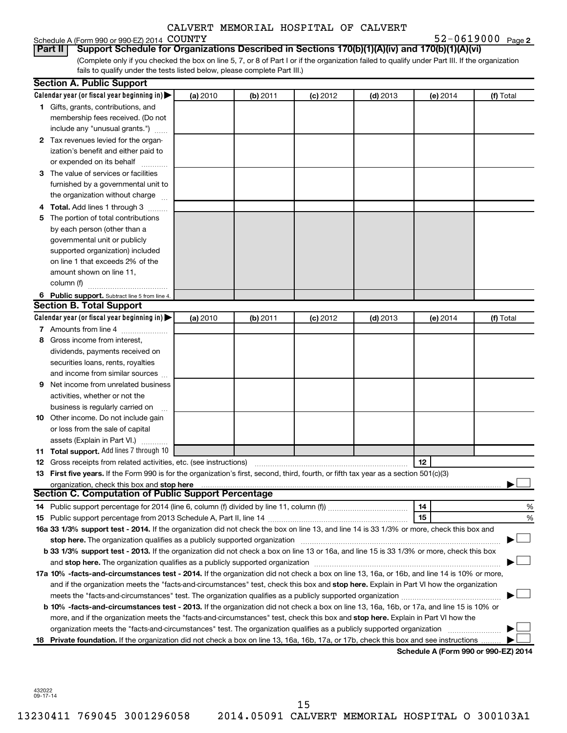# Schedule A (Form 990 or 990-EZ) 2014 COUNTY<br>| Part II | Support Schedule for Organiz

**2** COUNTY 52-0619000

(Complete only if you checked the box on line 5, 7, or 8 of Part I or if the organization failed to qualify under Part III. If the organization fails to qualify under the tests listed below, please complete Part III.) **Part II Support Schedule for Organizations Described in Sections 170(b)(1)(A)(iv) and 170(b)(1)(A)(vi)**

|   | <b>Section A. Public Support</b>                                                                                                           |          |          |            |            |                                      |           |
|---|--------------------------------------------------------------------------------------------------------------------------------------------|----------|----------|------------|------------|--------------------------------------|-----------|
|   | Calendar year (or fiscal year beginning in) $\blacktriangleright$                                                                          | (a) 2010 | (b) 2011 | $(c)$ 2012 | $(d)$ 2013 | (e) 2014                             | (f) Total |
|   | 1 Gifts, grants, contributions, and                                                                                                        |          |          |            |            |                                      |           |
|   | membership fees received. (Do not                                                                                                          |          |          |            |            |                                      |           |
|   | include any "unusual grants.")                                                                                                             |          |          |            |            |                                      |           |
|   | 2 Tax revenues levied for the organ-                                                                                                       |          |          |            |            |                                      |           |
|   | ization's benefit and either paid to                                                                                                       |          |          |            |            |                                      |           |
|   | or expended on its behalf                                                                                                                  |          |          |            |            |                                      |           |
|   | 3 The value of services or facilities                                                                                                      |          |          |            |            |                                      |           |
|   | furnished by a governmental unit to                                                                                                        |          |          |            |            |                                      |           |
|   | the organization without charge                                                                                                            |          |          |            |            |                                      |           |
|   | 4 Total. Add lines 1 through 3                                                                                                             |          |          |            |            |                                      |           |
|   | 5 The portion of total contributions                                                                                                       |          |          |            |            |                                      |           |
|   | by each person (other than a                                                                                                               |          |          |            |            |                                      |           |
|   | governmental unit or publicly                                                                                                              |          |          |            |            |                                      |           |
|   | supported organization) included                                                                                                           |          |          |            |            |                                      |           |
|   | on line 1 that exceeds 2% of the                                                                                                           |          |          |            |            |                                      |           |
|   | amount shown on line 11,                                                                                                                   |          |          |            |            |                                      |           |
|   | column (f)                                                                                                                                 |          |          |            |            |                                      |           |
|   | 6 Public support. Subtract line 5 from line 4.                                                                                             |          |          |            |            |                                      |           |
|   | <b>Section B. Total Support</b>                                                                                                            |          |          |            |            |                                      |           |
|   | Calendar year (or fiscal year beginning in) $\blacktriangleright$                                                                          | (a) 2010 | (b) 2011 | $(c)$ 2012 | $(d)$ 2013 | (e) 2014                             | (f) Total |
|   | 7 Amounts from line 4                                                                                                                      |          |          |            |            |                                      |           |
| 8 | Gross income from interest,                                                                                                                |          |          |            |            |                                      |           |
|   | dividends, payments received on                                                                                                            |          |          |            |            |                                      |           |
|   | securities loans, rents, royalties<br>and income from similar sources                                                                      |          |          |            |            |                                      |           |
|   | <b>9</b> Net income from unrelated business                                                                                                |          |          |            |            |                                      |           |
|   | activities, whether or not the                                                                                                             |          |          |            |            |                                      |           |
|   | business is regularly carried on                                                                                                           |          |          |            |            |                                      |           |
|   | 10 Other income. Do not include gain                                                                                                       |          |          |            |            |                                      |           |
|   | or loss from the sale of capital                                                                                                           |          |          |            |            |                                      |           |
|   | assets (Explain in Part VI.)                                                                                                               |          |          |            |            |                                      |           |
|   | 11 Total support. Add lines 7 through 10                                                                                                   |          |          |            |            |                                      |           |
|   | <b>12</b> Gross receipts from related activities, etc. (see instructions)                                                                  |          |          |            |            | 12                                   |           |
|   | 13 First five years. If the Form 990 is for the organization's first, second, third, fourth, or fifth tax year as a section 501(c)(3)      |          |          |            |            |                                      |           |
|   | organization, check this box and stop here                                                                                                 |          |          |            |            |                                      |           |
|   | <b>Section C. Computation of Public Support Percentage</b>                                                                                 |          |          |            |            |                                      |           |
|   |                                                                                                                                            |          |          |            |            | 14                                   | %         |
|   |                                                                                                                                            |          |          |            |            | 15                                   | %         |
|   | 16a 33 1/3% support test - 2014. If the organization did not check the box on line 13, and line 14 is 33 1/3% or more, check this box and  |          |          |            |            |                                      |           |
|   | stop here. The organization qualifies as a publicly supported organization                                                                 |          |          |            |            |                                      |           |
|   | b 33 1/3% support test - 2013. If the organization did not check a box on line 13 or 16a, and line 15 is 33 1/3% or more, check this box   |          |          |            |            |                                      |           |
|   |                                                                                                                                            |          |          |            |            |                                      |           |
|   | 17a 10% -facts-and-circumstances test - 2014. If the organization did not check a box on line 13, 16a, or 16b, and line 14 is 10% or more, |          |          |            |            |                                      |           |
|   | and if the organization meets the "facts-and-circumstances" test, check this box and stop here. Explain in Part VI how the organization    |          |          |            |            |                                      |           |
|   |                                                                                                                                            |          |          |            |            |                                      |           |
|   | b 10% -facts-and-circumstances test - 2013. If the organization did not check a box on line 13, 16a, 16b, or 17a, and line 15 is 10% or    |          |          |            |            |                                      |           |
|   | more, and if the organization meets the "facts-and-circumstances" test, check this box and stop here. Explain in Part VI how the           |          |          |            |            |                                      |           |
|   | organization meets the "facts-and-circumstances" test. The organization qualifies as a publicly supported organization                     |          |          |            |            |                                      |           |
|   | 18 Private foundation. If the organization did not check a box on line 13, 16a, 16b, 17a, or 17b, check this box and see instructions.     |          |          |            |            |                                      |           |
|   |                                                                                                                                            |          |          |            |            | Schedule A (Form 990 or 990-EZ) 2014 |           |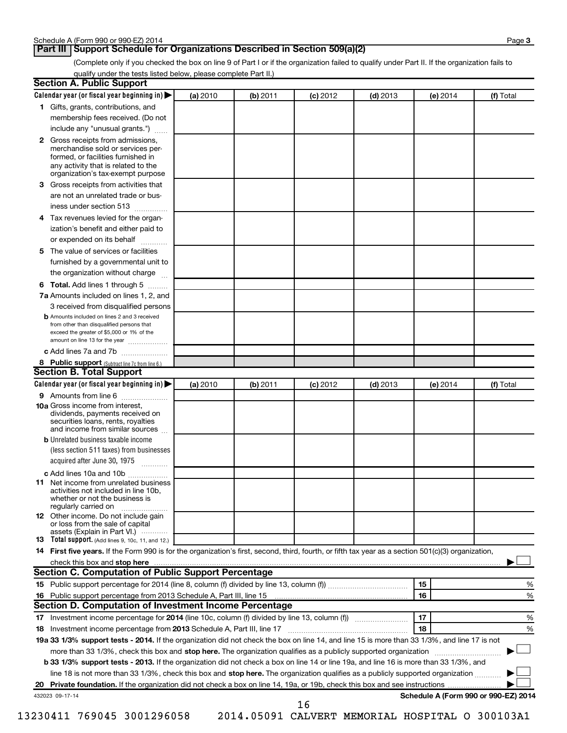## **Part III Support Schedule for Organizations Described in Section 509(a)(2)**

(Complete only if you checked the box on line 9 of Part I or if the organization failed to qualify under Part II. If the organization fails to qualify under the tests listed below, please complete Part II.)

| <b>Section A. Public Support</b>                                                                                                                                                 |          |          |            |            |                                      |           |
|----------------------------------------------------------------------------------------------------------------------------------------------------------------------------------|----------|----------|------------|------------|--------------------------------------|-----------|
| Calendar year (or fiscal year beginning in)                                                                                                                                      | (a) 2010 | (b) 2011 | $(c)$ 2012 | $(d)$ 2013 | (e) 2014                             | (f) Total |
| 1 Gifts, grants, contributions, and                                                                                                                                              |          |          |            |            |                                      |           |
| membership fees received. (Do not                                                                                                                                                |          |          |            |            |                                      |           |
| include any "unusual grants.")                                                                                                                                                   |          |          |            |            |                                      |           |
| 2 Gross receipts from admissions,<br>merchandise sold or services per-<br>formed, or facilities furnished in<br>any activity that is related to the                              |          |          |            |            |                                      |           |
| organization's tax-exempt purpose<br>3 Gross receipts from activities that                                                                                                       |          |          |            |            |                                      |           |
| are not an unrelated trade or bus-                                                                                                                                               |          |          |            |            |                                      |           |
| iness under section 513                                                                                                                                                          |          |          |            |            |                                      |           |
| 4 Tax revenues levied for the organ-                                                                                                                                             |          |          |            |            |                                      |           |
| ization's benefit and either paid to                                                                                                                                             |          |          |            |            |                                      |           |
| or expended on its behalf<br>.                                                                                                                                                   |          |          |            |            |                                      |           |
| 5 The value of services or facilities                                                                                                                                            |          |          |            |            |                                      |           |
| furnished by a governmental unit to                                                                                                                                              |          |          |            |            |                                      |           |
| the organization without charge                                                                                                                                                  |          |          |            |            |                                      |           |
| 6 Total. Add lines 1 through 5                                                                                                                                                   |          |          |            |            |                                      |           |
| 7a Amounts included on lines 1, 2, and                                                                                                                                           |          |          |            |            |                                      |           |
| 3 received from disqualified persons                                                                                                                                             |          |          |            |            |                                      |           |
| <b>b</b> Amounts included on lines 2 and 3 received<br>from other than disqualified persons that<br>exceed the greater of \$5,000 or 1% of the<br>amount on line 13 for the year |          |          |            |            |                                      |           |
| c Add lines 7a and 7b                                                                                                                                                            |          |          |            |            |                                      |           |
| 8 Public support (Subtract line 7c from line 6.)                                                                                                                                 |          |          |            |            |                                      |           |
| <b>Section B. Total Support</b>                                                                                                                                                  |          |          |            |            |                                      |           |
| Calendar year (or fiscal year beginning in)                                                                                                                                      | (a) 2010 | (b) 2011 | $(c)$ 2012 | $(d)$ 2013 | (e) 2014                             | (f) Total |
| 9 Amounts from line 6                                                                                                                                                            |          |          |            |            |                                      |           |
| <b>10a</b> Gross income from interest,<br>dividends, payments received on<br>securities loans, rents, royalties<br>and income from similar sources                               |          |          |            |            |                                      |           |
| <b>b</b> Unrelated business taxable income                                                                                                                                       |          |          |            |            |                                      |           |
| (less section 511 taxes) from businesses                                                                                                                                         |          |          |            |            |                                      |           |
| acquired after June 30, 1975<br>$\overline{\phantom{a}}$                                                                                                                         |          |          |            |            |                                      |           |
| c Add lines 10a and 10b                                                                                                                                                          |          |          |            |            |                                      |           |
| <b>11</b> Net income from unrelated business<br>activities not included in line 10b.<br>whether or not the business is<br>regularly carried on                                   |          |          |            |            |                                      |           |
| 12 Other income. Do not include gain<br>or loss from the sale of capital<br>assets (Explain in Part VI.)                                                                         |          |          |            |            |                                      |           |
| <b>13</b> Total support. (Add lines 9, 10c, 11, and 12.)                                                                                                                         |          |          |            |            |                                      |           |
| 14 First five years. If the Form 990 is for the organization's first, second, third, fourth, or fifth tax year as a section 501(c)(3) organization,                              |          |          |            |            |                                      |           |
| check this box and stop here                                                                                                                                                     |          |          |            |            |                                      |           |
| <b>Section C. Computation of Public Support Percentage</b>                                                                                                                       |          |          |            |            |                                      |           |
|                                                                                                                                                                                  |          |          |            |            | 15                                   | %         |
|                                                                                                                                                                                  |          |          |            |            | 16                                   | %         |
| Section D. Computation of Investment Income Percentage                                                                                                                           |          |          |            |            |                                      |           |
|                                                                                                                                                                                  |          |          |            |            | 17                                   | %         |
| 18 Investment income percentage from 2013 Schedule A, Part III, line 17                                                                                                          |          |          |            |            | 18                                   | %         |
| 19a 33 1/3% support tests - 2014. If the organization did not check the box on line 14, and line 15 is more than 33 1/3%, and line 17 is not                                     |          |          |            |            |                                      |           |
| more than 33 1/3%, check this box and stop here. The organization qualifies as a publicly supported organization                                                                 |          |          |            |            |                                      |           |
| b 33 1/3% support tests - 2013. If the organization did not check a box on line 14 or line 19a, and line 16 is more than 33 1/3%, and                                            |          |          |            |            |                                      |           |
| line 18 is not more than 33 1/3%, check this box and stop here. The organization qualifies as a publicly supported organization                                                  |          |          |            |            |                                      |           |
|                                                                                                                                                                                  |          |          |            |            |                                      |           |
| 432023 09-17-14                                                                                                                                                                  |          |          | 16         |            | Schedule A (Form 990 or 990-EZ) 2014 |           |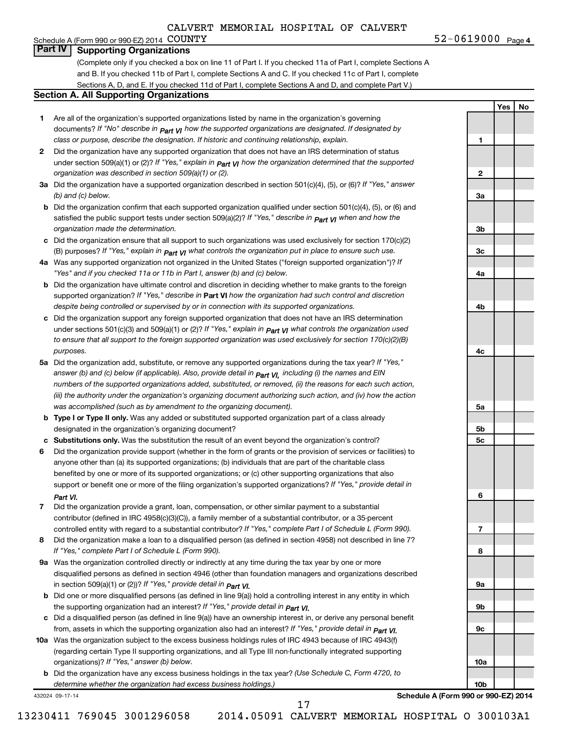**1**

**2**

**3a**

**3b**

**3c**

**4a**

**4b**

**4c**

**5a**

**5b 5c**

**6**

**7**

**8**

**9a**

**9b**

**9c**

**10a**

**10b**

**Yes No**

### Schedule A (Form 990 or 990-EZ) 2014 COUNTY **Part IV Supporting Organizations**

(Complete only if you checked a box on line 11 of Part I. If you checked 11a of Part I, complete Sections A and B. If you checked 11b of Part I, complete Sections A and C. If you checked 11c of Part I, complete Sections A, D, and E. If you checked 11d of Part I, complete Sections A and D, and complete Part V.)

#### **Section A. All Supporting Organizations**

- **1** Are all of the organization's supported organizations listed by name in the organization's governing documents? If "No" describe in  $_{\mathsf{Part}}$   $_{\mathsf{V}}$  how the supported organizations are designated. If designated by *class or purpose, describe the designation. If historic and continuing relationship, explain.*
- **2** Did the organization have any supported organization that does not have an IRS determination of status under section 509(a)(1) or (2)? If "Yes," explain in  $_{\sf Part}$   $_{\sf VI}$  how the organization determined that the supported *organization was described in section 509(a)(1) or (2).*
- **3a** Did the organization have a supported organization described in section 501(c)(4), (5), or (6)? If "Yes," answer *(b) and (c) below.*
- **b** Did the organization confirm that each supported organization qualified under section 501(c)(4), (5), or (6) and satisfied the public support tests under section 509(a)(2)? If "Yes," describe in  $_{\rm Part}$   $_{\rm VI}$  when and how the *organization made the determination.*
- **c** Did the organization ensure that all support to such organizations was used exclusively for section 170(c)(2) (B) purposes? If "Yes," explain in  $_{\mathsf{Part}}$   $_{\mathsf{V}}$  what controls the organization put in place to ensure such use.
- **4 a** *If* Was any supported organization not organized in the United States ("foreign supported organization")? *"Yes" and if you checked 11a or 11b in Part I, answer (b) and (c) below.*
- **b** Did the organization have ultimate control and discretion in deciding whether to make grants to the foreign supported organization? If "Yes," describe in Part VI how the organization had such control and discretion *despite being controlled or supervised by or in connection with its supported organizations.*
- **c** Did the organization support any foreign supported organization that does not have an IRS determination under sections 501(c)(3) and 509(a)(1) or (2)? If "Yes," ex*plain in*  $_{\sf Part}$  *v*J what controls the organization used *to ensure that all support to the foreign supported organization was used exclusively for section 170(c)(2)(B) purposes.*
- **5a** Did the organization add, substitute, or remove any supported organizations during the tax year? If "Yes," answer (b) and (c) below (if applicable). Also, provide detail in  $_{\mathsf{Part}}$   $_{\mathsf{V{\mathsf{I}}}}$ , including (i) the names and EIN *numbers of the supported organizations added, substituted, or removed, (ii) the reasons for each such action, (iii) the authority under the organization's organizing document authorizing such action, and (iv) how the action was accomplished (such as by amendment to the organizing document).*
- **b** Type I or Type II only. Was any added or substituted supported organization part of a class already designated in the organization's organizing document?
- **c Substitutions only.**  Was the substitution the result of an event beyond the organization's control?
- **6** Did the organization provide support (whether in the form of grants or the provision of services or facilities) to support or benefit one or more of the filing organization's supported organizations? If "Yes," provide detail in anyone other than (a) its supported organizations; (b) individuals that are part of the charitable class benefited by one or more of its supported organizations; or (c) other supporting organizations that also *Part VI.*
- **7** Did the organization provide a grant, loan, compensation, or other similar payment to a substantial controlled entity with regard to a substantial contributor? If "Yes," complete Part I of Schedule L (Form 990). contributor (defined in IRC 4958(c)(3)(C)), a family member of a substantial contributor, or a 35-percent
- **8** Did the organization make a loan to a disqualified person (as defined in section 4958) not described in line 7? *If "Yes," complete Part I of Schedule L (Form 990).*
- **9 a** Was the organization controlled directly or indirectly at any time during the tax year by one or more *If "Yes," provide detail in*  in section 509(a)(1) or (2))? *Part VI.* disqualified persons as defined in section 4946 (other than foundation managers and organizations described
- **b** Did one or more disqualified persons (as defined in line 9(a)) hold a controlling interest in any entity in which  *If "Yes," provide detail in*  the supporting organization had an interest? *Part VI.*
- **c** Did a disqualified person (as defined in line 9(a)) have an ownership interest in, or derive any personal benefit from, assets in which the supporting organization also had an interest? If "Yes," *provide detail in Part VI.*
- **10 a** Was the organization subject to the excess business holdings rules of IRC 4943 because of IRC 4943(f)  *If "Yes," answer (b) below.* organizations)? (regarding certain Type II supporting organizations, and all Type III non-functionally integrated supporting
	- **b** Did the organization have any excess business holdings in the tax year? (Use Schedule C, Form 4720, to *determine whether the organization had excess business holdings.)*

432024 09-17-14

**Schedule A (Form 990 or 990-EZ) 2014**

13230411 769045 3001296058 2014.05091 CALVERT MEMORIAL HOSPITAL O 300103A1

17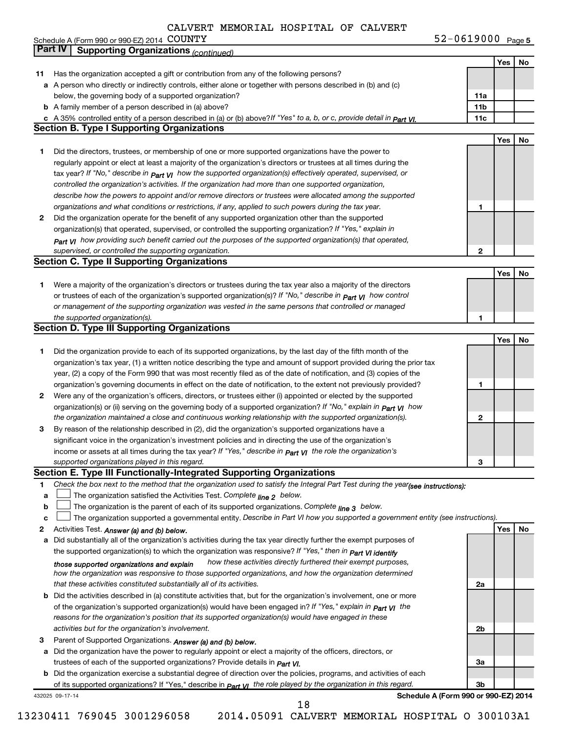|              |                | Schedule A (Form 990 or 990-EZ) 2014 COUNTY                                                                                        | 52-0619000 Page 5 |     |      |
|--------------|----------------|------------------------------------------------------------------------------------------------------------------------------------|-------------------|-----|------|
|              | <b>Part IV</b> | <b>Supporting Organizations (continued)</b>                                                                                        |                   |     |      |
|              |                |                                                                                                                                    |                   | Yes | No   |
| 11           |                | Has the organization accepted a gift or contribution from any of the following persons?                                            |                   |     |      |
|              |                | a A person who directly or indirectly controls, either alone or together with persons described in (b) and (c)                     |                   |     |      |
|              |                | below, the governing body of a supported organization?                                                                             | 11a               |     |      |
|              |                | <b>b</b> A family member of a person described in (a) above?                                                                       | 11 <sub>b</sub>   |     |      |
|              |                | c A 35% controlled entity of a person described in (a) or (b) above?If "Yes" to a, b, or c, provide detail in $P_{\text{art}}$ VI. | 11c               |     |      |
|              |                | <b>Section B. Type I Supporting Organizations</b>                                                                                  |                   |     |      |
|              |                |                                                                                                                                    |                   | Yes | No   |
|              |                | Did the directors, trustees, or membership of one or more supported organizations have the power to                                |                   |     |      |
|              |                | regularly appoint or elect at least a majority of the organization's directors or trustees at all times during the                 |                   |     |      |
|              |                | tax year? If "No," describe in $_{Part}$ $_{VI}$ how the supported organization(s) effectively operated, supervised, or            |                   |     |      |
|              |                | controlled the organization's activities. If the organization had more than one supported organization,                            |                   |     |      |
|              |                | describe how the powers to appoint and/or remove directors or trustees were allocated among the supported                          |                   |     |      |
|              |                | organizations and what conditions or restrictions, if any, applied to such powers during the tax year.                             |                   |     |      |
| $\mathbf{2}$ |                | Did the organization operate for the benefit of any supported organization other than the supported                                |                   |     |      |
|              |                | organization(s) that operated, supervised, or controlled the supporting organization? If "Yes," explain in                         |                   |     |      |
|              |                | Part VI how providing such benefit carried out the purposes of the supported organization(s) that operated,                        |                   |     |      |
|              |                | supervised, or controlled the supporting organization.                                                                             | $\mathbf{2}$      |     |      |
|              |                | <b>Section C. Type II Supporting Organizations</b>                                                                                 |                   |     |      |
|              |                |                                                                                                                                    |                   | Yes | ∣ No |

| Were a majority of the organization's directors or trustees during the tax year also a majority of the directors             |
|------------------------------------------------------------------------------------------------------------------------------|
| or trustees of each of the organization's supported organization(s)? If "No," describe in $P_{\text{part}}$ $V1$ how control |
| or management of the supporting organization was vested in the same persons that controlled or managed                       |
| the supported organization(s).                                                                                               |

| <b>Section D. Type III Supporting Organizations</b> |                                                                                                                              |              |     |    |  |  |
|-----------------------------------------------------|------------------------------------------------------------------------------------------------------------------------------|--------------|-----|----|--|--|
|                                                     |                                                                                                                              |              | Yes | No |  |  |
|                                                     | Did the organization provide to each of its supported organizations, by the last day of the fifth month of the               |              |     |    |  |  |
|                                                     | organization's tax year, (1) a written notice describing the type and amount of support provided during the prior tax        |              |     |    |  |  |
|                                                     | year, (2) a copy of the Form 990 that was most recently filed as of the date of notification, and (3) copies of the          |              |     |    |  |  |
|                                                     | organization's governing documents in effect on the date of notification, to the extent not previously provided?             |              |     |    |  |  |
| $\mathbf{2}$                                        | Were any of the organization's officers, directors, or trustees either (i) appointed or elected by the supported             |              |     |    |  |  |
|                                                     | organization(s) or (ii) serving on the governing body of a supported organization? If "No," explain in part VI how           |              |     |    |  |  |
|                                                     | the organization maintained a close and continuous working relationship with the supported organization(s).                  | $\mathbf{2}$ |     |    |  |  |
| 3                                                   | By reason of the relationship described in (2), did the organization's supported organizations have a                        |              |     |    |  |  |
|                                                     | significant voice in the organization's investment policies and in directing the use of the organization's                   |              |     |    |  |  |
|                                                     | income or assets at all times during the tax year? If "Yes," describe in $P_{\text{part}}$ $V_I$ the role the organization's |              |     |    |  |  |
|                                                     | supported organizations played in this regard.                                                                               | з            |     |    |  |  |

#### **Section E. Type III Functionally-Integrated Supporting Organizations**

|  | Check the box next to the method that the organization used to satisfy the Integral Part Test during the year(see instructions): |  |
|--|----------------------------------------------------------------------------------------------------------------------------------|--|
|--|----------------------------------------------------------------------------------------------------------------------------------|--|

- **a** The organization satisfied the Activities Test. Co*mplete <sub>line 2</sub> below.*  $\Box$
- **b** The organization is the parent of each of its supported organizations. Complete <sub>line</sub> 3 below.  $\Box$

|  | c $\Box$ The organization supported a governmental entity. Describe in Part VI how you supported a government entity (see instructions). |  |  |  |  |
|--|------------------------------------------------------------------------------------------------------------------------------------------|--|--|--|--|
|--|------------------------------------------------------------------------------------------------------------------------------------------|--|--|--|--|

**2** Activities Test.  *Answer (a) and (b) below.*

- **a** Did substantially all of the organization's activities during the tax year directly further the exempt purposes of the supported organization(s) to which the organization was responsive? If "Yes," then in *Part VI identify how these activities directly furthered their exempt purposes, how the organization was responsive to those supported organizations, and how the organization determined that these activities constituted substantially all of its activities. those supported organizations and explain*
- **b** Did the activities described in (a) constitute activities that, but for the organization's involvement, one or more of the organization's supported organization(s) would have been engaged in? If "Yes," ex*plain in part VI* the *reasons for the organization's position that its supported organization(s) would have engaged in these activities but for the organization's involvement.*
- **3** Parent of Supported Organizations. *Answer (a) and (b) below.*
- **a** Did the organization have the power to regularly appoint or elect a majority of the officers, directors, or trustees of each of the supported organizations? Provide details in *Part VI.*

**b** Did the organization exercise a substantial degree of direction over the policies, programs, and activities of each of its supported organizations? If "Yes," describe in *part γι the role played by the organization in this regard.* 

432025 09-17-14

**Schedule A (Form 990 or 990-EZ) 2014**

**2a**

**2b**

**3a**

**3b**

**1**

**Yes No**

18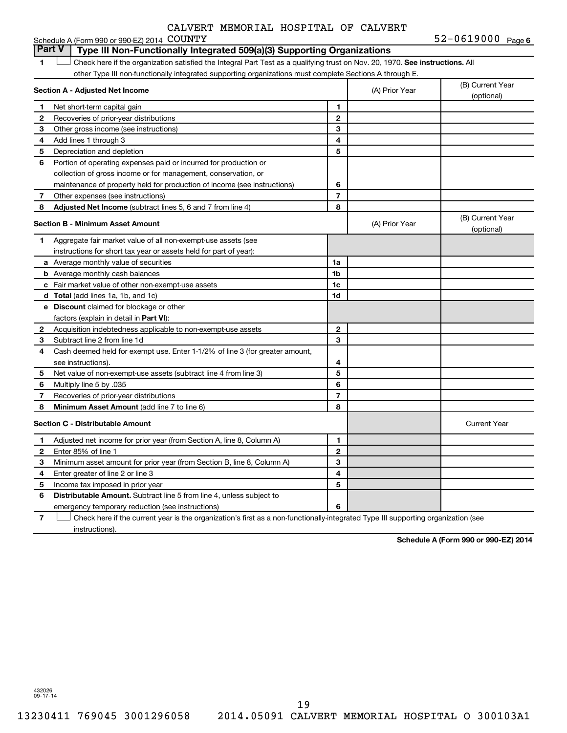| CALVERT MEMORIAL HOSPITAL OF CALVERT |  |  |  |  |  |
|--------------------------------------|--|--|--|--|--|
|--------------------------------------|--|--|--|--|--|

|                          | Schedule A (Form 990 or 990-EZ) 2014 COUNTY                                                                                   |                |                | 52-0619000 Page 6              |
|--------------------------|-------------------------------------------------------------------------------------------------------------------------------|----------------|----------------|--------------------------------|
|                          | <b>Part V</b><br>Type III Non-Functionally Integrated 509(a)(3) Supporting Organizations                                      |                |                |                                |
| 1                        | Check here if the organization satisfied the Integral Part Test as a qualifying trust on Nov. 20, 1970. See instructions. All |                |                |                                |
|                          | other Type III non-functionally integrated supporting organizations must complete Sections A through E.                       |                |                |                                |
|                          | Section A - Adjusted Net Income                                                                                               |                | (A) Prior Year | (B) Current Year<br>(optional) |
| 1                        | Net short-term capital gain                                                                                                   | 1              |                |                                |
| $\mathbf 2$              | Recoveries of prior-year distributions                                                                                        | $\mathbf 2$    |                |                                |
| 3                        | Other gross income (see instructions)                                                                                         | 3              |                |                                |
| 4                        | Add lines 1 through 3                                                                                                         | 4              |                |                                |
| 5                        | Depreciation and depletion                                                                                                    | 5              |                |                                |
| 6                        | Portion of operating expenses paid or incurred for production or                                                              |                |                |                                |
|                          | collection of gross income or for management, conservation, or                                                                |                |                |                                |
|                          | maintenance of property held for production of income (see instructions)                                                      | 6              |                |                                |
| $\overline{\phantom{a}}$ | Other expenses (see instructions)                                                                                             | $\overline{7}$ |                |                                |
| 8                        | <b>Adjusted Net Income</b> (subtract lines 5, 6 and 7 from line 4)                                                            | 8              |                |                                |
|                          | Section B - Minimum Asset Amount                                                                                              |                | (A) Prior Year | (B) Current Year<br>(optional) |
| $\mathbf{1}$             | Aggregate fair market value of all non-exempt-use assets (see                                                                 |                |                |                                |
|                          | instructions for short tax year or assets held for part of year):                                                             |                |                |                                |
|                          | <b>a</b> Average monthly value of securities                                                                                  | 1a             |                |                                |
|                          | <b>b</b> Average monthly cash balances                                                                                        | 1b             |                |                                |
|                          | c Fair market value of other non-exempt-use assets                                                                            | 1c             |                |                                |
|                          | <b>d</b> Total (add lines 1a, 1b, and 1c)                                                                                     | 1d             |                |                                |
|                          | <b>e</b> Discount claimed for blockage or other                                                                               |                |                |                                |
|                          | factors (explain in detail in Part VI):                                                                                       |                |                |                                |
| $\mathbf{2}$             | Acquisition indebtedness applicable to non-exempt-use assets                                                                  | $\mathbf{2}$   |                |                                |
| 3                        | Subtract line 2 from line 1d                                                                                                  | 3              |                |                                |
| 4                        | Cash deemed held for exempt use. Enter 1-1/2% of line 3 (for greater amount,                                                  |                |                |                                |
|                          | see instructions).                                                                                                            | 4              |                |                                |
| 5                        | Net value of non-exempt-use assets (subtract line 4 from line 3)                                                              | 5              |                |                                |
| 6                        | Multiply line 5 by .035                                                                                                       | 6              |                |                                |
| 7                        | Recoveries of prior-year distributions                                                                                        | $\overline{7}$ |                |                                |
| 8                        | Minimum Asset Amount (add line 7 to line 6)                                                                                   | 8              |                |                                |
|                          | <b>Section C - Distributable Amount</b>                                                                                       |                |                | <b>Current Year</b>            |
| 1                        | Adjusted net income for prior year (from Section A, line 8, Column A)                                                         | 1              |                |                                |
| 2                        | Enter 85% of line 1                                                                                                           | $\mathbf{2}$   |                |                                |
| З                        | Minimum asset amount for prior year (from Section B, line 8, Column A)                                                        | 3              |                |                                |
| 4                        | Enter greater of line 2 or line 3                                                                                             | 4              |                |                                |
| 5                        | Income tax imposed in prior year                                                                                              | 5              |                |                                |
| 6                        | <b>Distributable Amount.</b> Subtract line 5 from line 4, unless subject to                                                   |                |                |                                |
|                          | emergency temporary reduction (see instructions)                                                                              | 6              |                |                                |

**7** Check here if the current year is the organization's first as a non-functionally-integrated Type III supporting organization (see † instructions).

**Schedule A (Form 990 or 990-EZ) 2014**

432026 09-17-14

19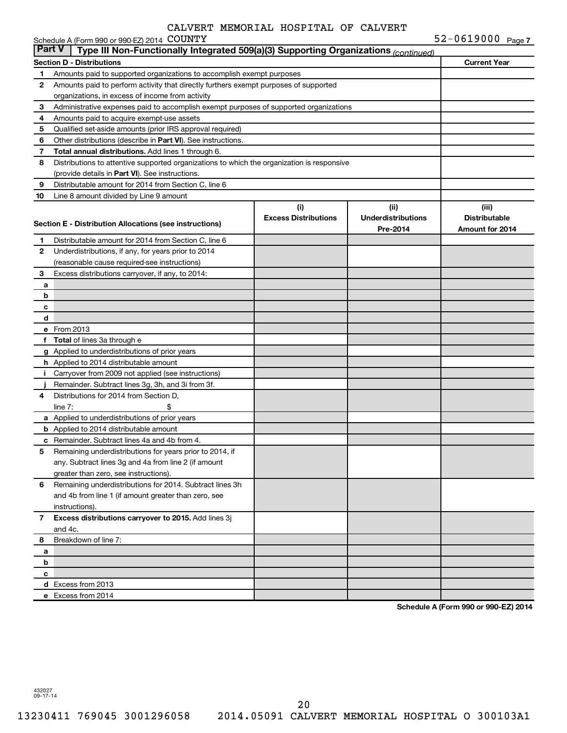|               | Schedule A (Form 990 or 990-EZ) 2014 COUNTY                                                |                             |                           | $52 - 0619000$ Page 7 |
|---------------|--------------------------------------------------------------------------------------------|-----------------------------|---------------------------|-----------------------|
| <b>Part V</b> | Type III Non-Functionally Integrated 509(a)(3) Supporting Organizations (continued)        |                             |                           |                       |
|               | <b>Section D - Distributions</b>                                                           |                             |                           | <b>Current Year</b>   |
| 1             | Amounts paid to supported organizations to accomplish exempt purposes                      |                             |                           |                       |
| 2             | Amounts paid to perform activity that directly furthers exempt purposes of supported       |                             |                           |                       |
|               | organizations, in excess of income from activity                                           |                             |                           |                       |
| 3             | Administrative expenses paid to accomplish exempt purposes of supported organizations      |                             |                           |                       |
| 4             | Amounts paid to acquire exempt-use assets                                                  |                             |                           |                       |
| 5             | Qualified set-aside amounts (prior IRS approval required)                                  |                             |                           |                       |
| 6             | Other distributions (describe in Part VI). See instructions.                               |                             |                           |                       |
| 7             | Total annual distributions. Add lines 1 through 6.                                         |                             |                           |                       |
| 8             | Distributions to attentive supported organizations to which the organization is responsive |                             |                           |                       |
|               | (provide details in Part VI). See instructions.                                            |                             |                           |                       |
| 9             | Distributable amount for 2014 from Section C, line 6                                       |                             |                           |                       |
| 10            | Line 8 amount divided by Line 9 amount                                                     |                             |                           |                       |
|               |                                                                                            | (i)                         | (ii)                      | (iii)                 |
|               | <b>Section E - Distribution Allocations (see instructions)</b>                             | <b>Excess Distributions</b> | <b>Underdistributions</b> | <b>Distributable</b>  |
|               |                                                                                            |                             | Pre-2014                  | Amount for 2014       |
| 1             | Distributable amount for 2014 from Section C, line 6                                       |                             |                           |                       |
| 2             | Underdistributions, if any, for years prior to 2014                                        |                             |                           |                       |
|               | (reasonable cause required-see instructions)                                               |                             |                           |                       |
| З             | Excess distributions carryover, if any, to 2014:                                           |                             |                           |                       |
| a             |                                                                                            |                             |                           |                       |
| b             |                                                                                            |                             |                           |                       |
| c             |                                                                                            |                             |                           |                       |
| d             |                                                                                            |                             |                           |                       |
|               | e From 2013                                                                                |                             |                           |                       |
|               | f Total of lines 3a through e                                                              |                             |                           |                       |
|               | g Applied to underdistributions of prior years                                             |                             |                           |                       |
|               | <b>h</b> Applied to 2014 distributable amount                                              |                             |                           |                       |
| Ť.            | Carryover from 2009 not applied (see instructions)                                         |                             |                           |                       |
|               | Remainder. Subtract lines 3g, 3h, and 3i from 3f.                                          |                             |                           |                       |
| 4             | Distributions for 2014 from Section D.                                                     |                             |                           |                       |
|               | line $7:$                                                                                  |                             |                           |                       |
|               | a Applied to underdistributions of prior years                                             |                             |                           |                       |
|               | <b>b</b> Applied to 2014 distributable amount                                              |                             |                           |                       |
|               | <b>c</b> Remainder. Subtract lines 4a and 4b from 4.                                       |                             |                           |                       |
| 5             | Remaining underdistributions for years prior to 2014, if                                   |                             |                           |                       |
|               | any. Subtract lines 3g and 4a from line 2 (if amount                                       |                             |                           |                       |
|               | greater than zero, see instructions).                                                      |                             |                           |                       |
| 6             | Remaining underdistributions for 2014. Subtract lines 3h                                   |                             |                           |                       |
|               | and 4b from line 1 (if amount greater than zero, see                                       |                             |                           |                       |
|               | instructions).                                                                             |                             |                           |                       |
| $\mathbf{7}$  | Excess distributions carryover to 2015. Add lines 3j                                       |                             |                           |                       |
|               | and 4c.                                                                                    |                             |                           |                       |
| 8             | Breakdown of line 7:                                                                       |                             |                           |                       |
| а             |                                                                                            |                             |                           |                       |
| b             |                                                                                            |                             |                           |                       |
| c             |                                                                                            |                             |                           |                       |
|               | d Excess from 2013                                                                         |                             |                           |                       |
|               | e Excess from 2014                                                                         |                             |                           |                       |

**Schedule A (Form 990 or 990-EZ) 2014**

432027 09-17-14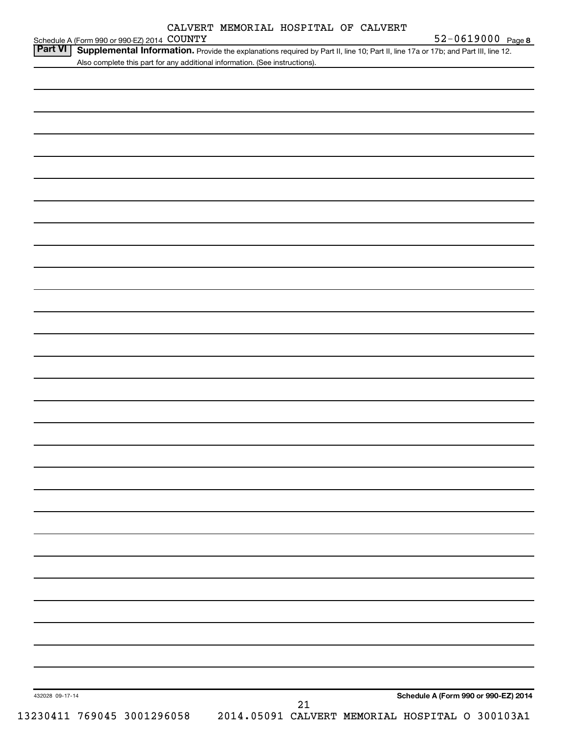| CALVERT MEMORIAL HOSPITAL OF CALVERT |  |  |
|--------------------------------------|--|--|
|--------------------------------------|--|--|

Schedule A (Form 990 or 990-EZ) 2014 COUNTY

| Also complete this part for any additional information. (See instructions). |                                      |
|-----------------------------------------------------------------------------|--------------------------------------|
|                                                                             |                                      |
|                                                                             |                                      |
|                                                                             |                                      |
|                                                                             |                                      |
|                                                                             |                                      |
|                                                                             |                                      |
|                                                                             |                                      |
|                                                                             |                                      |
|                                                                             |                                      |
|                                                                             |                                      |
|                                                                             |                                      |
|                                                                             |                                      |
|                                                                             |                                      |
|                                                                             |                                      |
|                                                                             |                                      |
|                                                                             |                                      |
|                                                                             |                                      |
|                                                                             |                                      |
|                                                                             |                                      |
|                                                                             |                                      |
|                                                                             |                                      |
|                                                                             |                                      |
|                                                                             |                                      |
|                                                                             |                                      |
|                                                                             |                                      |
|                                                                             |                                      |
|                                                                             |                                      |
|                                                                             |                                      |
|                                                                             |                                      |
|                                                                             |                                      |
|                                                                             |                                      |
|                                                                             |                                      |
|                                                                             |                                      |
|                                                                             |                                      |
|                                                                             |                                      |
|                                                                             |                                      |
|                                                                             |                                      |
|                                                                             |                                      |
|                                                                             |                                      |
|                                                                             |                                      |
|                                                                             |                                      |
|                                                                             |                                      |
|                                                                             |                                      |
|                                                                             |                                      |
|                                                                             |                                      |
| 432028 09-17-14                                                             | Schedule A (Form 990 or 990-EZ) 2014 |
|                                                                             | 21                                   |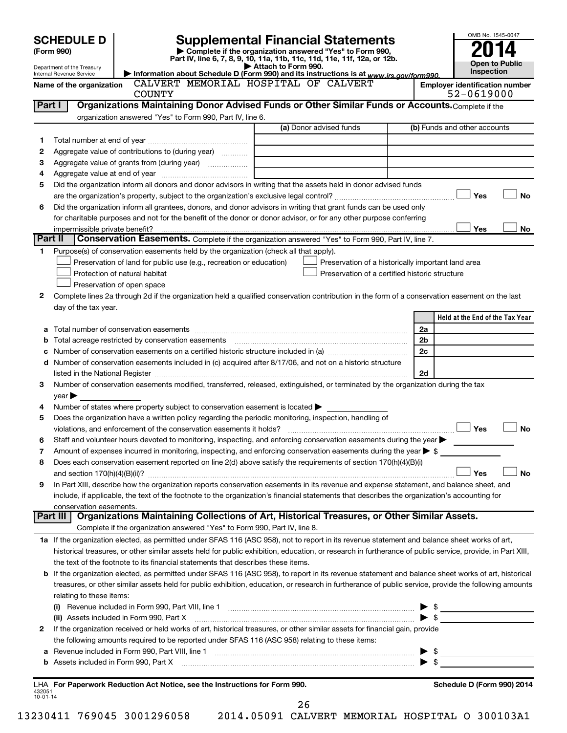|                | <b>SCHEDULE D</b>              |                                                                                                        | <b>Supplemental Financial Statements</b>                                                                                                                                                                                      |                          | OMB No. 1545-0047                                   |
|----------------|--------------------------------|--------------------------------------------------------------------------------------------------------|-------------------------------------------------------------------------------------------------------------------------------------------------------------------------------------------------------------------------------|--------------------------|-----------------------------------------------------|
| (Form 990)     |                                |                                                                                                        | Complete if the organization answered "Yes" to Form 990,                                                                                                                                                                      |                          |                                                     |
|                | Department of the Treasury     |                                                                                                        | Part IV, line 6, 7, 8, 9, 10, 11a, 11b, 11c, 11d, 11e, 11f, 12a, or 12b.<br>Attach to Form 990.                                                                                                                               |                          | Open to Public                                      |
|                | Internal Revenue Service       |                                                                                                        | Information about Schedule D (Form 990) and its instructions is at www.irs.gov/form990.                                                                                                                                       |                          | Inspection                                          |
|                | Name of the organization       | <b>COUNTY</b>                                                                                          | CALVERT MEMORIAL HOSPITAL OF CALVERT                                                                                                                                                                                          |                          | <b>Employer identification number</b><br>52-0619000 |
|                | Part I                         |                                                                                                        | Organizations Maintaining Donor Advised Funds or Other Similar Funds or Accounts. Complete if the                                                                                                                             |                          |                                                     |
|                |                                | organization answered "Yes" to Form 990, Part IV, line 6.                                              |                                                                                                                                                                                                                               |                          |                                                     |
|                |                                |                                                                                                        | (a) Donor advised funds                                                                                                                                                                                                       |                          | (b) Funds and other accounts                        |
| 1              |                                |                                                                                                        |                                                                                                                                                                                                                               |                          |                                                     |
| 2              |                                | Aggregate value of contributions to (during year)                                                      |                                                                                                                                                                                                                               |                          |                                                     |
| З              |                                |                                                                                                        |                                                                                                                                                                                                                               |                          |                                                     |
| 4              |                                |                                                                                                        |                                                                                                                                                                                                                               |                          |                                                     |
| 5              |                                |                                                                                                        | Did the organization inform all donors and donor advisors in writing that the assets held in donor advised funds                                                                                                              |                          |                                                     |
|                |                                |                                                                                                        |                                                                                                                                                                                                                               |                          | Yes<br><b>No</b>                                    |
| 6              |                                |                                                                                                        | Did the organization inform all grantees, donors, and donor advisors in writing that grant funds can be used only                                                                                                             |                          |                                                     |
|                |                                |                                                                                                        | for charitable purposes and not for the benefit of the donor or donor advisor, or for any other purpose conferring                                                                                                            |                          |                                                     |
|                | impermissible private benefit? |                                                                                                        |                                                                                                                                                                                                                               |                          | Yes<br>No                                           |
| Part II        |                                |                                                                                                        | Conservation Easements. Complete if the organization answered "Yes" to Form 990, Part IV, line 7.                                                                                                                             |                          |                                                     |
| 1              |                                | Purpose(s) of conservation easements held by the organization (check all that apply).                  |                                                                                                                                                                                                                               |                          |                                                     |
|                |                                | Preservation of land for public use (e.g., recreation or education)                                    | Preservation of a historically important land area                                                                                                                                                                            |                          |                                                     |
|                |                                | Protection of natural habitat                                                                          | Preservation of a certified historic structure                                                                                                                                                                                |                          |                                                     |
|                |                                | Preservation of open space                                                                             |                                                                                                                                                                                                                               |                          |                                                     |
| 2              |                                |                                                                                                        | Complete lines 2a through 2d if the organization held a qualified conservation contribution in the form of a conservation easement on the last                                                                                |                          |                                                     |
|                | day of the tax year.           |                                                                                                        |                                                                                                                                                                                                                               |                          |                                                     |
|                |                                |                                                                                                        |                                                                                                                                                                                                                               |                          | Held at the End of the Tax Year                     |
|                |                                |                                                                                                        |                                                                                                                                                                                                                               | 2a                       |                                                     |
| b              |                                |                                                                                                        |                                                                                                                                                                                                                               | 2b                       |                                                     |
|                |                                |                                                                                                        |                                                                                                                                                                                                                               | 2c                       |                                                     |
|                |                                |                                                                                                        | d Number of conservation easements included in (c) acquired after 8/17/06, and not on a historic structure                                                                                                                    |                          |                                                     |
|                |                                |                                                                                                        | listed in the National Register [111] [12] The Mational Register [11] Mathematic Material Mathematic Mathematic Mathematic Mathematic Mathematic Mathematic Mathematic Mathematic Mathematic Mathematic Mathematic Mathematic | 2d                       |                                                     |
| з              |                                |                                                                                                        | Number of conservation easements modified, transferred, released, extinguished, or terminated by the organization during the tax                                                                                              |                          |                                                     |
| 4              | $year \triangleright$          | Number of states where property subject to conservation easement is located $\blacktriangleright$      |                                                                                                                                                                                                                               |                          |                                                     |
| 5              |                                | Does the organization have a written policy regarding the periodic monitoring, inspection, handling of |                                                                                                                                                                                                                               |                          |                                                     |
|                |                                | violations, and enforcement of the conservation easements it holds?                                    |                                                                                                                                                                                                                               |                          | Yes<br><b>No</b>                                    |
| 6              |                                |                                                                                                        | Staff and volunteer hours devoted to monitoring, inspecting, and enforcing conservation easements during the year                                                                                                             |                          |                                                     |
| 7              |                                |                                                                                                        | Amount of expenses incurred in monitoring, inspecting, and enforcing conservation easements during the year $\triangleright$ \$                                                                                               |                          |                                                     |
| 8              |                                |                                                                                                        | Does each conservation easement reported on line 2(d) above satisfy the requirements of section 170(h)(4)(B)(i)                                                                                                               |                          |                                                     |
|                |                                |                                                                                                        |                                                                                                                                                                                                                               |                          | Yes<br>No                                           |
| 9              |                                |                                                                                                        | In Part XIII, describe how the organization reports conservation easements in its revenue and expense statement, and balance sheet, and                                                                                       |                          |                                                     |
|                |                                |                                                                                                        | include, if applicable, the text of the footnote to the organization's financial statements that describes the organization's accounting for                                                                                  |                          |                                                     |
|                | conservation easements.        |                                                                                                        |                                                                                                                                                                                                                               |                          |                                                     |
|                | Part III                       |                                                                                                        | Organizations Maintaining Collections of Art, Historical Treasures, or Other Similar Assets.                                                                                                                                  |                          |                                                     |
|                |                                | Complete if the organization answered "Yes" to Form 990, Part IV, line 8.                              |                                                                                                                                                                                                                               |                          |                                                     |
|                |                                |                                                                                                        | 1a If the organization elected, as permitted under SFAS 116 (ASC 958), not to report in its revenue statement and balance sheet works of art,                                                                                 |                          |                                                     |
|                |                                |                                                                                                        | historical treasures, or other similar assets held for public exhibition, education, or research in furtherance of public service, provide, in Part XIII,                                                                     |                          |                                                     |
|                |                                | the text of the footnote to its financial statements that describes these items.                       |                                                                                                                                                                                                                               |                          |                                                     |
|                |                                |                                                                                                        | <b>b</b> If the organization elected, as permitted under SFAS 116 (ASC 958), to report in its revenue statement and balance sheet works of art, historical                                                                    |                          |                                                     |
|                |                                |                                                                                                        | treasures, or other similar assets held for public exhibition, education, or research in furtherance of public service, provide the following amounts                                                                         |                          |                                                     |
|                | relating to these items:       |                                                                                                        |                                                                                                                                                                                                                               |                          |                                                     |
|                |                                |                                                                                                        | (i) Revenue included in Form 990, Part VIII, line 1 [2000] [2010] Contract the included in Form 990, Part VIII, line 1                                                                                                        |                          | - \$                                                |
|                |                                | (ii) Assets included in Form 990, Part X                                                               |                                                                                                                                                                                                                               | ► \$                     |                                                     |
| 2              |                                |                                                                                                        | If the organization received or held works of art, historical treasures, or other similar assets for financial gain, provide                                                                                                  |                          |                                                     |
|                |                                | the following amounts required to be reported under SFAS 116 (ASC 958) relating to these items:        |                                                                                                                                                                                                                               |                          |                                                     |
| а              |                                |                                                                                                        |                                                                                                                                                                                                                               | $\blacktriangleright$ \$ |                                                     |
|                |                                |                                                                                                        | b Assets included in Form 990, Part X [111] 1990, Assets include the State of State of State of State of State of State of State of State of State of State of State of State of State of State of State of State of State of |                          |                                                     |
|                |                                |                                                                                                        |                                                                                                                                                                                                                               |                          |                                                     |
| 432051         |                                | LHA For Paperwork Reduction Act Notice, see the Instructions for Form 990.                             |                                                                                                                                                                                                                               |                          | Schedule D (Form 990) 2014                          |
| $10 - 01 - 14$ |                                |                                                                                                        | 26                                                                                                                                                                                                                            |                          |                                                     |
|                |                                |                                                                                                        |                                                                                                                                                                                                                               |                          |                                                     |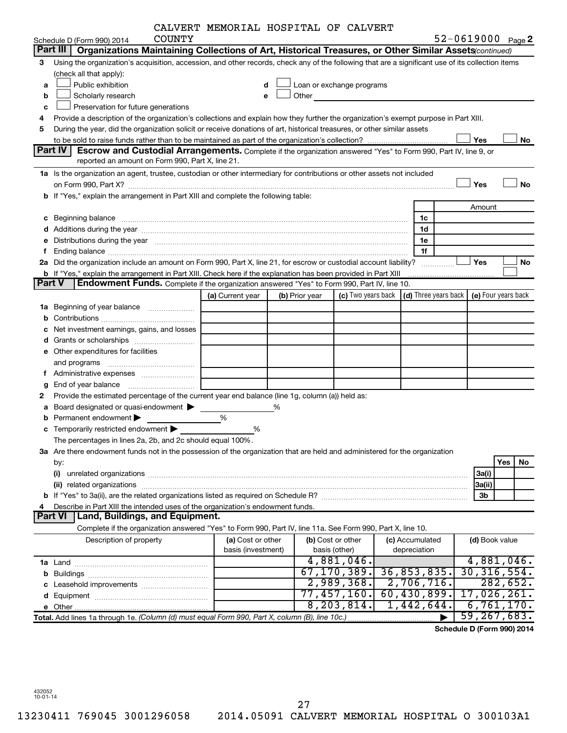| CALVERT MEMORIAL HOSPITAL OF CALVERT |  |  |  |  |
|--------------------------------------|--|--|--|--|
|--------------------------------------|--|--|--|--|

|               |                                                                                                                                                                                                                                | CALVERI MEMORIAL HOSPITAL OF CALVERT |   |                |                           |                                                         |        |                     |
|---------------|--------------------------------------------------------------------------------------------------------------------------------------------------------------------------------------------------------------------------------|--------------------------------------|---|----------------|---------------------------|---------------------------------------------------------|--------|---------------------|
|               | COUNTY<br>Schedule D (Form 990) 2014                                                                                                                                                                                           |                                      |   |                |                           |                                                         |        | 52-0619000 Page 2   |
| Part III      | Organizations Maintaining Collections of Art, Historical Treasures, or Other Similar Assets (continued)                                                                                                                        |                                      |   |                |                           |                                                         |        |                     |
| 3             | Using the organization's acquisition, accession, and other records, check any of the following that are a significant use of its collection items                                                                              |                                      |   |                |                           |                                                         |        |                     |
|               | (check all that apply):                                                                                                                                                                                                        |                                      |   |                |                           |                                                         |        |                     |
| a             | Public exhibition                                                                                                                                                                                                              | d                                    |   |                | Loan or exchange programs |                                                         |        |                     |
| b             | Scholarly research                                                                                                                                                                                                             | e                                    |   | Other          |                           |                                                         |        |                     |
| c             | Preservation for future generations                                                                                                                                                                                            |                                      |   |                |                           |                                                         |        |                     |
| 4             | Provide a description of the organization's collections and explain how they further the organization's exempt purpose in Part XIII.                                                                                           |                                      |   |                |                           |                                                         |        |                     |
| 5             | During the year, did the organization solicit or receive donations of art, historical treasures, or other similar assets                                                                                                       |                                      |   |                |                           |                                                         |        |                     |
|               |                                                                                                                                                                                                                                |                                      |   |                |                           |                                                         | Yes    | No                  |
|               | Part IV<br><b>Escrow and Custodial Arrangements.</b> Complete if the organization answered "Yes" to Form 990, Part IV, line 9, or                                                                                              |                                      |   |                |                           |                                                         |        |                     |
|               | reported an amount on Form 990, Part X, line 21.                                                                                                                                                                               |                                      |   |                |                           |                                                         |        |                     |
|               | 1a Is the organization an agent, trustee, custodian or other intermediary for contributions or other assets not included                                                                                                       |                                      |   |                |                           |                                                         |        |                     |
|               | on Form 990, Part X? [11] The Content of The Content of The Content of The Content of The Content of The Content of The Content of The Content of The Content of The Content of The Content of The Content of The Content of T |                                      |   |                |                           |                                                         | Yes    | <b>No</b>           |
|               | b If "Yes," explain the arrangement in Part XIII and complete the following table:                                                                                                                                             |                                      |   |                |                           |                                                         |        |                     |
|               |                                                                                                                                                                                                                                |                                      |   |                |                           |                                                         | Amount |                     |
|               |                                                                                                                                                                                                                                |                                      |   |                |                           |                                                         |        |                     |
|               | c Beginning balance                                                                                                                                                                                                            |                                      |   |                |                           | 1c                                                      |        |                     |
|               |                                                                                                                                                                                                                                |                                      |   |                |                           | 1d                                                      |        |                     |
|               | e Distributions during the year manufactured and contain an account of the year manufactured and the year manufactured and the year manufactured and the year manufactured and the year manufactured and the year manufactured |                                      |   |                |                           | 1e                                                      |        |                     |
| Ť             |                                                                                                                                                                                                                                |                                      |   |                |                           | 1f                                                      |        |                     |
|               | 2a Did the organization include an amount on Form 990, Part X, line 21, for escrow or custodial account liability?                                                                                                             |                                      |   |                |                           |                                                         | Yes    | No                  |
|               | b If "Yes," explain the arrangement in Part XIII. Check here if the explanation has been provided in Part XIII                                                                                                                 |                                      |   |                |                           |                                                         |        |                     |
| <b>Part V</b> | Endowment Funds. Complete if the organization answered "Yes" to Form 990, Part IV, line 10.                                                                                                                                    |                                      |   |                |                           |                                                         |        |                     |
|               |                                                                                                                                                                                                                                | (a) Current year                     |   | (b) Prior year |                           | (c) Two years back $\vert$ (d) Three years back $\vert$ |        | (e) Four years back |
|               | 1a Beginning of year balance                                                                                                                                                                                                   |                                      |   |                |                           |                                                         |        |                     |
|               |                                                                                                                                                                                                                                |                                      |   |                |                           |                                                         |        |                     |
|               | <b>c</b> Net investment earnings, gains, and losses                                                                                                                                                                            |                                      |   |                |                           |                                                         |        |                     |
|               |                                                                                                                                                                                                                                |                                      |   |                |                           |                                                         |        |                     |
|               | e Other expenditures for facilities                                                                                                                                                                                            |                                      |   |                |                           |                                                         |        |                     |
|               |                                                                                                                                                                                                                                |                                      |   |                |                           |                                                         |        |                     |
|               | f Administrative expenses <i></i>                                                                                                                                                                                              |                                      |   |                |                           |                                                         |        |                     |
| g             |                                                                                                                                                                                                                                |                                      |   |                |                           |                                                         |        |                     |
| 2             | Provide the estimated percentage of the current year end balance (line 1g, column (a)) held as:                                                                                                                                |                                      |   |                |                           |                                                         |        |                     |
|               | Board designated or quasi-endowment                                                                                                                                                                                            |                                      | % |                |                           |                                                         |        |                     |
| а             |                                                                                                                                                                                                                                | %                                    |   |                |                           |                                                         |        |                     |
|               | <b>b</b> Permanent endowment $\blacktriangleright$                                                                                                                                                                             |                                      |   |                |                           |                                                         |        |                     |
|               | <b>c</b> Temporarily restricted endowment $\blacktriangleright$                                                                                                                                                                | %                                    |   |                |                           |                                                         |        |                     |
|               | The percentages in lines 2a, 2b, and 2c should equal 100%.                                                                                                                                                                     |                                      |   |                |                           |                                                         |        |                     |
|               | 3a Are there endowment funds not in the possession of the organization that are held and administered for the organization                                                                                                     |                                      |   |                |                           |                                                         |        |                     |
|               | by:                                                                                                                                                                                                                            |                                      |   |                |                           |                                                         |        | Yes<br>No           |
|               |                                                                                                                                                                                                                                |                                      |   |                |                           |                                                         | 3a(i)  |                     |
|               |                                                                                                                                                                                                                                |                                      |   |                |                           |                                                         | 3a(ii) |                     |
|               |                                                                                                                                                                                                                                |                                      |   |                |                           |                                                         | 3b     |                     |
| 4             | Describe in Part XIII the intended uses of the organization's endowment funds.                                                                                                                                                 |                                      |   |                |                           |                                                         |        |                     |
|               | Land, Buildings, and Equipment.<br><b>Part VI</b>                                                                                                                                                                              |                                      |   |                |                           |                                                         |        |                     |
|               | Complete if the organization answered "Yes" to Form 990, Part IV, line 11a. See Form 990, Part X, line 10.                                                                                                                     |                                      |   |                |                           |                                                         |        |                     |
|               | Description of property                                                                                                                                                                                                        | (a) Cost or other                    |   |                | (b) Cost or other         | (c) Accumulated                                         |        | (d) Book value      |
|               |                                                                                                                                                                                                                                | basis (investment)                   |   |                | basis (other)             | depreciation                                            |        |                     |
|               |                                                                                                                                                                                                                                |                                      |   |                | 4,881,046.                |                                                         |        | 4,881,046.          |
|               |                                                                                                                                                                                                                                |                                      |   |                | 67, 170, 389.             | 36,853,835.                                             |        | 30, 316, 554.       |
|               |                                                                                                                                                                                                                                |                                      |   |                | 2,989,368.                | 2,706,716.                                              |        | 282, 652.           |
|               |                                                                                                                                                                                                                                |                                      |   |                | 77,457,160.               | 60,430,899.                                             |        | 17,026,261.         |
|               |                                                                                                                                                                                                                                |                                      |   |                | 8, 203, 814.              | 1,442,644.                                              |        | 6,761,170.          |
|               | Total. Add lines 1a through 1e. (Column (d) must equal Form 990, Part X, column (B), line 10c.)                                                                                                                                |                                      |   |                |                           |                                                         |        | 59, 267, 683.       |
|               |                                                                                                                                                                                                                                |                                      |   |                |                           |                                                         |        |                     |

**Schedule D (Form 990) 2014**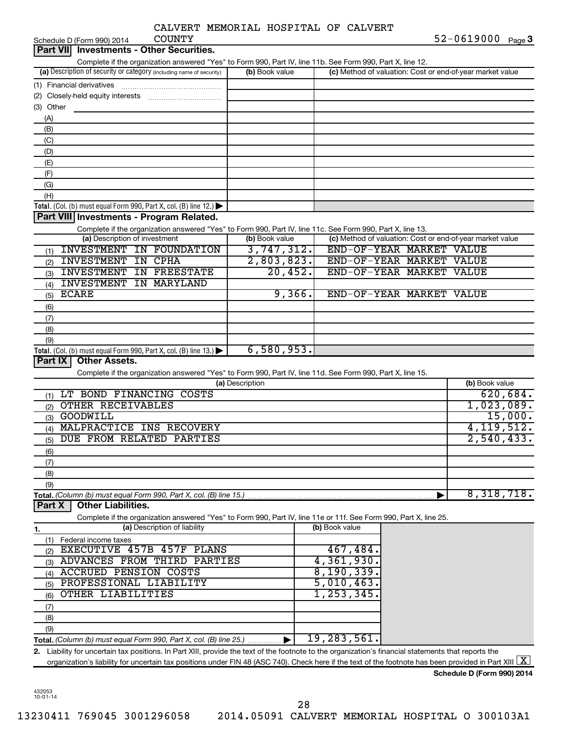|  | CALVERT MEMORIAL HOSPITAL OF CALVERT |  |
|--|--------------------------------------|--|
|  |                                      |  |

| <b>COUNTY</b><br>Schedule D (Form 990) 2014                                                                                                                                        |                 |                                                           | $52 - 0619000$ Page 3 |
|------------------------------------------------------------------------------------------------------------------------------------------------------------------------------------|-----------------|-----------------------------------------------------------|-----------------------|
| Part VII Investments - Other Securities.                                                                                                                                           |                 |                                                           |                       |
| Complete if the organization answered "Yes" to Form 990, Part IV, line 11b. See Form 990, Part X, line 12.                                                                         |                 |                                                           |                       |
| (a) Description of security or category (including name of security)                                                                                                               | (b) Book value  | (c) Method of valuation: Cost or end-of-year market value |                       |
|                                                                                                                                                                                    |                 |                                                           |                       |
|                                                                                                                                                                                    |                 |                                                           |                       |
| (3) Other                                                                                                                                                                          |                 |                                                           |                       |
|                                                                                                                                                                                    |                 |                                                           |                       |
| (A)                                                                                                                                                                                |                 |                                                           |                       |
| (B)                                                                                                                                                                                |                 |                                                           |                       |
| (C)                                                                                                                                                                                |                 |                                                           |                       |
| (D)                                                                                                                                                                                |                 |                                                           |                       |
| (E)                                                                                                                                                                                |                 |                                                           |                       |
| (F)                                                                                                                                                                                |                 |                                                           |                       |
| (G)                                                                                                                                                                                |                 |                                                           |                       |
| (H)                                                                                                                                                                                |                 |                                                           |                       |
| Total. (Col. (b) must equal Form 990, Part X, col. (B) line 12.) $\blacktriangleright$                                                                                             |                 |                                                           |                       |
| Part VIII Investments - Program Related.                                                                                                                                           |                 |                                                           |                       |
| Complete if the organization answered "Yes" to Form 990, Part IV, line 11c. See Form 990, Part X, line 13.                                                                         |                 |                                                           |                       |
| (a) Description of investment                                                                                                                                                      | (b) Book value  | (c) Method of valuation: Cost or end-of-year market value |                       |
| <b>INVESTMENT IN FOUNDATION</b>                                                                                                                                                    | 3,747,312.      | END-OF-YEAR MARKET VALUE                                  |                       |
| (1)                                                                                                                                                                                |                 |                                                           |                       |
| <b>INVESTMENT IN CPHA</b><br>(2)                                                                                                                                                   | 2,803,823.      | END-OF-YEAR MARKET VALUE                                  |                       |
| <b>INVESTMENT IN FREESTATE</b><br>(3)                                                                                                                                              | 20,452.         | END-OF-YEAR MARKET VALUE                                  |                       |
| <b>INVESTMENT IN MARYLAND</b><br>(4)                                                                                                                                               |                 |                                                           |                       |
| <b>ECARE</b><br>(5)                                                                                                                                                                | 9,366.          | END-OF-YEAR MARKET VALUE                                  |                       |
| (6)                                                                                                                                                                                |                 |                                                           |                       |
| (7)                                                                                                                                                                                |                 |                                                           |                       |
| (8)                                                                                                                                                                                |                 |                                                           |                       |
| (9)                                                                                                                                                                                |                 |                                                           |                       |
|                                                                                                                                                                                    | 6,580,953.      |                                                           |                       |
| Total. (Col. (b) must equal Form 990, Part X, col. (B) line 13.) $\blacktriangleright$<br>Part IX<br><b>Other Assets.</b>                                                          |                 |                                                           |                       |
|                                                                                                                                                                                    |                 |                                                           |                       |
| Complete if the organization answered "Yes" to Form 990, Part IV, line 11d. See Form 990, Part X, line 15.                                                                         |                 |                                                           |                       |
|                                                                                                                                                                                    | (a) Description |                                                           | (b) Book value        |
| LT BOND FINANCING COSTS<br>(1)                                                                                                                                                     |                 |                                                           | 620,684.              |
| <b>OTHER RECEIVABLES</b><br>(2)                                                                                                                                                    |                 |                                                           | 1,023,089.            |
| <b>GOODWILL</b><br>(3)                                                                                                                                                             |                 |                                                           | 15,000.               |
| MALPRACTICE INS RECOVERY<br>(4)                                                                                                                                                    |                 |                                                           | 4, 119, 512.          |
| DUE FROM RELATED PARTIES<br>(5)                                                                                                                                                    |                 |                                                           | 2,540,433.            |
| (6)                                                                                                                                                                                |                 |                                                           |                       |
|                                                                                                                                                                                    |                 |                                                           |                       |
| (7)                                                                                                                                                                                |                 |                                                           |                       |
| (8)                                                                                                                                                                                |                 |                                                           |                       |
| (9)                                                                                                                                                                                |                 |                                                           |                       |
| Total. (Column (b) must equal Form 990, Part X, col. (B) line 15.)                                                                                                                 |                 |                                                           | 8,318,718.            |
| <b>Other Liabilities.</b><br>Part X                                                                                                                                                |                 |                                                           |                       |
| Complete if the organization answered "Yes" to Form 990, Part IV, line 11e or 11f. See Form 990, Part X, line 25.                                                                  |                 |                                                           |                       |
| (a) Description of liability<br>1.                                                                                                                                                 |                 | (b) Book value                                            |                       |
| Federal income taxes<br>(1)                                                                                                                                                        |                 |                                                           |                       |
| EXECUTIVE 457B 457F PLANS<br>(2)                                                                                                                                                   |                 | 467,484.                                                  |                       |
| ADVANCES FROM THIRD PARTIES<br>(3)                                                                                                                                                 |                 | 4,361,930.                                                |                       |
| <b>ACCRUED PENSION COSTS</b><br>(4)                                                                                                                                                |                 | 8, 190, 339.                                              |                       |
| PROFESSIONAL LIABILITY<br>(5)                                                                                                                                                      |                 | 5,010,463.                                                |                       |
| OTHER LIABILITIES                                                                                                                                                                  |                 | 1, 253, 345.                                              |                       |
| (6)                                                                                                                                                                                |                 |                                                           |                       |
| (7)                                                                                                                                                                                |                 |                                                           |                       |
| (8)                                                                                                                                                                                |                 |                                                           |                       |
| (9)                                                                                                                                                                                |                 |                                                           |                       |
| Total. (Column (b) must equal Form 990, Part X, col. (B) line 25.)                                                                                                                 |                 | 19,283,561.                                               |                       |
| 2. Liability for uncertain tax positions. In Part XIII, provide the text of the footnote to the organization's financial statements that reports the                               |                 |                                                           |                       |
| organization's liability for uncertain tax positions under FIN 48 (ASC 740). Check here if the text of the footnote has been provided in Part XIII $\lfloor \underline{X} \rfloor$ |                 |                                                           |                       |
|                                                                                                                                                                                    |                 |                                                           |                       |

**Schedule D (Form 990) 2014**

432053 10-01-14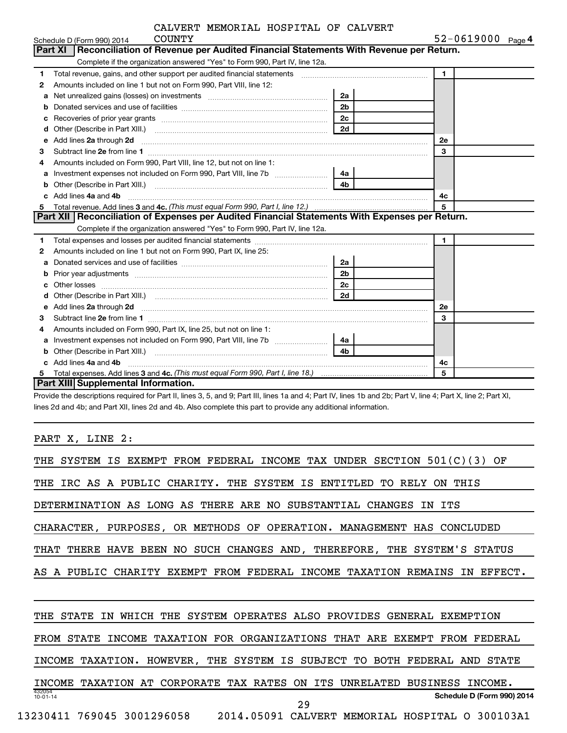|    | COUNTY<br>Schedule D (Form 990) 2014                                                                                                                                                                                                |                | $52 - 0619000$ Page 4 |
|----|-------------------------------------------------------------------------------------------------------------------------------------------------------------------------------------------------------------------------------------|----------------|-----------------------|
|    | Part XI   Reconciliation of Revenue per Audited Financial Statements With Revenue per Return.                                                                                                                                       |                |                       |
|    | Complete if the organization answered "Yes" to Form 990, Part IV, line 12a.                                                                                                                                                         |                |                       |
| 1. | Total revenue, gains, and other support per audited financial statements [11] [11] Total revenue, gains, and other support per audited financial statements                                                                         |                | $\mathbf{1}$          |
| 2  | Amounts included on line 1 but not on Form 990, Part VIII, line 12:                                                                                                                                                                 |                |                       |
| a  | Net unrealized gains (losses) on investments [111] [12] matter was uncontracted by the unrealized gains (losses) on investments                                                                                                     | 2a             |                       |
| b  |                                                                                                                                                                                                                                     | 2 <sub>b</sub> |                       |
| с  |                                                                                                                                                                                                                                     | 2c             |                       |
| d  |                                                                                                                                                                                                                                     | 2d             |                       |
| e  |                                                                                                                                                                                                                                     |                | 2e                    |
| З  |                                                                                                                                                                                                                                     |                | 3                     |
|    | Amounts included on Form 990, Part VIII, line 12, but not on line 1:                                                                                                                                                                |                |                       |
| a  |                                                                                                                                                                                                                                     | 4a             |                       |
| b  |                                                                                                                                                                                                                                     |                |                       |
|    | Add lines 4a and 4b                                                                                                                                                                                                                 |                | 4с                    |
| 5. |                                                                                                                                                                                                                                     |                | 5                     |
|    | Part XII Reconciliation of Expenses per Audited Financial Statements With Expenses per Return.                                                                                                                                      |                |                       |
|    | Complete if the organization answered "Yes" to Form 990, Part IV, line 12a.                                                                                                                                                         |                |                       |
| 1. |                                                                                                                                                                                                                                     |                | $\blacktriangleleft$  |
| 2  | Amounts included on line 1 but not on Form 990, Part IX, line 25:                                                                                                                                                                   |                |                       |
| a  |                                                                                                                                                                                                                                     | _2a            |                       |
| b  |                                                                                                                                                                                                                                     | 2 <sub>b</sub> |                       |
| с  |                                                                                                                                                                                                                                     | 2c             |                       |
|    |                                                                                                                                                                                                                                     |                |                       |
| e  | Add lines 2a through 2d <b>[10]</b> University of the contract of the state of the contract of the contract of the state of the state of the state of the state of the state of the state of the state of the state of the state of |                | <b>2e</b>             |
| 3  |                                                                                                                                                                                                                                     |                | 3                     |
| 4  | Amounts included on Form 990, Part IX, line 25, but not on line 1:                                                                                                                                                                  |                |                       |
| a  |                                                                                                                                                                                                                                     | 4а             |                       |
|    |                                                                                                                                                                                                                                     | 4b             |                       |
|    | Add lines 4a and 4b                                                                                                                                                                                                                 |                | 4c                    |
| 5  |                                                                                                                                                                                                                                     |                | 5                     |
|    | <b>Part XIII Supplemental Information.</b>                                                                                                                                                                                          |                |                       |

Provide the descriptions required for Part II, lines 3, 5, and 9; Part III, lines 1a and 4; Part IV, lines 1b and 2b; Part V, line 4; Part X, line 2; Part XI, lines 2d and 4b; and Part XII, lines 2d and 4b. Also complete this part to provide any additional information.

PART X, LINE 2:

| THE SYSTEM IS EXEMPT FROM FEDERAL INCOME TAX UNDER SECTION 501(C)(3)<br>OF       |
|----------------------------------------------------------------------------------|
| THE IRC AS A PUBLIC CHARITY. THE SYSTEM IS ENTITLED TO RELY ON THIS              |
| DETERMINATION AS LONG AS THERE ARE NO SUBSTANTIAL CHANGES<br>IN ITS              |
| CHARACTER, PURPOSES, OR METHODS OF OPERATION. MANAGEMENT HAS CONCLUDED           |
| THAT THERE HAVE BEEN NO SUCH CHANGES AND, THEREFORE, THE SYSTEM'S STATUS         |
| A PUBLIC CHARITY EXEMPT FROM FEDERAL INCOME TAXATION REMAINS IN EFFECT.          |
|                                                                                  |
| WHICH THE SYSTEM OPERATES ALSO PROVIDES GENERAL EXEMPTION<br>THE STATE<br>IN     |
| FROM STATE INCOME TAXATION FOR ORGANIZATIONS THAT ARE EXEMPT FROM FEDERAL        |
| INCOME TAXATION. HOWEVER, THE SYSTEM IS SUBJECT TO BOTH FEDERAL AND<br>STATE     |
| INCOME TAXATION AT CORPORATE TAX RATES<br>ON ITS UNRELATED BUSINESS INCOME.      |
| 432054<br>Schedule D (Form 990) 2014<br>$10 - 01 - 14$<br>29                     |
| 769045 3001296058 2014.05091 CALVERT<br>13230411<br>MEMORIAL HOSPITAL O 300103A1 |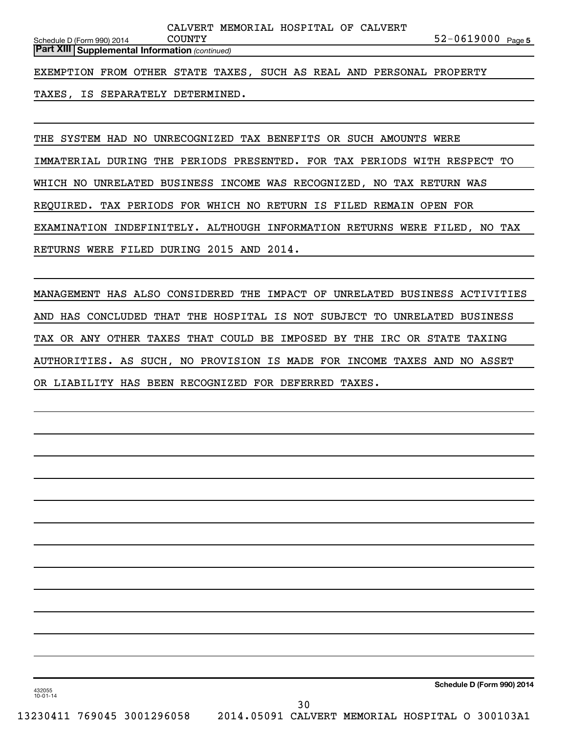| MEMORIAL HOSPITAL<br>OF             |           |        |
|-------------------------------------|-----------|--------|
| NUNTY<br>Schedule D (Form 990) 2014 | 2-0619000 | Page 5 |

*(continued)* **Part XIII Supplemental Information** 

EXEMPTION FROM OTHER STATE TAXES, SUCH AS REAL AND PERSONAL PROPERTY

TAXES, IS SEPARATELY DETERMINED.

THE SYSTEM HAD NO UNRECOGNIZED TAX BENEFITS OR SUCH AMOUNTS WERE IMMATERIAL DURING THE PERIODS PRESENTED. FOR TAX PERIODS WITH RESPECT TO WHICH NO UNRELATED BUSINESS INCOME WAS RECOGNIZED, NO TAX RETURN WAS REQUIRED. TAX PERIODS FOR WHICH NO RETURN IS FILED REMAIN OPEN FOR EXAMINATION INDEFINITELY. ALTHOUGH INFORMATION RETURNS WERE FILED, NO TAX RETURNS WERE FILED DURING 2015 AND 2014.

MANAGEMENT HAS ALSO CONSIDERED THE IMPACT OF UNRELATED BUSINESS ACTIVITIES AND HAS CONCLUDED THAT THE HOSPITAL IS NOT SUBJECT TO UNRELATED BUSINESS TAX OR ANY OTHER TAXES THAT COULD BE IMPOSED BY THE IRC OR STATE TAXING AUTHORITIES. AS SUCH, NO PROVISION IS MADE FOR INCOME TAXES AND NO ASSET OR LIABILITY HAS BEEN RECOGNIZED FOR DEFERRED TAXES.

432055 10-01-14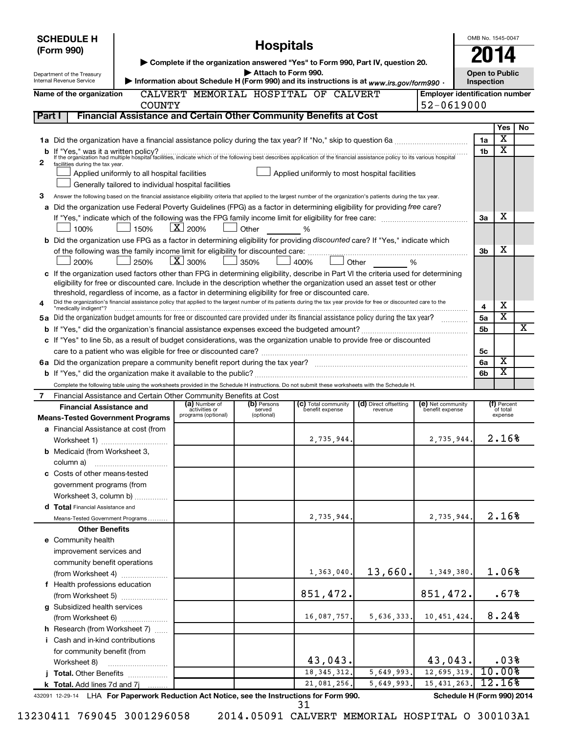| ▶ Complete if the organization answered "Yes" to Form 990, Part IV, question 20.<br>Attach to Form 990.<br>Open to Public<br>Department of the Treasury<br>> Information about Schedule H (Form 990) and its instructions is at www.irs.gov/form990.<br>Internal Revenue Service<br>Inspection<br>CALVERT MEMORIAL HOSPITAL OF CALVERT<br><b>Employer identification number</b><br>Name of the organization<br>52-0619000<br><b>COUNTY</b><br>Financial Assistance and Certain Other Community Benefits at Cost<br>Part I<br>Yes<br>No<br>х<br>1a<br>х<br>1 <sub>b</sub><br>2<br>facilities during the tax year.<br>Applied uniformly to most hospital facilities<br>Applied uniformly to all hospital facilities<br>Generally tailored to individual hospital facilities<br>З<br>Answer the following based on the financial assistance eligibility criteria that applied to the largest number of the organization's patients during the tax year.<br>a Did the organization use Federal Poverty Guidelines (FPG) as a factor in determining eligibility for providing free care?<br>х<br>За<br>$\mathbf{X}$ 200%<br>100%<br>150%<br>Other<br>%<br><b>b</b> Did the organization use FPG as a factor in determining eligibility for providing discounted care? If "Yes," indicate which<br>х<br>3b<br>$\mathbf{X}$ 300%<br>200%<br>250%<br>350%<br>400%<br>Other<br>%<br>c If the organization used factors other than FPG in determining eligibility, describe in Part VI the criteria used for determining<br>eligibility for free or discounted care. Include in the description whether the organization used an asset test or other<br>threshold, regardless of income, as a factor in determining eligibility for free or discounted care.<br>Did the organization's financial assistance policy that applied to the largest number of its patients during the tax year provide for free or discounted care to the<br>X<br>4<br>"medically indigent"?<br>$\overline{\textbf{x}}$<br>5a Did the organization budget amounts for free or discounted care provided under its financial assistance policy during the tax year?<br>5a<br>х<br>5 <sub>b</sub><br>c If "Yes" to line 5b, as a result of budget considerations, was the organization unable to provide free or discounted<br>5 <sub>c</sub><br>X<br>6a<br>$\overline{\textbf{x}}$<br>6b<br>Complete the following table using the worksheets provided in the Schedule H instructions. Do not submit these worksheets with the Schedule H.<br>Financial Assistance and Certain Other Community Benefits at Cost<br>7<br>(a) Number of<br>(b) Persons<br>(c) Total community<br>(d) Direct offsetting<br>(e) Net community<br>(f) Percent<br><b>Financial Assistance and</b><br>activities or<br>benefit expense<br>benefit expense<br>of total<br>served<br>revenue<br>programs (optional)<br>(optional)<br>expense<br><b>Means-Tested Government Programs</b><br>a Financial Assistance at cost (from<br>2.16%<br>2,735,944<br>2,735,944<br>Worksheet 1)<br><b>b</b> Medicaid (from Worksheet 3,<br>column a)<br>c Costs of other means-tested<br>government programs (from<br>Worksheet 3, column b)<br>d Total Financial Assistance and<br>2.16%<br>2,735,944.<br>2,735,944.<br>Means-Tested Government Programs<br><b>Other Benefits</b><br>e Community health<br>improvement services and<br>community benefit operations<br>13,660.<br>1.06%<br>1,349,380.<br>1,363,040.<br>(from Worksheet 4)<br>f Health professions education<br>851,472.<br>851,472.<br>.67%<br>(from Worksheet 5)<br>g Subsidized health services<br>8.24%<br>5,636,333.<br>10, 451, 424.<br>16,087,757.<br>(from Worksheet 6)<br><b>h</b> Research (from Worksheet 7)<br>i Cash and in-kind contributions<br>for community benefit (from<br>43,043.<br>43,043.<br>.03%<br>Worksheet 8)<br>10.00%<br>12,695,319.<br>18, 345, 312.<br>5,649,993.<br>j Total. Other Benefits<br>12.16%<br>15, 431, 263.<br>21,081,256.<br>5,649,993.<br>k Total. Add lines 7d and 7j | <b>SCHEDULE H</b><br>(Form 990) |  | <b>Hospitals</b> |  | OMB No. 1545-0047 |  |
|--------------------------------------------------------------------------------------------------------------------------------------------------------------------------------------------------------------------------------------------------------------------------------------------------------------------------------------------------------------------------------------------------------------------------------------------------------------------------------------------------------------------------------------------------------------------------------------------------------------------------------------------------------------------------------------------------------------------------------------------------------------------------------------------------------------------------------------------------------------------------------------------------------------------------------------------------------------------------------------------------------------------------------------------------------------------------------------------------------------------------------------------------------------------------------------------------------------------------------------------------------------------------------------------------------------------------------------------------------------------------------------------------------------------------------------------------------------------------------------------------------------------------------------------------------------------------------------------------------------------------------------------------------------------------------------------------------------------------------------------------------------------------------------------------------------------------------------------------------------------------------------------------------------------------------------------------------------------------------------------------------------------------------------------------------------------------------------------------------------------------------------------------------------------------------------------------------------------------------------------------------------------------------------------------------------------------------------------------------------------------------------------------------------------------------------------------------------------------------------------------------------------------------------------------------------------------------------------------------------------------------------------------------------------------------------------------------------------------------------------------------------------------------------------------------------------------------------------------------------------------------------------------------------------------------------------------------------------------------------------------------------------------------------------------------------------------------------------------------------------------------------------------------------------------------------------------------------------------------------------------------------------------------------------------------------------------------------------------------------------------------------------------------------------------------------------------------------------------------------------------------------------------------------------------------------------------------------------------------------------------------------------------------------------------------------------------------------------------------------------------------------------------------------------------------------------------------------------------------------------------------------------------------------------------------------------------------------------------------------------------------------|---------------------------------|--|------------------|--|-------------------|--|
|                                                                                                                                                                                                                                                                                                                                                                                                                                                                                                                                                                                                                                                                                                                                                                                                                                                                                                                                                                                                                                                                                                                                                                                                                                                                                                                                                                                                                                                                                                                                                                                                                                                                                                                                                                                                                                                                                                                                                                                                                                                                                                                                                                                                                                                                                                                                                                                                                                                                                                                                                                                                                                                                                                                                                                                                                                                                                                                                                                                                                                                                                                                                                                                                                                                                                                                                                                                                                                                                                                                                                                                                                                                                                                                                                                                                                                                                                                                                                                                                              |                                 |  |                  |  |                   |  |
|                                                                                                                                                                                                                                                                                                                                                                                                                                                                                                                                                                                                                                                                                                                                                                                                                                                                                                                                                                                                                                                                                                                                                                                                                                                                                                                                                                                                                                                                                                                                                                                                                                                                                                                                                                                                                                                                                                                                                                                                                                                                                                                                                                                                                                                                                                                                                                                                                                                                                                                                                                                                                                                                                                                                                                                                                                                                                                                                                                                                                                                                                                                                                                                                                                                                                                                                                                                                                                                                                                                                                                                                                                                                                                                                                                                                                                                                                                                                                                                                              |                                 |  |                  |  |                   |  |
|                                                                                                                                                                                                                                                                                                                                                                                                                                                                                                                                                                                                                                                                                                                                                                                                                                                                                                                                                                                                                                                                                                                                                                                                                                                                                                                                                                                                                                                                                                                                                                                                                                                                                                                                                                                                                                                                                                                                                                                                                                                                                                                                                                                                                                                                                                                                                                                                                                                                                                                                                                                                                                                                                                                                                                                                                                                                                                                                                                                                                                                                                                                                                                                                                                                                                                                                                                                                                                                                                                                                                                                                                                                                                                                                                                                                                                                                                                                                                                                                              |                                 |  |                  |  |                   |  |
|                                                                                                                                                                                                                                                                                                                                                                                                                                                                                                                                                                                                                                                                                                                                                                                                                                                                                                                                                                                                                                                                                                                                                                                                                                                                                                                                                                                                                                                                                                                                                                                                                                                                                                                                                                                                                                                                                                                                                                                                                                                                                                                                                                                                                                                                                                                                                                                                                                                                                                                                                                                                                                                                                                                                                                                                                                                                                                                                                                                                                                                                                                                                                                                                                                                                                                                                                                                                                                                                                                                                                                                                                                                                                                                                                                                                                                                                                                                                                                                                              |                                 |  |                  |  |                   |  |
|                                                                                                                                                                                                                                                                                                                                                                                                                                                                                                                                                                                                                                                                                                                                                                                                                                                                                                                                                                                                                                                                                                                                                                                                                                                                                                                                                                                                                                                                                                                                                                                                                                                                                                                                                                                                                                                                                                                                                                                                                                                                                                                                                                                                                                                                                                                                                                                                                                                                                                                                                                                                                                                                                                                                                                                                                                                                                                                                                                                                                                                                                                                                                                                                                                                                                                                                                                                                                                                                                                                                                                                                                                                                                                                                                                                                                                                                                                                                                                                                              |                                 |  |                  |  |                   |  |
|                                                                                                                                                                                                                                                                                                                                                                                                                                                                                                                                                                                                                                                                                                                                                                                                                                                                                                                                                                                                                                                                                                                                                                                                                                                                                                                                                                                                                                                                                                                                                                                                                                                                                                                                                                                                                                                                                                                                                                                                                                                                                                                                                                                                                                                                                                                                                                                                                                                                                                                                                                                                                                                                                                                                                                                                                                                                                                                                                                                                                                                                                                                                                                                                                                                                                                                                                                                                                                                                                                                                                                                                                                                                                                                                                                                                                                                                                                                                                                                                              |                                 |  |                  |  |                   |  |
|                                                                                                                                                                                                                                                                                                                                                                                                                                                                                                                                                                                                                                                                                                                                                                                                                                                                                                                                                                                                                                                                                                                                                                                                                                                                                                                                                                                                                                                                                                                                                                                                                                                                                                                                                                                                                                                                                                                                                                                                                                                                                                                                                                                                                                                                                                                                                                                                                                                                                                                                                                                                                                                                                                                                                                                                                                                                                                                                                                                                                                                                                                                                                                                                                                                                                                                                                                                                                                                                                                                                                                                                                                                                                                                                                                                                                                                                                                                                                                                                              |                                 |  |                  |  |                   |  |
|                                                                                                                                                                                                                                                                                                                                                                                                                                                                                                                                                                                                                                                                                                                                                                                                                                                                                                                                                                                                                                                                                                                                                                                                                                                                                                                                                                                                                                                                                                                                                                                                                                                                                                                                                                                                                                                                                                                                                                                                                                                                                                                                                                                                                                                                                                                                                                                                                                                                                                                                                                                                                                                                                                                                                                                                                                                                                                                                                                                                                                                                                                                                                                                                                                                                                                                                                                                                                                                                                                                                                                                                                                                                                                                                                                                                                                                                                                                                                                                                              |                                 |  |                  |  |                   |  |
|                                                                                                                                                                                                                                                                                                                                                                                                                                                                                                                                                                                                                                                                                                                                                                                                                                                                                                                                                                                                                                                                                                                                                                                                                                                                                                                                                                                                                                                                                                                                                                                                                                                                                                                                                                                                                                                                                                                                                                                                                                                                                                                                                                                                                                                                                                                                                                                                                                                                                                                                                                                                                                                                                                                                                                                                                                                                                                                                                                                                                                                                                                                                                                                                                                                                                                                                                                                                                                                                                                                                                                                                                                                                                                                                                                                                                                                                                                                                                                                                              |                                 |  |                  |  |                   |  |
|                                                                                                                                                                                                                                                                                                                                                                                                                                                                                                                                                                                                                                                                                                                                                                                                                                                                                                                                                                                                                                                                                                                                                                                                                                                                                                                                                                                                                                                                                                                                                                                                                                                                                                                                                                                                                                                                                                                                                                                                                                                                                                                                                                                                                                                                                                                                                                                                                                                                                                                                                                                                                                                                                                                                                                                                                                                                                                                                                                                                                                                                                                                                                                                                                                                                                                                                                                                                                                                                                                                                                                                                                                                                                                                                                                                                                                                                                                                                                                                                              |                                 |  |                  |  |                   |  |
|                                                                                                                                                                                                                                                                                                                                                                                                                                                                                                                                                                                                                                                                                                                                                                                                                                                                                                                                                                                                                                                                                                                                                                                                                                                                                                                                                                                                                                                                                                                                                                                                                                                                                                                                                                                                                                                                                                                                                                                                                                                                                                                                                                                                                                                                                                                                                                                                                                                                                                                                                                                                                                                                                                                                                                                                                                                                                                                                                                                                                                                                                                                                                                                                                                                                                                                                                                                                                                                                                                                                                                                                                                                                                                                                                                                                                                                                                                                                                                                                              |                                 |  |                  |  |                   |  |
|                                                                                                                                                                                                                                                                                                                                                                                                                                                                                                                                                                                                                                                                                                                                                                                                                                                                                                                                                                                                                                                                                                                                                                                                                                                                                                                                                                                                                                                                                                                                                                                                                                                                                                                                                                                                                                                                                                                                                                                                                                                                                                                                                                                                                                                                                                                                                                                                                                                                                                                                                                                                                                                                                                                                                                                                                                                                                                                                                                                                                                                                                                                                                                                                                                                                                                                                                                                                                                                                                                                                                                                                                                                                                                                                                                                                                                                                                                                                                                                                              |                                 |  |                  |  |                   |  |
|                                                                                                                                                                                                                                                                                                                                                                                                                                                                                                                                                                                                                                                                                                                                                                                                                                                                                                                                                                                                                                                                                                                                                                                                                                                                                                                                                                                                                                                                                                                                                                                                                                                                                                                                                                                                                                                                                                                                                                                                                                                                                                                                                                                                                                                                                                                                                                                                                                                                                                                                                                                                                                                                                                                                                                                                                                                                                                                                                                                                                                                                                                                                                                                                                                                                                                                                                                                                                                                                                                                                                                                                                                                                                                                                                                                                                                                                                                                                                                                                              |                                 |  |                  |  |                   |  |
|                                                                                                                                                                                                                                                                                                                                                                                                                                                                                                                                                                                                                                                                                                                                                                                                                                                                                                                                                                                                                                                                                                                                                                                                                                                                                                                                                                                                                                                                                                                                                                                                                                                                                                                                                                                                                                                                                                                                                                                                                                                                                                                                                                                                                                                                                                                                                                                                                                                                                                                                                                                                                                                                                                                                                                                                                                                                                                                                                                                                                                                                                                                                                                                                                                                                                                                                                                                                                                                                                                                                                                                                                                                                                                                                                                                                                                                                                                                                                                                                              |                                 |  |                  |  |                   |  |
|                                                                                                                                                                                                                                                                                                                                                                                                                                                                                                                                                                                                                                                                                                                                                                                                                                                                                                                                                                                                                                                                                                                                                                                                                                                                                                                                                                                                                                                                                                                                                                                                                                                                                                                                                                                                                                                                                                                                                                                                                                                                                                                                                                                                                                                                                                                                                                                                                                                                                                                                                                                                                                                                                                                                                                                                                                                                                                                                                                                                                                                                                                                                                                                                                                                                                                                                                                                                                                                                                                                                                                                                                                                                                                                                                                                                                                                                                                                                                                                                              |                                 |  |                  |  |                   |  |
|                                                                                                                                                                                                                                                                                                                                                                                                                                                                                                                                                                                                                                                                                                                                                                                                                                                                                                                                                                                                                                                                                                                                                                                                                                                                                                                                                                                                                                                                                                                                                                                                                                                                                                                                                                                                                                                                                                                                                                                                                                                                                                                                                                                                                                                                                                                                                                                                                                                                                                                                                                                                                                                                                                                                                                                                                                                                                                                                                                                                                                                                                                                                                                                                                                                                                                                                                                                                                                                                                                                                                                                                                                                                                                                                                                                                                                                                                                                                                                                                              |                                 |  |                  |  |                   |  |
|                                                                                                                                                                                                                                                                                                                                                                                                                                                                                                                                                                                                                                                                                                                                                                                                                                                                                                                                                                                                                                                                                                                                                                                                                                                                                                                                                                                                                                                                                                                                                                                                                                                                                                                                                                                                                                                                                                                                                                                                                                                                                                                                                                                                                                                                                                                                                                                                                                                                                                                                                                                                                                                                                                                                                                                                                                                                                                                                                                                                                                                                                                                                                                                                                                                                                                                                                                                                                                                                                                                                                                                                                                                                                                                                                                                                                                                                                                                                                                                                              |                                 |  |                  |  |                   |  |
|                                                                                                                                                                                                                                                                                                                                                                                                                                                                                                                                                                                                                                                                                                                                                                                                                                                                                                                                                                                                                                                                                                                                                                                                                                                                                                                                                                                                                                                                                                                                                                                                                                                                                                                                                                                                                                                                                                                                                                                                                                                                                                                                                                                                                                                                                                                                                                                                                                                                                                                                                                                                                                                                                                                                                                                                                                                                                                                                                                                                                                                                                                                                                                                                                                                                                                                                                                                                                                                                                                                                                                                                                                                                                                                                                                                                                                                                                                                                                                                                              |                                 |  |                  |  |                   |  |
|                                                                                                                                                                                                                                                                                                                                                                                                                                                                                                                                                                                                                                                                                                                                                                                                                                                                                                                                                                                                                                                                                                                                                                                                                                                                                                                                                                                                                                                                                                                                                                                                                                                                                                                                                                                                                                                                                                                                                                                                                                                                                                                                                                                                                                                                                                                                                                                                                                                                                                                                                                                                                                                                                                                                                                                                                                                                                                                                                                                                                                                                                                                                                                                                                                                                                                                                                                                                                                                                                                                                                                                                                                                                                                                                                                                                                                                                                                                                                                                                              |                                 |  |                  |  |                   |  |
|                                                                                                                                                                                                                                                                                                                                                                                                                                                                                                                                                                                                                                                                                                                                                                                                                                                                                                                                                                                                                                                                                                                                                                                                                                                                                                                                                                                                                                                                                                                                                                                                                                                                                                                                                                                                                                                                                                                                                                                                                                                                                                                                                                                                                                                                                                                                                                                                                                                                                                                                                                                                                                                                                                                                                                                                                                                                                                                                                                                                                                                                                                                                                                                                                                                                                                                                                                                                                                                                                                                                                                                                                                                                                                                                                                                                                                                                                                                                                                                                              |                                 |  |                  |  |                   |  |
|                                                                                                                                                                                                                                                                                                                                                                                                                                                                                                                                                                                                                                                                                                                                                                                                                                                                                                                                                                                                                                                                                                                                                                                                                                                                                                                                                                                                                                                                                                                                                                                                                                                                                                                                                                                                                                                                                                                                                                                                                                                                                                                                                                                                                                                                                                                                                                                                                                                                                                                                                                                                                                                                                                                                                                                                                                                                                                                                                                                                                                                                                                                                                                                                                                                                                                                                                                                                                                                                                                                                                                                                                                                                                                                                                                                                                                                                                                                                                                                                              |                                 |  |                  |  |                   |  |
|                                                                                                                                                                                                                                                                                                                                                                                                                                                                                                                                                                                                                                                                                                                                                                                                                                                                                                                                                                                                                                                                                                                                                                                                                                                                                                                                                                                                                                                                                                                                                                                                                                                                                                                                                                                                                                                                                                                                                                                                                                                                                                                                                                                                                                                                                                                                                                                                                                                                                                                                                                                                                                                                                                                                                                                                                                                                                                                                                                                                                                                                                                                                                                                                                                                                                                                                                                                                                                                                                                                                                                                                                                                                                                                                                                                                                                                                                                                                                                                                              |                                 |  |                  |  |                   |  |
|                                                                                                                                                                                                                                                                                                                                                                                                                                                                                                                                                                                                                                                                                                                                                                                                                                                                                                                                                                                                                                                                                                                                                                                                                                                                                                                                                                                                                                                                                                                                                                                                                                                                                                                                                                                                                                                                                                                                                                                                                                                                                                                                                                                                                                                                                                                                                                                                                                                                                                                                                                                                                                                                                                                                                                                                                                                                                                                                                                                                                                                                                                                                                                                                                                                                                                                                                                                                                                                                                                                                                                                                                                                                                                                                                                                                                                                                                                                                                                                                              |                                 |  |                  |  |                   |  |
|                                                                                                                                                                                                                                                                                                                                                                                                                                                                                                                                                                                                                                                                                                                                                                                                                                                                                                                                                                                                                                                                                                                                                                                                                                                                                                                                                                                                                                                                                                                                                                                                                                                                                                                                                                                                                                                                                                                                                                                                                                                                                                                                                                                                                                                                                                                                                                                                                                                                                                                                                                                                                                                                                                                                                                                                                                                                                                                                                                                                                                                                                                                                                                                                                                                                                                                                                                                                                                                                                                                                                                                                                                                                                                                                                                                                                                                                                                                                                                                                              |                                 |  |                  |  |                   |  |
|                                                                                                                                                                                                                                                                                                                                                                                                                                                                                                                                                                                                                                                                                                                                                                                                                                                                                                                                                                                                                                                                                                                                                                                                                                                                                                                                                                                                                                                                                                                                                                                                                                                                                                                                                                                                                                                                                                                                                                                                                                                                                                                                                                                                                                                                                                                                                                                                                                                                                                                                                                                                                                                                                                                                                                                                                                                                                                                                                                                                                                                                                                                                                                                                                                                                                                                                                                                                                                                                                                                                                                                                                                                                                                                                                                                                                                                                                                                                                                                                              |                                 |  |                  |  |                   |  |
|                                                                                                                                                                                                                                                                                                                                                                                                                                                                                                                                                                                                                                                                                                                                                                                                                                                                                                                                                                                                                                                                                                                                                                                                                                                                                                                                                                                                                                                                                                                                                                                                                                                                                                                                                                                                                                                                                                                                                                                                                                                                                                                                                                                                                                                                                                                                                                                                                                                                                                                                                                                                                                                                                                                                                                                                                                                                                                                                                                                                                                                                                                                                                                                                                                                                                                                                                                                                                                                                                                                                                                                                                                                                                                                                                                                                                                                                                                                                                                                                              |                                 |  |                  |  |                   |  |
|                                                                                                                                                                                                                                                                                                                                                                                                                                                                                                                                                                                                                                                                                                                                                                                                                                                                                                                                                                                                                                                                                                                                                                                                                                                                                                                                                                                                                                                                                                                                                                                                                                                                                                                                                                                                                                                                                                                                                                                                                                                                                                                                                                                                                                                                                                                                                                                                                                                                                                                                                                                                                                                                                                                                                                                                                                                                                                                                                                                                                                                                                                                                                                                                                                                                                                                                                                                                                                                                                                                                                                                                                                                                                                                                                                                                                                                                                                                                                                                                              |                                 |  |                  |  |                   |  |
|                                                                                                                                                                                                                                                                                                                                                                                                                                                                                                                                                                                                                                                                                                                                                                                                                                                                                                                                                                                                                                                                                                                                                                                                                                                                                                                                                                                                                                                                                                                                                                                                                                                                                                                                                                                                                                                                                                                                                                                                                                                                                                                                                                                                                                                                                                                                                                                                                                                                                                                                                                                                                                                                                                                                                                                                                                                                                                                                                                                                                                                                                                                                                                                                                                                                                                                                                                                                                                                                                                                                                                                                                                                                                                                                                                                                                                                                                                                                                                                                              |                                 |  |                  |  |                   |  |
|                                                                                                                                                                                                                                                                                                                                                                                                                                                                                                                                                                                                                                                                                                                                                                                                                                                                                                                                                                                                                                                                                                                                                                                                                                                                                                                                                                                                                                                                                                                                                                                                                                                                                                                                                                                                                                                                                                                                                                                                                                                                                                                                                                                                                                                                                                                                                                                                                                                                                                                                                                                                                                                                                                                                                                                                                                                                                                                                                                                                                                                                                                                                                                                                                                                                                                                                                                                                                                                                                                                                                                                                                                                                                                                                                                                                                                                                                                                                                                                                              |                                 |  |                  |  |                   |  |
|                                                                                                                                                                                                                                                                                                                                                                                                                                                                                                                                                                                                                                                                                                                                                                                                                                                                                                                                                                                                                                                                                                                                                                                                                                                                                                                                                                                                                                                                                                                                                                                                                                                                                                                                                                                                                                                                                                                                                                                                                                                                                                                                                                                                                                                                                                                                                                                                                                                                                                                                                                                                                                                                                                                                                                                                                                                                                                                                                                                                                                                                                                                                                                                                                                                                                                                                                                                                                                                                                                                                                                                                                                                                                                                                                                                                                                                                                                                                                                                                              |                                 |  |                  |  |                   |  |
|                                                                                                                                                                                                                                                                                                                                                                                                                                                                                                                                                                                                                                                                                                                                                                                                                                                                                                                                                                                                                                                                                                                                                                                                                                                                                                                                                                                                                                                                                                                                                                                                                                                                                                                                                                                                                                                                                                                                                                                                                                                                                                                                                                                                                                                                                                                                                                                                                                                                                                                                                                                                                                                                                                                                                                                                                                                                                                                                                                                                                                                                                                                                                                                                                                                                                                                                                                                                                                                                                                                                                                                                                                                                                                                                                                                                                                                                                                                                                                                                              |                                 |  |                  |  |                   |  |
|                                                                                                                                                                                                                                                                                                                                                                                                                                                                                                                                                                                                                                                                                                                                                                                                                                                                                                                                                                                                                                                                                                                                                                                                                                                                                                                                                                                                                                                                                                                                                                                                                                                                                                                                                                                                                                                                                                                                                                                                                                                                                                                                                                                                                                                                                                                                                                                                                                                                                                                                                                                                                                                                                                                                                                                                                                                                                                                                                                                                                                                                                                                                                                                                                                                                                                                                                                                                                                                                                                                                                                                                                                                                                                                                                                                                                                                                                                                                                                                                              |                                 |  |                  |  |                   |  |
|                                                                                                                                                                                                                                                                                                                                                                                                                                                                                                                                                                                                                                                                                                                                                                                                                                                                                                                                                                                                                                                                                                                                                                                                                                                                                                                                                                                                                                                                                                                                                                                                                                                                                                                                                                                                                                                                                                                                                                                                                                                                                                                                                                                                                                                                                                                                                                                                                                                                                                                                                                                                                                                                                                                                                                                                                                                                                                                                                                                                                                                                                                                                                                                                                                                                                                                                                                                                                                                                                                                                                                                                                                                                                                                                                                                                                                                                                                                                                                                                              |                                 |  |                  |  |                   |  |
|                                                                                                                                                                                                                                                                                                                                                                                                                                                                                                                                                                                                                                                                                                                                                                                                                                                                                                                                                                                                                                                                                                                                                                                                                                                                                                                                                                                                                                                                                                                                                                                                                                                                                                                                                                                                                                                                                                                                                                                                                                                                                                                                                                                                                                                                                                                                                                                                                                                                                                                                                                                                                                                                                                                                                                                                                                                                                                                                                                                                                                                                                                                                                                                                                                                                                                                                                                                                                                                                                                                                                                                                                                                                                                                                                                                                                                                                                                                                                                                                              |                                 |  |                  |  |                   |  |
|                                                                                                                                                                                                                                                                                                                                                                                                                                                                                                                                                                                                                                                                                                                                                                                                                                                                                                                                                                                                                                                                                                                                                                                                                                                                                                                                                                                                                                                                                                                                                                                                                                                                                                                                                                                                                                                                                                                                                                                                                                                                                                                                                                                                                                                                                                                                                                                                                                                                                                                                                                                                                                                                                                                                                                                                                                                                                                                                                                                                                                                                                                                                                                                                                                                                                                                                                                                                                                                                                                                                                                                                                                                                                                                                                                                                                                                                                                                                                                                                              |                                 |  |                  |  |                   |  |
|                                                                                                                                                                                                                                                                                                                                                                                                                                                                                                                                                                                                                                                                                                                                                                                                                                                                                                                                                                                                                                                                                                                                                                                                                                                                                                                                                                                                                                                                                                                                                                                                                                                                                                                                                                                                                                                                                                                                                                                                                                                                                                                                                                                                                                                                                                                                                                                                                                                                                                                                                                                                                                                                                                                                                                                                                                                                                                                                                                                                                                                                                                                                                                                                                                                                                                                                                                                                                                                                                                                                                                                                                                                                                                                                                                                                                                                                                                                                                                                                              |                                 |  |                  |  |                   |  |
|                                                                                                                                                                                                                                                                                                                                                                                                                                                                                                                                                                                                                                                                                                                                                                                                                                                                                                                                                                                                                                                                                                                                                                                                                                                                                                                                                                                                                                                                                                                                                                                                                                                                                                                                                                                                                                                                                                                                                                                                                                                                                                                                                                                                                                                                                                                                                                                                                                                                                                                                                                                                                                                                                                                                                                                                                                                                                                                                                                                                                                                                                                                                                                                                                                                                                                                                                                                                                                                                                                                                                                                                                                                                                                                                                                                                                                                                                                                                                                                                              |                                 |  |                  |  |                   |  |
|                                                                                                                                                                                                                                                                                                                                                                                                                                                                                                                                                                                                                                                                                                                                                                                                                                                                                                                                                                                                                                                                                                                                                                                                                                                                                                                                                                                                                                                                                                                                                                                                                                                                                                                                                                                                                                                                                                                                                                                                                                                                                                                                                                                                                                                                                                                                                                                                                                                                                                                                                                                                                                                                                                                                                                                                                                                                                                                                                                                                                                                                                                                                                                                                                                                                                                                                                                                                                                                                                                                                                                                                                                                                                                                                                                                                                                                                                                                                                                                                              |                                 |  |                  |  |                   |  |
|                                                                                                                                                                                                                                                                                                                                                                                                                                                                                                                                                                                                                                                                                                                                                                                                                                                                                                                                                                                                                                                                                                                                                                                                                                                                                                                                                                                                                                                                                                                                                                                                                                                                                                                                                                                                                                                                                                                                                                                                                                                                                                                                                                                                                                                                                                                                                                                                                                                                                                                                                                                                                                                                                                                                                                                                                                                                                                                                                                                                                                                                                                                                                                                                                                                                                                                                                                                                                                                                                                                                                                                                                                                                                                                                                                                                                                                                                                                                                                                                              |                                 |  |                  |  |                   |  |
|                                                                                                                                                                                                                                                                                                                                                                                                                                                                                                                                                                                                                                                                                                                                                                                                                                                                                                                                                                                                                                                                                                                                                                                                                                                                                                                                                                                                                                                                                                                                                                                                                                                                                                                                                                                                                                                                                                                                                                                                                                                                                                                                                                                                                                                                                                                                                                                                                                                                                                                                                                                                                                                                                                                                                                                                                                                                                                                                                                                                                                                                                                                                                                                                                                                                                                                                                                                                                                                                                                                                                                                                                                                                                                                                                                                                                                                                                                                                                                                                              |                                 |  |                  |  |                   |  |
|                                                                                                                                                                                                                                                                                                                                                                                                                                                                                                                                                                                                                                                                                                                                                                                                                                                                                                                                                                                                                                                                                                                                                                                                                                                                                                                                                                                                                                                                                                                                                                                                                                                                                                                                                                                                                                                                                                                                                                                                                                                                                                                                                                                                                                                                                                                                                                                                                                                                                                                                                                                                                                                                                                                                                                                                                                                                                                                                                                                                                                                                                                                                                                                                                                                                                                                                                                                                                                                                                                                                                                                                                                                                                                                                                                                                                                                                                                                                                                                                              |                                 |  |                  |  |                   |  |
|                                                                                                                                                                                                                                                                                                                                                                                                                                                                                                                                                                                                                                                                                                                                                                                                                                                                                                                                                                                                                                                                                                                                                                                                                                                                                                                                                                                                                                                                                                                                                                                                                                                                                                                                                                                                                                                                                                                                                                                                                                                                                                                                                                                                                                                                                                                                                                                                                                                                                                                                                                                                                                                                                                                                                                                                                                                                                                                                                                                                                                                                                                                                                                                                                                                                                                                                                                                                                                                                                                                                                                                                                                                                                                                                                                                                                                                                                                                                                                                                              |                                 |  |                  |  |                   |  |
|                                                                                                                                                                                                                                                                                                                                                                                                                                                                                                                                                                                                                                                                                                                                                                                                                                                                                                                                                                                                                                                                                                                                                                                                                                                                                                                                                                                                                                                                                                                                                                                                                                                                                                                                                                                                                                                                                                                                                                                                                                                                                                                                                                                                                                                                                                                                                                                                                                                                                                                                                                                                                                                                                                                                                                                                                                                                                                                                                                                                                                                                                                                                                                                                                                                                                                                                                                                                                                                                                                                                                                                                                                                                                                                                                                                                                                                                                                                                                                                                              |                                 |  |                  |  |                   |  |
|                                                                                                                                                                                                                                                                                                                                                                                                                                                                                                                                                                                                                                                                                                                                                                                                                                                                                                                                                                                                                                                                                                                                                                                                                                                                                                                                                                                                                                                                                                                                                                                                                                                                                                                                                                                                                                                                                                                                                                                                                                                                                                                                                                                                                                                                                                                                                                                                                                                                                                                                                                                                                                                                                                                                                                                                                                                                                                                                                                                                                                                                                                                                                                                                                                                                                                                                                                                                                                                                                                                                                                                                                                                                                                                                                                                                                                                                                                                                                                                                              |                                 |  |                  |  |                   |  |
|                                                                                                                                                                                                                                                                                                                                                                                                                                                                                                                                                                                                                                                                                                                                                                                                                                                                                                                                                                                                                                                                                                                                                                                                                                                                                                                                                                                                                                                                                                                                                                                                                                                                                                                                                                                                                                                                                                                                                                                                                                                                                                                                                                                                                                                                                                                                                                                                                                                                                                                                                                                                                                                                                                                                                                                                                                                                                                                                                                                                                                                                                                                                                                                                                                                                                                                                                                                                                                                                                                                                                                                                                                                                                                                                                                                                                                                                                                                                                                                                              |                                 |  |                  |  |                   |  |
|                                                                                                                                                                                                                                                                                                                                                                                                                                                                                                                                                                                                                                                                                                                                                                                                                                                                                                                                                                                                                                                                                                                                                                                                                                                                                                                                                                                                                                                                                                                                                                                                                                                                                                                                                                                                                                                                                                                                                                                                                                                                                                                                                                                                                                                                                                                                                                                                                                                                                                                                                                                                                                                                                                                                                                                                                                                                                                                                                                                                                                                                                                                                                                                                                                                                                                                                                                                                                                                                                                                                                                                                                                                                                                                                                                                                                                                                                                                                                                                                              |                                 |  |                  |  |                   |  |
|                                                                                                                                                                                                                                                                                                                                                                                                                                                                                                                                                                                                                                                                                                                                                                                                                                                                                                                                                                                                                                                                                                                                                                                                                                                                                                                                                                                                                                                                                                                                                                                                                                                                                                                                                                                                                                                                                                                                                                                                                                                                                                                                                                                                                                                                                                                                                                                                                                                                                                                                                                                                                                                                                                                                                                                                                                                                                                                                                                                                                                                                                                                                                                                                                                                                                                                                                                                                                                                                                                                                                                                                                                                                                                                                                                                                                                                                                                                                                                                                              |                                 |  |                  |  |                   |  |
|                                                                                                                                                                                                                                                                                                                                                                                                                                                                                                                                                                                                                                                                                                                                                                                                                                                                                                                                                                                                                                                                                                                                                                                                                                                                                                                                                                                                                                                                                                                                                                                                                                                                                                                                                                                                                                                                                                                                                                                                                                                                                                                                                                                                                                                                                                                                                                                                                                                                                                                                                                                                                                                                                                                                                                                                                                                                                                                                                                                                                                                                                                                                                                                                                                                                                                                                                                                                                                                                                                                                                                                                                                                                                                                                                                                                                                                                                                                                                                                                              |                                 |  |                  |  |                   |  |
|                                                                                                                                                                                                                                                                                                                                                                                                                                                                                                                                                                                                                                                                                                                                                                                                                                                                                                                                                                                                                                                                                                                                                                                                                                                                                                                                                                                                                                                                                                                                                                                                                                                                                                                                                                                                                                                                                                                                                                                                                                                                                                                                                                                                                                                                                                                                                                                                                                                                                                                                                                                                                                                                                                                                                                                                                                                                                                                                                                                                                                                                                                                                                                                                                                                                                                                                                                                                                                                                                                                                                                                                                                                                                                                                                                                                                                                                                                                                                                                                              |                                 |  |                  |  |                   |  |
|                                                                                                                                                                                                                                                                                                                                                                                                                                                                                                                                                                                                                                                                                                                                                                                                                                                                                                                                                                                                                                                                                                                                                                                                                                                                                                                                                                                                                                                                                                                                                                                                                                                                                                                                                                                                                                                                                                                                                                                                                                                                                                                                                                                                                                                                                                                                                                                                                                                                                                                                                                                                                                                                                                                                                                                                                                                                                                                                                                                                                                                                                                                                                                                                                                                                                                                                                                                                                                                                                                                                                                                                                                                                                                                                                                                                                                                                                                                                                                                                              |                                 |  |                  |  |                   |  |
|                                                                                                                                                                                                                                                                                                                                                                                                                                                                                                                                                                                                                                                                                                                                                                                                                                                                                                                                                                                                                                                                                                                                                                                                                                                                                                                                                                                                                                                                                                                                                                                                                                                                                                                                                                                                                                                                                                                                                                                                                                                                                                                                                                                                                                                                                                                                                                                                                                                                                                                                                                                                                                                                                                                                                                                                                                                                                                                                                                                                                                                                                                                                                                                                                                                                                                                                                                                                                                                                                                                                                                                                                                                                                                                                                                                                                                                                                                                                                                                                              |                                 |  |                  |  |                   |  |

432091 12-29-14 **For Paperwork Reduction Act Notice, see the Instructions for Form 990. Schedule H (Form 990) 2014** LHA 31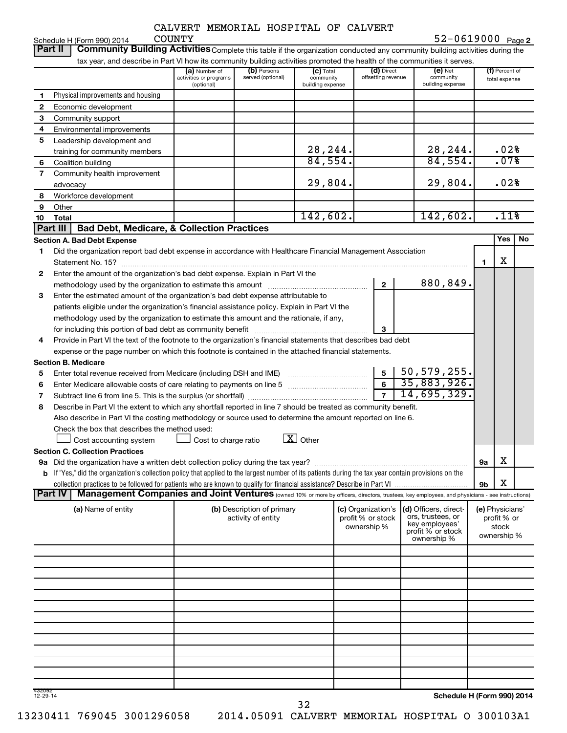Schedule H (Form 990) 2014 COUNTY

**2** COUNTY 52-0619000

**Part II** | Community Building Activities Complete this table if the organization conducted any community building activities during the

|                    | tax year, and describe in Part VI how its community building activities promoted the health of the communities it serves.                                        |                                                       |                                  |                                              |                                  |                                            |           |                                 |    |
|--------------------|------------------------------------------------------------------------------------------------------------------------------------------------------------------|-------------------------------------------------------|----------------------------------|----------------------------------------------|----------------------------------|--------------------------------------------|-----------|---------------------------------|----|
|                    |                                                                                                                                                                  | (a) Number of<br>activities or programs<br>(optional) | (b) Persons<br>served (optional) | $(c)$ Total<br>community<br>building expense | (d) Direct<br>offsetting revenue | $(e)$ Net<br>community<br>building expense |           | (f) Percent of<br>total expense |    |
| 1                  | Physical improvements and housing                                                                                                                                |                                                       |                                  |                                              |                                  |                                            |           |                                 |    |
| 2                  | Economic development                                                                                                                                             |                                                       |                                  |                                              |                                  |                                            |           |                                 |    |
| 3                  | Community support                                                                                                                                                |                                                       |                                  |                                              |                                  |                                            |           |                                 |    |
| 4                  | Environmental improvements                                                                                                                                       |                                                       |                                  |                                              |                                  |                                            |           |                                 |    |
| 5                  | Leadership development and                                                                                                                                       |                                                       |                                  |                                              |                                  |                                            |           |                                 |    |
|                    | training for community members                                                                                                                                   |                                                       |                                  | 28,244.                                      |                                  | 28, 244.                                   |           | .02%                            |    |
| 6                  | Coalition building                                                                                                                                               |                                                       |                                  | 84,554.                                      |                                  | 84,554.                                    |           | .07%                            |    |
| 7                  | Community health improvement                                                                                                                                     |                                                       |                                  |                                              |                                  |                                            |           |                                 |    |
|                    | advocacy                                                                                                                                                         |                                                       |                                  | 29,804.                                      |                                  | 29,804.                                    |           | .02%                            |    |
| 8                  | Workforce development                                                                                                                                            |                                                       |                                  |                                              |                                  |                                            |           |                                 |    |
| 9                  | Other                                                                                                                                                            |                                                       |                                  |                                              |                                  |                                            |           |                                 |    |
| 10                 | Total                                                                                                                                                            |                                                       |                                  | 142,602.                                     |                                  | 142,602.                                   |           | .11%                            |    |
|                    | Part III<br><b>Bad Debt, Medicare, &amp; Collection Practices</b>                                                                                                |                                                       |                                  |                                              |                                  |                                            |           |                                 |    |
|                    | <b>Section A. Bad Debt Expense</b>                                                                                                                               |                                                       |                                  |                                              |                                  |                                            |           | Yes                             | No |
| 1                  | Did the organization report bad debt expense in accordance with Healthcare Financial Management Association                                                      |                                                       |                                  |                                              |                                  |                                            |           |                                 |    |
|                    |                                                                                                                                                                  |                                                       |                                  |                                              |                                  |                                            | 1.        | X                               |    |
| 2                  | Enter the amount of the organization's bad debt expense. Explain in Part VI the                                                                                  |                                                       |                                  |                                              |                                  |                                            |           |                                 |    |
|                    | methodology used by the organization to estimate this amount mathodology used by the organization to estimate this amount                                        |                                                       |                                  |                                              | $\mathbf{2}$                     | 880,849.                                   |           |                                 |    |
| З                  | Enter the estimated amount of the organization's bad debt expense attributable to                                                                                |                                                       |                                  |                                              |                                  |                                            |           |                                 |    |
|                    | patients eligible under the organization's financial assistance policy. Explain in Part VI the                                                                   |                                                       |                                  |                                              |                                  |                                            |           |                                 |    |
|                    | methodology used by the organization to estimate this amount and the rationale, if any,                                                                          |                                                       |                                  |                                              |                                  |                                            |           |                                 |    |
|                    | for including this portion of bad debt as community benefit                                                                                                      |                                                       |                                  |                                              | 3                                |                                            |           |                                 |    |
| 4                  | Provide in Part VI the text of the footnote to the organization's financial statements that describes bad debt                                                   |                                                       |                                  |                                              |                                  |                                            |           |                                 |    |
|                    | expense or the page number on which this footnote is contained in the attached financial statements.                                                             |                                                       |                                  |                                              |                                  |                                            |           |                                 |    |
|                    | <b>Section B. Medicare</b>                                                                                                                                       |                                                       |                                  |                                              |                                  |                                            |           |                                 |    |
| 5                  | Enter total revenue received from Medicare (including DSH and IME)                                                                                               |                                                       |                                  |                                              | $5\phantom{.0}$                  | $50,579,255$ .                             |           |                                 |    |
| 6                  | Enter Medicare allowable costs of care relating to payments on line 5 [111] [11] [11] Enter Medicare allowable costs of care relating to payments on line 5      |                                                       |                                  |                                              | $\overline{6}$                   | 35,883,926.                                |           |                                 |    |
| 7                  |                                                                                                                                                                  |                                                       |                                  |                                              | $\overline{7}$                   | 14,695,329.                                |           |                                 |    |
| 8                  | Describe in Part VI the extent to which any shortfall reported in line 7 should be treated as community benefit.                                                 |                                                       |                                  |                                              |                                  |                                            |           |                                 |    |
|                    | Also describe in Part VI the costing methodology or source used to determine the amount reported on line 6.                                                      |                                                       |                                  |                                              |                                  |                                            |           |                                 |    |
|                    | Check the box that describes the method used:                                                                                                                    |                                                       |                                  |                                              |                                  |                                            |           |                                 |    |
|                    | Cost accounting system                                                                                                                                           | Cost to charge ratio                                  |                                  | $\boxed{\mathbf{X}}$ Other                   |                                  |                                            |           |                                 |    |
|                    | <b>Section C. Collection Practices</b>                                                                                                                           |                                                       |                                  |                                              |                                  |                                            |           |                                 |    |
|                    |                                                                                                                                                                  |                                                       |                                  |                                              |                                  |                                            | <b>9a</b> | х                               |    |
|                    | b If "Yes," did the organization's collection policy that applied to the largest number of its patients during the tax year contain provisions on the            |                                                       |                                  |                                              |                                  |                                            |           |                                 |    |
|                    |                                                                                                                                                                  |                                                       |                                  |                                              |                                  |                                            | 9b        | X                               |    |
|                    | Management Companies and Joint Ventures (owned 10% or more by officers, directors, trustees, key employees, and physicians - see instructions)<br><b>Part IV</b> |                                                       |                                  |                                              |                                  |                                            |           |                                 |    |
|                    | (a) Name of entity                                                                                                                                               |                                                       | (b) Description of primary       |                                              | (c) Organization's               | (d) Officers, direct-                      |           | (e) Physicians'                 |    |
|                    |                                                                                                                                                                  |                                                       | activity of entity               |                                              | profit % or stock                | ors, trustees, or                          |           | profit % or                     |    |
|                    |                                                                                                                                                                  |                                                       |                                  |                                              | ownership %                      | key employees'<br>profit % or stock        |           | stock                           |    |
|                    |                                                                                                                                                                  |                                                       |                                  |                                              |                                  | ownership %                                |           | ownership %                     |    |
|                    |                                                                                                                                                                  |                                                       |                                  |                                              |                                  |                                            |           |                                 |    |
|                    |                                                                                                                                                                  |                                                       |                                  |                                              |                                  |                                            |           |                                 |    |
|                    |                                                                                                                                                                  |                                                       |                                  |                                              |                                  |                                            |           |                                 |    |
|                    |                                                                                                                                                                  |                                                       |                                  |                                              |                                  |                                            |           |                                 |    |
|                    |                                                                                                                                                                  |                                                       |                                  |                                              |                                  |                                            |           |                                 |    |
|                    |                                                                                                                                                                  |                                                       |                                  |                                              |                                  |                                            |           |                                 |    |
|                    |                                                                                                                                                                  |                                                       |                                  |                                              |                                  |                                            |           |                                 |    |
|                    |                                                                                                                                                                  |                                                       |                                  |                                              |                                  |                                            |           |                                 |    |
|                    |                                                                                                                                                                  |                                                       |                                  |                                              |                                  |                                            |           |                                 |    |
|                    |                                                                                                                                                                  |                                                       |                                  |                                              |                                  |                                            |           |                                 |    |
|                    |                                                                                                                                                                  |                                                       |                                  |                                              |                                  |                                            |           |                                 |    |
|                    |                                                                                                                                                                  |                                                       |                                  |                                              |                                  |                                            |           |                                 |    |
|                    |                                                                                                                                                                  |                                                       |                                  |                                              |                                  |                                            |           |                                 |    |
| 432092<br>12-29-14 |                                                                                                                                                                  |                                                       |                                  |                                              |                                  | Schedule H (Form 990) 2014                 |           |                                 |    |

432092 12-29-14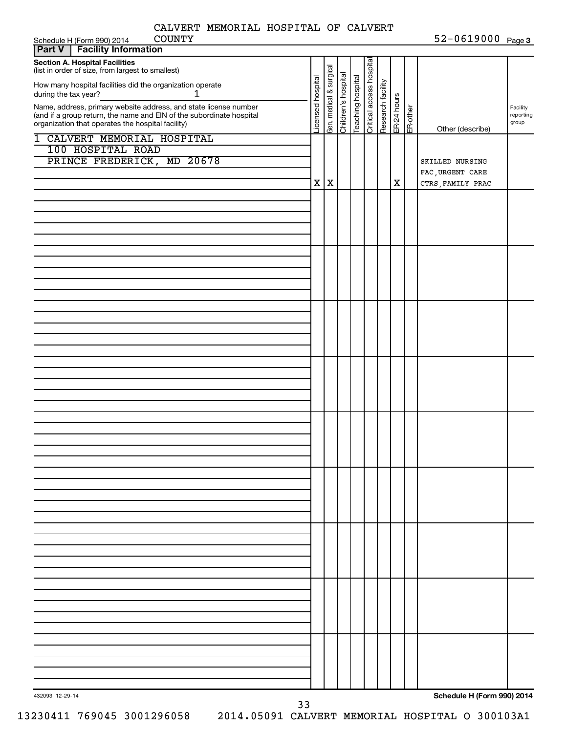$52 - 0619000$ 

| Schedule H (Form 990) 2014<br><b>COUNTY</b><br><b>Facility Information</b><br>Part V       |                   |                         |                     |                   |                                                              |             |          | $52 - 0619000$ Page 3      |           |
|--------------------------------------------------------------------------------------------|-------------------|-------------------------|---------------------|-------------------|--------------------------------------------------------------|-------------|----------|----------------------------|-----------|
|                                                                                            |                   |                         |                     |                   |                                                              |             |          |                            |           |
| <b>Section A. Hospital Facilities</b><br>(list in order of size, from largest to smallest) |                   |                         |                     |                   |                                                              |             |          |                            |           |
|                                                                                            |                   |                         |                     |                   |                                                              |             |          |                            |           |
| How many hospital facilities did the organization operate<br>1<br>during the tax year?     |                   |                         |                     |                   |                                                              |             |          |                            |           |
| Name, address, primary website address, and state license number                           | Licensed hospital | Gen. medical & surgical | Children's hospital | Teaching hospital | Oritical access hospital<br>Research facility<br>ER-24 hours |             |          |                            | Facility  |
| (and if a group return, the name and EIN of the subordinate hospital                       |                   |                         |                     |                   |                                                              |             | ER-other |                            | reporting |
| organization that operates the hospital facility)                                          |                   |                         |                     |                   |                                                              |             |          | Other (describe)           | group     |
| 1 CALVERT MEMORIAL HOSPITAL                                                                |                   |                         |                     |                   |                                                              |             |          |                            |           |
| 100 HOSPITAL ROAD                                                                          |                   |                         |                     |                   |                                                              |             |          |                            |           |
| PRINCE FREDERICK, MD 20678                                                                 |                   |                         |                     |                   |                                                              |             |          | SKILLED NURSING            |           |
|                                                                                            |                   |                         |                     |                   |                                                              |             |          | FAC, URGENT CARE           |           |
|                                                                                            |                   | X X                     |                     |                   |                                                              | $\mathbf X$ |          | CTRS, FAMILY PRAC          |           |
|                                                                                            |                   |                         |                     |                   |                                                              |             |          |                            |           |
|                                                                                            |                   |                         |                     |                   |                                                              |             |          |                            |           |
|                                                                                            |                   |                         |                     |                   |                                                              |             |          |                            |           |
|                                                                                            |                   |                         |                     |                   |                                                              |             |          |                            |           |
|                                                                                            |                   |                         |                     |                   |                                                              |             |          |                            |           |
|                                                                                            |                   |                         |                     |                   |                                                              |             |          |                            |           |
|                                                                                            |                   |                         |                     |                   |                                                              |             |          |                            |           |
|                                                                                            |                   |                         |                     |                   |                                                              |             |          |                            |           |
|                                                                                            |                   |                         |                     |                   |                                                              |             |          |                            |           |
|                                                                                            |                   |                         |                     |                   |                                                              |             |          |                            |           |
|                                                                                            |                   |                         |                     |                   |                                                              |             |          |                            |           |
|                                                                                            |                   |                         |                     |                   |                                                              |             |          |                            |           |
|                                                                                            |                   |                         |                     |                   |                                                              |             |          |                            |           |
|                                                                                            |                   |                         |                     |                   |                                                              |             |          |                            |           |
|                                                                                            |                   |                         |                     |                   |                                                              |             |          |                            |           |
|                                                                                            |                   |                         |                     |                   |                                                              |             |          |                            |           |
|                                                                                            |                   |                         |                     |                   |                                                              |             |          |                            |           |
|                                                                                            |                   |                         |                     |                   |                                                              |             |          |                            |           |
|                                                                                            |                   |                         |                     |                   |                                                              |             |          |                            |           |
|                                                                                            |                   |                         |                     |                   |                                                              |             |          |                            |           |
|                                                                                            |                   |                         |                     |                   |                                                              |             |          |                            |           |
|                                                                                            |                   |                         |                     |                   |                                                              |             |          |                            |           |
|                                                                                            |                   |                         |                     |                   |                                                              |             |          |                            |           |
|                                                                                            |                   |                         |                     |                   |                                                              |             |          |                            |           |
|                                                                                            |                   |                         |                     |                   |                                                              |             |          |                            |           |
|                                                                                            |                   |                         |                     |                   |                                                              |             |          |                            |           |
|                                                                                            |                   |                         |                     |                   |                                                              |             |          |                            |           |
|                                                                                            |                   |                         |                     |                   |                                                              |             |          |                            |           |
|                                                                                            |                   |                         |                     |                   |                                                              |             |          |                            |           |
|                                                                                            |                   |                         |                     |                   |                                                              |             |          |                            |           |
|                                                                                            |                   |                         |                     |                   |                                                              |             |          |                            |           |
|                                                                                            |                   |                         |                     |                   |                                                              |             |          |                            |           |
|                                                                                            |                   |                         |                     |                   |                                                              |             |          |                            |           |
|                                                                                            |                   |                         |                     |                   |                                                              |             |          |                            |           |
|                                                                                            |                   |                         |                     |                   |                                                              |             |          |                            |           |
|                                                                                            |                   |                         |                     |                   |                                                              |             |          |                            |           |
|                                                                                            |                   |                         |                     |                   |                                                              |             |          |                            |           |
|                                                                                            |                   |                         |                     |                   |                                                              |             |          |                            |           |
|                                                                                            |                   |                         |                     |                   |                                                              |             |          |                            |           |
|                                                                                            |                   |                         |                     |                   |                                                              |             |          |                            |           |
|                                                                                            |                   |                         |                     |                   |                                                              |             |          |                            |           |
|                                                                                            |                   |                         |                     |                   |                                                              |             |          |                            |           |
| 432093 12-29-14                                                                            |                   |                         |                     |                   |                                                              |             |          | Schedule H (Form 990) 2014 |           |
| ココ                                                                                         |                   |                         |                     |                   |                                                              |             |          |                            |           |

13230411 769045 3001296058 2014.05091 CALVERT MEMORIAL HOSPITAL O 300103A1

33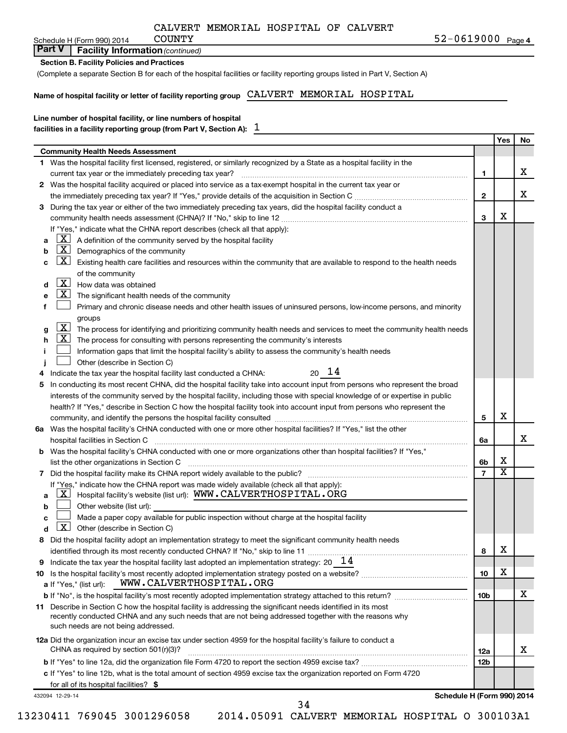| CALVERT MEMORIAL HOSPITAL OF CALVERT |  |  |  |
|--------------------------------------|--|--|--|
|--------------------------------------|--|--|--|

Schedule H (Form 990) 2014 COUNTY

## **Part V** | Facility Information (continued)

(Complete a separate Section B for each of the hospital facilities or facility reporting groups listed in Part V, Section A)

#### **Name of hospital facility or letter of facility reporting group** CALVERT MEMORIAL HOSPITAL

## **Line number of hospital facility, or line numbers of hospital**

| facilities in a facility reporting group (from Part V, Section A): $\;\;\bot\;$ |  |
|---------------------------------------------------------------------------------|--|
|                                                                                 |  |

|                                               |                                                                                                                                             |                 | Yes                     | No |  |  |
|-----------------------------------------------|---------------------------------------------------------------------------------------------------------------------------------------------|-----------------|-------------------------|----|--|--|
|                                               | <b>Community Health Needs Assessment</b>                                                                                                    |                 |                         |    |  |  |
|                                               | 1 Was the hospital facility first licensed, registered, or similarly recognized by a State as a hospital facility in the                    |                 |                         |    |  |  |
|                                               | current tax year or the immediately preceding tax year?                                                                                     | 1               |                         | х  |  |  |
|                                               | 2 Was the hospital facility acquired or placed into service as a tax-exempt hospital in the current tax year or                             |                 |                         |    |  |  |
|                                               |                                                                                                                                             | $\mathbf{2}$    |                         | х  |  |  |
| 3                                             | During the tax year or either of the two immediately preceding tax years, did the hospital facility conduct a                               |                 |                         |    |  |  |
|                                               |                                                                                                                                             | 3               | х                       |    |  |  |
|                                               | If "Yes," indicate what the CHNA report describes (check all that apply):                                                                   |                 |                         |    |  |  |
| a                                             | $\lfloor x \rfloor$<br>A definition of the community served by the hospital facility                                                        |                 |                         |    |  |  |
| b                                             | $\mathbf{X}$<br>Demographics of the community                                                                                               |                 |                         |    |  |  |
| c                                             | $\lfloor x \rfloor$<br>Existing health care facilities and resources within the community that are available to respond to the health needs |                 |                         |    |  |  |
|                                               | of the community                                                                                                                            |                 |                         |    |  |  |
| d                                             | $\lfloor x \rfloor$<br>How data was obtained                                                                                                |                 |                         |    |  |  |
| е                                             | $\lfloor x \rfloor$<br>The significant health needs of the community                                                                        |                 |                         |    |  |  |
|                                               | Primary and chronic disease needs and other health issues of uninsured persons, low-income persons, and minority                            |                 |                         |    |  |  |
|                                               | groups                                                                                                                                      |                 |                         |    |  |  |
| g                                             | $\mathbf{X}$<br>The process for identifying and prioritizing community health needs and services to meet the community health needs         |                 |                         |    |  |  |
| h                                             | $\lfloor x \rfloor$<br>The process for consulting with persons representing the community's interests                                       |                 |                         |    |  |  |
|                                               | Information gaps that limit the hospital facility's ability to assess the community's health needs                                          |                 |                         |    |  |  |
|                                               | Other (describe in Section C)                                                                                                               |                 |                         |    |  |  |
|                                               | $20 \t14$<br>Indicate the tax year the hospital facility last conducted a CHNA:                                                             |                 |                         |    |  |  |
| 5                                             | In conducting its most recent CHNA, did the hospital facility take into account input from persons who represent the broad                  |                 |                         |    |  |  |
|                                               | interests of the community served by the hospital facility, including those with special knowledge of or expertise in public                |                 |                         |    |  |  |
|                                               | health? If "Yes," describe in Section C how the hospital facility took into account input from persons who represent the                    |                 |                         |    |  |  |
|                                               |                                                                                                                                             | 5               | х                       |    |  |  |
|                                               | 6a Was the hospital facility's CHNA conducted with one or more other hospital facilities? If "Yes," list the other                          |                 |                         |    |  |  |
|                                               |                                                                                                                                             | 6a              |                         | х  |  |  |
| b                                             | Was the hospital facility's CHNA conducted with one or more organizations other than hospital facilities? If "Yes,"                         |                 |                         |    |  |  |
|                                               | list the other organizations in Section C                                                                                                   | 6b              | х                       |    |  |  |
| 7                                             |                                                                                                                                             | $\overline{7}$  | $\overline{\mathtt{x}}$ |    |  |  |
|                                               | If "Yes," indicate how the CHNA report was made widely available (check all that apply):                                                    |                 |                         |    |  |  |
| a                                             | $\lfloor \mathbf{X} \rfloor$ Hospital facility's website (list url): $\texttt{WWW.CALVERTHOSPITAL\texttt{-}ORG}$                            |                 |                         |    |  |  |
| b                                             | Other website (list url):                                                                                                                   |                 |                         |    |  |  |
| с                                             | Made a paper copy available for public inspection without charge at the hospital facility                                                   |                 |                         |    |  |  |
|                                               | $X$ Other (describe in Section C)                                                                                                           |                 |                         |    |  |  |
|                                               | Did the hospital facility adopt an implementation strategy to meet the significant community health needs                                   |                 |                         |    |  |  |
|                                               |                                                                                                                                             | 8               | Χ                       |    |  |  |
| 9                                             | Indicate the tax year the hospital facility last adopted an implementation strategy: 20 $14$                                                |                 |                         |    |  |  |
|                                               |                                                                                                                                             | 10              | х                       |    |  |  |
|                                               | WWW.CALVERTHOSPITAL.ORG<br>a If "Yes," (list url):                                                                                          |                 |                         |    |  |  |
|                                               |                                                                                                                                             | 10 <sub>b</sub> |                         | х  |  |  |
|                                               | 11 Describe in Section C how the hospital facility is addressing the significant needs identified in its most                               |                 |                         |    |  |  |
|                                               | recently conducted CHNA and any such needs that are not being addressed together with the reasons why                                       |                 |                         |    |  |  |
|                                               | such needs are not being addressed.                                                                                                         |                 |                         |    |  |  |
|                                               | 12a Did the organization incur an excise tax under section 4959 for the hospital facility's failure to conduct a                            |                 |                         |    |  |  |
|                                               | CHNA as required by section $501(r)(3)$ ?                                                                                                   | 12a             |                         | х  |  |  |
|                                               |                                                                                                                                             | 12 <sub>b</sub> |                         |    |  |  |
|                                               | c If "Yes" to line 12b, what is the total amount of section 4959 excise tax the organization reported on Form 4720                          |                 |                         |    |  |  |
|                                               | for all of its hospital facilities? \$                                                                                                      |                 |                         |    |  |  |
| Schedule H (Form 990) 2014<br>432094 12-29-14 |                                                                                                                                             |                 |                         |    |  |  |

34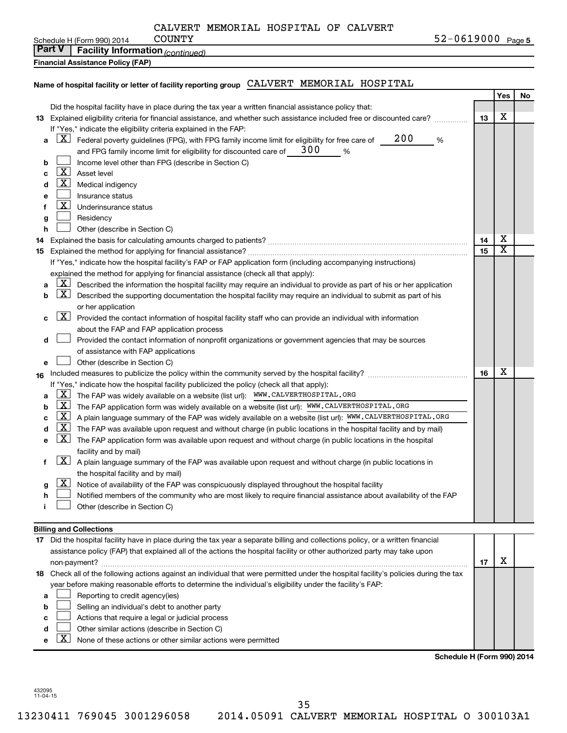| CALVERT MEMORIAL HOSPITAL OF CALVERT |
|--------------------------------------|
|--------------------------------------|

Schedule H (Form 990) 2014 COUNTY

**5** COUNTY 52-0619000

| <b>Part V</b> Facility Information (continued) |  |
|------------------------------------------------|--|
|                                                |  |

**Financial Assistance Policy (FAP)**

### **Name of hospital facility or letter of facility reporting group** CALVERT MEMORIAL HOSPITAL

|    |                              |                                                                                                                                       |    | Yes | No |
|----|------------------------------|---------------------------------------------------------------------------------------------------------------------------------------|----|-----|----|
|    |                              | Did the hospital facility have in place during the tax year a written financial assistance policy that:                               |    |     |    |
|    |                              | 13 Explained eligibility criteria for financial assistance, and whether such assistance included free or discounted care?             | 13 | х   |    |
|    |                              | If "Yes," indicate the eligibility criteria explained in the FAP:                                                                     |    |     |    |
| а  | <u>x  </u>                   | 200<br>Federal poverty guidelines (FPG), with FPG family income limit for eligibility for free care of<br>%                           |    |     |    |
|    |                              | 300<br>and FPG family income limit for eligibility for discounted care of<br>%                                                        |    |     |    |
| b  |                              | Income level other than FPG (describe in Section C)                                                                                   |    |     |    |
| c  | $\lfloor x \rfloor$          | Asset level                                                                                                                           |    |     |    |
| d  | <u>x</u>                     | Medical indigency                                                                                                                     |    |     |    |
| е  |                              | Insurance status                                                                                                                      |    |     |    |
| f  | <u>x</u>                     | Underinsurance status                                                                                                                 |    |     |    |
| g  |                              | Residency                                                                                                                             |    |     |    |
| h  |                              | Other (describe in Section C)                                                                                                         |    |     |    |
| 14 |                              |                                                                                                                                       | 14 | х   |    |
| 15 |                              |                                                                                                                                       | 15 | X   |    |
|    |                              | If "Yes," indicate how the hospital facility's FAP or FAP application form (including accompanying instructions)                      |    |     |    |
|    |                              | explained the method for applying for financial assistance (check all that apply):                                                    |    |     |    |
|    | <u>x</u>                     | Described the information the hospital facility may require an individual to provide as part of his or her application                |    |     |    |
| b  | $\lfloor \texttt{X} \rfloor$ | Described the supporting documentation the hospital facility may require an individual to submit as part of his                       |    |     |    |
|    |                              | or her application                                                                                                                    |    |     |    |
| с  | $\lfloor x \rfloor$          | Provided the contact information of hospital facility staff who can provide an individual with information                            |    |     |    |
|    |                              | about the FAP and FAP application process                                                                                             |    |     |    |
| d  |                              | Provided the contact information of nonprofit organizations or government agencies that may be sources                                |    |     |    |
|    |                              | of assistance with FAP applications                                                                                                   |    |     |    |
| е  |                              | Other (describe in Section C)                                                                                                         |    |     |    |
| 16 |                              |                                                                                                                                       | 16 | х   |    |
|    |                              | If "Yes," indicate how the hospital facility publicized the policy (check all that apply):                                            |    |     |    |
| а  | <u>x</u>                     | The FAP was widely available on a website (list url): WWW.CALVERTHOSPITAL.ORG                                                         |    |     |    |
| b  | <u>  X </u>                  | The FAP application form was widely available on a website (list url): WWW.CALVERTHOSPITAL.ORG                                        |    |     |    |
| с  | <u>  X</u>                   | A plain language summary of the FAP was widely available on a website (list url): WWW.CALVERTHOSPITAL.ORG                             |    |     |    |
| d  | $\mathbf{X}$                 | The FAP was available upon request and without charge (in public locations in the hospital facility and by mail)                      |    |     |    |
| е  | $\lfloor x \rfloor$          | The FAP application form was available upon request and without charge (in public locations in the hospital                           |    |     |    |
|    |                              | facility and by mail)                                                                                                                 |    |     |    |
| f  | $\lfloor \texttt{X} \rfloor$ | A plain language summary of the FAP was available upon request and without charge (in public locations in                             |    |     |    |
|    |                              | the hospital facility and by mail)                                                                                                    |    |     |    |
| g  | <u>x</u>                     | Notice of availability of the FAP was conspicuously displayed throughout the hospital facility                                        |    |     |    |
| h  |                              | Notified members of the community who are most likely to require financial assistance about availability of the FAP                   |    |     |    |
|    |                              | Other (describe in Section C)                                                                                                         |    |     |    |
|    |                              |                                                                                                                                       |    |     |    |
|    |                              | <b>Billing and Collections</b>                                                                                                        |    |     |    |
|    |                              | 17 Did the hospital facility have in place during the tax year a separate billing and collections policy, or a written financial      |    |     |    |
|    |                              | assistance policy (FAP) that explained all of the actions the hospital facility or other authorized party may take upon               |    |     |    |
|    |                              |                                                                                                                                       | 17 | X   |    |
|    |                              | 18 Check all of the following actions against an individual that were permitted under the hospital facility's policies during the tax |    |     |    |
|    |                              | year before making reasonable efforts to determine the individual's eligibility under the facility's FAP:                             |    |     |    |
| а  |                              | Reporting to credit agency(ies)                                                                                                       |    |     |    |
| b  |                              | Selling an individual's debt to another party                                                                                         |    |     |    |
|    |                              |                                                                                                                                       |    |     |    |

- **c**  $\perp$  Actions that require a legal or judicial process  $\perp$
- **d** Other similar actions (describe in Section C)
- **e**  $\boxed{\textbf{X}}$  None of these actions or other similar actions were permitted

**Schedule H (Form 990) 2014**

432095 11-04-15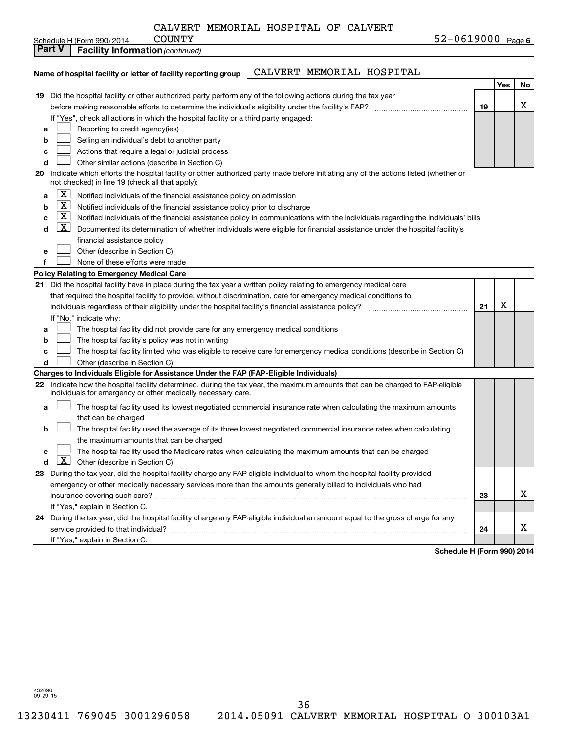| CALVERT MEMORIAL HOSPITAL OF CALVERT |  |  |  |  |
|--------------------------------------|--|--|--|--|
|--------------------------------------|--|--|--|--|

Schedule H (Form 990) 2014  $\qquad$  COUNTY

#### **Name of hospital facility or letter of facility reporting group** CALVERT MEMORIAL HOSPITAL **Yes No 19** Did the hospital facility or other authorized party perform any of the following actions during the tax year **19 a b c d 20 a b c d e f Policy Relating to Emergency Medical Care 21 21 a b c d Charges to Individuals Eligible for Assistance Under the FAP (FAP-Eligible Individuals) 22 a b c d 23** During the tax year, did the hospital facility charge any FAP-eligible individual to whom the hospital facility provided **24** During the tax year, did the hospital facility charge any FAP-eligible individual an amount equal to the gross charge for any **23 24 Part V** | Facility Information (continued) before making reasonable efforts to determine the individual's eligibility under the facility's FAP? ~~~~~~~~~~~~~~ If "Yes", check all actions in which the hospital facility or a third party engaged: Reporting to credit agency(ies) Selling an individual's debt to another party Actions that require a legal or judicial process Other similar actions (describe in Section C) Indicate which efforts the hospital facility or other authorized party made before initiating any of the actions listed (whether or not checked) in line 19 (check all that apply): Notified individuals of the financial assistance policy on admission Notified individuals of the financial assistance policy prior to discharge Notified individuals of the financial assistance policy in communications with the individuals regarding the individuals' bills  $\boxed{\text{X}}$  Documented its determination of whether individuals were eligible for financial assistance under the hospital facility's financial assistance policy Other (describe in Section C) None of these efforts were made Did the hospital facility have in place during the tax year a written policy relating to emergency medical care that required the hospital facility to provide, without discrimination, care for emergency medical conditions to individuals regardless of their eligibility under the hospital facility's financial assistance policy? If "No," indicate why: The hospital facility did not provide care for any emergency medical conditions The hospital facility's policy was not in writing The hospital facility limited who was eligible to receive care for emergency medical conditions (describe in Section C) Other (describe in Section C) Indicate how the hospital facility determined, during the tax year, the maximum amounts that can be charged to FAP-eligible individuals for emergency or other medically necessary care. The hospital facility used its lowest negotiated commercial insurance rate when calculating the maximum amounts that can be charged The hospital facility used the average of its three lowest negotiated commercial insurance rates when calculating the maximum amounts that can be charged The hospital facility used the Medicare rates when calculating the maximum amounts that can be charged  $\boxed{\textbf{X}}$  Other (describe in Section C) emergency or other medically necessary services more than the amounts generally billed to individuals who had insurance covering such care? ~~~~~~~~~~~~~~~~~~~~~~~~~~~~~~~~~~~~~~~~~~~~~~~ If "Yes," explain in Section C. service provided to that individual? ~~~~~~~~~~~~~~~~~~~~~~~~~~~~~~~~~~~~~~~~~~~~~ If "Yes," explain in Section C.  $\Box$  $\Box$  $\Box$  $\Box$  $\boxed{\text{X}}$  $\boxed{\text{X}}$  $\boxed{\text{X}}$  $\Box$  $\Box$  $\Box$  $\Box$  $\Box$  $\Box$  $\Box$  $\Box$  $\Box$ X X X X

**Schedule H (Form 990) 2014**

432096  $09-29-15$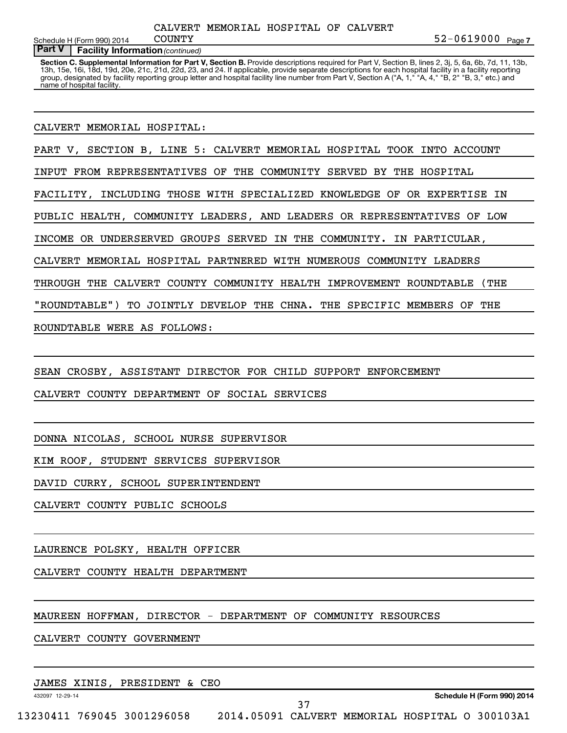**7** COUNTY 52-0619000

#### **Part V** | Facility Information (continued) Schedule H (Form 990) 2014 COUNTY

Section C. Supplemental Information for Part V, Section B. Provide descriptions required for Part V, Section B, lines 2, 3j, 5, 6a, 6b, 7d, 11, 13b, 13h, 15e, 16i, 18d, 19d, 20e, 21c, 21d, 22d, 23, and 24. If applicable, provide separate descriptions for each hospital facility in a facility reporting group, designated by facility reporting group letter and hospital facility line number from Part V, Section A ("A, 1," "A, 4," "B, 2" "B, 3," etc.) and name of hospital facility.

CALVERT MEMORIAL HOSPITAL:

PART V, SECTION B, LINE 5: CALVERT MEMORIAL HOSPITAL TOOK INTO ACCOUNT

INPUT FROM REPRESENTATIVES OF THE COMMUNITY SERVED BY THE HOSPITAL

FACILITY, INCLUDING THOSE WITH SPECIALIZED KNOWLEDGE OF OR EXPERTISE IN

PUBLIC HEALTH, COMMUNITY LEADERS, AND LEADERS OR REPRESENTATIVES OF LOW

INCOME OR UNDERSERVED GROUPS SERVED IN THE COMMUNITY. IN PARTICULAR,

CALVERT MEMORIAL HOSPITAL PARTNERED WITH NUMEROUS COMMUNITY LEADERS

THROUGH THE CALVERT COUNTY COMMUNITY HEALTH IMPROVEMENT ROUNDTABLE (THE

"ROUNDTABLE") TO JOINTLY DEVELOP THE CHNA. THE SPECIFIC MEMBERS OF THE

ROUNDTABLE WERE AS FOLLOWS:

SEAN CROSBY, ASSISTANT DIRECTOR FOR CHILD SUPPORT ENFORCEMENT

CALVERT COUNTY DEPARTMENT OF SOCIAL SERVICES

DONNA NICOLAS, SCHOOL NURSE SUPERVISOR

KIM ROOF, STUDENT SERVICES SUPERVISOR

DAVID CURRY, SCHOOL SUPERINTENDENT

CALVERT COUNTY PUBLIC SCHOOLS

LAURENCE POLSKY, HEALTH OFFICER

CALVERT COUNTY HEALTH DEPARTMENT

MAUREEN HOFFMAN, DIRECTOR - DEPARTMENT OF COMMUNITY RESOURCES

CALVERT COUNTY GOVERNMENT

JAMES XINIS, PRESIDENT & CEO

432097 12-29-14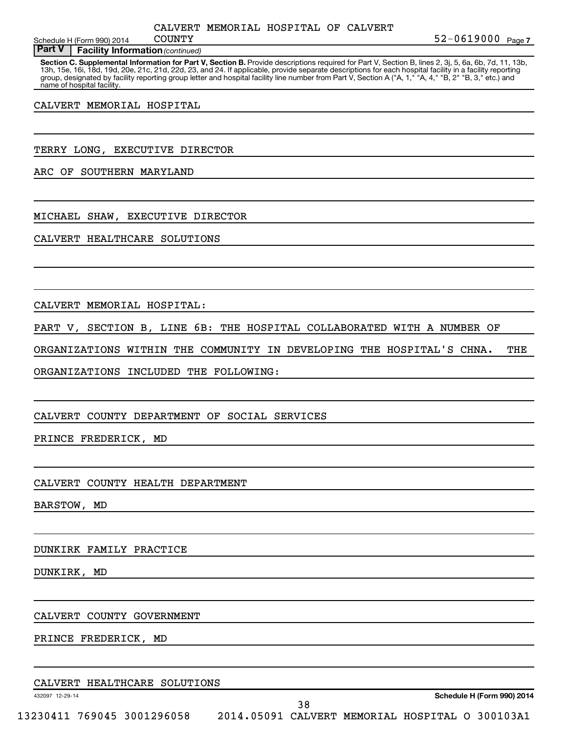Schedule H (Form 990) 2014  $\sim$  COUNTY

**Part V** | Facility Information (continued)

Section C. Supplemental Information for Part V, Section B. Provide descriptions required for Part V, Section B, lines 2, 3j, 5, 6a, 6b, 7d, 11, 13b, 13h, 15e, 16i, 18d, 19d, 20e, 21c, 21d, 22d, 23, and 24. If applicable, provide separate descriptions for each hospital facility in a facility reporting group, designated by facility reporting group letter and hospital facility line number from Part V, Section A ("A, 1," "A, 4," "B, 2" "B, 3," etc.) and name of hospital facility.

CALVERT MEMORIAL HOSPITAL

TERRY LONG, EXECUTIVE DIRECTOR

ARC OF SOUTHERN MARYLAND

MICHAEL SHAW, EXECUTIVE DIRECTOR

CALVERT HEALTHCARE SOLUTIONS

CALVERT MEMORIAL HOSPITAL:

PART V, SECTION B, LINE 6B: THE HOSPITAL COLLABORATED WITH A NUMBER OF

ORGANIZATIONS WITHIN THE COMMUNITY IN DEVELOPING THE HOSPITAL'S CHNA. THE

ORGANIZATIONS INCLUDED THE FOLLOWING:

CALVERT COUNTY DEPARTMENT OF SOCIAL SERVICES

PRINCE FREDERICK, MD

CALVERT COUNTY HEALTH DEPARTMENT

BARSTOW, MD

DUNKIRK FAMILY PRACTICE

DUNKIRK, MD

CALVERT COUNTY GOVERNMENT

PRINCE FREDERICK, MD

| CALVERT HEALTHCARE SOLUTIONS |  |
|------------------------------|--|
|------------------------------|--|

432097 12-29-14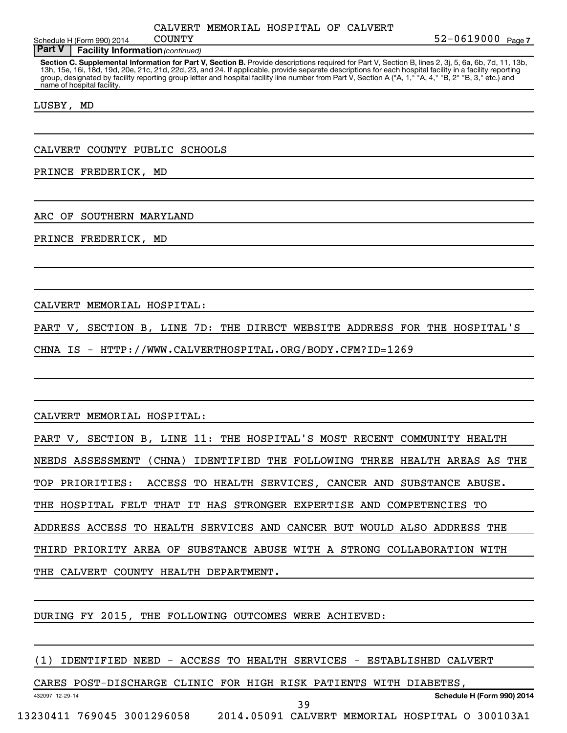Schedule H (Form 990) 2014  $\sim$  COUNTY

**Part V** | Facility Information (continued)

Section C. Supplemental Information for Part V, Section B. Provide descriptions required for Part V, Section B, lines 2, 3j, 5, 6a, 6b, 7d, 11, 13b, 13h, 15e, 16i, 18d, 19d, 20e, 21c, 21d, 22d, 23, and 24. If applicable, provide separate descriptions for each hospital facility in a facility reporting group, designated by facility reporting group letter and hospital facility line number from Part V, Section A ("A, 1," "A, 4," "B, 2" "B, 3," etc.) and name of hospital facility.

LUSBY, MD

CALVERT COUNTY PUBLIC SCHOOLS

PRINCE FREDERICK, MD

ARC OF SOUTHERN MARYLAND

PRINCE FREDERICK, MD

CALVERT MEMORIAL HOSPITAL:

PART V, SECTION B, LINE 7D: THE DIRECT WEBSITE ADDRESS FOR THE HOSPITAL'S

CHNA IS - HTTP://WWW.CALVERTHOSPITAL.ORG/BODY.CFM?ID=1269

CALVERT MEMORIAL HOSPITAL:

432097 12-29-14

PART V, SECTION B, LINE 11: THE HOSPITAL'S MOST RECENT COMMUNITY HEALTH NEEDS ASSESSMENT (CHNA) IDENTIFIED THE FOLLOWING THREE HEALTH AREAS AS THE TOP PRIORITIES: ACCESS TO HEALTH SERVICES, CANCER AND SUBSTANCE ABUSE. THE HOSPITAL FELT THAT IT HAS STRONGER EXPERTISE AND COMPETENCIES TO ADDRESS ACCESS TO HEALTH SERVICES AND CANCER BUT WOULD ALSO ADDRESS THE THIRD PRIORITY AREA OF SUBSTANCE ABUSE WITH A STRONG COLLABORATION WITH THE CALVERT COUNTY HEALTH DEPARTMENT.

DURING FY 2015, THE FOLLOWING OUTCOMES WERE ACHIEVED:

(1) IDENTIFIED NEED - ACCESS TO HEALTH SERVICES - ESTABLISHED CALVERT

CARES POST-DISCHARGE CLINIC FOR HIGH RISK PATIENTS WITH DIABETES,

39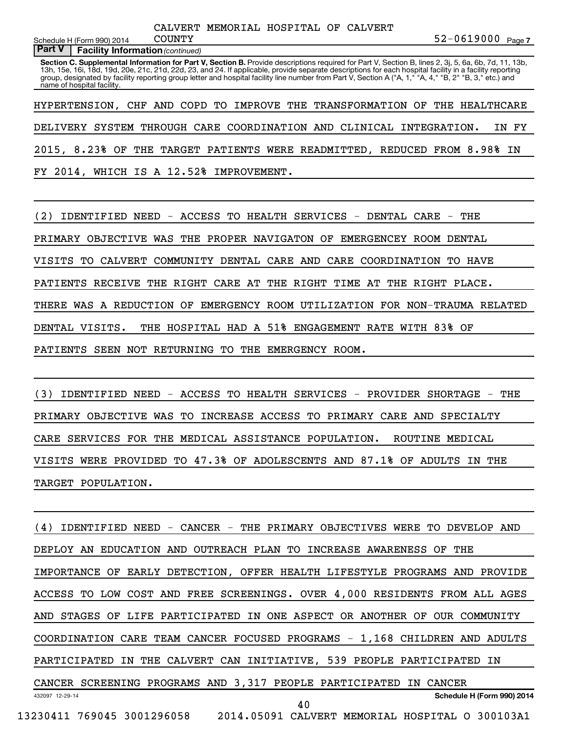**Part V** | Facility Information (continued) Schedule H (Form 990) 2014 COUNTY

Section C. Supplemental Information for Part V, Section B. Provide descriptions required for Part V, Section B, lines 2, 3j, 5, 6a, 6b, 7d, 11, 13b, 13h, 15e, 16i, 18d, 19d, 20e, 21c, 21d, 22d, 23, and 24. If applicable, provide separate descriptions for each hospital facility in a facility reporting group, designated by facility reporting group letter and hospital facility line number from Part V, Section A ("A, 1," "A, 4," "B, 2" "B, 3," etc.) and name of hospital facility.

HYPERTENSION, CHF AND COPD TO IMPROVE THE TRANSFORMATION OF THE HEALTHCARE DELIVERY SYSTEM THROUGH CARE COORDINATION AND CLINICAL INTEGRATION. IN FY 2015, 8.23% OF THE TARGET PATIENTS WERE READMITTED, REDUCED FROM 8.98% IN FY 2014, WHICH IS A 12.52% IMPROVEMENT.

(2) IDENTIFIED NEED - ACCESS TO HEALTH SERVICES - DENTAL CARE - THE PRIMARY OBJECTIVE WAS THE PROPER NAVIGATON OF EMERGENCEY ROOM DENTAL VISITS TO CALVERT COMMUNITY DENTAL CARE AND CARE COORDINATION TO HAVE PATIENTS RECEIVE THE RIGHT CARE AT THE RIGHT TIME AT THE RIGHT PLACE. THERE WAS A REDUCTION OF EMERGENCY ROOM UTILIZATION FOR NON-TRAUMA RELATED DENTAL VISITS. THE HOSPITAL HAD A 51% ENGAGEMENT RATE WITH 83% OF PATIENTS SEEN NOT RETURNING TO THE EMERGENCY ROOM.

(3) IDENTIFIED NEED - ACCESS TO HEALTH SERVICES - PROVIDER SHORTAGE - THE PRIMARY OBJECTIVE WAS TO INCREASE ACCESS TO PRIMARY CARE AND SPECIALTY CARE SERVICES FOR THE MEDICAL ASSISTANCE POPULATION. ROUTINE MEDICAL VISITS WERE PROVIDED TO 47.3% OF ADOLESCENTS AND 87.1% OF ADULTS IN THE TARGET POPULATION.

432097 12-29-14 **Schedule H (Form 990) 2014** (4) IDENTIFIED NEED - CANCER - THE PRIMARY OBJECTIVES WERE TO DEVELOP AND DEPLOY AN EDUCATION AND OUTREACH PLAN TO INCREASE AWARENESS OF THE IMPORTANCE OF EARLY DETECTION, OFFER HEALTH LIFESTYLE PROGRAMS AND PROVIDE ACCESS TO LOW COST AND FREE SCREENINGS. OVER 4,000 RESIDENTS FROM ALL AGES AND STAGES OF LIFE PARTICIPATED IN ONE ASPECT OR ANOTHER OF OUR COMMUNITY COORDINATION CARE TEAM CANCER FOCUSED PROGRAMS - 1,168 CHILDREN AND ADULTS PARTICIPATED IN THE CALVERT CAN INITIATIVE, 539 PEOPLE PARTICIPATED IN CANCER SCREENING PROGRAMS AND 3,317 PEOPLE PARTICIPATED IN CANCER 13230411 769045 3001296058 2014.05091 CALVERT MEMORIAL HOSPITAL O 300103A1 40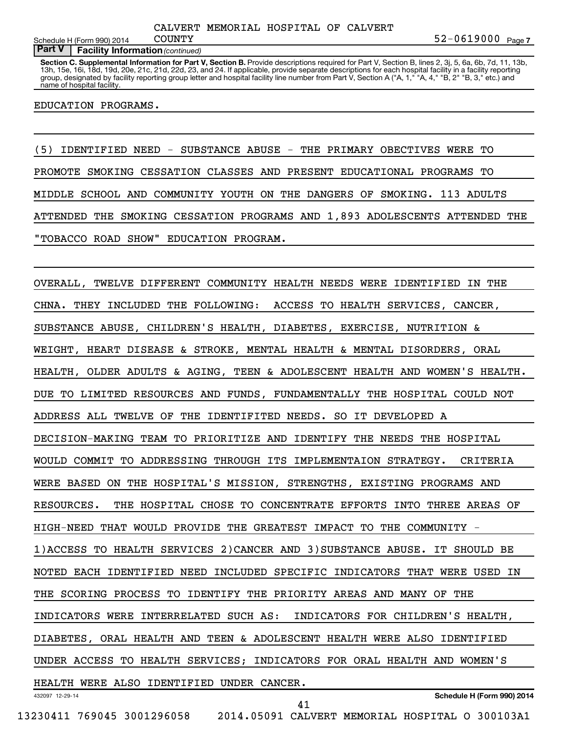#### **Part V** | Facility Information (continued)

Section C. Supplemental Information for Part V, Section B. Provide descriptions required for Part V, Section B, lines 2, 3j, 5, 6a, 6b, 7d, 11, 13b, 13h, 15e, 16i, 18d, 19d, 20e, 21c, 21d, 22d, 23, and 24. If applicable, provide separate descriptions for each hospital facility in a facility reporting group, designated by facility reporting group letter and hospital facility line number from Part V, Section A ("A, 1," "A, 4," "B, 2" "B, 3," etc.) and name of hospital facility.

#### EDUCATION PROGRAMS.

(5) IDENTIFIED NEED - SUBSTANCE ABUSE - THE PRIMARY OBECTIVES WERE TO PROMOTE SMOKING CESSATION CLASSES AND PRESENT EDUCATIONAL PROGRAMS TO MIDDLE SCHOOL AND COMMUNITY YOUTH ON THE DANGERS OF SMOKING. 113 ADULTS ATTENDED THE SMOKING CESSATION PROGRAMS AND 1,893 ADOLESCENTS ATTENDED THE "TOBACCO ROAD SHOW" EDUCATION PROGRAM.

432097 12-29-14 **Schedule H (Form 990) 2014** OVERALL, TWELVE DIFFERENT COMMUNITY HEALTH NEEDS WERE IDENTIFIED IN THE CHNA. THEY INCLUDED THE FOLLOWING: ACCESS TO HEALTH SERVICES, CANCER, SUBSTANCE ABUSE, CHILDREN'S HEALTH, DIABETES, EXERCISE, NUTRITION & WEIGHT, HEART DISEASE & STROKE, MENTAL HEALTH & MENTAL DISORDERS, ORAL HEALTH, OLDER ADULTS & AGING, TEEN & ADOLESCENT HEALTH AND WOMEN'S HEALTH. DUE TO LIMITED RESOURCES AND FUNDS, FUNDAMENTALLY THE HOSPITAL COULD NOT ADDRESS ALL TWELVE OF THE IDENTIFITED NEEDS. SO IT DEVELOPED A DECISION-MAKING TEAM TO PRIORITIZE AND IDENTIFY THE NEEDS THE HOSPITAL WOULD COMMIT TO ADDRESSING THROUGH ITS IMPLEMENTAION STRATEGY. CRITERIA WERE BASED ON THE HOSPITAL'S MISSION, STRENGTHS, EXISTING PROGRAMS AND RESOURCES. THE HOSPITAL CHOSE TO CONCENTRATE EFFORTS INTO THREE AREAS OF HIGH-NEED THAT WOULD PROVIDE THE GREATEST IMPACT TO THE COMMUNITY 1)ACCESS TO HEALTH SERVICES 2)CANCER AND 3)SUBSTANCE ABUSE. IT SHOULD BE NOTED EACH IDENTIFIED NEED INCLUDED SPECIFIC INDICATORS THAT WERE USED IN THE SCORING PROCESS TO IDENTIFY THE PRIORITY AREAS AND MANY OF THE INDICATORS WERE INTERRELATED SUCH AS: INDICATORS FOR CHILDREN'S HEALTH, DIABETES, ORAL HEALTH AND TEEN & ADOLESCENT HEALTH WERE ALSO IDENTIFIED UNDER ACCESS TO HEALTH SERVICES; INDICATORS FOR ORAL HEALTH AND WOMEN'S HEALTH WERE ALSO IDENTIFIED UNDER CANCER. 41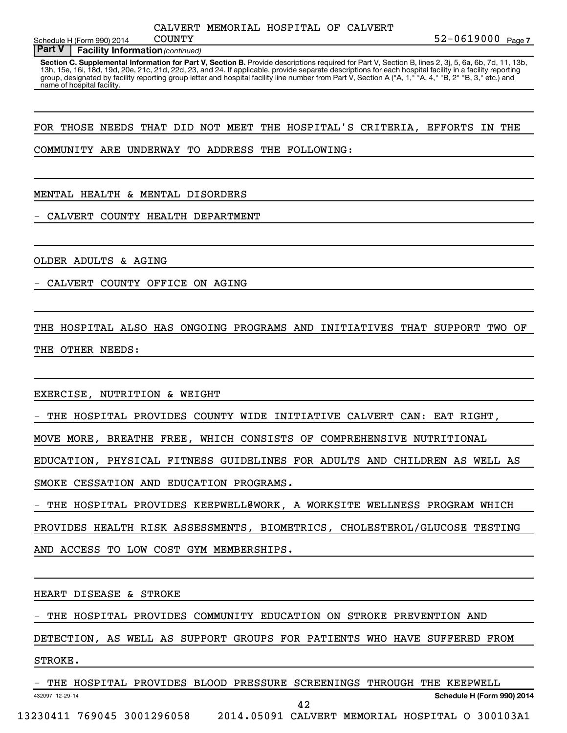Schedule H (Form 990) 2014  $\sim$  COUNTY

#### **Part V** | Facility Information (continued)

Section C. Supplemental Information for Part V, Section B. Provide descriptions required for Part V, Section B, lines 2, 3j, 5, 6a, 6b, 7d, 11, 13b, 13h, 15e, 16i, 18d, 19d, 20e, 21c, 21d, 22d, 23, and 24. If applicable, provide separate descriptions for each hospital facility in a facility reporting group, designated by facility reporting group letter and hospital facility line number from Part V, Section A ("A, 1," "A, 4," "B, 2" "B, 3," etc.) and name of hospital facility.

#### FOR THOSE NEEDS THAT DID NOT MEET THE HOSPITAL'S CRITERIA, EFFORTS IN THE

#### COMMUNITY ARE UNDERWAY TO ADDRESS THE FOLLOWING:

#### MENTAL HEALTH & MENTAL DISORDERS

CALVERT COUNTY HEALTH DEPARTMENT

OLDER ADULTS & AGING

CALVERT COUNTY OFFICE ON AGING

THE HOSPITAL ALSO HAS ONGOING PROGRAMS AND INITIATIVES THAT SUPPORT TWO OF THE OTHER NEEDS:

EXERCISE, NUTRITION & WEIGHT

THE HOSPITAL PROVIDES COUNTY WIDE INITIATIVE CALVERT CAN: EAT RIGHT,

MOVE MORE, BREATHE FREE, WHICH CONSISTS OF COMPREHENSIVE NUTRITIONAL

EDUCATION, PHYSICAL FITNESS GUIDELINES FOR ADULTS AND CHILDREN AS WELL AS SMOKE CESSATION AND EDUCATION PROGRAMS.

- THE HOSPITAL PROVIDES KEEPWELL@WORK, A WORKSITE WELLNESS PROGRAM WHICH PROVIDES HEALTH RISK ASSESSMENTS, BIOMETRICS, CHOLESTEROL/GLUCOSE TESTING

AND ACCESS TO LOW COST GYM MEMBERSHIPS.

HEART DISEASE & STROKE

THE HOSPITAL PROVIDES COMMUNITY EDUCATION ON STROKE PREVENTION AND

DETECTION, AS WELL AS SUPPORT GROUPS FOR PATIENTS WHO HAVE SUFFERED FROM

STROKE.

432097 12-29-14 **Schedule H (Form 990) 2014** THE HOSPITAL PROVIDES BLOOD PRESSURE SCREENINGS THROUGH THE KEEPWELL 13230411 769045 3001296058 2014.05091 CALVERT MEMORIAL HOSPITAL O 300103A1 42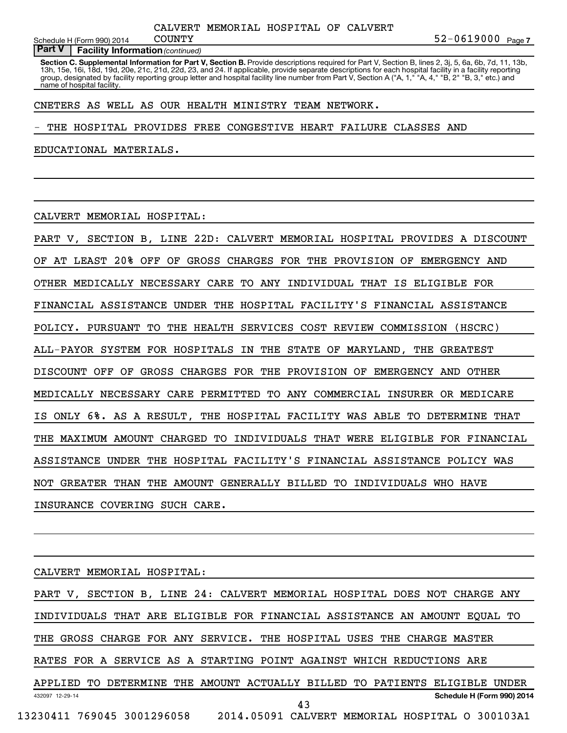Schedule H (Form 990) 2014  $\sim$  COUNTY

#### **Part V** | Facility Information (continued)

Section C. Supplemental Information for Part V, Section B. Provide descriptions required for Part V, Section B, lines 2, 3j, 5, 6a, 6b, 7d, 11, 13b, 13h, 15e, 16i, 18d, 19d, 20e, 21c, 21d, 22d, 23, and 24. If applicable, provide separate descriptions for each hospital facility in a facility reporting group, designated by facility reporting group letter and hospital facility line number from Part V, Section A ("A, 1," "A, 4," "B, 2" "B, 3," etc.) and name of hospital facility.

#### CNETERS AS WELL AS OUR HEALTH MINISTRY TEAM NETWORK.

THE HOSPITAL PROVIDES FREE CONGESTIVE HEART FAILURE CLASSES AND

EDUCATIONAL MATERIALS.

CALVERT MEMORIAL HOSPITAL:

PART V, SECTION B, LINE 22D: CALVERT MEMORIAL HOSPITAL PROVIDES A DISCOUNT OF AT LEAST 20% OFF OF GROSS CHARGES FOR THE PROVISION OF EMERGENCY AND OTHER MEDICALLY NECESSARY CARE TO ANY INDIVIDUAL THAT IS ELIGIBLE FOR FINANCIAL ASSISTANCE UNDER THE HOSPITAL FACILITY'S FINANCIAL ASSISTANCE POLICY. PURSUANT TO THE HEALTH SERVICES COST REVIEW COMMISSION (HSCRC) ALL-PAYOR SYSTEM FOR HOSPITALS IN THE STATE OF MARYLAND, THE GREATEST DISCOUNT OFF OF GROSS CHARGES FOR THE PROVISION OF EMERGENCY AND OTHER MEDICALLY NECESSARY CARE PERMITTED TO ANY COMMERCIAL INSURER OR MEDICARE IS ONLY 6%. AS A RESULT, THE HOSPITAL FACILITY WAS ABLE TO DETERMINE THAT THE MAXIMUM AMOUNT CHARGED TO INDIVIDUALS THAT WERE ELIGIBLE FOR FINANCIAL ASSISTANCE UNDER THE HOSPITAL FACILITY'S FINANCIAL ASSISTANCE POLICY WAS NOT GREATER THAN THE AMOUNT GENERALLY BILLED TO INDIVIDUALS WHO HAVE INSURANCE COVERING SUCH CARE.

CALVERT MEMORIAL HOSPITAL:

432097 12-29-14 **Schedule H (Form 990) 2014** PART V, SECTION B, LINE 24: CALVERT MEMORIAL HOSPITAL DOES NOT CHARGE ANY INDIVIDUALS THAT ARE ELIGIBLE FOR FINANCIAL ASSISTANCE AN AMOUNT EQUAL TO THE GROSS CHARGE FOR ANY SERVICE. THE HOSPITAL USES THE CHARGE MASTER RATES FOR A SERVICE AS A STARTING POINT AGAINST WHICH REDUCTIONS ARE APPLIED TO DETERMINE THE AMOUNT ACTUALLY BILLED TO PATIENTS ELIGIBLE UNDER 13230411 769045 3001296058 2014.05091 CALVERT MEMORIAL HOSPITAL O 300103A1 43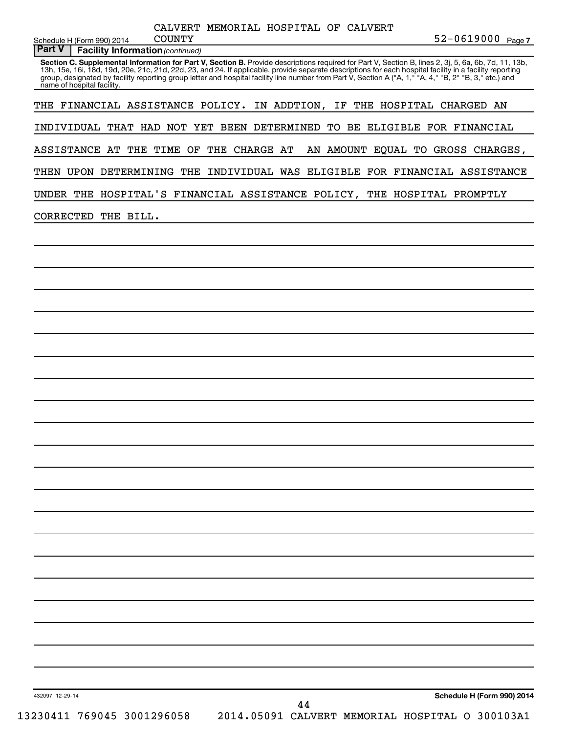Schedule H (Form 990) 2014 COUNTY

**Part V** | Facility Information (continued)

Section C. Supplemental Information for Part V, Section B. Provide descriptions required for Part V, Section B, lines 2, 3j, 5, 6a, 6b, 7d, 11, 13b, 13h, 15e, 16i, 18d, 19d, 20e, 21c, 21d, 22d, 23, and 24. If applicable, provide separate descriptions for each hospital facility in a facility reporting group, designated by facility reporting group letter and hospital facility line number from Part V, Section A ("A, 1," "A, 4," "B, 2" "B, 3," etc.) and name of hospital facility.

THE FINANCIAL ASSISTANCE POLICY. IN ADDTION, IF THE HOSPITAL CHARGED AN

INDIVIDUAL THAT HAD NOT YET BEEN DETERMINED TO BE ELIGIBLE FOR FINANCIAL

ASSISTANCE AT THE TIME OF THE CHARGE AT AN AMOUNT EQUAL TO GROSS CHARGES,

THEN UPON DETERMINING THE INDIVIDUAL WAS ELIGIBLE FOR FINANCIAL ASSISTANCE

UNDER THE HOSPITAL'S FINANCIAL ASSISTANCE POLICY, THE HOSPITAL PROMPTLY

CORRECTED THE BILL.

432097 12-29-14

**Schedule H (Form 990) 2014** 13230411 769045 3001296058 2014.05091 CALVERT MEMORIAL HOSPITAL O 300103A1 44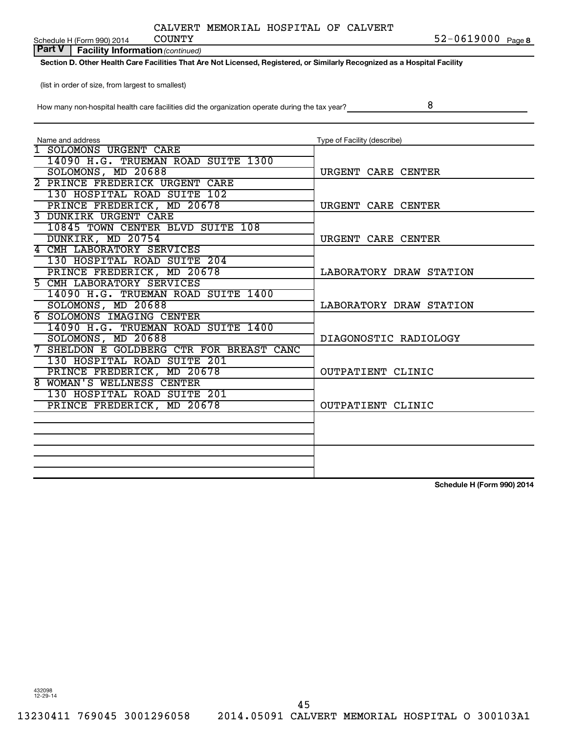| CALVERT MEMORIAL HOSPITAL OF CALVERT |  |  |
|--------------------------------------|--|--|
|--------------------------------------|--|--|

Schedule H (Form 990) 2014 COUNTY

**8** COUNTY **8** COUNTY

**Part V** | Facility Information (continued)

**Section D. Other Health Care Facilities That Are Not Licensed, Registered, or Similarly Recognized as a Hospital Facility**

(list in order of size, from largest to smallest)

How many non-hospital health care facilities did the organization operate during the tax year?

8

| Name and address                         | Type of Facility (describe) |
|------------------------------------------|-----------------------------|
| 1 SOLOMONS URGENT CARE                   |                             |
| 14090 H.G. TRUEMAN ROAD SUITE 1300       |                             |
| SOLOMONS, MD 20688                       | URGENT CARE CENTER          |
| 2 PRINCE FREDERICK URGENT CARE           |                             |
| 130 HOSPITAL ROAD SUITE 102              |                             |
| PRINCE FREDERICK, MD 20678               | URGENT CARE CENTER          |
| 3 DUNKIRK URGENT CARE                    |                             |
| 10845 TOWN CENTER BLVD SUITE 108         |                             |
| DUNKIRK, MD 20754                        | URGENT CARE CENTER          |
| 4 CMH LABORATORY SERVICES                |                             |
| 130 HOSPITAL ROAD SUITE 204              |                             |
| PRINCE FREDERICK, MD 20678               | LABORATORY DRAW STATION     |
| 5 CMH LABORATORY SERVICES                |                             |
| 14090 H.G. TRUEMAN ROAD SUITE 1400       |                             |
| SOLOMONS, MD 20688                       | LABORATORY DRAW STATION     |
| <b>6 SOLOMONS IMAGING CENTER</b>         |                             |
| 14090 H.G. TRUEMAN ROAD SUITE 1400       |                             |
| SOLOMONS, MD 20688                       | DIAGONOSTIC RADIOLOGY       |
| 7 SHELDON E GOLDBERG CTR FOR BREAST CANC |                             |
| 130 HOSPITAL ROAD SUITE 201              |                             |
| PRINCE FREDERICK, MD 20678               | OUTPATIENT CLINIC           |
| 8 WOMAN'S WELLNESS CENTER                |                             |
| 130 HOSPITAL ROAD SUITE 201              |                             |
| PRINCE FREDERICK, MD 20678               | OUTPATIENT CLINIC           |
|                                          |                             |
|                                          |                             |
|                                          |                             |
|                                          |                             |
|                                          |                             |
|                                          |                             |

**Schedule H (Form 990) 2014**

432098 12-29-14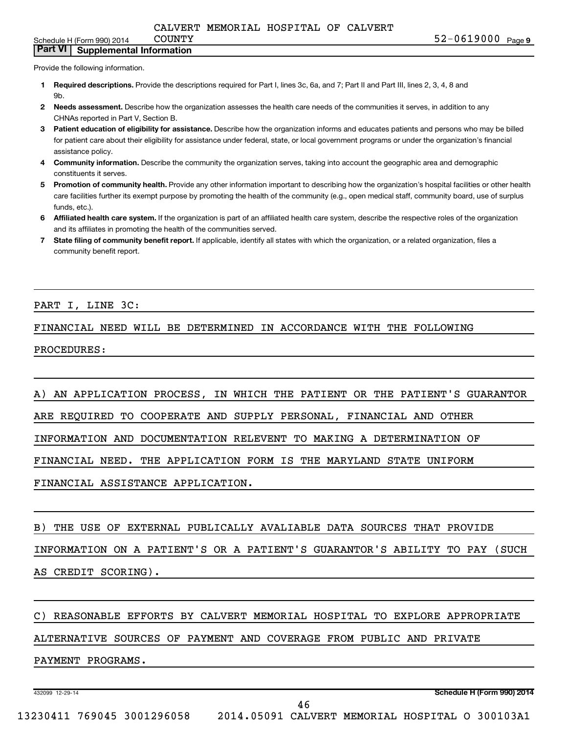Schedule H (Form 990) 2014  $\qquad$  COUNTY

**Part VI Supplemental Information**

Provide the following information.

- **1 Required descriptions.** Provide the descriptions required for Part I, lines 3c, 6a, and 7; Part II and Part III, lines 2, 3, 4, 8 and 9b.
- **2** Needs assessment. Describe how the organization assesses the health care needs of the communities it serves, in addition to any CHNAs reported in Part V, Section B.
- **3 Patient education of eligibility for assistance.** Describe how the organization informs and educates patients and persons who may be billed for patient care about their eligibility for assistance under federal, state, or local government programs or under the organization's financial assistance policy.
- **4 Community information.** Describe the community the organization serves, taking into account the geographic area and demographic constituents it serves.
- 5 Promotion of community health. Provide any other information important to describing how the organization's hospital facilities or other health care facilities further its exempt purpose by promoting the health of the community (e.g., open medical staff, community board, use of surplus funds, etc.).
- **6 Affiliated health care system.** If the organization is part of an affiliated health care system, describe the respective roles of the organization and its affiliates in promoting the health of the communities served.
- **7** State filing of community benefit report. If applicable, identify all states with which the organization, or a related organization, files a community benefit report.

### PART I, LINE 3C:

FINANCIAL NEED WILL BE DETERMINED IN ACCORDANCE WITH THE FOLLOWING

PROCEDURES:

A) AN APPLICATION PROCESS, IN WHICH THE PATIENT OR THE PATIENT'S GUARANTOR

ARE REQUIRED TO COOPERATE AND SUPPLY PERSONAL, FINANCIAL AND OTHER

INFORMATION AND DOCUMENTATION RELEVENT TO MAKING A DETERMINATION OF

FINANCIAL NEED. THE APPLICATION FORM IS THE MARYLAND STATE UNIFORM

FINANCIAL ASSISTANCE APPLICATION.

B) THE USE OF EXTERNAL PUBLICALLY AVALIABLE DATA SOURCES THAT PROVIDE

INFORMATION ON A PATIENT'S OR A PATIENT'S GUARANTOR'S ABILITY TO PAY (SUCH AS CREDIT SCORING).

C) REASONABLE EFFORTS BY CALVERT MEMORIAL HOSPITAL TO EXPLORE APPROPRIATE

ALTERNATIVE SOURCES OF PAYMENT AND COVERAGE FROM PUBLIC AND PRIVATE

PAYMENT PROGRAMS.

432099 12-29-14

**Schedule H (Form 990) 2014**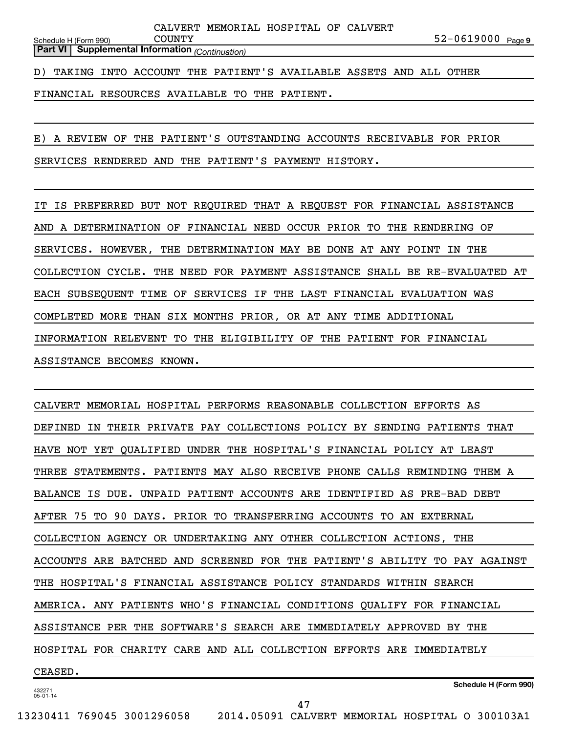**Part VI Supplemental Information** *(Continuation)*

D) TAKING INTO ACCOUNT THE PATIENT'S AVAILABLE ASSETS AND ALL OTHER

FINANCIAL RESOURCES AVAILABLE TO THE PATIENT.

E) A REVIEW OF THE PATIENT'S OUTSTANDING ACCOUNTS RECEIVABLE FOR PRIOR SERVICES RENDERED AND THE PATIENT'S PAYMENT HISTORY.

IT IS PREFERRED BUT NOT REQUIRED THAT A REQUEST FOR FINANCIAL ASSISTANCE AND A DETERMINATION OF FINANCIAL NEED OCCUR PRIOR TO THE RENDERING OF SERVICES. HOWEVER, THE DETERMINATION MAY BE DONE AT ANY POINT IN THE COLLECTION CYCLE. THE NEED FOR PAYMENT ASSISTANCE SHALL BE RE-EVALUATED AT EACH SUBSEQUENT TIME OF SERVICES IF THE LAST FINANCIAL EVALUATION WAS COMPLETED MORE THAN SIX MONTHS PRIOR, OR AT ANY TIME ADDITIONAL INFORMATION RELEVENT TO THE ELIGIBILITY OF THE PATIENT FOR FINANCIAL ASSISTANCE BECOMES KNOWN.

CALVERT MEMORIAL HOSPITAL PERFORMS REASONABLE COLLECTION EFFORTS AS DEFINED IN THEIR PRIVATE PAY COLLECTIONS POLICY BY SENDING PATIENTS THAT HAVE NOT YET QUALIFIED UNDER THE HOSPITAL'S FINANCIAL POLICY AT LEAST THREE STATEMENTS. PATIENTS MAY ALSO RECEIVE PHONE CALLS REMINDING THEM A BALANCE IS DUE. UNPAID PATIENT ACCOUNTS ARE IDENTIFIED AS PRE-BAD DEBT AFTER 75 TO 90 DAYS. PRIOR TO TRANSFERRING ACCOUNTS TO AN EXTERNAL COLLECTION AGENCY OR UNDERTAKING ANY OTHER COLLECTION ACTIONS, THE ACCOUNTS ARE BATCHED AND SCREENED FOR THE PATIENT'S ABILITY TO PAY AGAINST THE HOSPITAL'S FINANCIAL ASSISTANCE POLICY STANDARDS WITHIN SEARCH AMERICA. ANY PATIENTS WHO'S FINANCIAL CONDITIONS QUALIFY FOR FINANCIAL ASSISTANCE PER THE SOFTWARE'S SEARCH ARE IMMEDIATELY APPROVED BY THE HOSPITAL FOR CHARITY CARE AND ALL COLLECTION EFFORTS ARE IMMEDIATELY CEASED.

432271 05-01-14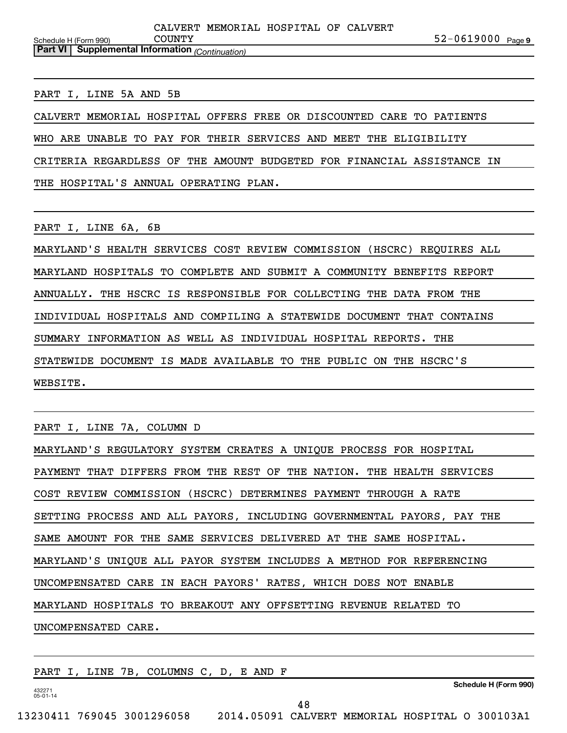**Part VI Supplemental Information** *(Continuation)*

#### PART I, LINE 5A AND 5B

CALVERT MEMORIAL HOSPITAL OFFERS FREE OR DISCOUNTED CARE TO PATIENTS

WHO ARE UNABLE TO PAY FOR THEIR SERVICES AND MEET THE ELIGIBILITY

CRITERIA REGARDLESS OF THE AMOUNT BUDGETED FOR FINANCIAL ASSISTANCE IN

THE HOSPITAL'S ANNUAL OPERATING PLAN.

PART I, LINE 6A, 6B

MARYLAND'S HEALTH SERVICES COST REVIEW COMMISSION (HSCRC) REQUIRES ALL MARYLAND HOSPITALS TO COMPLETE AND SUBMIT A COMMUNITY BENEFITS REPORT ANNUALLY. THE HSCRC IS RESPONSIBLE FOR COLLECTING THE DATA FROM THE INDIVIDUAL HOSPITALS AND COMPILING A STATEWIDE DOCUMENT THAT CONTAINS SUMMARY INFORMATION AS WELL AS INDIVIDUAL HOSPITAL REPORTS. THE STATEWIDE DOCUMENT IS MADE AVAILABLE TO THE PUBLIC ON THE HSCRC'S WEBSITE.

PART I, LINE 7A, COLUMN D

MARYLAND'S REGULATORY SYSTEM CREATES A UNIQUE PROCESS FOR HOSPITAL PAYMENT THAT DIFFERS FROM THE REST OF THE NATION. THE HEALTH SERVICES COST REVIEW COMMISSION (HSCRC) DETERMINES PAYMENT THROUGH A RATE SETTING PROCESS AND ALL PAYORS, INCLUDING GOVERNMENTAL PAYORS, PAY THE SAME AMOUNT FOR THE SAME SERVICES DELIVERED AT THE SAME HOSPITAL. MARYLAND'S UNIQUE ALL PAYOR SYSTEM INCLUDES A METHOD FOR REFERENCING UNCOMPENSATED CARE IN EACH PAYORS' RATES, WHICH DOES NOT ENABLE MARYLAND HOSPITALS TO BREAKOUT ANY OFFSETTING REVENUE RELATED TO UNCOMPENSATED CARE.

|                       |  |  | LINE 7B, COLUMNS C, D, E AND F |  | PART I,                  |
|-----------------------|--|--|--------------------------------|--|--------------------------|
| Schedule H (Form 990) |  |  |                                |  | 432271<br>$05 - 01 - 14$ |
| 48                    |  |  |                                |  |                          |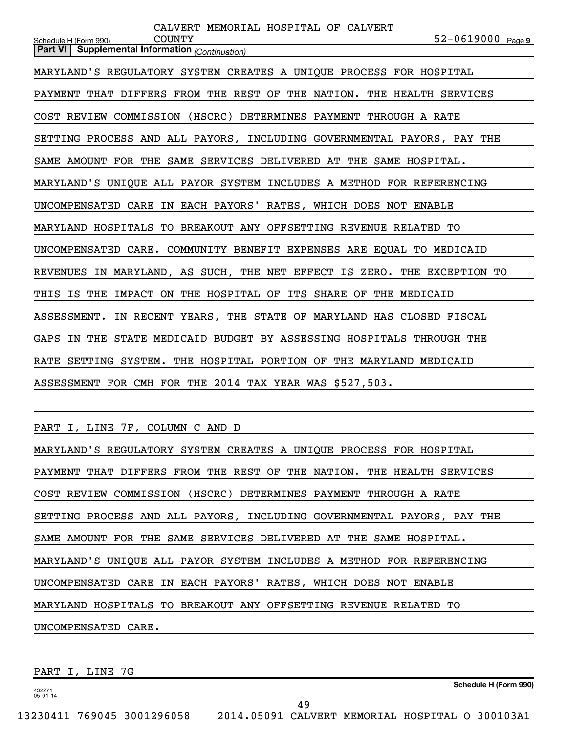| CALVERT MEMORIAL HOSPITAL OF CALVERT<br>$52 - 0619000$ Page 9<br><b>COUNTY</b><br>Schedule H (Form 990) |
|---------------------------------------------------------------------------------------------------------|
| <b>Part VI</b> Supplemental Information (Continuation)                                                  |
| MARYLAND'S REGULATORY SYSTEM CREATES A UNIQUE PROCESS FOR HOSPITAL                                      |
| PAYMENT THAT DIFFERS FROM THE REST OF THE NATION. THE HEALTH SERVICES                                   |
| COST REVIEW COMMISSION (HSCRC) DETERMINES PAYMENT THROUGH A RATE                                        |
| SETTING PROCESS AND ALL PAYORS, INCLUDING GOVERNMENTAL PAYORS, PAY THE                                  |
| SAME AMOUNT FOR THE SAME SERVICES DELIVERED AT THE SAME HOSPITAL.                                       |
| MARYLAND'S UNIQUE ALL PAYOR SYSTEM INCLUDES A METHOD FOR REFERENCING                                    |
| UNCOMPENSATED CARE IN EACH PAYORS' RATES, WHICH DOES NOT ENABLE                                         |
| MARYLAND HOSPITALS TO BREAKOUT ANY OFFSETTING REVENUE RELATED TO                                        |
| UNCOMPENSATED CARE. COMMUNITY BENEFIT EXPENSES ARE EQUAL TO MEDICAID                                    |
| REVENUES IN MARYLAND, AS SUCH, THE NET EFFECT IS ZERO. THE EXCEPTION TO                                 |
| THIS IS THE IMPACT ON THE HOSPITAL OF ITS SHARE OF THE MEDICAID                                         |
| ASSESSMENT. IN RECENT YEARS, THE STATE OF MARYLAND HAS CLOSED FISCAL                                    |
| GAPS IN THE STATE MEDICAID BUDGET BY ASSESSING HOSPITALS THROUGH THE                                    |
| RATE SETTING SYSTEM. THE HOSPITAL PORTION OF THE MARYLAND MEDICAID                                      |
| ASSESSMENT FOR CMH FOR THE 2014 TAX YEAR WAS \$527,503.                                                 |
| PART I, LINE 7F, COLUMN C AND D                                                                         |
| MARYLAND'S REGULATORY SYSTEM CREATES A UNIQUE PROCESS FOR HOSPITAL                                      |
| PAYMENT THAT DIFFERS FROM THE REST OF THE NATION. THE HEALTH SERVICES                                   |
| COST REVIEW COMMISSION (HSCRC) DETERMINES PAYMENT THROUGH A RATE                                        |
| SETTING PROCESS AND ALL PAYORS, INCLUDING GOVERNMENTAL PAYORS, PAY THE                                  |

SAME AMOUNT FOR THE SAME SERVICES DELIVERED AT THE SAME HOSPITAL.

MARYLAND'S UNIQUE ALL PAYOR SYSTEM INCLUDES A METHOD FOR REFERENCING

UNCOMPENSATED CARE IN EACH PAYORS' RATES, WHICH DOES NOT ENABLE

MARYLAND HOSPITALS TO BREAKOUT ANY OFFSETTING REVENUE RELATED TO

UNCOMPENSATED CARE.

PART I, LINE 7G

**Schedule H (Form 990)**

432271 05-01-14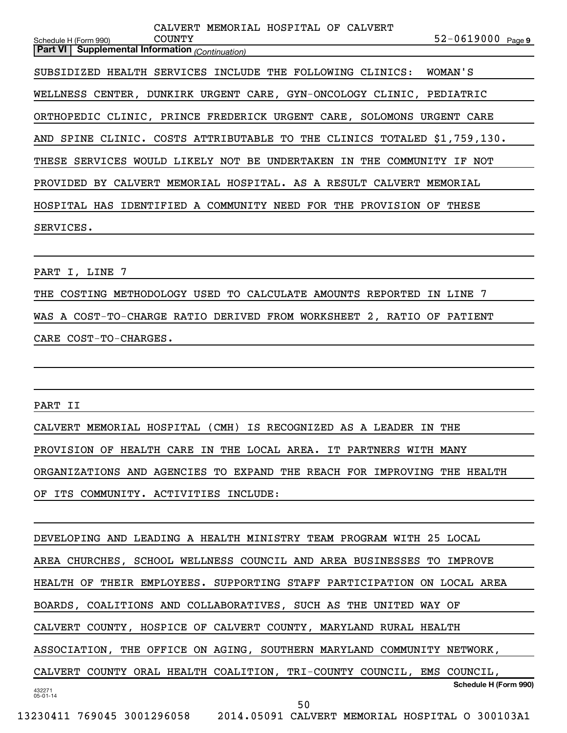Schedule H (Form 990) COUNTY 52-0619000 <sub>Page 9</sub> **Part VI Supplemental Information** *(Continuation)* CALVERT MEMORIAL HOSPITAL OF CALVERT SUBSIDIZED HEALTH SERVICES INCLUDE THE FOLLOWING CLINICS: WOMAN'S WELLNESS CENTER, DUNKIRK URGENT CARE, GYN-ONCOLOGY CLINIC, PEDIATRIC ORTHOPEDIC CLINIC, PRINCE FREDERICK URGENT CARE, SOLOMONS URGENT CARE AND SPINE CLINIC. COSTS ATTRIBUTABLE TO THE CLINICS TOTALED \$1,759,130. THESE SERVICES WOULD LIKELY NOT BE UNDERTAKEN IN THE COMMUNITY IF NOT PROVIDED BY CALVERT MEMORIAL HOSPITAL. AS A RESULT CALVERT MEMORIAL HOSPITAL HAS IDENTIFIED A COMMUNITY NEED FOR THE PROVISION OF THESE SERVICES.

PART I, LINE 7

THE COSTING METHODOLOGY USED TO CALCULATE AMOUNTS REPORTED IN LINE 7 WAS A COST-TO-CHARGE RATIO DERIVED FROM WORKSHEET 2, RATIO OF PATIENT CARE COST-TO-CHARGES.

PART II

CALVERT MEMORIAL HOSPITAL (CMH) IS RECOGNIZED AS A LEADER IN THE PROVISION OF HEALTH CARE IN THE LOCAL AREA. IT PARTNERS WITH MANY ORGANIZATIONS AND AGENCIES TO EXPAND THE REACH FOR IMPROVING THE HEALTH OF ITS COMMUNITY. ACTIVITIES INCLUDE:

DEVELOPING AND LEADING A HEALTH MINISTRY TEAM PROGRAM WITH 25 LOCAL

AREA CHURCHES, SCHOOL WELLNESS COUNCIL AND AREA BUSINESSES TO IMPROVE

HEALTH OF THEIR EMPLOYEES. SUPPORTING STAFF PARTICIPATION ON LOCAL AREA

BOARDS, COALITIONS AND COLLABORATIVES, SUCH AS THE UNITED WAY OF

CALVERT COUNTY, HOSPICE OF CALVERT COUNTY, MARYLAND RURAL HEALTH

ASSOCIATION, THE OFFICE ON AGING, SOUTHERN MARYLAND COMMUNITY NETWORK,

**Schedule H (Form 990)** CALVERT COUNTY ORAL HEALTH COALITION, TRI-COUNTY COUNCIL, EMS COUNCIL,

432271 05-01-14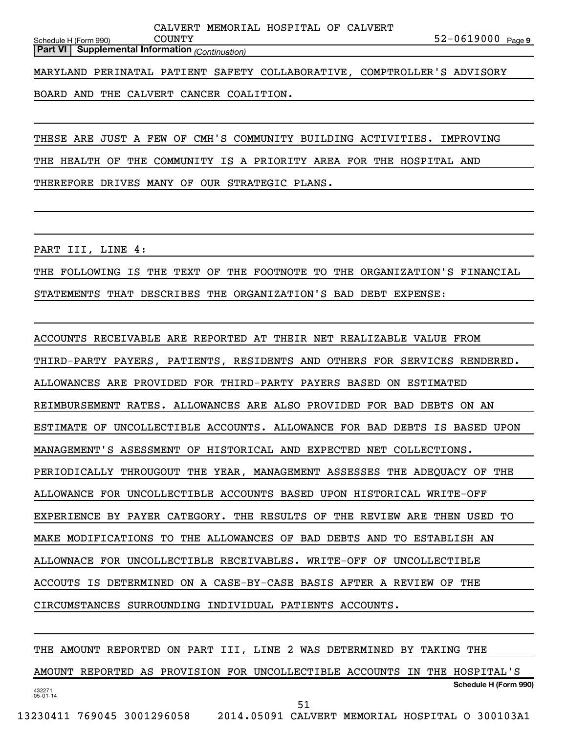**Part VI Supplemental Information** *(Continuation)*

MARYLAND PERINATAL PATIENT SAFETY COLLABORATIVE, COMPTROLLER'S ADVISORY

BOARD AND THE CALVERT CANCER COALITION.

THESE ARE JUST A FEW OF CMH'S COMMUNITY BUILDING ACTIVITIES. IMPROVING

THE HEALTH OF THE COMMUNITY IS A PRIORITY AREA FOR THE HOSPITAL AND

THEREFORE DRIVES MANY OF OUR STRATEGIC PLANS.

PART III, LINE 4:

THE FOLLOWING IS THE TEXT OF THE FOOTNOTE TO THE ORGANIZATION'S FINANCIAL STATEMENTS THAT DESCRIBES THE ORGANIZATION'S BAD DEBT EXPENSE:

ACCOUNTS RECEIVABLE ARE REPORTED AT THEIR NET REALIZABLE VALUE FROM THIRD-PARTY PAYERS, PATIENTS, RESIDENTS AND OTHERS FOR SERVICES RENDERED. ALLOWANCES ARE PROVIDED FOR THIRD-PARTY PAYERS BASED ON ESTIMATED REIMBURSEMENT RATES. ALLOWANCES ARE ALSO PROVIDED FOR BAD DEBTS ON AN ESTIMATE OF UNCOLLECTIBLE ACCOUNTS. ALLOWANCE FOR BAD DEBTS IS BASED UPON MANAGEMENT'S ASESSMENT OF HISTORICAL AND EXPECTED NET COLLECTIONS. PERIODICALLY THROUGOUT THE YEAR, MANAGEMENT ASSESSES THE ADEQUACY OF THE ALLOWANCE FOR UNCOLLECTIBLE ACCOUNTS BASED UPON HISTORICAL WRITE-OFF EXPERIENCE BY PAYER CATEGORY. THE RESULTS OF THE REVIEW ARE THEN USED TO MAKE MODIFICATIONS TO THE ALLOWANCES OF BAD DEBTS AND TO ESTABLISH AN ALLOWNACE FOR UNCOLLECTIBLE RECEIVABLES. WRITE-OFF OF UNCOLLECTIBLE ACCOUTS IS DETERMINED ON A CASE-BY-CASE BASIS AFTER A REVIEW OF THE CIRCUMSTANCES SURROUNDING INDIVIDUAL PATIENTS ACCOUNTS.

432271 05-01-14 **Schedule H (Form 990)** THE AMOUNT REPORTED ON PART III, LINE 2 WAS DETERMINED BY TAKING THE AMOUNT REPORTED AS PROVISION FOR UNCOLLECTIBLE ACCOUNTS IN THE HOSPITAL'S 51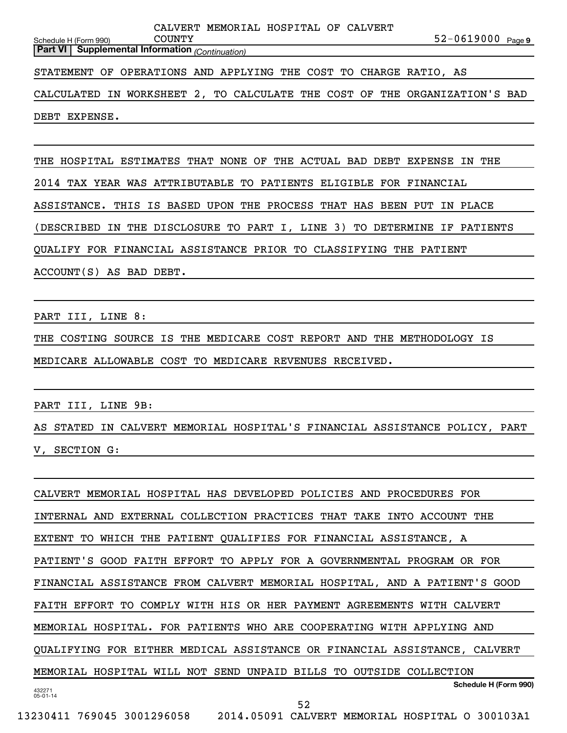|                                                                            |  | CALVERT MEMORIAL HOSPITAL OF CALVERT |                       |  |  |  |  |  |  |  |  |
|----------------------------------------------------------------------------|--|--------------------------------------|-----------------------|--|--|--|--|--|--|--|--|
| <b>COUNTY</b><br>Schedule H (Form 990)                                     |  |                                      | $52 - 0619000$ Page 9 |  |  |  |  |  |  |  |  |
| <b>Part VI</b> Supplemental Information (Continuation)                     |  |                                      |                       |  |  |  |  |  |  |  |  |
|                                                                            |  |                                      |                       |  |  |  |  |  |  |  |  |
| STATEMENT OF OPERATIONS AND APPLYING THE COST TO CHARGE RATIO, AS          |  |                                      |                       |  |  |  |  |  |  |  |  |
|                                                                            |  |                                      |                       |  |  |  |  |  |  |  |  |
| CALCULATED IN WORKSHEET 2, TO CALCULATE THE COST OF THE ORGANIZATION'S BAD |  |                                      |                       |  |  |  |  |  |  |  |  |
|                                                                            |  |                                      |                       |  |  |  |  |  |  |  |  |
| DEBT EXPENSE.                                                              |  |                                      |                       |  |  |  |  |  |  |  |  |

THE HOSPITAL ESTIMATES THAT NONE OF THE ACTUAL BAD DEBT EXPENSE IN THE 2014 TAX YEAR WAS ATTRIBUTABLE TO PATIENTS ELIGIBLE FOR FINANCIAL ASSISTANCE. THIS IS BASED UPON THE PROCESS THAT HAS BEEN PUT IN PLACE (DESCRIBED IN THE DISCLOSURE TO PART I, LINE 3) TO DETERMINE IF PATIENTS QUALIFY FOR FINANCIAL ASSISTANCE PRIOR TO CLASSIFYING THE PATIENT ACCOUNT(S) AS BAD DEBT.

PART III, LINE 8:

THE COSTING SOURCE IS THE MEDICARE COST REPORT AND THE METHODOLOGY IS MEDICARE ALLOWABLE COST TO MEDICARE REVENUES RECEIVED.

PART III, LINE 9B:

AS STATED IN CALVERT MEMORIAL HOSPITAL'S FINANCIAL ASSISTANCE POLICY, PART V, SECTION G:

432271 05-01-14 **Schedule H (Form 990)** CALVERT MEMORIAL HOSPITAL HAS DEVELOPED POLICIES AND PROCEDURES FOR INTERNAL AND EXTERNAL COLLECTION PRACTICES THAT TAKE INTO ACCOUNT THE EXTENT TO WHICH THE PATIENT QUALIFIES FOR FINANCIAL ASSISTANCE, A PATIENT'S GOOD FAITH EFFORT TO APPLY FOR A GOVERNMENTAL PROGRAM OR FOR FINANCIAL ASSISTANCE FROM CALVERT MEMORIAL HOSPITAL, AND A PATIENT'S GOOD FAITH EFFORT TO COMPLY WITH HIS OR HER PAYMENT AGREEMENTS WITH CALVERT MEMORIAL HOSPITAL. FOR PATIENTS WHO ARE COOPERATING WITH APPLYING AND QUALIFYING FOR EITHER MEDICAL ASSISTANCE OR FINANCIAL ASSISTANCE, CALVERT MEMORIAL HOSPITAL WILL NOT SEND UNPAID BILLS TO OUTSIDE COLLECTION 52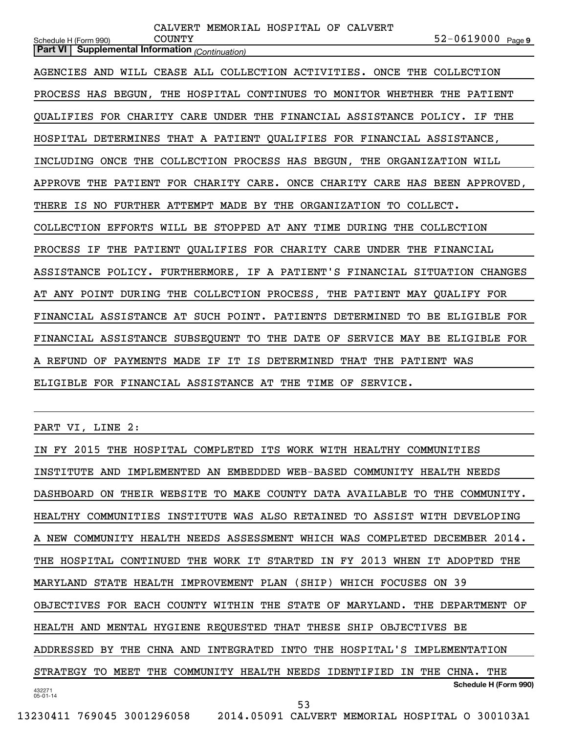| CALVERT MEMORIAL HOSPITAL OF CALVERT<br>52-0619000 Page 9<br><b>COUNTY</b><br>Schedule H (Form 990) |
|-----------------------------------------------------------------------------------------------------|
| Part VI Supplemental Information (Continuation)                                                     |
| AGENCIES AND WILL CEASE ALL COLLECTION ACTIVITIES. ONCE THE COLLECTION                              |
| PROCESS HAS BEGUN, THE HOSPITAL CONTINUES TO MONITOR WHETHER THE PATIENT                            |
| QUALIFIES FOR CHARITY CARE UNDER THE FINANCIAL ASSISTANCE POLICY. IF THE                            |
| HOSPITAL DETERMINES THAT A PATIENT QUALIFIES FOR FINANCIAL ASSISTANCE,                              |
| INCLUDING ONCE THE COLLECTION PROCESS HAS BEGUN, THE ORGANIZATION WILL                              |
| APPROVE THE PATIENT FOR CHARITY CARE. ONCE CHARITY CARE HAS BEEN APPROVED,                          |
| THERE IS NO FURTHER ATTEMPT MADE BY THE ORGANIZATION TO COLLECT.                                    |
| COLLECTION EFFORTS WILL BE STOPPED AT ANY TIME DURING THE COLLECTION                                |
| PROCESS IF THE PATIENT QUALIFIES FOR CHARITY CARE UNDER THE FINANCIAL                               |
| ASSISTANCE POLICY. FURTHERMORE, IF A PATIENT'S FINANCIAL SITUATION CHANGES                          |
| AT ANY POINT DURING THE COLLECTION PROCESS, THE PATIENT MAY QUALIFY FOR                             |
| FINANCIAL ASSISTANCE AT SUCH POINT. PATIENTS DETERMINED TO BE ELIGIBLE FOR                          |
| FINANCIAL ASSISTANCE SUBSEQUENT TO THE DATE OF SERVICE MAY BE ELIGIBLE FOR                          |
| A REFUND OF PAYMENTS MADE IF IT IS DETERMINED THAT THE PATIENT WAS                                  |
| ELIGIBLE FOR FINANCIAL ASSISTANCE AT THE TIME OF SERVICE.                                           |
|                                                                                                     |

PART VI, LINE 2:

432271 05-01-14 **Schedule H (Form 990)** IN FY 2015 THE HOSPITAL COMPLETED ITS WORK WITH HEALTHY COMMUNITIES INSTITUTE AND IMPLEMENTED AN EMBEDDED WEB-BASED COMMUNITY HEALTH NEEDS DASHBOARD ON THEIR WEBSITE TO MAKE COUNTY DATA AVAILABLE TO THE COMMUNITY. HEALTHY COMMUNITIES INSTITUTE WAS ALSO RETAINED TO ASSIST WITH DEVELOPING A NEW COMMUNITY HEALTH NEEDS ASSESSMENT WHICH WAS COMPLETED DECEMBER 2014. THE HOSPITAL CONTINUED THE WORK IT STARTED IN FY 2013 WHEN IT ADOPTED THE MARYLAND STATE HEALTH IMPROVEMENT PLAN (SHIP) WHICH FOCUSES ON 39 OBJECTIVES FOR EACH COUNTY WITHIN THE STATE OF MARYLAND. THE DEPARTMENT OF HEALTH AND MENTAL HYGIENE REQUESTED THAT THESE SHIP OBJECTIVES BE ADDRESSED BY THE CHNA AND INTEGRATED INTO THE HOSPITAL'S IMPLEMENTATION STRATEGY TO MEET THE COMMUNITY HEALTH NEEDS IDENTIFIED IN THE CHNA. THE 53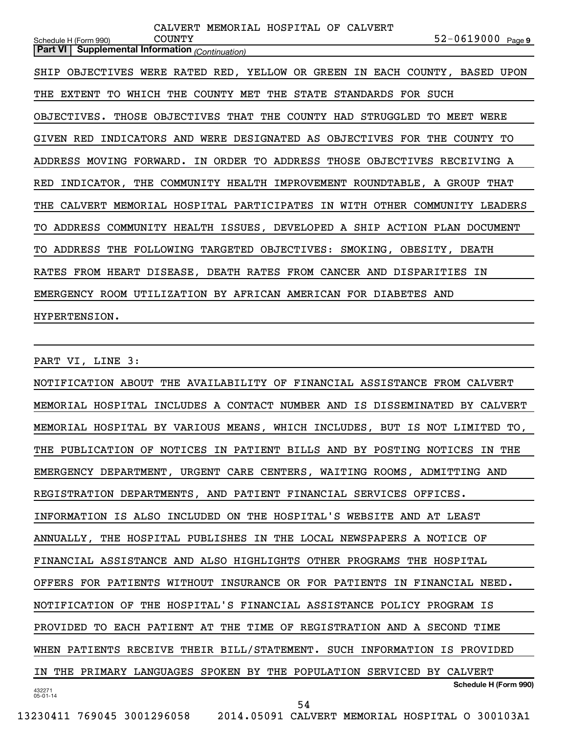| CALVERT MEMORIAL HOSPITAL OF CALVERT                                       |                       |
|----------------------------------------------------------------------------|-----------------------|
| <b>COUNTY</b><br>Schedule H (Form 990)                                     | $52 - 0619000$ Page 9 |
| <b>Part VI</b> Supplemental Information (Continuation)                     |                       |
|                                                                            |                       |
| SHIP OBJECTIVES WERE RATED RED, YELLOW OR GREEN IN EACH COUNTY, BASED UPON |                       |
| THE EXTENT TO WHICH THE COUNTY MET THE STATE STANDARDS FOR SUCH            |                       |
| OBJECTIVES. THOSE OBJECTIVES THAT THE COUNTY HAD STRUGGLED TO MEET WERE    |                       |
| GIVEN RED INDICATORS AND WERE DESIGNATED AS OBJECTIVES FOR THE COUNTY TO   |                       |
| ADDRESS MOVING FORWARD. IN ORDER TO ADDRESS THOSE OBJECTIVES RECEIVING A   |                       |
| RED INDICATOR, THE COMMUNITY HEALTH IMPROVEMENT ROUNDTABLE, A GROUP THAT   |                       |
| THE CALVERT MEMORIAL HOSPITAL PARTICIPATES IN WITH OTHER COMMUNITY LEADERS |                       |
| TO ADDRESS COMMUNITY HEALTH ISSUES, DEVELOPED A SHIP ACTION PLAN DOCUMENT  |                       |
| TO ADDRESS THE FOLLOWING TARGETED OBJECTIVES: SMOKING, OBESITY, DEATH      |                       |
| RATES FROM HEART DISEASE, DEATH RATES FROM CANCER AND DISPARITIES IN       |                       |
| EMERGENCY ROOM UTILIZATION BY AFRICAN AMERICAN FOR DIABETES AND            |                       |
| HYPERTENSION.                                                              |                       |

PART VI, LINE 3:

432271 05-01-14 **Schedule H (Form 990)** NOTIFICATION ABOUT THE AVAILABILITY OF FINANCIAL ASSISTANCE FROM CALVERT MEMORIAL HOSPITAL INCLUDES A CONTACT NUMBER AND IS DISSEMINATED BY CALVERT MEMORIAL HOSPITAL BY VARIOUS MEANS, WHICH INCLUDES, BUT IS NOT LIMITED TO, THE PUBLICATION OF NOTICES IN PATIENT BILLS AND BY POSTING NOTICES IN THE EMERGENCY DEPARTMENT, URGENT CARE CENTERS, WAITING ROOMS, ADMITTING AND REGISTRATION DEPARTMENTS, AND PATIENT FINANCIAL SERVICES OFFICES. INFORMATION IS ALSO INCLUDED ON THE HOSPITAL'S WEBSITE AND AT LEAST ANNUALLY, THE HOSPITAL PUBLISHES IN THE LOCAL NEWSPAPERS A NOTICE OF FINANCIAL ASSISTANCE AND ALSO HIGHLIGHTS OTHER PROGRAMS THE HOSPITAL OFFERS FOR PATIENTS WITHOUT INSURANCE OR FOR PATIENTS IN FINANCIAL NEED. NOTIFICATION OF THE HOSPITAL'S FINANCIAL ASSISTANCE POLICY PROGRAM IS PROVIDED TO EACH PATIENT AT THE TIME OF REGISTRATION AND A SECOND TIME WHEN PATIENTS RECEIVE THEIR BILL/STATEMENT. SUCH INFORMATION IS PROVIDED IN THE PRIMARY LANGUAGES SPOKEN BY THE POPULATION SERVICED BY CALVERT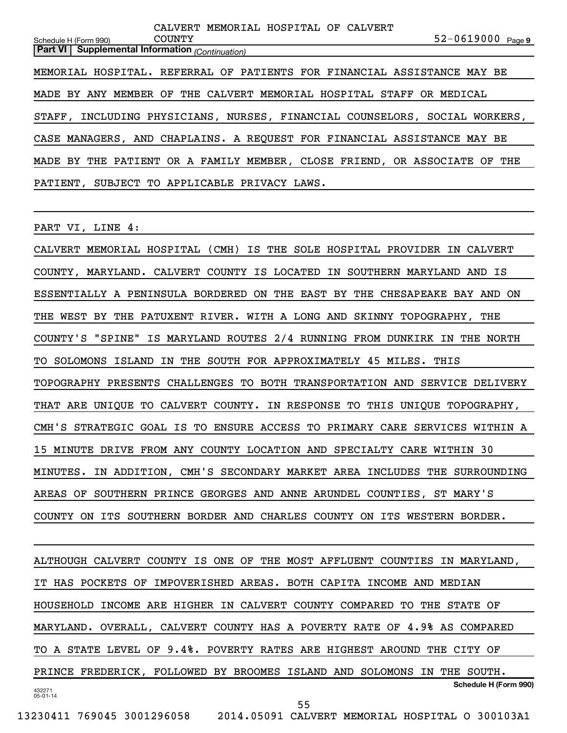Schedule H (Form 990) COUNTY 52-0619000 <sub>Page 9</sub> **Part VI Supplemental Information** *(Continuation)* CALVERT MEMORIAL HOSPITAL OF CALVERT MEMORIAL HOSPITAL. REFERRAL OF PATIENTS FOR FINANCIAL ASSISTANCE MAY BE MADE BY ANY MEMBER OF THE CALVERT MEMORIAL HOSPITAL STAFF OR MEDICAL STAFF, INCLUDING PHYSICIANS, NURSES, FINANCIAL COUNSELORS, SOCIAL WORKERS, CASE MANAGERS, AND CHAPLAINS. A REQUEST FOR FINANCIAL ASSISTANCE MAY BE MADE BY THE PATIENT OR A FAMILY MEMBER, CLOSE FRIEND, OR ASSOCIATE OF THE PATIENT, SUBJECT TO APPLICABLE PRIVACY LAWS.

PART VI, LINE 4:

CALVERT MEMORIAL HOSPITAL (CMH) IS THE SOLE HOSPITAL PROVIDER IN CALVERT COUNTY, MARYLAND. CALVERT COUNTY IS LOCATED IN SOUTHERN MARYLAND AND IS ESSENTIALLY A PENINSULA BORDERED ON THE EAST BY THE CHESAPEAKE BAY AND ON THE WEST BY THE PATUXENT RIVER. WITH A LONG AND SKINNY TOPOGRAPHY, THE COUNTY'S "SPINE" IS MARYLAND ROUTES 2/4 RUNNING FROM DUNKIRK IN THE NORTH TO SOLOMONS ISLAND IN THE SOUTH FOR APPROXIMATELY 45 MILES. THIS TOPOGRAPHY PRESENTS CHALLENGES TO BOTH TRANSPORTATION AND SERVICE DELIVERY THAT ARE UNIQUE TO CALVERT COUNTY. IN RESPONSE TO THIS UNIQUE TOPOGRAPHY, CMH'S STRATEGIC GOAL IS TO ENSURE ACCESS TO PRIMARY CARE SERVICES WITHIN A 15 MINUTE DRIVE FROM ANY COUNTY LOCATION AND SPECIALTY CARE WITHIN 30 MINUTES. IN ADDITION, CMH'S SECONDARY MARKET AREA INCLUDES THE SURROUNDING AREAS OF SOUTHERN PRINCE GEORGES AND ANNE ARUNDEL COUNTIES, ST MARY'S COUNTY ON ITS SOUTHERN BORDER AND CHARLES COUNTY ON ITS WESTERN BORDER.

432271 05-01-14 **Schedule H (Form 990)** ALTHOUGH CALVERT COUNTY IS ONE OF THE MOST AFFLUENT COUNTIES IN MARYLAND, IT HAS POCKETS OF IMPOVERISHED AREAS. BOTH CAPITA INCOME AND MEDIAN HOUSEHOLD INCOME ARE HIGHER IN CALVERT COUNTY COMPARED TO THE STATE OF MARYLAND. OVERALL, CALVERT COUNTY HAS A POVERTY RATE OF 4.9% AS COMPARED TO A STATE LEVEL OF 9.4%. POVERTY RATES ARE HIGHEST AROUND THE CITY OF PRINCE FREDERICK, FOLLOWED BY BROOMES ISLAND AND SOLOMONS IN THE SOUTH. 55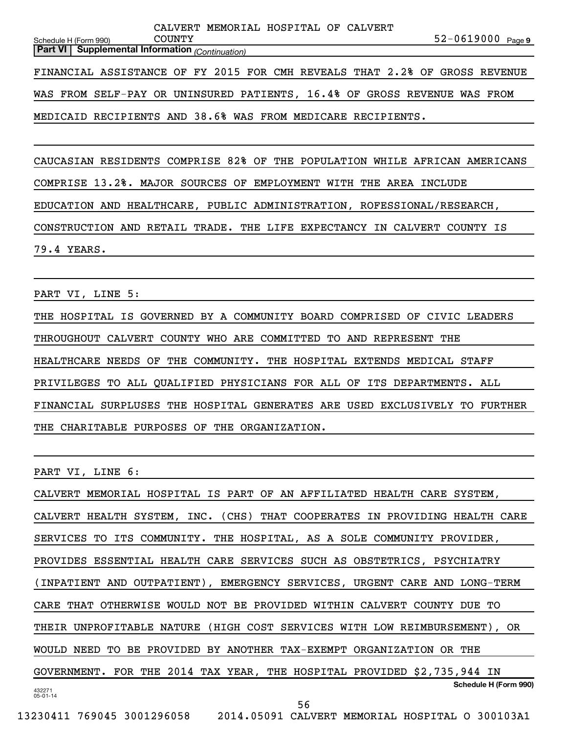|                       |                                                                            |               |  |  | CALVERT MEMORIAL HOSPITAL OF CALVERT |  |  |                       |  |
|-----------------------|----------------------------------------------------------------------------|---------------|--|--|--------------------------------------|--|--|-----------------------|--|
| Schedule H (Form 990) |                                                                            | <b>COUNTY</b> |  |  |                                      |  |  | $52 - 0619000$ Page 9 |  |
|                       | <b>Part VI   Supplemental Information</b> (Continuation)                   |               |  |  |                                      |  |  |                       |  |
|                       |                                                                            |               |  |  |                                      |  |  |                       |  |
|                       | FINANCIAL ASSISTANCE OF FY 2015 FOR CMH REVEALS THAT 2.2% OF GROSS REVENUE |               |  |  |                                      |  |  |                       |  |
|                       |                                                                            |               |  |  |                                      |  |  |                       |  |
|                       | WAS FROM SELF-PAY OR UNINSURED PATIENTS, 16.4% OF GROSS REVENUE WAS FROM   |               |  |  |                                      |  |  |                       |  |
|                       |                                                                            |               |  |  |                                      |  |  |                       |  |

MEDICAID RECIPIENTS AND 38.6% WAS FROM MEDICARE RECIPIENTS.

CAUCASIAN RESIDENTS COMPRISE 82% OF THE POPULATION WHILE AFRICAN AMERICANS COMPRISE 13.2%. MAJOR SOURCES OF EMPLOYMENT WITH THE AREA INCLUDE EDUCATION AND HEALTHCARE, PUBLIC ADMINISTRATION, ROFESSIONAL/RESEARCH, CONSTRUCTION AND RETAIL TRADE. THE LIFE EXPECTANCY IN CALVERT COUNTY IS 79.4 YEARS.

PART VI, LINE 5:

THE HOSPITAL IS GOVERNED BY A COMMUNITY BOARD COMPRISED OF CIVIC LEADERS THROUGHOUT CALVERT COUNTY WHO ARE COMMITTED TO AND REPRESENT THE HEALTHCARE NEEDS OF THE COMMUNITY. THE HOSPITAL EXTENDS MEDICAL STAFF PRIVILEGES TO ALL QUALIFIED PHYSICIANS FOR ALL OF ITS DEPARTMENTS. ALL FINANCIAL SURPLUSES THE HOSPITAL GENERATES ARE USED EXCLUSIVELY TO FURTHER THE CHARITABLE PURPOSES OF THE ORGANIZATION.

PART VI, LINE 6:

432271 05-01-14 **Schedule H (Form 990)** CALVERT MEMORIAL HOSPITAL IS PART OF AN AFFILIATED HEALTH CARE SYSTEM, CALVERT HEALTH SYSTEM, INC. (CHS) THAT COOPERATES IN PROVIDING HEALTH CARE SERVICES TO ITS COMMUNITY. THE HOSPITAL, AS A SOLE COMMUNITY PROVIDER, PROVIDES ESSENTIAL HEALTH CARE SERVICES SUCH AS OBSTETRICS, PSYCHIATRY (INPATIENT AND OUTPATIENT), EMERGENCY SERVICES, URGENT CARE AND LONG-TERM CARE THAT OTHERWISE WOULD NOT BE PROVIDED WITHIN CALVERT COUNTY DUE TO THEIR UNPROFITABLE NATURE (HIGH COST SERVICES WITH LOW REIMBURSEMENT), OR WOULD NEED TO BE PROVIDED BY ANOTHER TAX-EXEMPT ORGANIZATION OR THE GOVERNMENT. FOR THE 2014 TAX YEAR, THE HOSPITAL PROVIDED \$2,735,944 IN 56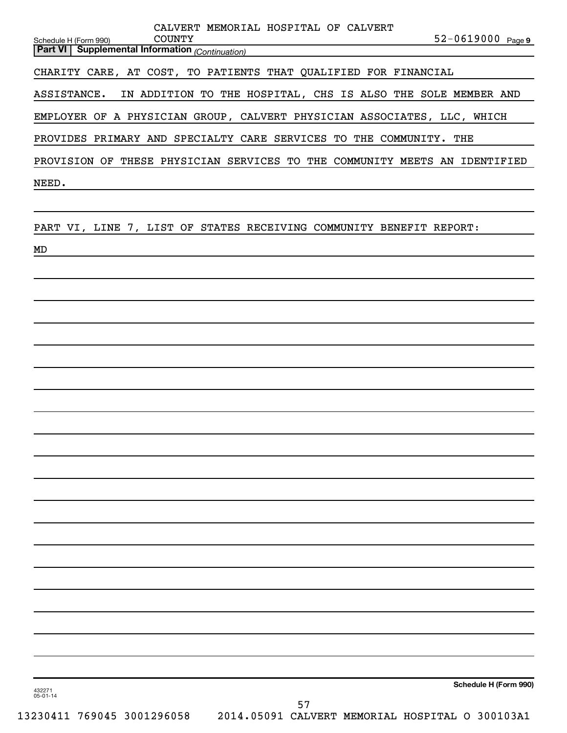| 432271<br>$05 - 01 - 14$ |                                                        |  |  |                                                                                                                                               |  | Schedule H (Form 990) |
|--------------------------|--------------------------------------------------------|--|--|-----------------------------------------------------------------------------------------------------------------------------------------------|--|-----------------------|
|                          |                                                        |  |  |                                                                                                                                               |  |                       |
|                          |                                                        |  |  |                                                                                                                                               |  |                       |
|                          |                                                        |  |  |                                                                                                                                               |  |                       |
|                          |                                                        |  |  |                                                                                                                                               |  |                       |
|                          |                                                        |  |  |                                                                                                                                               |  |                       |
|                          |                                                        |  |  |                                                                                                                                               |  |                       |
|                          |                                                        |  |  |                                                                                                                                               |  |                       |
|                          |                                                        |  |  |                                                                                                                                               |  |                       |
|                          |                                                        |  |  |                                                                                                                                               |  |                       |
|                          |                                                        |  |  |                                                                                                                                               |  |                       |
|                          |                                                        |  |  |                                                                                                                                               |  |                       |
|                          |                                                        |  |  |                                                                                                                                               |  |                       |
|                          |                                                        |  |  |                                                                                                                                               |  |                       |
|                          |                                                        |  |  |                                                                                                                                               |  |                       |
|                          |                                                        |  |  |                                                                                                                                               |  |                       |
|                          |                                                        |  |  |                                                                                                                                               |  |                       |
|                          |                                                        |  |  |                                                                                                                                               |  |                       |
| MD                       |                                                        |  |  |                                                                                                                                               |  |                       |
|                          |                                                        |  |  | PART VI, LINE 7, LIST OF STATES RECEIVING COMMUNITY BENEFIT REPORT:                                                                           |  |                       |
|                          |                                                        |  |  |                                                                                                                                               |  |                       |
| NEED.                    |                                                        |  |  |                                                                                                                                               |  |                       |
|                          |                                                        |  |  | PROVISION OF THESE PHYSICIAN SERVICES TO THE COMMUNITY MEETS AN IDENTIFIED                                                                    |  |                       |
|                          |                                                        |  |  | EMPLOYER OF A PHYSICIAN GROUP, CALVERT PHYSICIAN ASSOCIATES, LLC, WHICH<br>PROVIDES PRIMARY AND SPECIALTY CARE SERVICES TO THE COMMUNITY. THE |  |                       |
|                          | ASSISTANCE.                                            |  |  | IN ADDITION TO THE HOSPITAL, CHS IS ALSO THE SOLE MEMBER AND                                                                                  |  |                       |
|                          |                                                        |  |  | CHARITY CARE, AT COST, TO PATIENTS THAT QUALIFIED FOR FINANCIAL                                                                               |  |                       |
|                          | <b>Part VI</b> Supplemental Information (Continuation) |  |  |                                                                                                                                               |  |                       |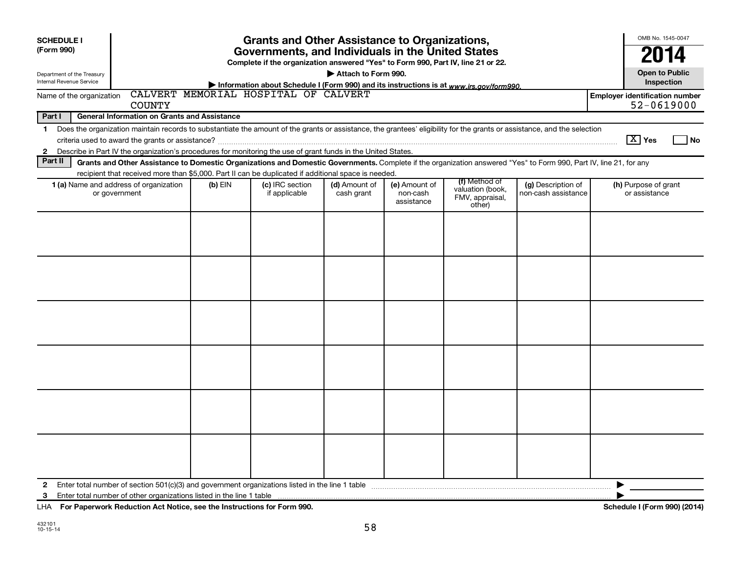| <b>Grants and Other Assistance to Organizations,</b><br><b>SCHEDULE I</b><br>(Form 990)<br>Governments, and Individuals in the United States<br>Complete if the organization answered "Yes" to Form 990, Part IV, line 21 or 22.<br>Attach to Form 990.<br>Department of the Treasury<br>Internal Revenue Service<br>Information about Schedule I (Form 990) and its instructions is at www.irs.gov/form990. |                                                                                                                                                                                                                                                                                           |           |                                      |                             |                                         |                                                                |                                           |                                                                   |  |  |  |
|--------------------------------------------------------------------------------------------------------------------------------------------------------------------------------------------------------------------------------------------------------------------------------------------------------------------------------------------------------------------------------------------------------------|-------------------------------------------------------------------------------------------------------------------------------------------------------------------------------------------------------------------------------------------------------------------------------------------|-----------|--------------------------------------|-----------------------------|-----------------------------------------|----------------------------------------------------------------|-------------------------------------------|-------------------------------------------------------------------|--|--|--|
| Name of the organization                                                                                                                                                                                                                                                                                                                                                                                     | <b>COUNTY</b>                                                                                                                                                                                                                                                                             |           | CALVERT MEMORIAL HOSPITAL OF CALVERT |                             |                                         |                                                                |                                           | Inspection<br><b>Employer identification number</b><br>52-0619000 |  |  |  |
| Part I                                                                                                                                                                                                                                                                                                                                                                                                       | <b>General Information on Grants and Assistance</b>                                                                                                                                                                                                                                       |           |                                      |                             |                                         |                                                                |                                           |                                                                   |  |  |  |
| $\mathbf 1$<br>$\mathbf{2}$                                                                                                                                                                                                                                                                                                                                                                                  | Does the organization maintain records to substantiate the amount of the grants or assistance, the grantees' eligibility for the grants or assistance, and the selection<br>Describe in Part IV the organization's procedures for monitoring the use of grant funds in the United States. |           |                                      |                             |                                         |                                                                |                                           | $\boxed{\text{X}}$ Yes<br>1 No                                    |  |  |  |
| Part II                                                                                                                                                                                                                                                                                                                                                                                                      | Grants and Other Assistance to Domestic Organizations and Domestic Governments. Complete if the organization answered "Yes" to Form 990, Part IV, line 21, for any                                                                                                                        |           |                                      |                             |                                         |                                                                |                                           |                                                                   |  |  |  |
|                                                                                                                                                                                                                                                                                                                                                                                                              | recipient that received more than \$5,000. Part II can be duplicated if additional space is needed.<br>1 (a) Name and address of organization<br>or government                                                                                                                            | $(b)$ EIN | (c) IRC section<br>if applicable     | (d) Amount of<br>cash grant | (e) Amount of<br>non-cash<br>assistance | (f) Method of<br>valuation (book,<br>FMV, appraisal,<br>other) | (g) Description of<br>non-cash assistance | (h) Purpose of grant<br>or assistance                             |  |  |  |
|                                                                                                                                                                                                                                                                                                                                                                                                              |                                                                                                                                                                                                                                                                                           |           |                                      |                             |                                         |                                                                |                                           |                                                                   |  |  |  |
|                                                                                                                                                                                                                                                                                                                                                                                                              |                                                                                                                                                                                                                                                                                           |           |                                      |                             |                                         |                                                                |                                           |                                                                   |  |  |  |
|                                                                                                                                                                                                                                                                                                                                                                                                              |                                                                                                                                                                                                                                                                                           |           |                                      |                             |                                         |                                                                |                                           |                                                                   |  |  |  |
|                                                                                                                                                                                                                                                                                                                                                                                                              |                                                                                                                                                                                                                                                                                           |           |                                      |                             |                                         |                                                                |                                           |                                                                   |  |  |  |
|                                                                                                                                                                                                                                                                                                                                                                                                              |                                                                                                                                                                                                                                                                                           |           |                                      |                             |                                         |                                                                |                                           |                                                                   |  |  |  |
|                                                                                                                                                                                                                                                                                                                                                                                                              |                                                                                                                                                                                                                                                                                           |           |                                      |                             |                                         |                                                                |                                           |                                                                   |  |  |  |
| $\mathbf{2}$<br>3                                                                                                                                                                                                                                                                                                                                                                                            |                                                                                                                                                                                                                                                                                           |           |                                      |                             |                                         |                                                                |                                           | ▶                                                                 |  |  |  |

**For Paperwork Reduction Act Notice, see the Instructions for Form 990. Schedule I (Form 990) (2014)** LHA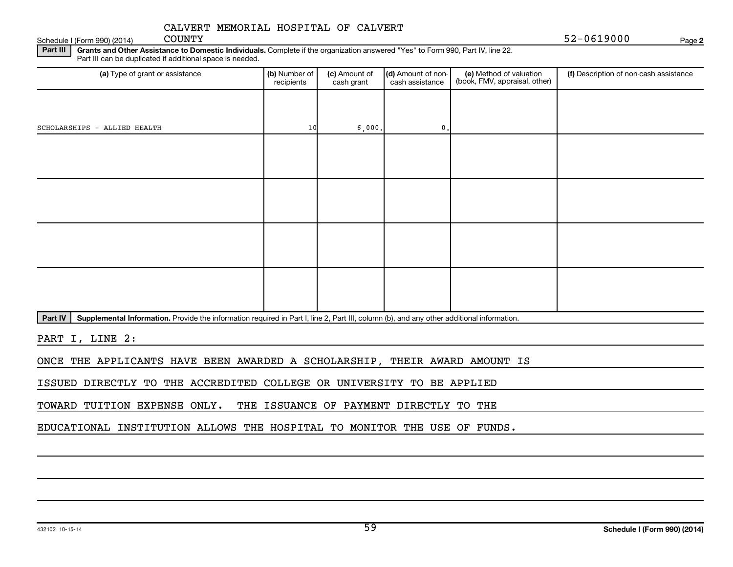Schedule I (Form 990) (2014) COUNTY

 $52 - 0619000$ 

**2**

Part III | Grants and Other Assistance to Domestic Individuals. Complete if the organization answered "Yes" to Form 990, Part IV, line 22. Part III can be duplicated if additional space is needed.

| (b) Number of<br>recipients | (c) Amount of<br>cash grant | cash assistance | (e) Method of valuation<br>(book, FMV, appraisal, other) | (f) Description of non-cash assistance |
|-----------------------------|-----------------------------|-----------------|----------------------------------------------------------|----------------------------------------|
|                             |                             |                 |                                                          |                                        |
|                             |                             | $\mathbf{0}$ .  |                                                          |                                        |
|                             |                             |                 |                                                          |                                        |
|                             |                             |                 |                                                          |                                        |
|                             |                             |                 |                                                          |                                        |
|                             |                             |                 |                                                          |                                        |
|                             |                             |                 |                                                          |                                        |
|                             |                             |                 |                                                          |                                        |
|                             |                             |                 |                                                          |                                        |
|                             |                             |                 |                                                          |                                        |
|                             |                             | 10              | 6,000.                                                   | (d) Amount of non-                     |

Part IV | Supplemental Information. Provide the information required in Part I, line 2, Part III, column (b), and any other additional information.

PART I, LINE 2:

ONCE THE APPLICANTS HAVE BEEN AWARDED A SCHOLARSHIP, THEIR AWARD AMOUNT IS

ISSUED DIRECTLY TO THE ACCREDITED COLLEGE OR UNIVERSITY TO BE APPLIED

TOWARD TUITION EXPENSE ONLY. THE ISSUANCE OF PAYMENT DIRECTLY TO THE

EDUCATIONAL INSTITUTION ALLOWS THE HOSPITAL TO MONITOR THE USE OF FUNDS.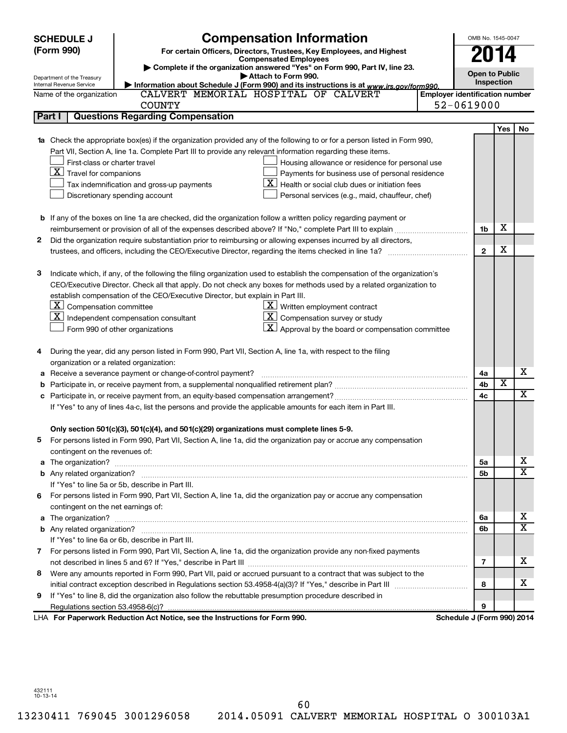| (Form 990)<br>For certain Officers, Directors, Trustees, Key Employees, and Highest<br><b>2014</b><br><b>Compensated Employees</b><br>Complete if the organization answered "Yes" on Form 990, Part IV, line 23.<br><b>Open to Public</b><br>Attach to Form 990.<br>Department of the Treasury<br>Inspection<br>Information about Schedule J (Form 990) and its instructions is at www.irs.gov/form990.<br>Internal Revenue Service<br>CALVERT MEMORIAL HOSPITAL OF CALVERT<br><b>Employer identification number</b><br>Name of the organization<br>52-0619000<br><b>COUNTY</b><br><b>Questions Regarding Compensation</b><br>Part I<br>Yes<br>No<br>Check the appropriate box(es) if the organization provided any of the following to or for a person listed in Form 990,<br>Part VII, Section A, line 1a. Complete Part III to provide any relevant information regarding these items.<br>First-class or charter travel<br>Housing allowance or residence for personal use<br>$\boxed{\textbf{X}}$ Travel for companions<br>Payments for business use of personal residence<br>ΧI<br>Health or social club dues or initiation fees<br>Tax indemnification and gross-up payments<br>Discretionary spending account<br>Personal services (e.g., maid, chauffeur, chef)<br><b>b</b> If any of the boxes on line 1a are checked, did the organization follow a written policy regarding payment or<br>X<br>1b<br>Did the organization require substantiation prior to reimbursing or allowing expenses incurred by all directors,<br>2<br>X<br>$\mathbf{2}$<br>з<br>Indicate which, if any, of the following the filing organization used to establish the compensation of the organization's<br>CEO/Executive Director. Check all that apply. Do not check any boxes for methods used by a related organization to<br>establish compensation of the CEO/Executive Director, but explain in Part III.<br>$\lfloor x \rfloor$ Compensation committee<br>$\underline{\mathbf{X}}$ Written employment contract<br>$ \mathbf{X} $ Independent compensation consultant<br>$\underline{\mathbf{X}}$ Compensation survey or study<br>$\lfloor x \rfloor$ Approval by the board or compensation committee<br>Form 990 of other organizations<br>During the year, did any person listed in Form 990, Part VII, Section A, line 1a, with respect to the filing<br>4<br>organization or a related organization:<br>х<br>Receive a severance payment or change-of-control payment?<br>4a<br>$\overline{\textbf{x}}$<br>4b<br>b<br>$\overline{\mathbf{X}}$<br>4c<br>If "Yes" to any of lines 4a-c, list the persons and provide the applicable amounts for each item in Part III.<br>Only section 501(c)(3), 501(c)(4), and 501(c)(29) organizations must complete lines 5-9.<br>For persons listed in Form 990, Part VII, Section A, line 1a, did the organization pay or accrue any compensation<br>contingent on the revenues of:<br>x<br>5a<br>a<br>X<br>5b<br>If "Yes" to line 5a or 5b, describe in Part III.<br>For persons listed in Form 990, Part VII, Section A, line 1a, did the organization pay or accrue any compensation<br>6.<br>contingent on the net earnings of:<br>x<br>6a<br>a<br>$\overline{\textbf{x}}$<br>6b<br>If "Yes" to line 6a or 6b, describe in Part III.<br>7 For persons listed in Form 990, Part VII, Section A, line 1a, did the organization provide any non-fixed payments<br>x<br>7<br>Were any amounts reported in Form 990, Part VII, paid or accrued pursuant to a contract that was subject to the<br>8<br>x<br>8<br>If "Yes" to line 8, did the organization also follow the rebuttable presumption procedure described in<br>9<br>9<br>LHA For Paperwork Reduction Act Notice, see the Instructions for Form 990.<br>Schedule J (Form 990) 2014 | <b>SCHEDULE J</b> | <b>Compensation Information</b> |  | OMB No. 1545-0047 |  |
|--------------------------------------------------------------------------------------------------------------------------------------------------------------------------------------------------------------------------------------------------------------------------------------------------------------------------------------------------------------------------------------------------------------------------------------------------------------------------------------------------------------------------------------------------------------------------------------------------------------------------------------------------------------------------------------------------------------------------------------------------------------------------------------------------------------------------------------------------------------------------------------------------------------------------------------------------------------------------------------------------------------------------------------------------------------------------------------------------------------------------------------------------------------------------------------------------------------------------------------------------------------------------------------------------------------------------------------------------------------------------------------------------------------------------------------------------------------------------------------------------------------------------------------------------------------------------------------------------------------------------------------------------------------------------------------------------------------------------------------------------------------------------------------------------------------------------------------------------------------------------------------------------------------------------------------------------------------------------------------------------------------------------------------------------------------------------------------------------------------------------------------------------------------------------------------------------------------------------------------------------------------------------------------------------------------------------------------------------------------------------------------------------------------------------------------------------------------------------------------------------------------------------------------------------------------------------------------------------------------------------------------------------------------------------------------------------------------------------------------------------------------------------------------------------------------------------------------------------------------------------------------------------------------------------------------------------------------------------------------------------------------------------------------------------------------------------------------------------------------------------------------------------------------------------------------------------------------------------------------------------------------------------------------------------------------------------------------------------------------------------------------------------------------------------------------------------------------------------------------------------------------------------------------------------------------------------------------------------------------------------------------------------------------------------------------------------------------------------------------------------------------------------------|-------------------|---------------------------------|--|-------------------|--|
|                                                                                                                                                                                                                                                                                                                                                                                                                                                                                                                                                                                                                                                                                                                                                                                                                                                                                                                                                                                                                                                                                                                                                                                                                                                                                                                                                                                                                                                                                                                                                                                                                                                                                                                                                                                                                                                                                                                                                                                                                                                                                                                                                                                                                                                                                                                                                                                                                                                                                                                                                                                                                                                                                                                                                                                                                                                                                                                                                                                                                                                                                                                                                                                                                                                                                                                                                                                                                                                                                                                                                                                                                                                                                                                                                                                |                   |                                 |  |                   |  |
|                                                                                                                                                                                                                                                                                                                                                                                                                                                                                                                                                                                                                                                                                                                                                                                                                                                                                                                                                                                                                                                                                                                                                                                                                                                                                                                                                                                                                                                                                                                                                                                                                                                                                                                                                                                                                                                                                                                                                                                                                                                                                                                                                                                                                                                                                                                                                                                                                                                                                                                                                                                                                                                                                                                                                                                                                                                                                                                                                                                                                                                                                                                                                                                                                                                                                                                                                                                                                                                                                                                                                                                                                                                                                                                                                                                |                   |                                 |  |                   |  |
|                                                                                                                                                                                                                                                                                                                                                                                                                                                                                                                                                                                                                                                                                                                                                                                                                                                                                                                                                                                                                                                                                                                                                                                                                                                                                                                                                                                                                                                                                                                                                                                                                                                                                                                                                                                                                                                                                                                                                                                                                                                                                                                                                                                                                                                                                                                                                                                                                                                                                                                                                                                                                                                                                                                                                                                                                                                                                                                                                                                                                                                                                                                                                                                                                                                                                                                                                                                                                                                                                                                                                                                                                                                                                                                                                                                |                   |                                 |  |                   |  |
|                                                                                                                                                                                                                                                                                                                                                                                                                                                                                                                                                                                                                                                                                                                                                                                                                                                                                                                                                                                                                                                                                                                                                                                                                                                                                                                                                                                                                                                                                                                                                                                                                                                                                                                                                                                                                                                                                                                                                                                                                                                                                                                                                                                                                                                                                                                                                                                                                                                                                                                                                                                                                                                                                                                                                                                                                                                                                                                                                                                                                                                                                                                                                                                                                                                                                                                                                                                                                                                                                                                                                                                                                                                                                                                                                                                |                   |                                 |  |                   |  |
|                                                                                                                                                                                                                                                                                                                                                                                                                                                                                                                                                                                                                                                                                                                                                                                                                                                                                                                                                                                                                                                                                                                                                                                                                                                                                                                                                                                                                                                                                                                                                                                                                                                                                                                                                                                                                                                                                                                                                                                                                                                                                                                                                                                                                                                                                                                                                                                                                                                                                                                                                                                                                                                                                                                                                                                                                                                                                                                                                                                                                                                                                                                                                                                                                                                                                                                                                                                                                                                                                                                                                                                                                                                                                                                                                                                |                   |                                 |  |                   |  |
|                                                                                                                                                                                                                                                                                                                                                                                                                                                                                                                                                                                                                                                                                                                                                                                                                                                                                                                                                                                                                                                                                                                                                                                                                                                                                                                                                                                                                                                                                                                                                                                                                                                                                                                                                                                                                                                                                                                                                                                                                                                                                                                                                                                                                                                                                                                                                                                                                                                                                                                                                                                                                                                                                                                                                                                                                                                                                                                                                                                                                                                                                                                                                                                                                                                                                                                                                                                                                                                                                                                                                                                                                                                                                                                                                                                |                   |                                 |  |                   |  |
|                                                                                                                                                                                                                                                                                                                                                                                                                                                                                                                                                                                                                                                                                                                                                                                                                                                                                                                                                                                                                                                                                                                                                                                                                                                                                                                                                                                                                                                                                                                                                                                                                                                                                                                                                                                                                                                                                                                                                                                                                                                                                                                                                                                                                                                                                                                                                                                                                                                                                                                                                                                                                                                                                                                                                                                                                                                                                                                                                                                                                                                                                                                                                                                                                                                                                                                                                                                                                                                                                                                                                                                                                                                                                                                                                                                |                   |                                 |  |                   |  |
|                                                                                                                                                                                                                                                                                                                                                                                                                                                                                                                                                                                                                                                                                                                                                                                                                                                                                                                                                                                                                                                                                                                                                                                                                                                                                                                                                                                                                                                                                                                                                                                                                                                                                                                                                                                                                                                                                                                                                                                                                                                                                                                                                                                                                                                                                                                                                                                                                                                                                                                                                                                                                                                                                                                                                                                                                                                                                                                                                                                                                                                                                                                                                                                                                                                                                                                                                                                                                                                                                                                                                                                                                                                                                                                                                                                |                   |                                 |  |                   |  |
|                                                                                                                                                                                                                                                                                                                                                                                                                                                                                                                                                                                                                                                                                                                                                                                                                                                                                                                                                                                                                                                                                                                                                                                                                                                                                                                                                                                                                                                                                                                                                                                                                                                                                                                                                                                                                                                                                                                                                                                                                                                                                                                                                                                                                                                                                                                                                                                                                                                                                                                                                                                                                                                                                                                                                                                                                                                                                                                                                                                                                                                                                                                                                                                                                                                                                                                                                                                                                                                                                                                                                                                                                                                                                                                                                                                |                   |                                 |  |                   |  |
|                                                                                                                                                                                                                                                                                                                                                                                                                                                                                                                                                                                                                                                                                                                                                                                                                                                                                                                                                                                                                                                                                                                                                                                                                                                                                                                                                                                                                                                                                                                                                                                                                                                                                                                                                                                                                                                                                                                                                                                                                                                                                                                                                                                                                                                                                                                                                                                                                                                                                                                                                                                                                                                                                                                                                                                                                                                                                                                                                                                                                                                                                                                                                                                                                                                                                                                                                                                                                                                                                                                                                                                                                                                                                                                                                                                |                   |                                 |  |                   |  |
|                                                                                                                                                                                                                                                                                                                                                                                                                                                                                                                                                                                                                                                                                                                                                                                                                                                                                                                                                                                                                                                                                                                                                                                                                                                                                                                                                                                                                                                                                                                                                                                                                                                                                                                                                                                                                                                                                                                                                                                                                                                                                                                                                                                                                                                                                                                                                                                                                                                                                                                                                                                                                                                                                                                                                                                                                                                                                                                                                                                                                                                                                                                                                                                                                                                                                                                                                                                                                                                                                                                                                                                                                                                                                                                                                                                |                   |                                 |  |                   |  |
|                                                                                                                                                                                                                                                                                                                                                                                                                                                                                                                                                                                                                                                                                                                                                                                                                                                                                                                                                                                                                                                                                                                                                                                                                                                                                                                                                                                                                                                                                                                                                                                                                                                                                                                                                                                                                                                                                                                                                                                                                                                                                                                                                                                                                                                                                                                                                                                                                                                                                                                                                                                                                                                                                                                                                                                                                                                                                                                                                                                                                                                                                                                                                                                                                                                                                                                                                                                                                                                                                                                                                                                                                                                                                                                                                                                |                   |                                 |  |                   |  |
|                                                                                                                                                                                                                                                                                                                                                                                                                                                                                                                                                                                                                                                                                                                                                                                                                                                                                                                                                                                                                                                                                                                                                                                                                                                                                                                                                                                                                                                                                                                                                                                                                                                                                                                                                                                                                                                                                                                                                                                                                                                                                                                                                                                                                                                                                                                                                                                                                                                                                                                                                                                                                                                                                                                                                                                                                                                                                                                                                                                                                                                                                                                                                                                                                                                                                                                                                                                                                                                                                                                                                                                                                                                                                                                                                                                |                   |                                 |  |                   |  |
|                                                                                                                                                                                                                                                                                                                                                                                                                                                                                                                                                                                                                                                                                                                                                                                                                                                                                                                                                                                                                                                                                                                                                                                                                                                                                                                                                                                                                                                                                                                                                                                                                                                                                                                                                                                                                                                                                                                                                                                                                                                                                                                                                                                                                                                                                                                                                                                                                                                                                                                                                                                                                                                                                                                                                                                                                                                                                                                                                                                                                                                                                                                                                                                                                                                                                                                                                                                                                                                                                                                                                                                                                                                                                                                                                                                |                   |                                 |  |                   |  |
|                                                                                                                                                                                                                                                                                                                                                                                                                                                                                                                                                                                                                                                                                                                                                                                                                                                                                                                                                                                                                                                                                                                                                                                                                                                                                                                                                                                                                                                                                                                                                                                                                                                                                                                                                                                                                                                                                                                                                                                                                                                                                                                                                                                                                                                                                                                                                                                                                                                                                                                                                                                                                                                                                                                                                                                                                                                                                                                                                                                                                                                                                                                                                                                                                                                                                                                                                                                                                                                                                                                                                                                                                                                                                                                                                                                |                   |                                 |  |                   |  |
|                                                                                                                                                                                                                                                                                                                                                                                                                                                                                                                                                                                                                                                                                                                                                                                                                                                                                                                                                                                                                                                                                                                                                                                                                                                                                                                                                                                                                                                                                                                                                                                                                                                                                                                                                                                                                                                                                                                                                                                                                                                                                                                                                                                                                                                                                                                                                                                                                                                                                                                                                                                                                                                                                                                                                                                                                                                                                                                                                                                                                                                                                                                                                                                                                                                                                                                                                                                                                                                                                                                                                                                                                                                                                                                                                                                |                   |                                 |  |                   |  |
|                                                                                                                                                                                                                                                                                                                                                                                                                                                                                                                                                                                                                                                                                                                                                                                                                                                                                                                                                                                                                                                                                                                                                                                                                                                                                                                                                                                                                                                                                                                                                                                                                                                                                                                                                                                                                                                                                                                                                                                                                                                                                                                                                                                                                                                                                                                                                                                                                                                                                                                                                                                                                                                                                                                                                                                                                                                                                                                                                                                                                                                                                                                                                                                                                                                                                                                                                                                                                                                                                                                                                                                                                                                                                                                                                                                |                   |                                 |  |                   |  |
|                                                                                                                                                                                                                                                                                                                                                                                                                                                                                                                                                                                                                                                                                                                                                                                                                                                                                                                                                                                                                                                                                                                                                                                                                                                                                                                                                                                                                                                                                                                                                                                                                                                                                                                                                                                                                                                                                                                                                                                                                                                                                                                                                                                                                                                                                                                                                                                                                                                                                                                                                                                                                                                                                                                                                                                                                                                                                                                                                                                                                                                                                                                                                                                                                                                                                                                                                                                                                                                                                                                                                                                                                                                                                                                                                                                |                   |                                 |  |                   |  |
|                                                                                                                                                                                                                                                                                                                                                                                                                                                                                                                                                                                                                                                                                                                                                                                                                                                                                                                                                                                                                                                                                                                                                                                                                                                                                                                                                                                                                                                                                                                                                                                                                                                                                                                                                                                                                                                                                                                                                                                                                                                                                                                                                                                                                                                                                                                                                                                                                                                                                                                                                                                                                                                                                                                                                                                                                                                                                                                                                                                                                                                                                                                                                                                                                                                                                                                                                                                                                                                                                                                                                                                                                                                                                                                                                                                |                   |                                 |  |                   |  |
|                                                                                                                                                                                                                                                                                                                                                                                                                                                                                                                                                                                                                                                                                                                                                                                                                                                                                                                                                                                                                                                                                                                                                                                                                                                                                                                                                                                                                                                                                                                                                                                                                                                                                                                                                                                                                                                                                                                                                                                                                                                                                                                                                                                                                                                                                                                                                                                                                                                                                                                                                                                                                                                                                                                                                                                                                                                                                                                                                                                                                                                                                                                                                                                                                                                                                                                                                                                                                                                                                                                                                                                                                                                                                                                                                                                |                   |                                 |  |                   |  |
|                                                                                                                                                                                                                                                                                                                                                                                                                                                                                                                                                                                                                                                                                                                                                                                                                                                                                                                                                                                                                                                                                                                                                                                                                                                                                                                                                                                                                                                                                                                                                                                                                                                                                                                                                                                                                                                                                                                                                                                                                                                                                                                                                                                                                                                                                                                                                                                                                                                                                                                                                                                                                                                                                                                                                                                                                                                                                                                                                                                                                                                                                                                                                                                                                                                                                                                                                                                                                                                                                                                                                                                                                                                                                                                                                                                |                   |                                 |  |                   |  |
|                                                                                                                                                                                                                                                                                                                                                                                                                                                                                                                                                                                                                                                                                                                                                                                                                                                                                                                                                                                                                                                                                                                                                                                                                                                                                                                                                                                                                                                                                                                                                                                                                                                                                                                                                                                                                                                                                                                                                                                                                                                                                                                                                                                                                                                                                                                                                                                                                                                                                                                                                                                                                                                                                                                                                                                                                                                                                                                                                                                                                                                                                                                                                                                                                                                                                                                                                                                                                                                                                                                                                                                                                                                                                                                                                                                |                   |                                 |  |                   |  |
|                                                                                                                                                                                                                                                                                                                                                                                                                                                                                                                                                                                                                                                                                                                                                                                                                                                                                                                                                                                                                                                                                                                                                                                                                                                                                                                                                                                                                                                                                                                                                                                                                                                                                                                                                                                                                                                                                                                                                                                                                                                                                                                                                                                                                                                                                                                                                                                                                                                                                                                                                                                                                                                                                                                                                                                                                                                                                                                                                                                                                                                                                                                                                                                                                                                                                                                                                                                                                                                                                                                                                                                                                                                                                                                                                                                |                   |                                 |  |                   |  |
|                                                                                                                                                                                                                                                                                                                                                                                                                                                                                                                                                                                                                                                                                                                                                                                                                                                                                                                                                                                                                                                                                                                                                                                                                                                                                                                                                                                                                                                                                                                                                                                                                                                                                                                                                                                                                                                                                                                                                                                                                                                                                                                                                                                                                                                                                                                                                                                                                                                                                                                                                                                                                                                                                                                                                                                                                                                                                                                                                                                                                                                                                                                                                                                                                                                                                                                                                                                                                                                                                                                                                                                                                                                                                                                                                                                |                   |                                 |  |                   |  |
|                                                                                                                                                                                                                                                                                                                                                                                                                                                                                                                                                                                                                                                                                                                                                                                                                                                                                                                                                                                                                                                                                                                                                                                                                                                                                                                                                                                                                                                                                                                                                                                                                                                                                                                                                                                                                                                                                                                                                                                                                                                                                                                                                                                                                                                                                                                                                                                                                                                                                                                                                                                                                                                                                                                                                                                                                                                                                                                                                                                                                                                                                                                                                                                                                                                                                                                                                                                                                                                                                                                                                                                                                                                                                                                                                                                |                   |                                 |  |                   |  |
|                                                                                                                                                                                                                                                                                                                                                                                                                                                                                                                                                                                                                                                                                                                                                                                                                                                                                                                                                                                                                                                                                                                                                                                                                                                                                                                                                                                                                                                                                                                                                                                                                                                                                                                                                                                                                                                                                                                                                                                                                                                                                                                                                                                                                                                                                                                                                                                                                                                                                                                                                                                                                                                                                                                                                                                                                                                                                                                                                                                                                                                                                                                                                                                                                                                                                                                                                                                                                                                                                                                                                                                                                                                                                                                                                                                |                   |                                 |  |                   |  |
|                                                                                                                                                                                                                                                                                                                                                                                                                                                                                                                                                                                                                                                                                                                                                                                                                                                                                                                                                                                                                                                                                                                                                                                                                                                                                                                                                                                                                                                                                                                                                                                                                                                                                                                                                                                                                                                                                                                                                                                                                                                                                                                                                                                                                                                                                                                                                                                                                                                                                                                                                                                                                                                                                                                                                                                                                                                                                                                                                                                                                                                                                                                                                                                                                                                                                                                                                                                                                                                                                                                                                                                                                                                                                                                                                                                |                   |                                 |  |                   |  |
|                                                                                                                                                                                                                                                                                                                                                                                                                                                                                                                                                                                                                                                                                                                                                                                                                                                                                                                                                                                                                                                                                                                                                                                                                                                                                                                                                                                                                                                                                                                                                                                                                                                                                                                                                                                                                                                                                                                                                                                                                                                                                                                                                                                                                                                                                                                                                                                                                                                                                                                                                                                                                                                                                                                                                                                                                                                                                                                                                                                                                                                                                                                                                                                                                                                                                                                                                                                                                                                                                                                                                                                                                                                                                                                                                                                |                   |                                 |  |                   |  |
|                                                                                                                                                                                                                                                                                                                                                                                                                                                                                                                                                                                                                                                                                                                                                                                                                                                                                                                                                                                                                                                                                                                                                                                                                                                                                                                                                                                                                                                                                                                                                                                                                                                                                                                                                                                                                                                                                                                                                                                                                                                                                                                                                                                                                                                                                                                                                                                                                                                                                                                                                                                                                                                                                                                                                                                                                                                                                                                                                                                                                                                                                                                                                                                                                                                                                                                                                                                                                                                                                                                                                                                                                                                                                                                                                                                |                   |                                 |  |                   |  |
|                                                                                                                                                                                                                                                                                                                                                                                                                                                                                                                                                                                                                                                                                                                                                                                                                                                                                                                                                                                                                                                                                                                                                                                                                                                                                                                                                                                                                                                                                                                                                                                                                                                                                                                                                                                                                                                                                                                                                                                                                                                                                                                                                                                                                                                                                                                                                                                                                                                                                                                                                                                                                                                                                                                                                                                                                                                                                                                                                                                                                                                                                                                                                                                                                                                                                                                                                                                                                                                                                                                                                                                                                                                                                                                                                                                |                   |                                 |  |                   |  |
|                                                                                                                                                                                                                                                                                                                                                                                                                                                                                                                                                                                                                                                                                                                                                                                                                                                                                                                                                                                                                                                                                                                                                                                                                                                                                                                                                                                                                                                                                                                                                                                                                                                                                                                                                                                                                                                                                                                                                                                                                                                                                                                                                                                                                                                                                                                                                                                                                                                                                                                                                                                                                                                                                                                                                                                                                                                                                                                                                                                                                                                                                                                                                                                                                                                                                                                                                                                                                                                                                                                                                                                                                                                                                                                                                                                |                   |                                 |  |                   |  |
|                                                                                                                                                                                                                                                                                                                                                                                                                                                                                                                                                                                                                                                                                                                                                                                                                                                                                                                                                                                                                                                                                                                                                                                                                                                                                                                                                                                                                                                                                                                                                                                                                                                                                                                                                                                                                                                                                                                                                                                                                                                                                                                                                                                                                                                                                                                                                                                                                                                                                                                                                                                                                                                                                                                                                                                                                                                                                                                                                                                                                                                                                                                                                                                                                                                                                                                                                                                                                                                                                                                                                                                                                                                                                                                                                                                |                   |                                 |  |                   |  |
|                                                                                                                                                                                                                                                                                                                                                                                                                                                                                                                                                                                                                                                                                                                                                                                                                                                                                                                                                                                                                                                                                                                                                                                                                                                                                                                                                                                                                                                                                                                                                                                                                                                                                                                                                                                                                                                                                                                                                                                                                                                                                                                                                                                                                                                                                                                                                                                                                                                                                                                                                                                                                                                                                                                                                                                                                                                                                                                                                                                                                                                                                                                                                                                                                                                                                                                                                                                                                                                                                                                                                                                                                                                                                                                                                                                |                   |                                 |  |                   |  |
|                                                                                                                                                                                                                                                                                                                                                                                                                                                                                                                                                                                                                                                                                                                                                                                                                                                                                                                                                                                                                                                                                                                                                                                                                                                                                                                                                                                                                                                                                                                                                                                                                                                                                                                                                                                                                                                                                                                                                                                                                                                                                                                                                                                                                                                                                                                                                                                                                                                                                                                                                                                                                                                                                                                                                                                                                                                                                                                                                                                                                                                                                                                                                                                                                                                                                                                                                                                                                                                                                                                                                                                                                                                                                                                                                                                |                   |                                 |  |                   |  |
|                                                                                                                                                                                                                                                                                                                                                                                                                                                                                                                                                                                                                                                                                                                                                                                                                                                                                                                                                                                                                                                                                                                                                                                                                                                                                                                                                                                                                                                                                                                                                                                                                                                                                                                                                                                                                                                                                                                                                                                                                                                                                                                                                                                                                                                                                                                                                                                                                                                                                                                                                                                                                                                                                                                                                                                                                                                                                                                                                                                                                                                                                                                                                                                                                                                                                                                                                                                                                                                                                                                                                                                                                                                                                                                                                                                |                   |                                 |  |                   |  |
|                                                                                                                                                                                                                                                                                                                                                                                                                                                                                                                                                                                                                                                                                                                                                                                                                                                                                                                                                                                                                                                                                                                                                                                                                                                                                                                                                                                                                                                                                                                                                                                                                                                                                                                                                                                                                                                                                                                                                                                                                                                                                                                                                                                                                                                                                                                                                                                                                                                                                                                                                                                                                                                                                                                                                                                                                                                                                                                                                                                                                                                                                                                                                                                                                                                                                                                                                                                                                                                                                                                                                                                                                                                                                                                                                                                |                   |                                 |  |                   |  |
|                                                                                                                                                                                                                                                                                                                                                                                                                                                                                                                                                                                                                                                                                                                                                                                                                                                                                                                                                                                                                                                                                                                                                                                                                                                                                                                                                                                                                                                                                                                                                                                                                                                                                                                                                                                                                                                                                                                                                                                                                                                                                                                                                                                                                                                                                                                                                                                                                                                                                                                                                                                                                                                                                                                                                                                                                                                                                                                                                                                                                                                                                                                                                                                                                                                                                                                                                                                                                                                                                                                                                                                                                                                                                                                                                                                |                   |                                 |  |                   |  |
|                                                                                                                                                                                                                                                                                                                                                                                                                                                                                                                                                                                                                                                                                                                                                                                                                                                                                                                                                                                                                                                                                                                                                                                                                                                                                                                                                                                                                                                                                                                                                                                                                                                                                                                                                                                                                                                                                                                                                                                                                                                                                                                                                                                                                                                                                                                                                                                                                                                                                                                                                                                                                                                                                                                                                                                                                                                                                                                                                                                                                                                                                                                                                                                                                                                                                                                                                                                                                                                                                                                                                                                                                                                                                                                                                                                |                   |                                 |  |                   |  |
|                                                                                                                                                                                                                                                                                                                                                                                                                                                                                                                                                                                                                                                                                                                                                                                                                                                                                                                                                                                                                                                                                                                                                                                                                                                                                                                                                                                                                                                                                                                                                                                                                                                                                                                                                                                                                                                                                                                                                                                                                                                                                                                                                                                                                                                                                                                                                                                                                                                                                                                                                                                                                                                                                                                                                                                                                                                                                                                                                                                                                                                                                                                                                                                                                                                                                                                                                                                                                                                                                                                                                                                                                                                                                                                                                                                |                   |                                 |  |                   |  |
|                                                                                                                                                                                                                                                                                                                                                                                                                                                                                                                                                                                                                                                                                                                                                                                                                                                                                                                                                                                                                                                                                                                                                                                                                                                                                                                                                                                                                                                                                                                                                                                                                                                                                                                                                                                                                                                                                                                                                                                                                                                                                                                                                                                                                                                                                                                                                                                                                                                                                                                                                                                                                                                                                                                                                                                                                                                                                                                                                                                                                                                                                                                                                                                                                                                                                                                                                                                                                                                                                                                                                                                                                                                                                                                                                                                |                   |                                 |  |                   |  |
|                                                                                                                                                                                                                                                                                                                                                                                                                                                                                                                                                                                                                                                                                                                                                                                                                                                                                                                                                                                                                                                                                                                                                                                                                                                                                                                                                                                                                                                                                                                                                                                                                                                                                                                                                                                                                                                                                                                                                                                                                                                                                                                                                                                                                                                                                                                                                                                                                                                                                                                                                                                                                                                                                                                                                                                                                                                                                                                                                                                                                                                                                                                                                                                                                                                                                                                                                                                                                                                                                                                                                                                                                                                                                                                                                                                |                   |                                 |  |                   |  |
|                                                                                                                                                                                                                                                                                                                                                                                                                                                                                                                                                                                                                                                                                                                                                                                                                                                                                                                                                                                                                                                                                                                                                                                                                                                                                                                                                                                                                                                                                                                                                                                                                                                                                                                                                                                                                                                                                                                                                                                                                                                                                                                                                                                                                                                                                                                                                                                                                                                                                                                                                                                                                                                                                                                                                                                                                                                                                                                                                                                                                                                                                                                                                                                                                                                                                                                                                                                                                                                                                                                                                                                                                                                                                                                                                                                |                   |                                 |  |                   |  |
|                                                                                                                                                                                                                                                                                                                                                                                                                                                                                                                                                                                                                                                                                                                                                                                                                                                                                                                                                                                                                                                                                                                                                                                                                                                                                                                                                                                                                                                                                                                                                                                                                                                                                                                                                                                                                                                                                                                                                                                                                                                                                                                                                                                                                                                                                                                                                                                                                                                                                                                                                                                                                                                                                                                                                                                                                                                                                                                                                                                                                                                                                                                                                                                                                                                                                                                                                                                                                                                                                                                                                                                                                                                                                                                                                                                |                   |                                 |  |                   |  |
|                                                                                                                                                                                                                                                                                                                                                                                                                                                                                                                                                                                                                                                                                                                                                                                                                                                                                                                                                                                                                                                                                                                                                                                                                                                                                                                                                                                                                                                                                                                                                                                                                                                                                                                                                                                                                                                                                                                                                                                                                                                                                                                                                                                                                                                                                                                                                                                                                                                                                                                                                                                                                                                                                                                                                                                                                                                                                                                                                                                                                                                                                                                                                                                                                                                                                                                                                                                                                                                                                                                                                                                                                                                                                                                                                                                |                   |                                 |  |                   |  |
|                                                                                                                                                                                                                                                                                                                                                                                                                                                                                                                                                                                                                                                                                                                                                                                                                                                                                                                                                                                                                                                                                                                                                                                                                                                                                                                                                                                                                                                                                                                                                                                                                                                                                                                                                                                                                                                                                                                                                                                                                                                                                                                                                                                                                                                                                                                                                                                                                                                                                                                                                                                                                                                                                                                                                                                                                                                                                                                                                                                                                                                                                                                                                                                                                                                                                                                                                                                                                                                                                                                                                                                                                                                                                                                                                                                |                   |                                 |  |                   |  |
|                                                                                                                                                                                                                                                                                                                                                                                                                                                                                                                                                                                                                                                                                                                                                                                                                                                                                                                                                                                                                                                                                                                                                                                                                                                                                                                                                                                                                                                                                                                                                                                                                                                                                                                                                                                                                                                                                                                                                                                                                                                                                                                                                                                                                                                                                                                                                                                                                                                                                                                                                                                                                                                                                                                                                                                                                                                                                                                                                                                                                                                                                                                                                                                                                                                                                                                                                                                                                                                                                                                                                                                                                                                                                                                                                                                |                   |                                 |  |                   |  |
|                                                                                                                                                                                                                                                                                                                                                                                                                                                                                                                                                                                                                                                                                                                                                                                                                                                                                                                                                                                                                                                                                                                                                                                                                                                                                                                                                                                                                                                                                                                                                                                                                                                                                                                                                                                                                                                                                                                                                                                                                                                                                                                                                                                                                                                                                                                                                                                                                                                                                                                                                                                                                                                                                                                                                                                                                                                                                                                                                                                                                                                                                                                                                                                                                                                                                                                                                                                                                                                                                                                                                                                                                                                                                                                                                                                |                   |                                 |  |                   |  |
|                                                                                                                                                                                                                                                                                                                                                                                                                                                                                                                                                                                                                                                                                                                                                                                                                                                                                                                                                                                                                                                                                                                                                                                                                                                                                                                                                                                                                                                                                                                                                                                                                                                                                                                                                                                                                                                                                                                                                                                                                                                                                                                                                                                                                                                                                                                                                                                                                                                                                                                                                                                                                                                                                                                                                                                                                                                                                                                                                                                                                                                                                                                                                                                                                                                                                                                                                                                                                                                                                                                                                                                                                                                                                                                                                                                |                   |                                 |  |                   |  |
|                                                                                                                                                                                                                                                                                                                                                                                                                                                                                                                                                                                                                                                                                                                                                                                                                                                                                                                                                                                                                                                                                                                                                                                                                                                                                                                                                                                                                                                                                                                                                                                                                                                                                                                                                                                                                                                                                                                                                                                                                                                                                                                                                                                                                                                                                                                                                                                                                                                                                                                                                                                                                                                                                                                                                                                                                                                                                                                                                                                                                                                                                                                                                                                                                                                                                                                                                                                                                                                                                                                                                                                                                                                                                                                                                                                |                   |                                 |  |                   |  |
|                                                                                                                                                                                                                                                                                                                                                                                                                                                                                                                                                                                                                                                                                                                                                                                                                                                                                                                                                                                                                                                                                                                                                                                                                                                                                                                                                                                                                                                                                                                                                                                                                                                                                                                                                                                                                                                                                                                                                                                                                                                                                                                                                                                                                                                                                                                                                                                                                                                                                                                                                                                                                                                                                                                                                                                                                                                                                                                                                                                                                                                                                                                                                                                                                                                                                                                                                                                                                                                                                                                                                                                                                                                                                                                                                                                |                   |                                 |  |                   |  |
|                                                                                                                                                                                                                                                                                                                                                                                                                                                                                                                                                                                                                                                                                                                                                                                                                                                                                                                                                                                                                                                                                                                                                                                                                                                                                                                                                                                                                                                                                                                                                                                                                                                                                                                                                                                                                                                                                                                                                                                                                                                                                                                                                                                                                                                                                                                                                                                                                                                                                                                                                                                                                                                                                                                                                                                                                                                                                                                                                                                                                                                                                                                                                                                                                                                                                                                                                                                                                                                                                                                                                                                                                                                                                                                                                                                |                   |                                 |  |                   |  |

432111 10-13-14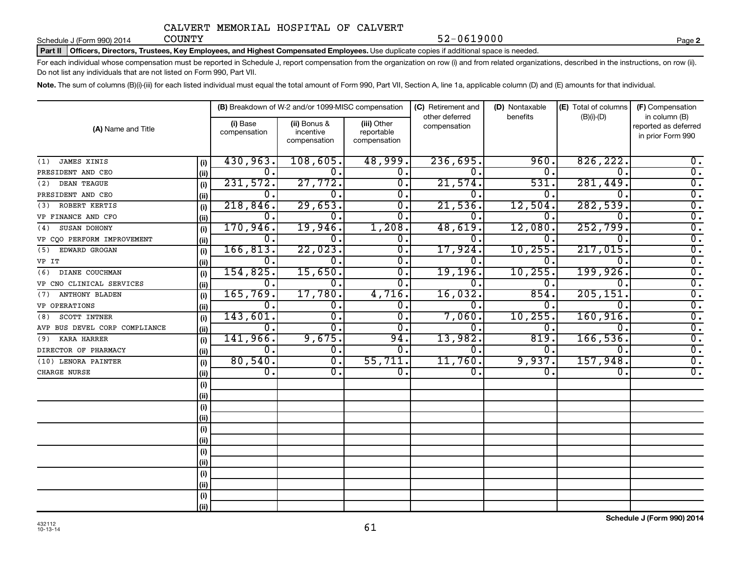Schedule J (Form 990) 2014 COUNTY

Part II | Officers, Directors, Trustees, Key Employees, and Highest Compensated Employees. Use duplicate copies if additional space is needed.

For each individual whose compensation must be reported in Schedule J, report compensation from the organization on row (i) and from related organizations, described in the instructions, on row (ii). Do not list any individuals that are not listed on Form 990, Part VII.

52-0619000

Note. The sum of columns (B)(i)-(iii) for each listed individual must equal the total amount of Form 990, Part VII, Section A, line 1a, applicable column (D) and (E) amounts for that individual.

|                               |      |                          | (B) Breakdown of W-2 and/or 1099-MISC compensation |                                           | (C) Retirement and<br>other deferred | (D) Nontaxable<br>benefits | (E) Total of columns | (F) Compensation<br>in column (B)         |  |  |
|-------------------------------|------|--------------------------|----------------------------------------------------|-------------------------------------------|--------------------------------------|----------------------------|----------------------|-------------------------------------------|--|--|
| (A) Name and Title            |      | (i) Base<br>compensation | (ii) Bonus &<br>incentive<br>compensation          | (iii) Other<br>reportable<br>compensation | compensation                         |                            | $(B)(i)-(D)$         | reported as deferred<br>in prior Form 990 |  |  |
| JAMES XINIS<br>(1)            | (i)  | 430,963.<br>108,605.     |                                                    | 48,999.                                   | 236,695.                             | 960                        | 826, 222.            | 0.                                        |  |  |
| PRESIDENT AND CEO             | (ii) | $\Omega$ .               | $0$ .                                              | 0.                                        | 0.                                   | 0                          | 0.                   | $\overline{0}$ .                          |  |  |
| DEAN TEAGUE<br>(2)            | (i)  | 231,572.                 | 27,772.                                            | 0.                                        | 21,574.                              | 531                        | 281,449.             | $\overline{0}$ .                          |  |  |
| PRESIDENT AND CEO             | (ii) | 0.                       | 0.                                                 | 0.                                        | 0.                                   | $\Omega$ .                 | 0.                   | $\overline{0}$ .                          |  |  |
| ROBERT KERTIS<br>(3)          | (i)  | 218,846.                 | 29,653.                                            | 0.                                        | 21,536.                              | 12,504                     | 282,539.             | $\overline{0}$ .                          |  |  |
| VP FINANCE AND CFO            | (ii) | 0.                       | 0.                                                 | 0.                                        | 0.                                   | 0.                         | 0.                   | $\overline{0}$ .                          |  |  |
| SUSAN DOHONY<br>(4)           | (i)  | 170,946.                 | 19,946.                                            | 1,208.                                    | 48,619.                              | 12,080                     | 252,799.             | $\overline{0}$ .                          |  |  |
| VP CQO PERFORM IMPROVEMENT    | (ii) | 0.                       | $0$ .                                              | 0.                                        | 0.                                   | 0                          | 0.                   | $\overline{0}$ .                          |  |  |
| EDWARD GROGAN<br>(5)          | (i)  | 166, 813.                | 22,023.                                            | 0.                                        | 17,924.                              | 10, 255                    | 217,015.             | $\overline{0}$ .                          |  |  |
| VP IT                         | (ii) | 0.                       | $\overline{0}$ .                                   | 0.                                        | 0.                                   | 0                          | 0.                   | $\overline{0}$ .                          |  |  |
| DIANE COUCHMAN<br>(6)         | (i)  | 154,825.                 | 15,650.                                            | 0.                                        | <u>19,196.</u>                       | 10, 255                    | 199,926.             | $\overline{0}$ .                          |  |  |
| VP CNO CLINICAL SERVICES      | (ii) | 0.                       | 0.                                                 | 0.                                        | 0.                                   | 0                          | 0.                   | $\overline{0}$ .                          |  |  |
| <b>ANTHONY BLADEN</b><br>(7)  | (i)  | 165,769.                 | 17,780.                                            | 4,716.                                    | 16,032.                              | 854                        | 205, 151.            | $\overline{0}$ .                          |  |  |
| <b>VP OPERATIONS</b>          | (ii) | 0.                       | $\overline{0}$ .                                   | 0.                                        | 0.                                   | 0.                         | 0.                   | $\overline{0}$ .                          |  |  |
| SCOTT INTNER<br>(8)           | (i)  | 143,601.                 | σ.                                                 | $\overline{0}$ .                          | 7,060.                               | 10, 255                    | 160, 916.            | $\overline{0}$ .                          |  |  |
| AVP BUS DEVEL CORP COMPLIANCE | (ii) | О.                       | $\overline{0}$ .                                   | 0.                                        | 0.                                   | $\Omega$ .                 | 0.                   | $\overline{0}$ .                          |  |  |
| KARA HARRER<br>(9)            | (i)  | 141,966.                 | 9,675.                                             | 94.                                       | 13,982.                              | 819                        | 166, 536.            | $\overline{0}$ .                          |  |  |
| DIRECTOR OF PHARMACY          | (ii) | 0.                       | $\overline{0}$ .                                   | 0.                                        | 0.                                   | $\Omega$ .                 | 0.                   | $\overline{0}$ .                          |  |  |
| (10) LENORA PAINTER           | (i)  | 80,540.                  | $\overline{0}$ .                                   | 55,711.                                   | 11,760.                              | 9,937.                     | 157,948.             | $\overline{0}$ .                          |  |  |
| CHARGE NURSE                  | (ii) | σ.                       | $\overline{0}$ .                                   | $\overline{0}$ .                          | $\overline{0}$ .                     | 0.                         | 0.                   | $\overline{0}$ .                          |  |  |
|                               | (i)  |                          |                                                    |                                           |                                      |                            |                      |                                           |  |  |
|                               | (ii) |                          |                                                    |                                           |                                      |                            |                      |                                           |  |  |
|                               | (i)  |                          |                                                    |                                           |                                      |                            |                      |                                           |  |  |
|                               | (ii) |                          |                                                    |                                           |                                      |                            |                      |                                           |  |  |
|                               | (i)  |                          |                                                    |                                           |                                      |                            |                      |                                           |  |  |
|                               | (ii) |                          |                                                    |                                           |                                      |                            |                      |                                           |  |  |
|                               | (i)  |                          |                                                    |                                           |                                      |                            |                      |                                           |  |  |
|                               | (ii) |                          |                                                    |                                           |                                      |                            |                      |                                           |  |  |
|                               | (i)  |                          |                                                    |                                           |                                      |                            |                      |                                           |  |  |
|                               | (i)  |                          |                                                    |                                           |                                      |                            |                      |                                           |  |  |
|                               | (i)  |                          |                                                    |                                           |                                      |                            |                      |                                           |  |  |
|                               | (ii) |                          |                                                    |                                           |                                      |                            |                      |                                           |  |  |

432112 10-13-14

**Schedule J (Form 990) 2014**

**2**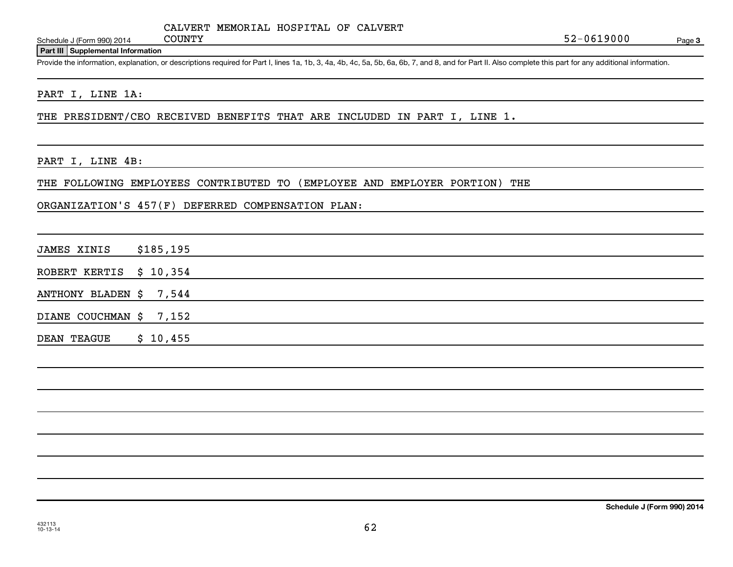Schedule J (Form 990) 2014 COUNTY

#### **Part III Supplemental Information**

Provide the information, explanation, or descriptions required for Part I, lines 1a, 1b, 3, 4a, 4b, 4c, 5a, 5b, 6a, 6b, 7, and 8, and for Part II. Also complete this part for any additional information.

### PART I, LINE 1A:

THE PRESIDENT/CEO RECEIVED BENEFITS THAT ARE INCLUDED IN PART I, LINE 1.

#### PART I, LINE 4B:

THE FOLLOWING EMPLOYEES CONTRIBUTED TO (EMPLOYEE AND EMPLOYER PORTION) THE

### ORGANIZATION'S 457(F) DEFERRED COMPENSATION PLAN:

|  | <b>JAMES XINIS</b> | \$185, 195 |
|--|--------------------|------------|
|--|--------------------|------------|

ROBERT KERTIS \$ 10,354

ANTHONY BLADEN \$ 7,544

DIANE COUCHMAN \$ 7,152

DEAN TEAGUE \$ 10,455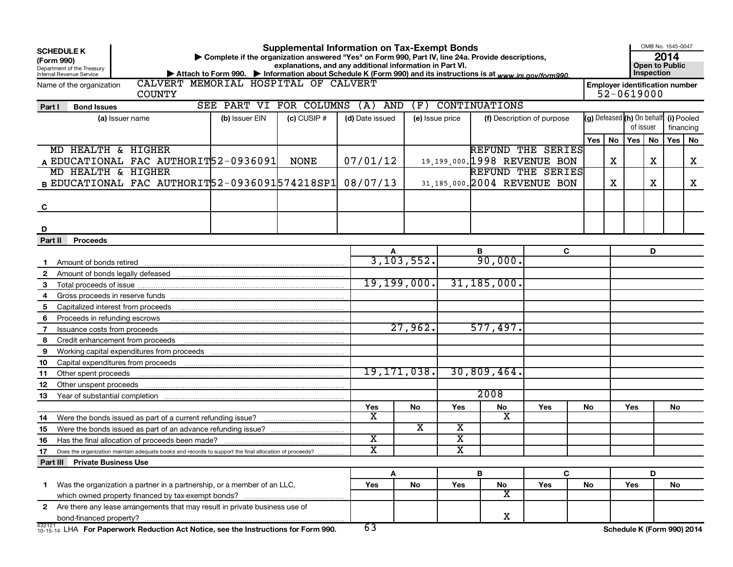| <b>Supplemental Information on Tax-Exempt Bonds</b><br><b>SCHEDULE K</b><br>Complete if the organization answered "Yes" on Form 990, Part IV, line 24a. Provide descriptions,<br>(Form 990)<br>explanations, and any additional information in Part VI.<br><b>Open to Public</b><br>Department of the Treasury<br>Inspection<br>Attach to Form 990. • Information about Schedule K (Form 990) and its instructions is at www.irs.gov/form990.<br>Internal Revenue Service |                 |                         |               |                         |                         |                                |          |                                                     |           |            | OMB No. 1545-0047 |
|---------------------------------------------------------------------------------------------------------------------------------------------------------------------------------------------------------------------------------------------------------------------------------------------------------------------------------------------------------------------------------------------------------------------------------------------------------------------------|-----------------|-------------------------|---------------|-------------------------|-------------------------|--------------------------------|----------|-----------------------------------------------------|-----------|------------|-------------------|
| CALVERT MEMORIAL HOSPITAL OF CALVERT<br>Name of the organization<br><b>COUNTY</b>                                                                                                                                                                                                                                                                                                                                                                                         |                 |                         |               |                         |                         |                                |          | <b>Employer identification number</b><br>52-0619000 |           |            |                   |
| SEE PART VI FOR COLUMNS<br>Part I<br><b>Bond Issues</b>                                                                                                                                                                                                                                                                                                                                                                                                                   |                 | $(A)$ AND               | (F)           |                         | <b>CONTINUATIONS</b>    |                                |          |                                                     |           |            |                   |
| (b) Issuer EIN<br>(a) Issuer name                                                                                                                                                                                                                                                                                                                                                                                                                                         | $(c)$ CUSIP $#$ | (d) Date issued         |               | (e) Issue price         |                         | (f) Description of purpose     |          | (g) Defeased (h) On behalf                          |           | (i) Pooled |                   |
|                                                                                                                                                                                                                                                                                                                                                                                                                                                                           |                 |                         |               |                         |                         |                                |          |                                                     | of issuer |            | financing         |
|                                                                                                                                                                                                                                                                                                                                                                                                                                                                           |                 |                         |               |                         |                         |                                | Yes   No |                                                     | Yes   No  | Yes        | No                |
| MD HEALTH & HIGHER                                                                                                                                                                                                                                                                                                                                                                                                                                                        |                 |                         |               |                         |                         | REFUND THE SERIES              |          |                                                     |           |            |                   |
| A EDUCATIONAL FAC AUTHORIT52-0936091                                                                                                                                                                                                                                                                                                                                                                                                                                      | <b>NONE</b>     | 07/01/12                |               |                         |                         | 19, 199, 000. 1998 REVENUE BON |          | X                                                   | x         |            | x                 |
| MD HEALTH & HIGHER                                                                                                                                                                                                                                                                                                                                                                                                                                                        |                 |                         |               |                         |                         | REFUND THE SERIES              |          |                                                     |           |            |                   |
| B EDUCATIONAL FAC AUTHORIT 52-0936091 574218SP1                                                                                                                                                                                                                                                                                                                                                                                                                           |                 | 08/07/13                |               |                         |                         | 31, 185, 000. 2004 REVENUE BON |          | X                                                   | x         |            | X                 |
|                                                                                                                                                                                                                                                                                                                                                                                                                                                                           |                 |                         |               |                         |                         |                                |          |                                                     |           |            |                   |
| C                                                                                                                                                                                                                                                                                                                                                                                                                                                                         |                 |                         |               |                         |                         |                                |          |                                                     |           |            |                   |
|                                                                                                                                                                                                                                                                                                                                                                                                                                                                           |                 |                         |               |                         |                         |                                |          |                                                     |           |            |                   |
| D                                                                                                                                                                                                                                                                                                                                                                                                                                                                         |                 |                         |               |                         |                         |                                |          |                                                     |           |            |                   |
| Part II<br><b>Proceeds</b>                                                                                                                                                                                                                                                                                                                                                                                                                                                |                 |                         |               |                         |                         |                                |          |                                                     |           |            |                   |
|                                                                                                                                                                                                                                                                                                                                                                                                                                                                           |                 |                         |               |                         | в                       | C                              |          |                                                     | D         |            |                   |
| Amount of bonds retired<br>1.                                                                                                                                                                                                                                                                                                                                                                                                                                             |                 |                         | 3, 103, 552.  |                         | 90,000.                 |                                |          |                                                     |           |            |                   |
| $\mathbf{2}$<br>Amount of bonds legally defeased                                                                                                                                                                                                                                                                                                                                                                                                                          |                 |                         |               |                         |                         |                                |          |                                                     |           |            |                   |
| 3                                                                                                                                                                                                                                                                                                                                                                                                                                                                         |                 |                         | 19, 199, 000. |                         | 31, 185, 000.           |                                |          |                                                     |           |            |                   |
| 4                                                                                                                                                                                                                                                                                                                                                                                                                                                                         |                 |                         |               |                         |                         |                                |          |                                                     |           |            |                   |
| Capitalized interest from proceeds<br>5                                                                                                                                                                                                                                                                                                                                                                                                                                   |                 |                         |               |                         |                         |                                |          |                                                     |           |            |                   |
| Proceeds in refunding escrows<br>6                                                                                                                                                                                                                                                                                                                                                                                                                                        |                 |                         |               |                         |                         |                                |          |                                                     |           |            |                   |
| Issuance costs from proceeds<br>7                                                                                                                                                                                                                                                                                                                                                                                                                                         |                 |                         | 27,962.       |                         | 577,497.                |                                |          |                                                     |           |            |                   |
| 8<br>Credit enhancement from proceeds                                                                                                                                                                                                                                                                                                                                                                                                                                     |                 |                         |               |                         |                         |                                |          |                                                     |           |            |                   |
| 9<br>Working capital expenditures from proceeds                                                                                                                                                                                                                                                                                                                                                                                                                           |                 |                         |               |                         |                         |                                |          |                                                     |           |            |                   |
| 10<br>Capital expenditures from proceeds                                                                                                                                                                                                                                                                                                                                                                                                                                  |                 |                         |               |                         |                         |                                |          |                                                     |           |            |                   |
| 11<br>Other spent proceeds                                                                                                                                                                                                                                                                                                                                                                                                                                                |                 |                         | 19, 171, 038. |                         | 30,809,464.             |                                |          |                                                     |           |            |                   |
| 12<br>Other unspent proceeds                                                                                                                                                                                                                                                                                                                                                                                                                                              |                 |                         |               |                         |                         |                                |          |                                                     |           |            |                   |
| 13<br>Year of substantial completion                                                                                                                                                                                                                                                                                                                                                                                                                                      |                 |                         |               |                         | 2008                    |                                |          |                                                     |           |            |                   |
|                                                                                                                                                                                                                                                                                                                                                                                                                                                                           |                 | Yes                     | No            | Yes                     | No                      | Yes                            | No       | <b>Yes</b>                                          |           | No         |                   |
| Were the bonds issued as part of a current refunding issue?<br>14                                                                                                                                                                                                                                                                                                                                                                                                         |                 | х                       |               |                         | х                       |                                |          |                                                     |           |            |                   |
| 15                                                                                                                                                                                                                                                                                                                                                                                                                                                                        |                 |                         | x             | x                       |                         |                                |          |                                                     |           |            |                   |
| 16                                                                                                                                                                                                                                                                                                                                                                                                                                                                        |                 | $\overline{\textbf{x}}$ |               | $\overline{\texttt{x}}$ |                         |                                |          |                                                     |           |            |                   |
| 17<br>Does the organization maintain adequate books and records to support the final allocation of proceeds?                                                                                                                                                                                                                                                                                                                                                              |                 | $\overline{\text{x}}$   |               | $\overline{\texttt{x}}$ |                         |                                |          |                                                     |           |            |                   |
| Part III Private Business Use                                                                                                                                                                                                                                                                                                                                                                                                                                             |                 |                         |               |                         |                         |                                |          |                                                     |           |            |                   |
|                                                                                                                                                                                                                                                                                                                                                                                                                                                                           |                 |                         | A             |                         | B                       | C                              |          |                                                     | D         |            |                   |
| Was the organization a partner in a partnership, or a member of an LLC,<br>$\mathbf 1$                                                                                                                                                                                                                                                                                                                                                                                    |                 | Yes                     | No            | Yes                     | No                      | Yes                            | No       | Yes                                                 |           | No         |                   |
|                                                                                                                                                                                                                                                                                                                                                                                                                                                                           |                 |                         |               |                         | $\overline{\textbf{X}}$ |                                |          |                                                     |           |            |                   |
| Are there any lease arrangements that may result in private business use of<br>$\mathbf{2}$                                                                                                                                                                                                                                                                                                                                                                               |                 |                         |               |                         |                         |                                |          |                                                     |           |            |                   |
| bond-financed property?                                                                                                                                                                                                                                                                                                                                                                                                                                                   |                 |                         |               |                         | X                       |                                |          |                                                     |           |            |                   |
| 432121<br>$^{432121}_{10-15-14}$ LHA For Paperwork Reduction Act Notice, see the Instructions for Form 990.                                                                                                                                                                                                                                                                                                                                                               |                 | 63                      |               |                         |                         |                                |          | Schedule K (Form 990) 2014                          |           |            |                   |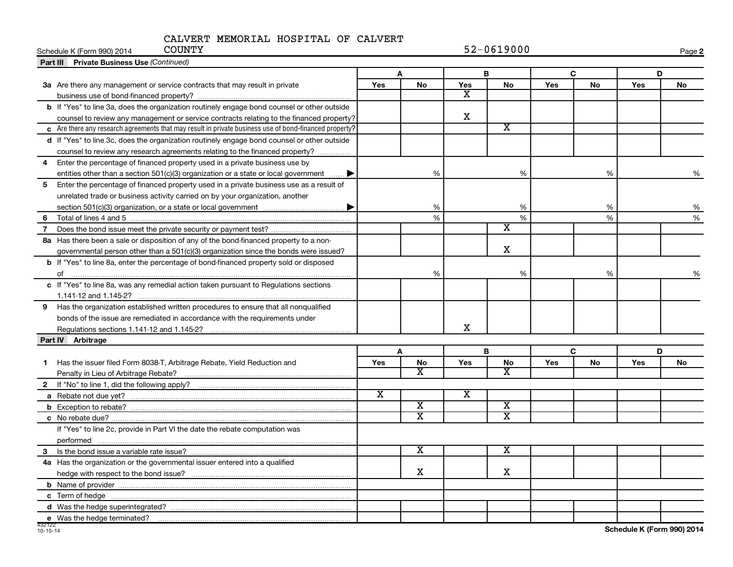| <b>COUNTY</b><br>Schedule K (Form 990) 2014                                                            |                       |                         |                         | $52 - 0619000$              |     |           |     | Page 2 |
|--------------------------------------------------------------------------------------------------------|-----------------------|-------------------------|-------------------------|-----------------------------|-----|-----------|-----|--------|
| <b>Part III Private Business Use (Continued)</b>                                                       |                       |                         |                         |                             |     |           |     |        |
|                                                                                                        |                       | A                       |                         | B                           |     | C         | D   |        |
| 3a Are there any management or service contracts that may result in private                            | <b>Yes</b>            | No                      | Yes                     | <b>No</b>                   | Yes | <b>No</b> | Yes | No     |
|                                                                                                        |                       |                         | x                       |                             |     |           |     |        |
| b If "Yes" to line 3a, does the organization routinely engage bond counsel or other outside            |                       |                         |                         |                             |     |           |     |        |
| counsel to review any management or service contracts relating to the financed property?               |                       |                         | x                       |                             |     |           |     |        |
| c Are there any research agreements that may result in private business use of bond-financed property? |                       |                         |                         | $\overline{\textbf{x}}$     |     |           |     |        |
| d If "Yes" to line 3c, does the organization routinely engage bond counsel or other outside            |                       |                         |                         |                             |     |           |     |        |
| counsel to review any research agreements relating to the financed property?                           |                       |                         |                         |                             |     |           |     |        |
| Enter the percentage of financed property used in a private business use by<br>$\overline{4}$          |                       |                         |                         |                             |     |           |     |        |
| entities other than a section $501(c)(3)$ organization or a state or local government<br>…. ▶          |                       | %                       |                         | %                           |     | %         |     | %      |
| 5<br>Enter the percentage of financed property used in a private business use as a result of           |                       |                         |                         |                             |     |           |     |        |
| unrelated trade or business activity carried on by your organization, another                          |                       |                         |                         |                             |     |           |     |        |
|                                                                                                        |                       | %                       |                         | %                           |     | %         |     | %      |
| 6.                                                                                                     |                       | $\frac{9}{6}$           |                         | %                           |     | %         |     | %      |
| 7                                                                                                      |                       |                         |                         | $\overline{\textnormal{x}}$ |     |           |     |        |
| 8a Has there been a sale or disposition of any of the bond-financed property to a non-                 |                       |                         |                         |                             |     |           |     |        |
| governmental person other than a 501(c)(3) organization since the bonds were issued?                   |                       |                         |                         | X                           |     |           |     |        |
| b If "Yes" to line 8a, enter the percentage of bond-financed property sold or disposed                 |                       |                         |                         |                             |     |           |     |        |
|                                                                                                        |                       | %                       |                         | %                           |     | %         |     |        |
| c If "Yes" to line 8a, was any remedial action taken pursuant to Regulations sections                  |                       |                         |                         |                             |     |           |     |        |
|                                                                                                        |                       |                         |                         |                             |     |           |     |        |
| 9 Has the organization established written procedures to ensure that all nonqualified                  |                       |                         |                         |                             |     |           |     |        |
| bonds of the issue are remediated in accordance with the requirements under                            |                       |                         |                         |                             |     |           |     |        |
|                                                                                                        |                       |                         | х                       |                             |     |           |     |        |
| Part IV Arbitrage                                                                                      |                       |                         |                         |                             |     |           |     |        |
|                                                                                                        |                       | A                       |                         | B                           |     | C         | D   |        |
| Has the issuer filed Form 8038-T, Arbitrage Rebate, Yield Reduction and<br>1                           | Yes                   | <b>No</b>               | Yes                     | ${\sf No}$                  | Yes | No        | Yes | No     |
|                                                                                                        |                       | X                       |                         | X                           |     |           |     |        |
|                                                                                                        |                       |                         |                         |                             |     |           |     |        |
|                                                                                                        | $\overline{\text{x}}$ |                         | $\overline{\textbf{x}}$ |                             |     |           |     |        |
|                                                                                                        |                       | $\overline{\texttt{x}}$ |                         | $\overline{\mathbf{X}}$     |     |           |     |        |
|                                                                                                        |                       | $\overline{\text{x}}$   |                         | $\overline{\text{x}}$       |     |           |     |        |
| If "Yes" to line 2c, provide in Part VI the date the rebate computation was                            |                       |                         |                         |                             |     |           |     |        |
| performed                                                                                              |                       |                         |                         |                             |     |           |     |        |
|                                                                                                        |                       | $\overline{\textbf{x}}$ |                         | х                           |     |           |     |        |
| 4a Has the organization or the governmental issuer entered into a qualified                            |                       |                         |                         |                             |     |           |     |        |
|                                                                                                        |                       | $\mathbf X$             |                         | x                           |     |           |     |        |
|                                                                                                        |                       |                         |                         |                             |     |           |     |        |
|                                                                                                        |                       |                         |                         |                             |     |           |     |        |
|                                                                                                        |                       |                         |                         |                             |     |           |     |        |
|                                                                                                        |                       |                         |                         |                             |     |           |     |        |
| e Was the hedge terminated?                                                                            |                       |                         |                         |                             |     |           |     |        |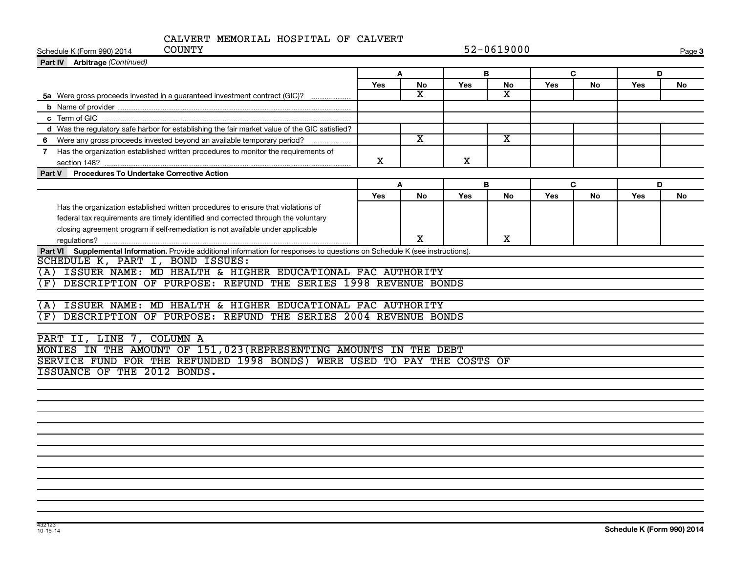| <b>COUNTY</b><br>Schedule K (Form 990) 2014                                                                                      | 52-0619000 |                         |     |                         |     |    |     |    |  |  |
|----------------------------------------------------------------------------------------------------------------------------------|------------|-------------------------|-----|-------------------------|-----|----|-----|----|--|--|
| Part IV Arbitrage (Continued)                                                                                                    |            |                         |     |                         |     |    |     |    |  |  |
|                                                                                                                                  |            | A<br>В                  |     |                         |     | C  | D   |    |  |  |
|                                                                                                                                  | Yes        | No                      | Yes | No                      | Yes | No | Yes | No |  |  |
| 5a Were gross proceeds invested in a guaranteed investment contract (GIC)?                                                       |            | $\overline{\mathbf{x}}$ |     | $\overline{\textbf{x}}$ |     |    |     |    |  |  |
|                                                                                                                                  |            |                         |     |                         |     |    |     |    |  |  |
|                                                                                                                                  |            |                         |     |                         |     |    |     |    |  |  |
| d Was the regulatory safe harbor for establishing the fair market value of the GIC satisfied?                                    |            |                         |     |                         |     |    |     |    |  |  |
| 6 Were any gross proceeds invested beyond an available temporary period?                                                         |            | $\overline{\texttt{x}}$ |     | $\overline{\mathbf{x}}$ |     |    |     |    |  |  |
| 7 Has the organization established written procedures to monitor the requirements of                                             | X          |                         | x   |                         |     |    |     |    |  |  |
| Procedures To Undertake Corrective Action<br>Part V                                                                              |            |                         |     |                         |     |    |     |    |  |  |
|                                                                                                                                  |            | A                       |     | В                       |     | C  | D   |    |  |  |
|                                                                                                                                  | <b>Yes</b> | No                      | Yes | No                      | Yes | No | Yes | No |  |  |
| Has the organization established written procedures to ensure that violations of                                                 |            |                         |     |                         |     |    |     |    |  |  |
| federal tax requirements are timely identified and corrected through the voluntary                                               |            |                         |     |                         |     |    |     |    |  |  |
| closing agreement program if self-remediation is not available under applicable                                                  |            |                         |     |                         |     |    |     |    |  |  |
|                                                                                                                                  |            | x                       |     | X                       |     |    |     |    |  |  |
| Part VI Supplemental Information. Provide additional information for responses to questions on Schedule K (see instructions).    |            |                         |     |                         |     |    |     |    |  |  |
| SCHEDULE K, PART I, BOND ISSUES:                                                                                                 |            |                         |     |                         |     |    |     |    |  |  |
| (A) ISSUER NAME: MD HEALTH & HIGHER EDUCATIONAL FAC AUTHORITY                                                                    |            |                         |     |                         |     |    |     |    |  |  |
| DESCRIPTION OF PURPOSE: REFUND THE SERIES 1998 REVENUE BONDS<br>(F)                                                              |            |                         |     |                         |     |    |     |    |  |  |
|                                                                                                                                  |            |                         |     |                         |     |    |     |    |  |  |
| ISSUER NAME: MD HEALTH & HIGHER EDUCATIONAL FAC AUTHORITY<br>(A)<br>DESCRIPTION OF PURPOSE: REFUND THE SERIES 2004 REVENUE BONDS |            |                         |     |                         |     |    |     |    |  |  |
| (F)                                                                                                                              |            |                         |     |                         |     |    |     |    |  |  |
| PART II, LINE 7, COLUMN A                                                                                                        |            |                         |     |                         |     |    |     |    |  |  |
| MONIES IN THE AMOUNT OF 151, 023 (REPRESENTING AMOUNTS IN THE DEBT                                                               |            |                         |     |                         |     |    |     |    |  |  |
| SERVICE FUND FOR THE REFUNDED 1998 BONDS) WERE USED TO PAY THE COSTS OF                                                          |            |                         |     |                         |     |    |     |    |  |  |
| ISSUANCE OF THE 2012 BONDS.                                                                                                      |            |                         |     |                         |     |    |     |    |  |  |
|                                                                                                                                  |            |                         |     |                         |     |    |     |    |  |  |
|                                                                                                                                  |            |                         |     |                         |     |    |     |    |  |  |
|                                                                                                                                  |            |                         |     |                         |     |    |     |    |  |  |
|                                                                                                                                  |            |                         |     |                         |     |    |     |    |  |  |
|                                                                                                                                  |            |                         |     |                         |     |    |     |    |  |  |
|                                                                                                                                  |            |                         |     |                         |     |    |     |    |  |  |
|                                                                                                                                  |            |                         |     |                         |     |    |     |    |  |  |
|                                                                                                                                  |            |                         |     |                         |     |    |     |    |  |  |
|                                                                                                                                  |            |                         |     |                         |     |    |     |    |  |  |
|                                                                                                                                  |            |                         |     |                         |     |    |     |    |  |  |
|                                                                                                                                  |            |                         |     |                         |     |    |     |    |  |  |
|                                                                                                                                  |            |                         |     |                         |     |    |     |    |  |  |
|                                                                                                                                  |            |                         |     |                         |     |    |     |    |  |  |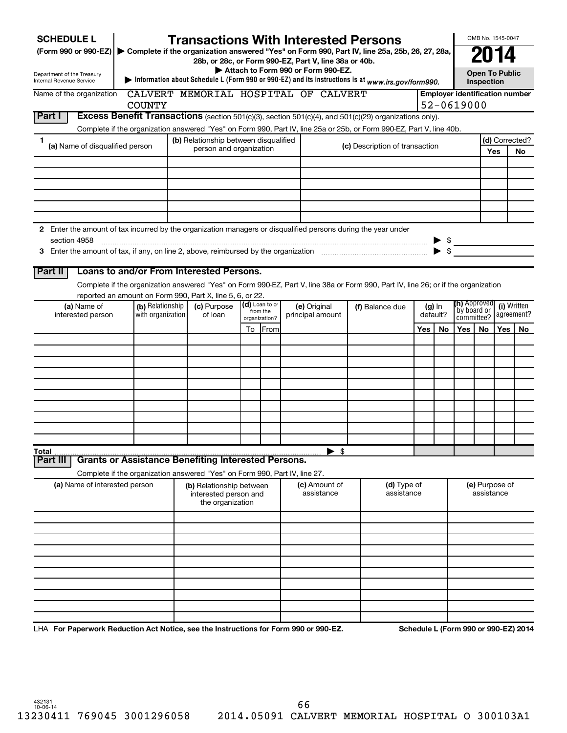| <b>SCHEDULE L</b><br>(Form 990 or 990-EZ) > Complete if the organization answered "Yes" on Form 990, Part IV, line 25a, 25b, 26, 27, 28a, |                                       | <b>Transactions With Interested Persons</b><br>28b, or 28c, or Form 990-EZ, Part V, line 38a or 40b. |    |                            | Attach to Form 990 or Form 990-EZ. |                             |                                                                                                                                    |     |          |                                      |            | OMB No. 1545-0047     |                                       |
|-------------------------------------------------------------------------------------------------------------------------------------------|---------------------------------------|------------------------------------------------------------------------------------------------------|----|----------------------------|------------------------------------|-----------------------------|------------------------------------------------------------------------------------------------------------------------------------|-----|----------|--------------------------------------|------------|-----------------------|---------------------------------------|
| Department of the Treasury<br><b>Internal Revenue Service</b>                                                                             |                                       |                                                                                                      |    |                            |                                    |                             | Information about Schedule L (Form 990 or 990-EZ) and its instructions is at $www.irs.gov/form990.$                                |     |          |                                      | Inspection | <b>Open To Public</b> |                                       |
| Name of the organization                                                                                                                  |                                       | CALVERT MEMORIAL HOSPITAL OF CALVERT                                                                 |    |                            |                                    |                             |                                                                                                                                    |     |          |                                      |            |                       | <b>Employer identification number</b> |
| Part I                                                                                                                                    | <b>COUNTY</b>                         |                                                                                                      |    |                            |                                    |                             | Excess Benefit Transactions (section 501(c)(3), section 501(c)(4), and 501(c)(29) organizations only).                             |     |          | 52-0619000                           |            |                       |                                       |
|                                                                                                                                           |                                       |                                                                                                      |    |                            |                                    |                             | Complete if the organization answered "Yes" on Form 990, Part IV, line 25a or 25b, or Form 990-EZ, Part V, line 40b.               |     |          |                                      |            |                       |                                       |
| 1.                                                                                                                                        |                                       | (b) Relationship between disqualified                                                                |    |                            |                                    |                             |                                                                                                                                    |     |          |                                      |            |                       | (d) Corrected?                        |
| (a) Name of disqualified person                                                                                                           |                                       | person and organization                                                                              |    |                            |                                    |                             | (c) Description of transaction                                                                                                     |     |          |                                      |            | Yes                   | No                                    |
|                                                                                                                                           |                                       |                                                                                                      |    |                            |                                    |                             |                                                                                                                                    |     |          |                                      |            |                       |                                       |
|                                                                                                                                           |                                       |                                                                                                      |    |                            |                                    |                             |                                                                                                                                    |     |          |                                      |            |                       |                                       |
|                                                                                                                                           |                                       |                                                                                                      |    |                            |                                    |                             |                                                                                                                                    |     |          |                                      |            |                       |                                       |
|                                                                                                                                           |                                       |                                                                                                      |    |                            |                                    |                             |                                                                                                                                    |     |          |                                      |            |                       |                                       |
| 2 Enter the amount of tax incurred by the organization managers or disqualified persons during the year under                             |                                       |                                                                                                      |    |                            |                                    |                             |                                                                                                                                    |     |          |                                      |            |                       |                                       |
| section 4958                                                                                                                              |                                       |                                                                                                      |    |                            |                                    |                             |                                                                                                                                    |     |          | $\triangleright$ \$                  |            |                       |                                       |
|                                                                                                                                           |                                       |                                                                                                      |    |                            |                                    |                             |                                                                                                                                    |     |          |                                      |            |                       |                                       |
| Part II                                                                                                                                   |                                       | Loans to and/or From Interested Persons.                                                             |    |                            |                                    |                             |                                                                                                                                    |     |          |                                      |            |                       |                                       |
|                                                                                                                                           |                                       |                                                                                                      |    |                            |                                    |                             | Complete if the organization answered "Yes" on Form 990-EZ, Part V, line 38a or Form 990, Part IV, line 26; or if the organization |     |          |                                      |            |                       |                                       |
|                                                                                                                                           |                                       | reported an amount on Form 990, Part X, line 5, 6, or 22.                                            |    |                            |                                    |                             |                                                                                                                                    |     |          |                                      |            |                       |                                       |
| (a) Name of<br>interested person                                                                                                          | (b) Relationship<br>with organization | (c) Purpose                                                                                          |    | (d) Loan to or<br>from the | (e) Original                       |                             | (f) Balance due                                                                                                                    |     | $(g)$ In | ( <b>h)</b> Approved<br>`by board or |            |                       | (i) Written<br>agreement?             |
|                                                                                                                                           |                                       | of loan                                                                                              |    | organization?              | principal amount                   |                             |                                                                                                                                    |     | default? | committee?                           |            |                       |                                       |
|                                                                                                                                           |                                       |                                                                                                      | To | From                       |                                    |                             |                                                                                                                                    | Yes | No       | Yes                                  | No         | Yes                   | <b>No</b>                             |
|                                                                                                                                           |                                       |                                                                                                      |    |                            |                                    |                             |                                                                                                                                    |     |          |                                      |            |                       |                                       |
|                                                                                                                                           |                                       |                                                                                                      |    |                            |                                    |                             |                                                                                                                                    |     |          |                                      |            |                       |                                       |
|                                                                                                                                           |                                       |                                                                                                      |    |                            |                                    |                             |                                                                                                                                    |     |          |                                      |            |                       |                                       |
|                                                                                                                                           |                                       |                                                                                                      |    |                            |                                    |                             |                                                                                                                                    |     |          |                                      |            |                       |                                       |
|                                                                                                                                           |                                       |                                                                                                      |    |                            |                                    |                             |                                                                                                                                    |     |          |                                      |            |                       |                                       |
|                                                                                                                                           |                                       |                                                                                                      |    |                            |                                    |                             |                                                                                                                                    |     |          |                                      |            |                       |                                       |
|                                                                                                                                           |                                       |                                                                                                      |    |                            |                                    |                             |                                                                                                                                    |     |          |                                      |            |                       |                                       |
| Total                                                                                                                                     |                                       |                                                                                                      |    |                            |                                    | $\blacktriangleright$ \$    |                                                                                                                                    |     |          |                                      |            |                       |                                       |
| Part II                                                                                                                                   |                                       | <b>Grants or Assistance Benefiting Interested Persons.</b>                                           |    |                            |                                    |                             |                                                                                                                                    |     |          |                                      |            |                       |                                       |
|                                                                                                                                           |                                       | Complete if the organization answered "Yes" on Form 990, Part IV, line 27.                           |    |                            |                                    |                             |                                                                                                                                    |     |          |                                      |            |                       |                                       |
| (a) Name of interested person                                                                                                             |                                       | (b) Relationship between<br>interested person and<br>the organization                                |    |                            |                                    | (c) Amount of<br>assistance | (d) Type of<br>assistance                                                                                                          |     |          |                                      | assistance | (e) Purpose of        |                                       |
|                                                                                                                                           |                                       |                                                                                                      |    |                            |                                    |                             |                                                                                                                                    |     |          |                                      |            |                       |                                       |
|                                                                                                                                           |                                       |                                                                                                      |    |                            |                                    |                             |                                                                                                                                    |     |          |                                      |            |                       |                                       |
|                                                                                                                                           |                                       |                                                                                                      |    |                            |                                    |                             |                                                                                                                                    |     |          |                                      |            |                       |                                       |
|                                                                                                                                           |                                       |                                                                                                      |    |                            |                                    |                             |                                                                                                                                    |     |          |                                      |            |                       |                                       |
|                                                                                                                                           |                                       |                                                                                                      |    |                            |                                    |                             |                                                                                                                                    |     |          |                                      |            |                       |                                       |
|                                                                                                                                           |                                       |                                                                                                      |    |                            |                                    |                             |                                                                                                                                    |     |          |                                      |            |                       |                                       |
|                                                                                                                                           |                                       |                                                                                                      |    |                            |                                    |                             |                                                                                                                                    |     |          |                                      |            |                       |                                       |
|                                                                                                                                           |                                       |                                                                                                      |    |                            |                                    |                             |                                                                                                                                    |     |          |                                      |            |                       |                                       |
|                                                                                                                                           |                                       |                                                                                                      |    |                            |                                    |                             |                                                                                                                                    |     |          |                                      |            |                       |                                       |

LHA For Paperwork Reduction Act Notice, see the Instructions for Form 990 or 990-EZ. Schedule L (Form 990 or 990-EZ) 2014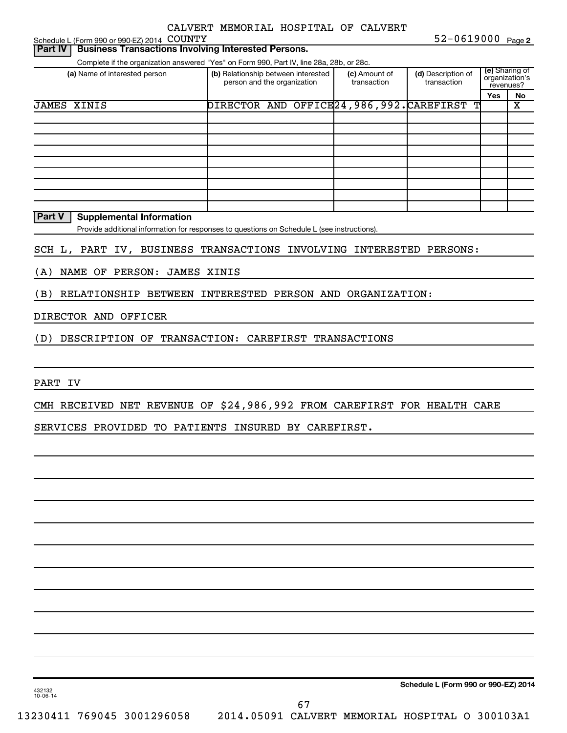Schedule L (Form 990 or 990-EZ) 2014 COUNTY

**2** COUNTY 52-0619000

## (a) Name of interested person (b) Relationship between interested (c) Amount of (d) Description of  $\binom{e}{r}$ **Yes No** Complete if the organization answered "Yes" on Form 990, Part IV, line 28a, 28b, or 28c. (e) Sharing of organization's revenues? person and the organization (c) Amount of transaction (d) Description of transaction **Part IV Business Transactions Involving Interested Persons.** JAMES XINIS DIRECTOR AND OFFICE24,986,992.CAREFIRST T X

#### **Part V** | Supplemental Information

Provide additional information for responses to questions on Schedule L (see instructions).

### SCH L, PART IV, BUSINESS TRANSACTIONS INVOLVING INTERESTED PERSONS:

(A) NAME OF PERSON: JAMES XINIS

(B) RELATIONSHIP BETWEEN INTERESTED PERSON AND ORGANIZATION:

#### DIRECTOR AND OFFICER

(D) DESCRIPTION OF TRANSACTION: CAREFIRST TRANSACTIONS

PART IV

CMH RECEIVED NET REVENUE OF \$24,986,992 FROM CAREFIRST FOR HEALTH CARE

SERVICES PROVIDED TO PATIENTS INSURED BY CAREFIRST.

**Schedule L (Form 990 or 990-EZ) 2014**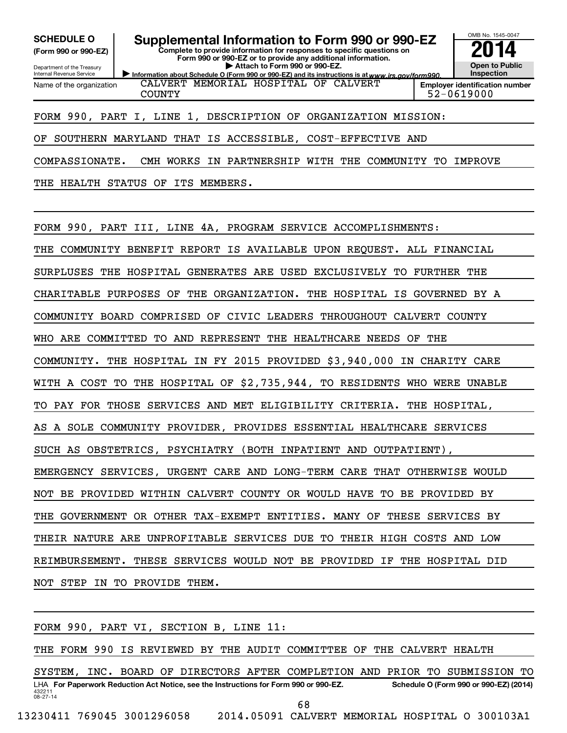**(Form 990 or 990-EZ)**

Department of the Treasury Internal Revenue Service Name of the organization

SCHEDULE O **Supplemental Information to Form 990 or 990-EZ 2014** 

**Complete to provide information for responses to specific questions on Form 990 or 990-EZ or to provide any additional information. | Attach to Form 990 or 990-EZ.**

Information about Schedule O (Form 990 or 990-EZ) and its instructions is at www.irs.gov/form990. CALVERT MEMORIAL HOSPITAL OF CALVERT COUNTY 52-0619000



### FORM 990, PART I, LINE 1, DESCRIPTION OF ORGANIZATION MISSION:

OF SOUTHERN MARYLAND THAT IS ACCESSIBLE, COST-EFFECTIVE AND

COMPASSIONATE. CMH WORKS IN PARTNERSHIP WITH THE COMMUNITY TO IMPROVE

THE HEALTH STATUS OF ITS MEMBERS.

FORM 990, PART III, LINE 4A, PROGRAM SERVICE ACCOMPLISHMENTS: THE COMMUNITY BENEFIT REPORT IS AVAILABLE UPON REQUEST. ALL FINANCIAL SURPLUSES THE HOSPITAL GENERATES ARE USED EXCLUSIVELY TO FURTHER THE CHARITABLE PURPOSES OF THE ORGANIZATION. THE HOSPITAL IS GOVERNED BY A COMMUNITY BOARD COMPRISED OF CIVIC LEADERS THROUGHOUT CALVERT COUNTY WHO ARE COMMITTED TO AND REPRESENT THE HEALTHCARE NEEDS OF THE COMMUNITY. THE HOSPITAL IN FY 2015 PROVIDED \$3,940,000 IN CHARITY CARE WITH A COST TO THE HOSPITAL OF \$2,735,944, TO RESIDENTS WHO WERE UNABLE TO PAY FOR THOSE SERVICES AND MET ELIGIBILITY CRITERIA. THE HOSPITAL, AS A SOLE COMMUNITY PROVIDER, PROVIDES ESSENTIAL HEALTHCARE SERVICES SUCH AS OBSTETRICS, PSYCHIATRY (BOTH INPATIENT AND OUTPATIENT), EMERGENCY SERVICES, URGENT CARE AND LONG-TERM CARE THAT OTHERWISE WOULD NOT BE PROVIDED WITHIN CALVERT COUNTY OR WOULD HAVE TO BE PROVIDED BY THE GOVERNMENT OR OTHER TAX-EXEMPT ENTITIES. MANY OF THESE SERVICES BY THEIR NATURE ARE UNPROFITABLE SERVICES DUE TO THEIR HIGH COSTS AND LOW REIMBURSEMENT. THESE SERVICES WOULD NOT BE PROVIDED IF THE HOSPITAL DID NOT STEP IN TO PROVIDE THEM.

432211 08-27-14 LHA For Paperwork Reduction Act Notice, see the Instructions for Form 990 or 990-EZ. Schedule O (Form 990 or 990-EZ) (2014) FORM 990, PART VI, SECTION B, LINE 11: THE FORM 990 IS REVIEWED BY THE AUDIT COMMITTEE OF THE CALVERT HEALTH SYSTEM, INC. BOARD OF DIRECTORS AFTER COMPLETION AND PRIOR TO SUBMISSION TO 13230411 769045 3001296058 2014.05091 CALVERT MEMORIAL HOSPITAL O 300103A1 68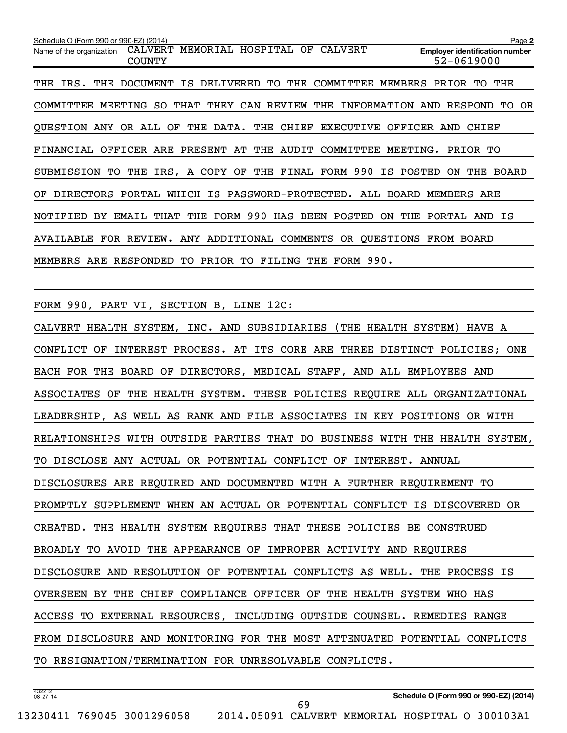| Schedule O (Form 990 or 990-EZ) (2014)                                                      | Page 2                                              |
|---------------------------------------------------------------------------------------------|-----------------------------------------------------|
| MEMORIAL HOSPITAL OF CALVERT<br><b>CALVERT</b><br>Name of the organization<br><b>COUNTY</b> | <b>Employer identification number</b><br>52-0619000 |
| IS DELIVERED TO<br>THE<br>IRS.<br>THE<br>DOCUMENT<br>COMMITTEE<br>MEMBERS<br>THE            | THE<br>PRIOR<br>TO.                                 |
| COMMITTEE<br>SO.<br>THAT<br>THEY CAN REVIEW<br>THE<br>INFORMATION<br>MEETING                | RESPOND<br>TO.<br>OR<br>AND                         |
| QUESTION ANY OR ALL OF THE DATA. THE CHIEF EXECUTIVE                                        | OFFICER AND<br>CHIEF                                |
| FINANCIAL OFFICER ARE PRESENT AT THE AUDIT COMMITTEE MEETING.                               | PRIOR TO                                            |
| SUBMISSION TO THE IRS, A COPY OF THE FINAL FORM 990<br>IS POSTED                            | ON.<br>THE<br>BOARD                                 |
| OF DIRECTORS PORTAL WHICH IS PASSWORD-PROTECTED. ALL BOARD MEMBERS ARE                      |                                                     |
| FORM 990<br>HAS BEEN POSTED<br>THAT THE<br>THE<br>NOTIFIED<br>BY<br>EMAIL<br>0N             | PORTAL<br>IS<br>AND                                 |
| AVAILABLE FOR REVIEW. ANY ADDITIONAL COMMENTS OR OUESTIONS FROM BOARD                       |                                                     |
| FORM 990.<br>MEMBERS ARE RESPONDED TO PRIOR TO FILING<br>THE                                |                                                     |

FORM 990, PART VI, SECTION B, LINE 12C:

CALVERT HEALTH SYSTEM, INC. AND SUBSIDIARIES (THE HEALTH SYSTEM) HAVE A CONFLICT OF INTEREST PROCESS. AT ITS CORE ARE THREE DISTINCT POLICIES; ONE EACH FOR THE BOARD OF DIRECTORS, MEDICAL STAFF, AND ALL EMPLOYEES AND ASSOCIATES OF THE HEALTH SYSTEM. THESE POLICIES REQUIRE ALL ORGANIZATIONAL LEADERSHIP, AS WELL AS RANK AND FILE ASSOCIATES IN KEY POSITIONS OR WITH RELATIONSHIPS WITH OUTSIDE PARTIES THAT DO BUSINESS WITH THE HEALTH SYSTEM, TO DISCLOSE ANY ACTUAL OR POTENTIAL CONFLICT OF INTEREST. ANNUAL DISCLOSURES ARE REQUIRED AND DOCUMENTED WITH A FURTHER REQUIREMENT TO PROMPTLY SUPPLEMENT WHEN AN ACTUAL OR POTENTIAL CONFLICT IS DISCOVERED OR CREATED. THE HEALTH SYSTEM REQUIRES THAT THESE POLICIES BE CONSTRUED BROADLY TO AVOID THE APPEARANCE OF IMPROPER ACTIVITY AND REQUIRES DISCLOSURE AND RESOLUTION OF POTENTIAL CONFLICTS AS WELL. THE PROCESS IS OVERSEEN BY THE CHIEF COMPLIANCE OFFICER OF THE HEALTH SYSTEM WHO HAS ACCESS TO EXTERNAL RESOURCES, INCLUDING OUTSIDE COUNSEL. REMEDIES RANGE FROM DISCLOSURE AND MONITORING FOR THE MOST ATTENUATED POTENTIAL CONFLICTS TO RESIGNATION/TERMINATION FOR UNRESOLVABLE CONFLICTS.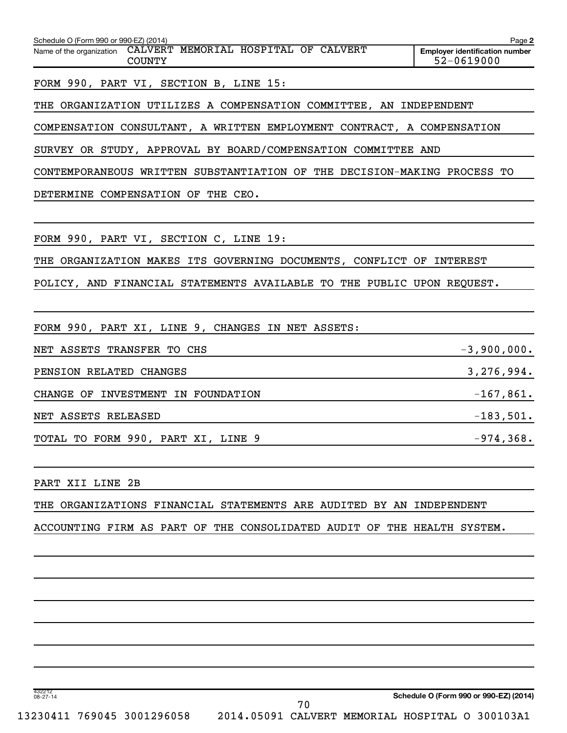| Schedule O (Form 990 or 990-EZ) (2014)                                         | Page 2                                              |
|--------------------------------------------------------------------------------|-----------------------------------------------------|
| Name of the organization CALVERT MEMORIAL HOSPITAL OF CALVERT<br><b>COUNTY</b> | <b>Employer identification number</b><br>52-0619000 |
| FORM 990, PART VI, SECTION B, LINE 15:                                         |                                                     |
| THE ORGANIZATION UTILIZES A COMPENSATION COMMITTEE, AN INDEPENDENT             |                                                     |
| COMPENSATION CONSULTANT, A WRITTEN EMPLOYMENT CONTRACT, A COMPENSATION         |                                                     |
| SURVEY OR STUDY, APPROVAL BY BOARD/COMPENSATION COMMITTEE AND                  |                                                     |
| CONTEMPORANEOUS WRITTEN SUBSTANTIATION OF THE DECISION-MAKING PROCESS TO       |                                                     |
| DETERMINE COMPENSATION OF THE CEO.                                             |                                                     |
|                                                                                |                                                     |
| FORM 990, PART VI, SECTION C, LINE 19:                                         |                                                     |
| THE ORGANIZATION MAKES ITS GOVERNING DOCUMENTS, CONFLICT OF INTEREST           |                                                     |
| POLICY, AND FINANCIAL STATEMENTS AVAILABLE TO THE PUBLIC UPON REQUEST.         |                                                     |
|                                                                                |                                                     |
| FORM 990, PART XI, LINE 9, CHANGES IN NET ASSETS:                              |                                                     |
| NET ASSETS TRANSFER TO CHS                                                     | $-3,900,000.$                                       |
| PENSION RELATED CHANGES                                                        | 3,276,994.                                          |
| CHANGE OF INVESTMENT IN FOUNDATION                                             | $-167,861.$                                         |
| NET ASSETS RELEASED                                                            | $-183,501.$                                         |
| TOTAL TO FORM 990, PART XI, LINE 9                                             | $-974, 368.$                                        |
|                                                                                |                                                     |
| PART XII LINE 2B                                                               |                                                     |
|                                                                                |                                                     |

THE ORGANIZATIONS FINANCIAL STATEMENTS ARE AUDITED BY AN INDEPENDENT

ACCOUNTING FIRM AS PART OF THE CONSOLIDATED AUDIT OF THE HEALTH SYSTEM.

432212 08-27-14

**Schedule O (Form 990 or 990-EZ) (2014)**

70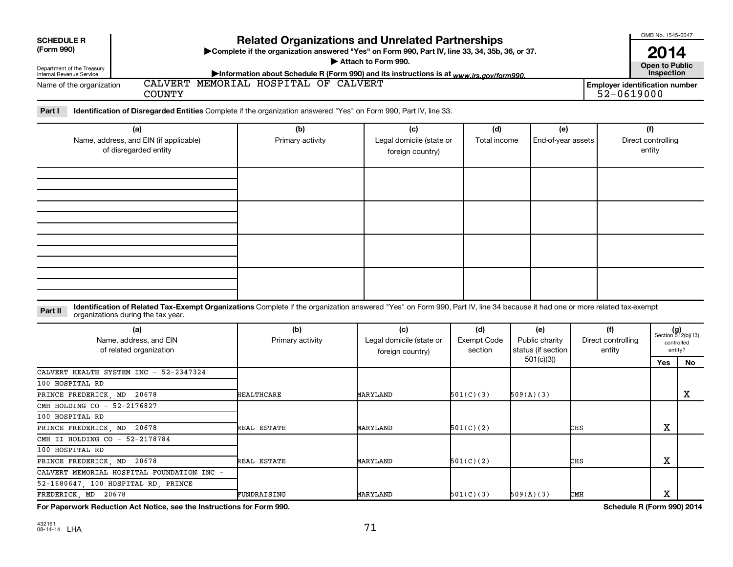| <b>Related Organizations and Unrelated Partnerships</b><br><b>SCHEDULE R</b><br>(Form 990)<br>>Complete if the organization answered "Yes" on Form 990, Part IV, line 33, 34, 35b, 36, or 37.<br>Attach to Form 990.<br>Department of the Treasury<br>Internal Revenue Service<br>Information about Schedule R (Form 990) and its instructions is at www.irs.gov/form990. |                                                                        |                                                                                                                                                                            |                                                     |                                      |                                             |     |                                                     |                                     |                                                      |
|---------------------------------------------------------------------------------------------------------------------------------------------------------------------------------------------------------------------------------------------------------------------------------------------------------------------------------------------------------------------------|------------------------------------------------------------------------|----------------------------------------------------------------------------------------------------------------------------------------------------------------------------|-----------------------------------------------------|--------------------------------------|---------------------------------------------|-----|-----------------------------------------------------|-------------------------------------|------------------------------------------------------|
| Name of the organization                                                                                                                                                                                                                                                                                                                                                  | <b>COUNTY</b>                                                          | CALVERT MEMORIAL HOSPITAL OF CALVERT                                                                                                                                       |                                                     |                                      |                                             |     | <b>Employer identification number</b><br>52-0619000 | Inspection                          |                                                      |
| Part I                                                                                                                                                                                                                                                                                                                                                                    |                                                                        | Identification of Disregarded Entities Complete if the organization answered "Yes" on Form 990, Part IV, line 33.                                                          |                                                     |                                      |                                             |     |                                                     |                                     |                                                      |
|                                                                                                                                                                                                                                                                                                                                                                           | (a)<br>Name, address, and EIN (if applicable)<br>of disregarded entity | (b)<br>Primary activity                                                                                                                                                    | (c)<br>Legal domicile (state or<br>foreign country) | (d)<br>Total income                  | (e)<br>End-of-year assets                   |     |                                                     | (f)<br>Direct controlling<br>entity |                                                      |
|                                                                                                                                                                                                                                                                                                                                                                           |                                                                        |                                                                                                                                                                            |                                                     |                                      |                                             |     |                                                     |                                     |                                                      |
|                                                                                                                                                                                                                                                                                                                                                                           |                                                                        |                                                                                                                                                                            |                                                     |                                      |                                             |     |                                                     |                                     |                                                      |
|                                                                                                                                                                                                                                                                                                                                                                           |                                                                        | Identification of Related Tax-Exempt Organizations Complete if the organization answered "Yes" on Form 990, Part IV, line 34 because it had one or more related tax-exempt |                                                     |                                      |                                             |     |                                                     |                                     |                                                      |
| Part II                                                                                                                                                                                                                                                                                                                                                                   | organizations during the tax year.                                     |                                                                                                                                                                            |                                                     |                                      |                                             |     |                                                     |                                     |                                                      |
|                                                                                                                                                                                                                                                                                                                                                                           | (a)<br>Name, address, and EIN<br>of related organization               | (b)<br>Primary activity                                                                                                                                                    | (c)<br>Legal domicile (state or<br>foreign country) | (d)<br><b>Exempt Code</b><br>section | (e)<br>Public charity<br>status (if section |     | (f)<br>Direct controlling<br>entity                 |                                     | $(g)$<br>Section 512(b)(13)<br>controlled<br>entity? |
|                                                                                                                                                                                                                                                                                                                                                                           | CALVERT HEALTH SYSTEM INC - 52-2347324                                 |                                                                                                                                                                            |                                                     |                                      | 501(c)(3)                                   |     |                                                     | Yes                                 | <b>No</b>                                            |
| 100 HOSPITAL RD                                                                                                                                                                                                                                                                                                                                                           |                                                                        |                                                                                                                                                                            |                                                     |                                      |                                             |     |                                                     |                                     |                                                      |
| PRINCE FREDERICK, MD                                                                                                                                                                                                                                                                                                                                                      | 20678                                                                  | <b>HEALTHCARE</b>                                                                                                                                                          | MARYLAND                                            | 501(C)(3)                            | 509(A)(3)                                   |     |                                                     |                                     | x                                                    |
| CMH HOLDING CO - 52-2176827                                                                                                                                                                                                                                                                                                                                               |                                                                        |                                                                                                                                                                            |                                                     |                                      |                                             |     |                                                     |                                     |                                                      |
| 100 HOSPITAL RD                                                                                                                                                                                                                                                                                                                                                           |                                                                        |                                                                                                                                                                            |                                                     |                                      |                                             |     |                                                     |                                     |                                                      |
| PRINCE FREDERICK, MD 20678                                                                                                                                                                                                                                                                                                                                                |                                                                        | REAL ESTATE                                                                                                                                                                | MARYLAND                                            | 501(C)(2)                            |                                             | CHS |                                                     | x                                   |                                                      |
| CMH II HOLDING CO - 52-2178784                                                                                                                                                                                                                                                                                                                                            |                                                                        |                                                                                                                                                                            |                                                     |                                      |                                             |     |                                                     |                                     |                                                      |
| 100 HOSPITAL RD                                                                                                                                                                                                                                                                                                                                                           |                                                                        |                                                                                                                                                                            |                                                     |                                      |                                             |     |                                                     |                                     |                                                      |
| PRINCE FREDERICK, MD 20678                                                                                                                                                                                                                                                                                                                                                |                                                                        | REAL ESTATE                                                                                                                                                                | MARYLAND                                            | 501(C)(2)                            |                                             | CHS |                                                     | $\mathbf X$                         |                                                      |
|                                                                                                                                                                                                                                                                                                                                                                           | CALVERT MEMORIAL HOSPITAL FOUNDATION INC                               |                                                                                                                                                                            |                                                     |                                      |                                             |     |                                                     |                                     |                                                      |
| 52-1680647 100 HOSPITAL RD PRINCE                                                                                                                                                                                                                                                                                                                                         |                                                                        |                                                                                                                                                                            |                                                     |                                      |                                             |     |                                                     |                                     |                                                      |

**For Paperwork Reduction Act Notice, see the Instructions for Form 990.** Schedule R (Form 990) 2014

FREDERICK, MD 20678 FUNDRAISING MARYLAND 501(C)(3) 509(A)(3) CMH X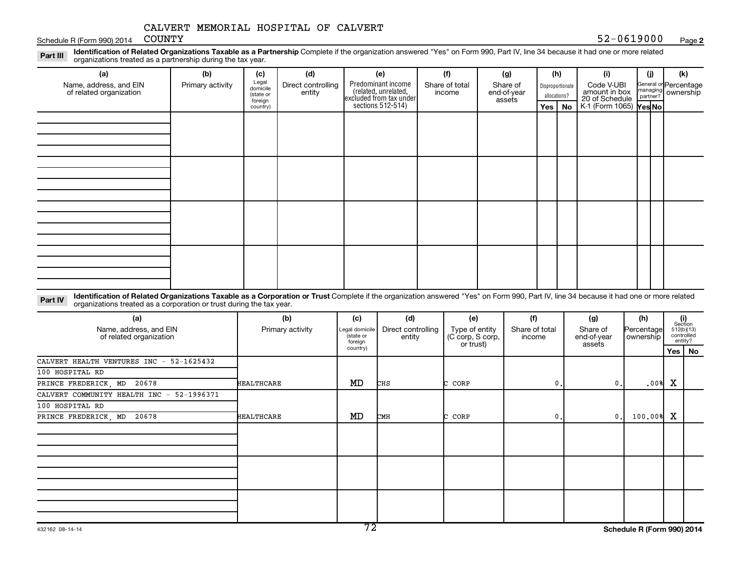Schedule R (Form 990) 2014 COUNTY

Part III Identification of Related Organizations Taxable as a Partnership Complete if the organization answered "Yes" on Form 990, Part IV, line 34 because it had one or more related<br>Read to the organizations tracted as a organizations treated as a partnership during the tax year.

| (a)                                               | (b)              | (c)                                       | (d)                          | (e)                                                                                        | (f)                      | (g)                               | (h)              |              | (i)                                                                            | (i) | (k)                                                     |
|---------------------------------------------------|------------------|-------------------------------------------|------------------------------|--------------------------------------------------------------------------------------------|--------------------------|-----------------------------------|------------------|--------------|--------------------------------------------------------------------------------|-----|---------------------------------------------------------|
| Name, address, and EIN<br>of related organization | Primary activity | Legal<br>domicile<br>(state or<br>foreign | Direct controlling<br>entity | Predominant income<br>(related, unrelated,<br>excluded from tax under<br>sections 512-514) | Share of total<br>income | Share of<br>end-of-year<br>assets | Disproportionate | allocations? | Code V-UBI<br>amount in box<br>20 of Schedule<br>K-1 (Form 1065) <b>Yes No</b> |     | General or Percentage<br>managing ownership<br>partner? |
|                                                   |                  | country)                                  |                              |                                                                                            |                          |                                   |                  | Yes   No     |                                                                                |     |                                                         |
|                                                   |                  |                                           |                              |                                                                                            |                          |                                   |                  |              |                                                                                |     |                                                         |
|                                                   |                  |                                           |                              |                                                                                            |                          |                                   |                  |              |                                                                                |     |                                                         |
|                                                   |                  |                                           |                              |                                                                                            |                          |                                   |                  |              |                                                                                |     |                                                         |
|                                                   |                  |                                           |                              |                                                                                            |                          |                                   |                  |              |                                                                                |     |                                                         |
|                                                   |                  |                                           |                              |                                                                                            |                          |                                   |                  |              |                                                                                |     |                                                         |
|                                                   |                  |                                           |                              |                                                                                            |                          |                                   |                  |              |                                                                                |     |                                                         |
|                                                   |                  |                                           |                              |                                                                                            |                          |                                   |                  |              |                                                                                |     |                                                         |
|                                                   |                  |                                           |                              |                                                                                            |                          |                                   |                  |              |                                                                                |     |                                                         |
|                                                   |                  |                                           |                              |                                                                                            |                          |                                   |                  |              |                                                                                |     |                                                         |
|                                                   |                  |                                           |                              |                                                                                            |                          |                                   |                  |              |                                                                                |     |                                                         |
|                                                   |                  |                                           |                              |                                                                                            |                          |                                   |                  |              |                                                                                |     |                                                         |
|                                                   |                  |                                           |                              |                                                                                            |                          |                                   |                  |              |                                                                                |     |                                                         |
|                                                   |                  |                                           |                              |                                                                                            |                          |                                   |                  |              |                                                                                |     |                                                         |
|                                                   |                  |                                           |                              |                                                                                            |                          |                                   |                  |              |                                                                                |     |                                                         |
|                                                   |                  |                                           |                              |                                                                                            |                          |                                   |                  |              |                                                                                |     |                                                         |
|                                                   |                  |                                           |                              |                                                                                            |                          |                                   |                  |              |                                                                                |     |                                                         |
|                                                   |                  |                                           |                              |                                                                                            |                          |                                   |                  |              |                                                                                |     |                                                         |

Part IV Identification of Related Organizations Taxable as a Corporation or Trust Complete if the organization answered "Yes" on Form 990, Part IV, line 34 because it had one or more related<br>Comparison tracted as a comprat organizations treated as a corporation or trust during the tax year.

| (a)<br>Name, address, and EIN<br>of related organization | (b)<br>Primary activity | (c)<br>Legal domicile<br>(state or<br>foreign<br>country) | (d)<br>Direct controlling<br>entity | (e)<br>Type of entity<br>(C corp, S corp,<br>or trust) | (f)<br>Share of total<br>income | (g)<br>Share of<br>end-of-year<br>assets | (h)<br>Percentage<br>ownership | (i)<br>Section | 512(b)(13)<br>controlled<br>entity? |
|----------------------------------------------------------|-------------------------|-----------------------------------------------------------|-------------------------------------|--------------------------------------------------------|---------------------------------|------------------------------------------|--------------------------------|----------------|-------------------------------------|
| CALVERT HEALTH VENTURES INC - 52-1625432                 |                         |                                                           |                                     |                                                        |                                 |                                          |                                |                | Yes   No                            |
| 100 HOSPITAL RD                                          |                         |                                                           |                                     |                                                        |                                 |                                          |                                |                |                                     |
| PRINCE FREDERICK, MD 20678                               | HEALTHCARE              | MD                                                        | CHS                                 | CORP                                                   | 0.                              | $\mathbf 0$ .                            | .00%                           | X              |                                     |
| CALVERT COMMUNITY HEALTH INC - 52-1996371                |                         |                                                           |                                     |                                                        |                                 |                                          |                                |                |                                     |
| 100 HOSPITAL RD                                          |                         |                                                           |                                     |                                                        |                                 |                                          |                                |                |                                     |
| PRINCE FREDERICK, MD 20678                               | HEALTHCARE              | MD                                                        | <b>CMH</b>                          | CORP<br>◠                                              | 0.                              | $\mathbf{0}$ .                           | 100.00%                        | X              |                                     |
|                                                          |                         |                                                           |                                     |                                                        |                                 |                                          |                                |                |                                     |
|                                                          |                         |                                                           |                                     |                                                        |                                 |                                          |                                |                |                                     |
|                                                          |                         |                                                           |                                     |                                                        |                                 |                                          |                                |                |                                     |
|                                                          |                         |                                                           |                                     |                                                        |                                 |                                          |                                |                |                                     |
|                                                          |                         |                                                           |                                     |                                                        |                                 |                                          |                                |                |                                     |
|                                                          |                         |                                                           |                                     |                                                        |                                 |                                          |                                |                |                                     |
|                                                          |                         |                                                           |                                     |                                                        |                                 |                                          |                                |                |                                     |
|                                                          |                         |                                                           |                                     |                                                        |                                 |                                          |                                |                |                                     |
|                                                          |                         |                                                           |                                     |                                                        |                                 |                                          |                                |                |                                     |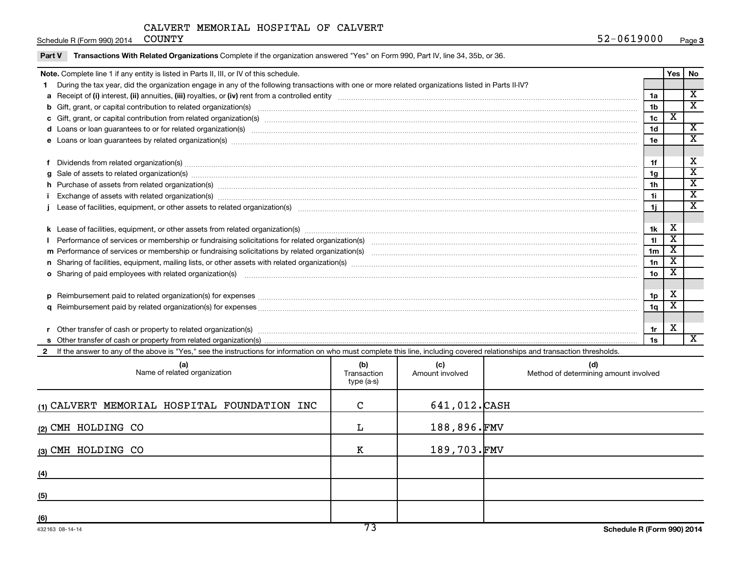Schedule R (Form 990) 2014 COUNTY

|  | Transactions With Related Organizations Complete if the organization answered "Yes" on Form 990, Part IV, line 34, 35b, or 36.<br>Part V                                                                                       |                 |                                  |                                                    |  |  |  |  |  |
|--|--------------------------------------------------------------------------------------------------------------------------------------------------------------------------------------------------------------------------------|-----------------|----------------------------------|----------------------------------------------------|--|--|--|--|--|
|  | Note. Complete line 1 if any entity is listed in Parts II, III, or IV of this schedule.                                                                                                                                        |                 | Yes                              | No                                                 |  |  |  |  |  |
|  | During the tax year, did the organization engage in any of the following transactions with one or more related organizations listed in Parts II-IV?                                                                            |                 |                                  |                                                    |  |  |  |  |  |
|  |                                                                                                                                                                                                                                | 1a              |                                  | $\overline{\texttt{x}}$                            |  |  |  |  |  |
|  | b Gift, grant, or capital contribution to related organization(s) manufaction contribution contribution to related organization(s) manufaction contribution for elated organization(s) manufactured contribution contribution  | 1 <sub>b</sub>  |                                  | $\overline{\mathbf{x}}$                            |  |  |  |  |  |
|  | 1c                                                                                                                                                                                                                             |                 |                                  |                                                    |  |  |  |  |  |
|  |                                                                                                                                                                                                                                | 1 <sub>d</sub>  |                                  | X                                                  |  |  |  |  |  |
|  | 1e                                                                                                                                                                                                                             |                 |                                  |                                                    |  |  |  |  |  |
|  |                                                                                                                                                                                                                                |                 |                                  |                                                    |  |  |  |  |  |
|  |                                                                                                                                                                                                                                |                 |                                  |                                                    |  |  |  |  |  |
|  |                                                                                                                                                                                                                                | 1g              |                                  | $\overline{\texttt{x}}$<br>$\overline{\texttt{x}}$ |  |  |  |  |  |
|  | h Purchase of assets from related organization(s) manufactured and content to content the content of the content of the content of the content of the content of the content of the content of the content of the content of t |                 |                                  |                                                    |  |  |  |  |  |
|  |                                                                                                                                                                                                                                |                 |                                  |                                                    |  |  |  |  |  |
|  |                                                                                                                                                                                                                                |                 |                                  |                                                    |  |  |  |  |  |
|  |                                                                                                                                                                                                                                |                 |                                  |                                                    |  |  |  |  |  |
|  |                                                                                                                                                                                                                                | 1k              | X<br>$\overline{\textnormal{x}}$ |                                                    |  |  |  |  |  |
|  |                                                                                                                                                                                                                                |                 |                                  |                                                    |  |  |  |  |  |
|  |                                                                                                                                                                                                                                |                 |                                  |                                                    |  |  |  |  |  |
|  |                                                                                                                                                                                                                                |                 |                                  |                                                    |  |  |  |  |  |
|  | o Sharing of paid employees with related organization(s) manufactured and content to the content of the content of the content of the content of the content of the content of the content of the content of the content of th | 10 <sub>o</sub> | х                                |                                                    |  |  |  |  |  |
|  |                                                                                                                                                                                                                                |                 |                                  |                                                    |  |  |  |  |  |
|  |                                                                                                                                                                                                                                |                 |                                  |                                                    |  |  |  |  |  |
|  |                                                                                                                                                                                                                                |                 |                                  |                                                    |  |  |  |  |  |
|  |                                                                                                                                                                                                                                |                 |                                  |                                                    |  |  |  |  |  |
|  |                                                                                                                                                                                                                                |                 |                                  |                                                    |  |  |  |  |  |
|  |                                                                                                                                                                                                                                |                 |                                  |                                                    |  |  |  |  |  |
|  | 2 If the answer to any of the above is "Yes," see the instructions for information on who must complete this line, including covered relationships and transaction thresholds.                                                 |                 |                                  |                                                    |  |  |  |  |  |
|  | (b)<br>(c)<br>(d)<br>Name of related organization<br>Method of determining amount involved<br>Amount involved<br>Transaction                                                                                                   |                 |                                  |                                                    |  |  |  |  |  |

| Name of related organization                 | $\sim$<br>Transaction<br>type (a-s) | $\mathbf{v}$<br>Amount involved | $\sim$<br>Method of determining amount involved |
|----------------------------------------------|-------------------------------------|---------------------------------|-------------------------------------------------|
| (1) CALVERT MEMORIAL HOSPITAL FOUNDATION INC | $\mathbf C$                         | 641,012.CASH                    |                                                 |
| (2) CMH HOLDING CO                           | L                                   | 188,896.FMV                     |                                                 |
| (3) CMH HOLDING CO                           | к                                   | 189,703.FMV                     |                                                 |
| (4)                                          |                                     |                                 |                                                 |
| (5)                                          |                                     |                                 |                                                 |
| (6)                                          | ר ד                                 |                                 | A A A<br>-------                                |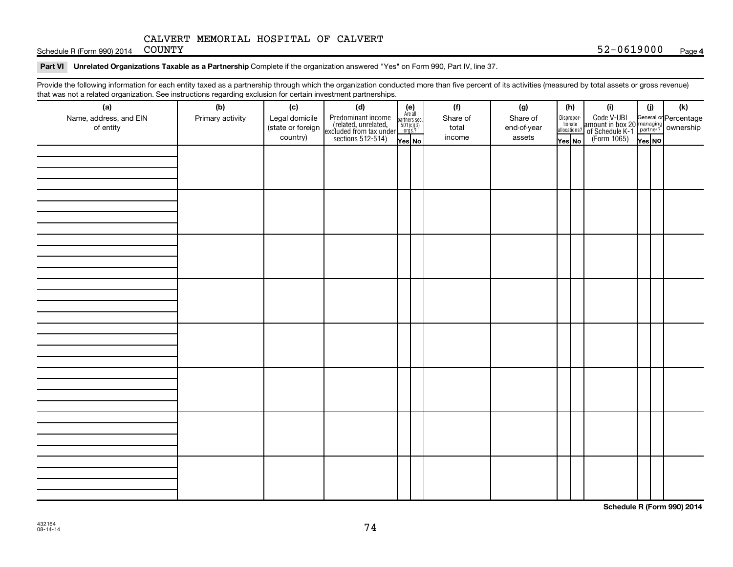Schedule R (Form 990) 2014 COUNTY

#### Part VI Unrelated Organizations Taxable as a Partnership Complete if the organization answered "Yes" on Form 990, Part IV, line 37.

Provide the following information for each entity taxed as a partnership through which the organization conducted more than five percent of its activities (measured by total assets or gross revenue) that was not a related organization. See instructions regarding exclusion for certain investment partnerships.

| that was not a related erganization. Occ included bio regarding excludion for cortain investment partnerships.<br>(a) | (b)              |  |  |  | (f)      | (g)         |        | (h) | (i)                                                                                                                | (i)    | (k) |
|-----------------------------------------------------------------------------------------------------------------------|------------------|--|--|--|----------|-------------|--------|-----|--------------------------------------------------------------------------------------------------------------------|--------|-----|
| Name, address, and EIN                                                                                                | Primary activity |  |  |  | Share of | Share of    |        |     |                                                                                                                    |        |     |
| of entity                                                                                                             |                  |  |  |  | total    | end-of-year |        |     | Disproport Code V-UBI<br>amount in box 20 managing<br>allocations? of Schedule K-1<br>Yes No (Form 1065)<br>Yes No |        |     |
|                                                                                                                       |                  |  |  |  | income   | assets      | Yes No |     |                                                                                                                    | Yes NO |     |
|                                                                                                                       |                  |  |  |  |          |             |        |     |                                                                                                                    |        |     |
|                                                                                                                       |                  |  |  |  |          |             |        |     |                                                                                                                    |        |     |
|                                                                                                                       |                  |  |  |  |          |             |        |     |                                                                                                                    |        |     |
|                                                                                                                       |                  |  |  |  |          |             |        |     |                                                                                                                    |        |     |
|                                                                                                                       |                  |  |  |  |          |             |        |     |                                                                                                                    |        |     |
|                                                                                                                       |                  |  |  |  |          |             |        |     |                                                                                                                    |        |     |
|                                                                                                                       |                  |  |  |  |          |             |        |     |                                                                                                                    |        |     |
|                                                                                                                       |                  |  |  |  |          |             |        |     |                                                                                                                    |        |     |
|                                                                                                                       |                  |  |  |  |          |             |        |     |                                                                                                                    |        |     |
|                                                                                                                       |                  |  |  |  |          |             |        |     |                                                                                                                    |        |     |
|                                                                                                                       |                  |  |  |  |          |             |        |     |                                                                                                                    |        |     |
|                                                                                                                       |                  |  |  |  |          |             |        |     |                                                                                                                    |        |     |
|                                                                                                                       |                  |  |  |  |          |             |        |     |                                                                                                                    |        |     |
|                                                                                                                       |                  |  |  |  |          |             |        |     |                                                                                                                    |        |     |
|                                                                                                                       |                  |  |  |  |          |             |        |     |                                                                                                                    |        |     |
|                                                                                                                       |                  |  |  |  |          |             |        |     |                                                                                                                    |        |     |
|                                                                                                                       |                  |  |  |  |          |             |        |     |                                                                                                                    |        |     |
|                                                                                                                       |                  |  |  |  |          |             |        |     |                                                                                                                    |        |     |
|                                                                                                                       |                  |  |  |  |          |             |        |     |                                                                                                                    |        |     |
|                                                                                                                       |                  |  |  |  |          |             |        |     |                                                                                                                    |        |     |
|                                                                                                                       |                  |  |  |  |          |             |        |     |                                                                                                                    |        |     |
|                                                                                                                       |                  |  |  |  |          |             |        |     |                                                                                                                    |        |     |
|                                                                                                                       |                  |  |  |  |          |             |        |     |                                                                                                                    |        |     |
|                                                                                                                       |                  |  |  |  |          |             |        |     |                                                                                                                    |        |     |
|                                                                                                                       |                  |  |  |  |          |             |        |     |                                                                                                                    |        |     |
|                                                                                                                       |                  |  |  |  |          |             |        |     |                                                                                                                    |        |     |
|                                                                                                                       |                  |  |  |  |          |             |        |     |                                                                                                                    |        |     |
|                                                                                                                       |                  |  |  |  |          |             |        |     |                                                                                                                    |        |     |
|                                                                                                                       |                  |  |  |  |          |             |        |     |                                                                                                                    |        |     |
|                                                                                                                       |                  |  |  |  |          |             |        |     |                                                                                                                    |        |     |
|                                                                                                                       |                  |  |  |  |          |             |        |     |                                                                                                                    |        |     |
|                                                                                                                       |                  |  |  |  |          |             |        |     |                                                                                                                    |        |     |

**Schedule R (Form 990) 2014**